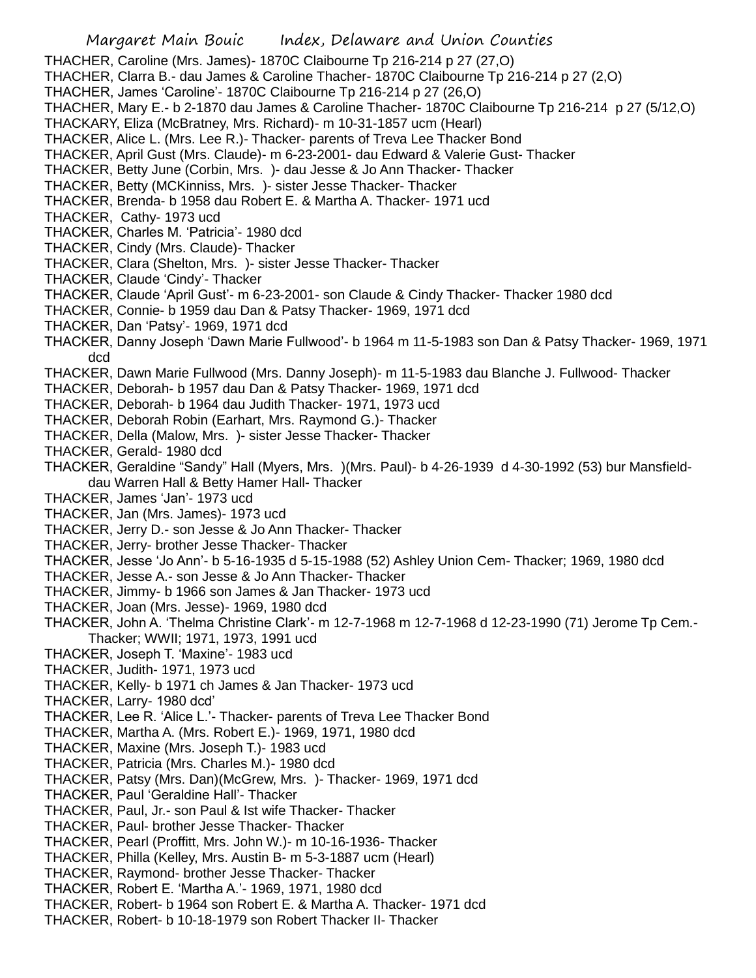#### Margaret Main Bouic Index, Delaware and Union Counties THACHER, Caroline (Mrs. James)- 1870C Claibourne Tp 216-214 p 27 (27,O) THACHER, Clarra B.- dau James & Caroline Thacher- 1870C Claibourne Tp 216-214 p 27 (2,O) THACHER, James 'Caroline'- 1870C Claibourne Tp 216-214 p 27 (26,O) THACHER, Mary E.- b 2-1870 dau James & Caroline Thacher- 1870C Claibourne Tp 216-214 p 27 (5/12,O) THACKARY, Eliza (McBratney, Mrs. Richard)- m 10-31-1857 ucm (Hearl) THACKER, Alice L. (Mrs. Lee R.)- Thacker- parents of Treva Lee Thacker Bond THACKER, April Gust (Mrs. Claude)- m 6-23-2001- dau Edward & Valerie Gust- Thacker THACKER, Betty June (Corbin, Mrs. )- dau Jesse & Jo Ann Thacker- Thacker THACKER, Betty (MCKinniss, Mrs. )- sister Jesse Thacker- Thacker THACKER, Brenda- b 1958 dau Robert E. & Martha A. Thacker- 1971 ucd THACKER, Cathy- 1973 ucd THACKER, Charles M. 'Patricia'- 1980 dcd THACKER, Cindy (Mrs. Claude)- Thacker THACKER, Clara (Shelton, Mrs. )- sister Jesse Thacker- Thacker THACKER, Claude 'Cindy'- Thacker THACKER, Claude 'April Gust'- m 6-23-2001- son Claude & Cindy Thacker- Thacker 1980 dcd THACKER, Connie- b 1959 dau Dan & Patsy Thacker- 1969, 1971 dcd THACKER, Dan 'Patsy'- 1969, 1971 dcd THACKER, Danny Joseph 'Dawn Marie Fullwood'- b 1964 m 11-5-1983 son Dan & Patsy Thacker- 1969, 1971 dcd THACKER, Dawn Marie Fullwood (Mrs. Danny Joseph)- m 11-5-1983 dau Blanche J. Fullwood- Thacker THACKER, Deborah- b 1957 dau Dan & Patsy Thacker- 1969, 1971 dcd THACKER, Deborah- b 1964 dau Judith Thacker- 1971, 1973 ucd THACKER, Deborah Robin (Earhart, Mrs. Raymond G.)- Thacker THACKER, Della (Malow, Mrs. )- sister Jesse Thacker- Thacker THACKER, Gerald- 1980 dcd THACKER, Geraldine "Sandy" Hall (Myers, Mrs. )(Mrs. Paul)- b 4-26-1939 d 4-30-1992 (53) bur Mansfielddau Warren Hall & Betty Hamer Hall- Thacker THACKER, James 'Jan'- 1973 ucd THACKER, Jan (Mrs. James)- 1973 ucd THACKER, Jerry D.- son Jesse & Jo Ann Thacker- Thacker THACKER, Jerry- brother Jesse Thacker- Thacker THACKER, Jesse 'Jo Ann'- b 5-16-1935 d 5-15-1988 (52) Ashley Union Cem- Thacker; 1969, 1980 dcd THACKER, Jesse A.- son Jesse & Jo Ann Thacker- Thacker THACKER, Jimmy- b 1966 son James & Jan Thacker- 1973 ucd THACKER, Joan (Mrs. Jesse)- 1969, 1980 dcd THACKER, John A. 'Thelma Christine Clark'- m 12-7-1968 m 12-7-1968 d 12-23-1990 (71) Jerome Tp Cem.- Thacker; WWII; 1971, 1973, 1991 ucd THACKER, Joseph T. 'Maxine'- 1983 ucd THACKER, Judith- 1971, 1973 ucd THACKER, Kelly- b 1971 ch James & Jan Thacker- 1973 ucd THACKER, Larry- 1980 dcd' THACKER, Lee R. 'Alice L.'- Thacker- parents of Treva Lee Thacker Bond THACKER, Martha A. (Mrs. Robert E.)- 1969, 1971, 1980 dcd THACKER, Maxine (Mrs. Joseph T.)- 1983 ucd THACKER, Patricia (Mrs. Charles M.)- 1980 dcd THACKER, Patsy (Mrs. Dan)(McGrew, Mrs. )- Thacker- 1969, 1971 dcd THACKER, Paul 'Geraldine Hall'- Thacker THACKER, Paul, Jr.- son Paul & Ist wife Thacker- Thacker THACKER, Paul- brother Jesse Thacker- Thacker THACKER, Pearl (Proffitt, Mrs. John W.)- m 10-16-1936- Thacker THACKER, Philla (Kelley, Mrs. Austin B- m 5-3-1887 ucm (Hearl) THACKER, Raymond- brother Jesse Thacker- Thacker THACKER, Robert E. 'Martha A.'- 1969, 1971, 1980 dcd THACKER, Robert- b 1964 son Robert E. & Martha A. Thacker- 1971 dcd THACKER, Robert- b 10-18-1979 son Robert Thacker II- Thacker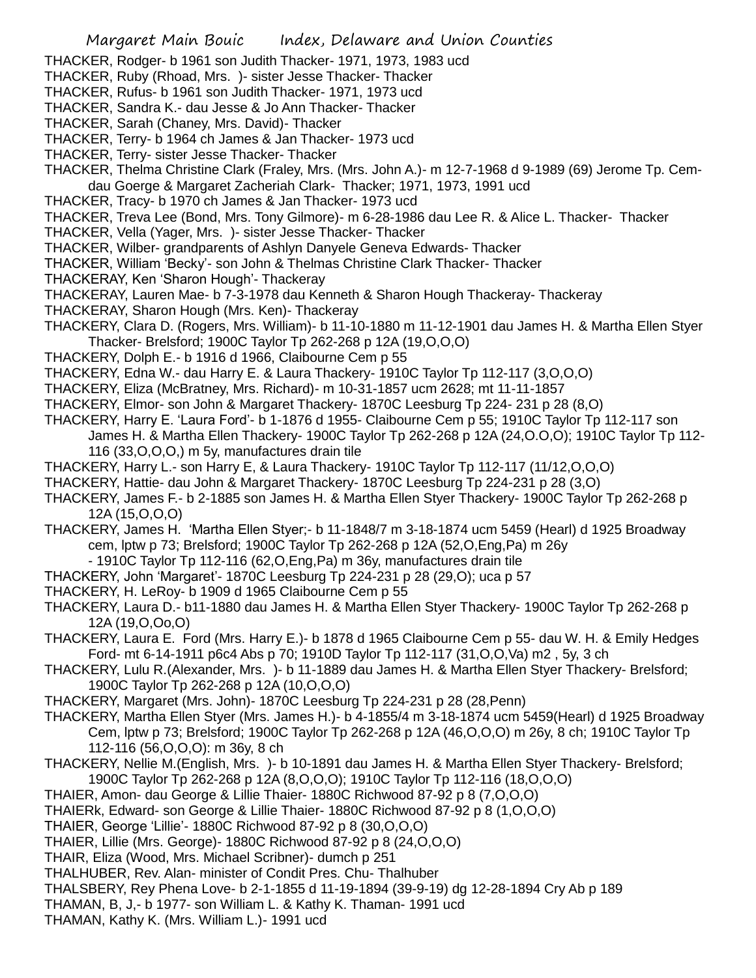THACKER, Rodger- b 1961 son Judith Thacker- 1971, 1973, 1983 ucd

- THACKER, Ruby (Rhoad, Mrs. )- sister Jesse Thacker- Thacker
- THACKER, Rufus- b 1961 son Judith Thacker- 1971, 1973 ucd
- THACKER, Sandra K.- dau Jesse & Jo Ann Thacker- Thacker
- THACKER, Sarah (Chaney, Mrs. David)- Thacker
- THACKER, Terry- b 1964 ch James & Jan Thacker- 1973 ucd
- THACKER, Terry- sister Jesse Thacker- Thacker
- THACKER, Thelma Christine Clark (Fraley, Mrs. (Mrs. John A.)- m 12-7-1968 d 9-1989 (69) Jerome Tp. Cemdau Goerge & Margaret Zacheriah Clark- Thacker; 1971, 1973, 1991 ucd
- THACKER, Tracy- b 1970 ch James & Jan Thacker- 1973 ucd

THACKER, Treva Lee (Bond, Mrs. Tony Gilmore)- m 6-28-1986 dau Lee R. & Alice L. Thacker- Thacker

- THACKER, Vella (Yager, Mrs. )- sister Jesse Thacker- Thacker
- THACKER, Wilber- grandparents of Ashlyn Danyele Geneva Edwards- Thacker
- THACKER, William 'Becky'- son John & Thelmas Christine Clark Thacker- Thacker
- THACKERAY, Ken 'Sharon Hough'- Thackeray

THACKERAY, Lauren Mae- b 7-3-1978 dau Kenneth & Sharon Hough Thackeray- Thackeray

- THACKERAY, Sharon Hough (Mrs. Ken)- Thackeray
- THACKERY, Clara D. (Rogers, Mrs. William)- b 11-10-1880 m 11-12-1901 dau James H. & Martha Ellen Styer Thacker- Brelsford; 1900C Taylor Tp 262-268 p 12A (19,O,O,O)
- THACKERY, Dolph E.- b 1916 d 1966, Claibourne Cem p 55
- THACKERY, Edna W.- dau Harry E. & Laura Thackery- 1910C Taylor Tp 112-117 (3,O,O,O)
- THACKERY, Eliza (McBratney, Mrs. Richard)- m 10-31-1857 ucm 2628; mt 11-11-1857
- THACKERY, Elmor- son John & Margaret Thackery- 1870C Leesburg Tp 224- 231 p 28 (8,O)
- THACKERY, Harry E. 'Laura Ford'- b 1-1876 d 1955- Claibourne Cem p 55; 1910C Taylor Tp 112-117 son James H. & Martha Ellen Thackery- 1900C Taylor Tp 262-268 p 12A (24,O.O,O); 1910C Taylor Tp 112- 116 (33,O,O,O,) m 5y, manufactures drain tile
- THACKERY, Harry L.- son Harry E, & Laura Thackery- 1910C Taylor Tp 112-117 (11/12,O,O,O)
- THACKERY, Hattie- dau John & Margaret Thackery- 1870C Leesburg Tp 224-231 p 28 (3,O)
- THACKERY, James F.- b 2-1885 son James H. & Martha Ellen Styer Thackery- 1900C Taylor Tp 262-268 p 12A (15,O,O,O)
- THACKERY, James H. 'Martha Ellen Styer;- b 11-1848/7 m 3-18-1874 ucm 5459 (Hearl) d 1925 Broadway cem, lptw p 73; Brelsford; 1900C Taylor Tp 262-268 p 12A (52,O,Eng,Pa) m 26y
	- 1910C Taylor Tp 112-116 (62,O,Eng,Pa) m 36y, manufactures drain tile
- THACKERY, John 'Margaret'- 1870C Leesburg Tp 224-231 p 28 (29,O); uca p 57
- THACKERY, H. LeRoy- b 1909 d 1965 Claibourne Cem p 55

THACKERY, Laura D.- b11-1880 dau James H. & Martha Ellen Styer Thackery- 1900C Taylor Tp 262-268 p 12A (19,O,Oo,O)

- THACKERY, Laura E. Ford (Mrs. Harry E.)- b 1878 d 1965 Claibourne Cem p 55- dau W. H. & Emily Hedges Ford- mt 6-14-1911 p6c4 Abs p 70; 1910D Taylor Tp 112-117 (31,O,O,Va) m2 , 5y, 3 ch
- THACKERY, Lulu R.(Alexander, Mrs. )- b 11-1889 dau James H. & Martha Ellen Styer Thackery- Brelsford; 1900C Taylor Tp 262-268 p 12A (10,O,O,O)
- THACKERY, Margaret (Mrs. John)- 1870C Leesburg Tp 224-231 p 28 (28,Penn)
- THACKERY, Martha Ellen Styer (Mrs. James H.)- b 4-1855/4 m 3-18-1874 ucm 5459(Hearl) d 1925 Broadway Cem, lptw p 73; Brelsford; 1900C Taylor Tp 262-268 p 12A (46,O,O,O) m 26y, 8 ch; 1910C Taylor Tp 112-116 (56,O,O,O): m 36y, 8 ch
- THACKERY, Nellie M.(English, Mrs. )- b 10-1891 dau James H. & Martha Ellen Styer Thackery- Brelsford; 1900C Taylor Tp 262-268 p 12A (8,O,O,O); 1910C Taylor Tp 112-116 (18,O,O,O)
- THAIER, Amon- dau George & Lillie Thaier- 1880C Richwood 87-92 p 8 (7,O,O,O)
- THAIERk, Edward- son George & Lillie Thaier- 1880C Richwood 87-92 p 8 (1,O,O,O)
- THAIER, George 'Lillie'- 1880C Richwood 87-92 p 8 (30,O,O,O)
- THAIER, Lillie (Mrs. George)- 1880C Richwood 87-92 p 8 (24,O,O,O)
- THAIR, Eliza (Wood, Mrs. Michael Scribner)- dumch p 251
- THALHUBER, Rev. Alan- minister of Condit Pres. Chu- Thalhuber
- THALSBERY, Rey Phena Love- b 2-1-1855 d 11-19-1894 (39-9-19) dg 12-28-1894 Cry Ab p 189
- THAMAN, B, J,- b 1977- son William L. & Kathy K. Thaman- 1991 ucd
- THAMAN, Kathy K. (Mrs. William L.)- 1991 ucd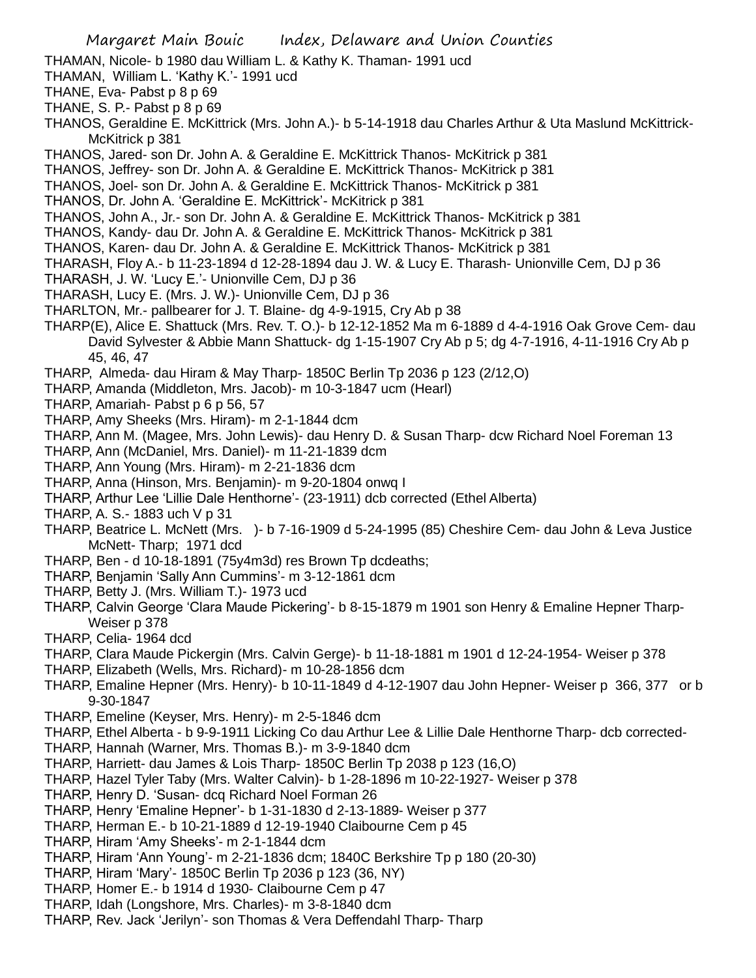- THAMAN, Nicole- b 1980 dau William L. & Kathy K. Thaman- 1991 ucd
- THAMAN, William L. 'Kathy K.'- 1991 ucd
- THANE, Eva- Pabst p 8 p 69
- THANE, S. P.- Pabst p 8 p 69
- THANOS, Geraldine E. McKittrick (Mrs. John A.)- b 5-14-1918 dau Charles Arthur & Uta Maslund McKittrick-McKitrick p 381
- THANOS, Jared- son Dr. John A. & Geraldine E. McKittrick Thanos- McKitrick p 381
- THANOS, Jeffrey- son Dr. John A. & Geraldine E. McKittrick Thanos- McKitrick p 381
- THANOS, Joel- son Dr. John A. & Geraldine E. McKittrick Thanos- McKitrick p 381
- THANOS, Dr. John A. 'Geraldine E. McKittrick'- McKitrick p 381
- THANOS, John A., Jr.- son Dr. John A. & Geraldine E. McKittrick Thanos- McKitrick p 381
- THANOS, Kandy- dau Dr. John A. & Geraldine E. McKittrick Thanos- McKitrick p 381
- THANOS, Karen- dau Dr. John A. & Geraldine E. McKittrick Thanos- McKitrick p 381
- THARASH, Floy A.- b 11-23-1894 d 12-28-1894 dau J. W. & Lucy E. Tharash- Unionville Cem, DJ p 36
- THARASH, J. W. 'Lucy E.'- Unionville Cem, DJ p 36
- THARASH, Lucy E. (Mrs. J. W.)- Unionville Cem, DJ p 36
- THARLTON, Mr.- pallbearer for J. T. Blaine- dg 4-9-1915, Cry Ab p 38
- THARP(E), Alice E. Shattuck (Mrs. Rev. T. O.)- b 12-12-1852 Ma m 6-1889 d 4-4-1916 Oak Grove Cem- dau David Sylvester & Abbie Mann Shattuck- dg 1-15-1907 Cry Ab p 5; dg 4-7-1916, 4-11-1916 Cry Ab p 45, 46, 47
- THARP, Almeda- dau Hiram & May Tharp- 1850C Berlin Tp 2036 p 123 (2/12,O)
- THARP, Amanda (Middleton, Mrs. Jacob)- m 10-3-1847 ucm (Hearl)
- THARP, Amariah- Pabst p 6 p 56, 57
- THARP, Amy Sheeks (Mrs. Hiram)- m 2-1-1844 dcm
- THARP, Ann M. (Magee, Mrs. John Lewis)- dau Henry D. & Susan Tharp- dcw Richard Noel Foreman 13
- THARP, Ann (McDaniel, Mrs. Daniel)- m 11-21-1839 dcm
- THARP, Ann Young (Mrs. Hiram)- m 2-21-1836 dcm
- THARP, Anna (Hinson, Mrs. Benjamin)- m 9-20-1804 onwq I
- THARP, Arthur Lee 'Lillie Dale Henthorne'- (23-1911) dcb corrected (Ethel Alberta)
- THARP, A. S.- 1883 uch V p 31
- THARP, Beatrice L. McNett (Mrs. )- b 7-16-1909 d 5-24-1995 (85) Cheshire Cem- dau John & Leva Justice McNett- Tharp; 1971 dcd
- THARP, Ben d 10-18-1891 (75y4m3d) res Brown Tp dcdeaths;
- THARP, Benjamin 'Sally Ann Cummins'- m 3-12-1861 dcm
- THARP, Betty J. (Mrs. William T.)- 1973 ucd
- THARP, Calvin George 'Clara Maude Pickering'- b 8-15-1879 m 1901 son Henry & Emaline Hepner Tharp-Weiser p 378
- THARP, Celia- 1964 dcd
- THARP, Clara Maude Pickergin (Mrs. Calvin Gerge)- b 11-18-1881 m 1901 d 12-24-1954- Weiser p 378
- THARP, Elizabeth (Wells, Mrs. Richard)- m 10-28-1856 dcm
- THARP, Emaline Hepner (Mrs. Henry)- b 10-11-1849 d 4-12-1907 dau John Hepner- Weiser p 366, 377 or b 9-30-1847
- THARP, Emeline (Keyser, Mrs. Henry)- m 2-5-1846 dcm
- THARP, Ethel Alberta b 9-9-1911 Licking Co dau Arthur Lee & Lillie Dale Henthorne Tharp- dcb corrected-
- THARP, Hannah (Warner, Mrs. Thomas B.)- m 3-9-1840 dcm
- THARP, Harriett- dau James & Lois Tharp- 1850C Berlin Tp 2038 p 123 (16,O)
- THARP, Hazel Tyler Taby (Mrs. Walter Calvin)- b 1-28-1896 m 10-22-1927- Weiser p 378
- THARP, Henry D. 'Susan- dcq Richard Noel Forman 26
- THARP, Henry 'Emaline Hepner'- b 1-31-1830 d 2-13-1889- Weiser p 377
- THARP, Herman E.- b 10-21-1889 d 12-19-1940 Claibourne Cem p 45
- THARP, Hiram 'Amy Sheeks'- m 2-1-1844 dcm
- THARP, Hiram 'Ann Young'- m 2-21-1836 dcm; 1840C Berkshire Tp p 180 (20-30)
- THARP, Hiram 'Mary'- 1850C Berlin Tp 2036 p 123 (36, NY)
- THARP, Homer E.- b 1914 d 1930- Claibourne Cem p 47
- THARP, Idah (Longshore, Mrs. Charles)- m 3-8-1840 dcm
- THARP, Rev. Jack 'Jerilyn'- son Thomas & Vera Deffendahl Tharp- Tharp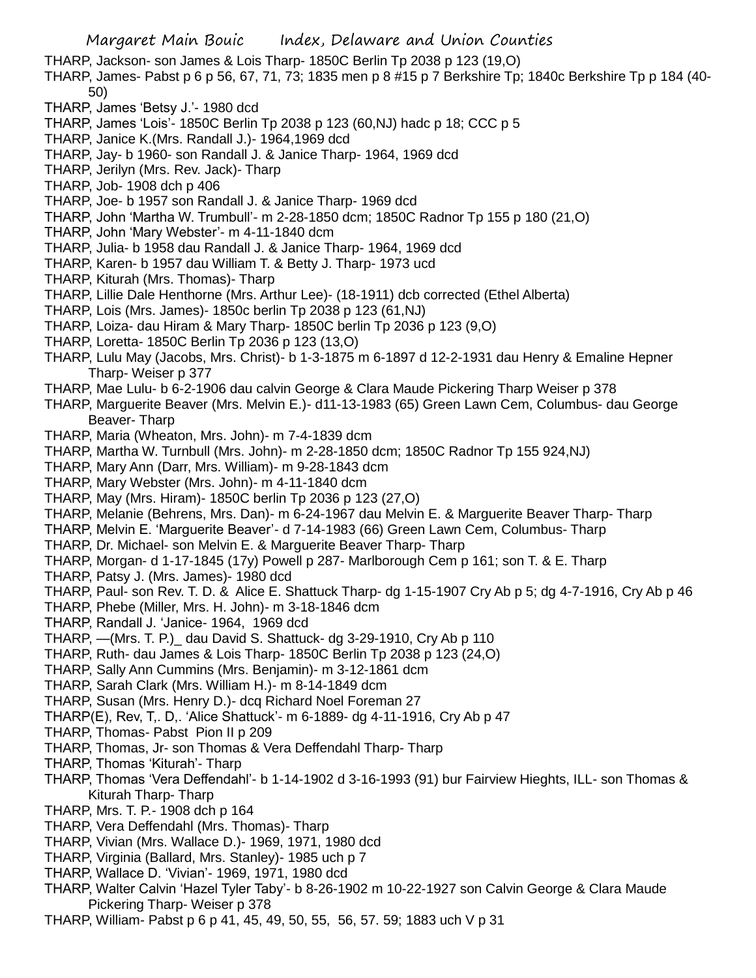- THARP, Jackson- son James & Lois Tharp- 1850C Berlin Tp 2038 p 123 (19,O)
- THARP, James- Pabst p 6 p 56, 67, 71, 73; 1835 men p 8 #15 p 7 Berkshire Tp; 1840c Berkshire Tp p 184 (40- 50)
- THARP, James 'Betsy J.'- 1980 dcd
- THARP, James 'Lois'- 1850C Berlin Tp 2038 p 123 (60,NJ) hadc p 18; CCC p 5
- THARP, Janice K.(Mrs. Randall J.)- 1964,1969 dcd
- THARP, Jay- b 1960- son Randall J. & Janice Tharp- 1964, 1969 dcd
- THARP, Jerilyn (Mrs. Rev. Jack)- Tharp
- THARP, Job- 1908 dch p 406
- THARP, Joe- b 1957 son Randall J. & Janice Tharp- 1969 dcd
- THARP, John 'Martha W. Trumbull'- m 2-28-1850 dcm; 1850C Radnor Tp 155 p 180 (21,O)
- THARP, John 'Mary Webster'- m 4-11-1840 dcm
- THARP, Julia- b 1958 dau Randall J. & Janice Tharp- 1964, 1969 dcd
- THARP, Karen- b 1957 dau William T. & Betty J. Tharp- 1973 ucd
- THARP, Kiturah (Mrs. Thomas)- Tharp
- THARP, Lillie Dale Henthorne (Mrs. Arthur Lee)- (18-1911) dcb corrected (Ethel Alberta)
- THARP, Lois (Mrs. James)- 1850c berlin Tp 2038 p 123 (61,NJ)
- THARP, Loiza- dau Hiram & Mary Tharp- 1850C berlin Tp 2036 p 123 (9,O)
- THARP, Loretta- 1850C Berlin Tp 2036 p 123 (13,O)
- THARP, Lulu May (Jacobs, Mrs. Christ)- b 1-3-1875 m 6-1897 d 12-2-1931 dau Henry & Emaline Hepner Tharp- Weiser p 377
- THARP, Mae Lulu- b 6-2-1906 dau calvin George & Clara Maude Pickering Tharp Weiser p 378
- THARP, Marguerite Beaver (Mrs. Melvin E.)- d11-13-1983 (65) Green Lawn Cem, Columbus- dau George Beaver- Tharp
- THARP, Maria (Wheaton, Mrs. John)- m 7-4-1839 dcm
- THARP, Martha W. Turnbull (Mrs. John)- m 2-28-1850 dcm; 1850C Radnor Tp 155 924,NJ)
- THARP, Mary Ann (Darr, Mrs. William)- m 9-28-1843 dcm
- THARP, Mary Webster (Mrs. John)- m 4-11-1840 dcm
- THARP, May (Mrs. Hiram)- 1850C berlin Tp 2036 p 123 (27,O)
- THARP, Melanie (Behrens, Mrs. Dan)- m 6-24-1967 dau Melvin E. & Marguerite Beaver Tharp- Tharp
- THARP, Melvin E. 'Marguerite Beaver'- d 7-14-1983 (66) Green Lawn Cem, Columbus- Tharp
- THARP, Dr. Michael- son Melvin E. & Marguerite Beaver Tharp- Tharp
- THARP, Morgan- d 1-17-1845 (17y) Powell p 287- Marlborough Cem p 161; son T. & E. Tharp
- THARP, Patsy J. (Mrs. James)- 1980 dcd
- THARP, Paul- son Rev. T. D. & Alice E. Shattuck Tharp- dg 1-15-1907 Cry Ab p 5; dg 4-7-1916, Cry Ab p 46
- THARP, Phebe (Miller, Mrs. H. John)- m 3-18-1846 dcm
- THARP, Randall J. 'Janice- 1964, 1969 dcd
- THARP, —(Mrs. T. P.)\_ dau David S. Shattuck- dg 3-29-1910, Cry Ab p 110
- THARP, Ruth- dau James & Lois Tharp- 1850C Berlin Tp 2038 p 123 (24,O)
- THARP, Sally Ann Cummins (Mrs. Benjamin)- m 3-12-1861 dcm
- THARP, Sarah Clark (Mrs. William H.)- m 8-14-1849 dcm
- THARP, Susan (Mrs. Henry D.)- dcq Richard Noel Foreman 27
- THARP(E), Rev, T,. D,. 'Alice Shattuck'- m 6-1889- dg 4-11-1916, Cry Ab p 47
- THARP, Thomas- Pabst Pion II p 209
- THARP, Thomas, Jr- son Thomas & Vera Deffendahl Tharp- Tharp
- THARP, Thomas 'Kiturah'- Tharp
- THARP, Thomas 'Vera Deffendahl'- b 1-14-1902 d 3-16-1993 (91) bur Fairview Hieghts, ILL- son Thomas & Kiturah Tharp- Tharp
- THARP, Mrs. T. P.- 1908 dch p 164
- THARP, Vera Deffendahl (Mrs. Thomas)- Tharp
- THARP, Vivian (Mrs. Wallace D.)- 1969, 1971, 1980 dcd
- THARP, Virginia (Ballard, Mrs. Stanley)- 1985 uch p 7
- THARP, Wallace D. 'Vivian'- 1969, 1971, 1980 dcd
- THARP, Walter Calvin 'Hazel Tyler Taby'- b 8-26-1902 m 10-22-1927 son Calvin George & Clara Maude Pickering Tharp- Weiser p 378
- THARP, William- Pabst p 6 p 41, 45, 49, 50, 55, 56, 57. 59; 1883 uch V p 31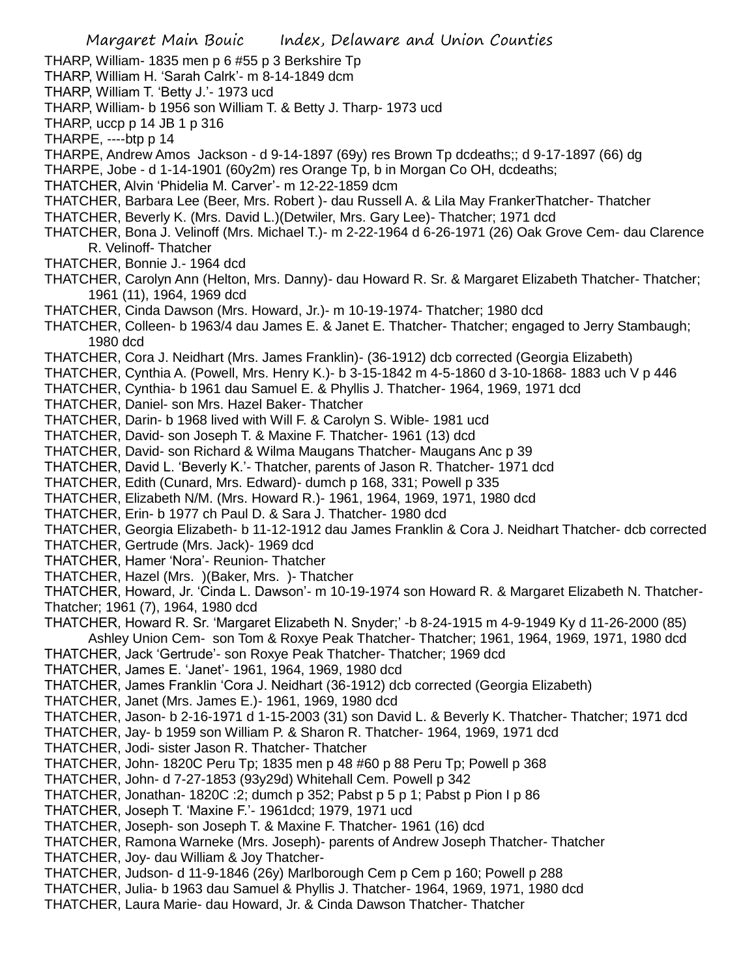Margaret Main Bouic Index, Delaware and Union Counties THARP, William- 1835 men p 6 #55 p 3 Berkshire Tp THARP, William H. 'Sarah Calrk'- m 8-14-1849 dcm THARP, William T. 'Betty J.'- 1973 ucd THARP, William- b 1956 son William T. & Betty J. Tharp- 1973 ucd THARP, uccp p 14 JB 1 p 316 THARPE, ----btp p 14 THARPE, Andrew Amos Jackson - d 9-14-1897 (69y) res Brown Tp dcdeaths;; d 9-17-1897 (66) dg THARPE, Jobe - d 1-14-1901 (60y2m) res Orange Tp, b in Morgan Co OH, dcdeaths; THATCHER, Alvin 'Phidelia M. Carver'- m 12-22-1859 dcm THATCHER, Barbara Lee (Beer, Mrs. Robert )- dau Russell A. & Lila May FrankerThatcher- Thatcher THATCHER, Beverly K. (Mrs. David L.)(Detwiler, Mrs. Gary Lee)- Thatcher; 1971 dcd THATCHER, Bona J. Velinoff (Mrs. Michael T.)- m 2-22-1964 d 6-26-1971 (26) Oak Grove Cem- dau Clarence R. Velinoff- Thatcher THATCHER, Bonnie J.- 1964 dcd THATCHER, Carolyn Ann (Helton, Mrs. Danny)- dau Howard R. Sr. & Margaret Elizabeth Thatcher- Thatcher; 1961 (11), 1964, 1969 dcd THATCHER, Cinda Dawson (Mrs. Howard, Jr.)- m 10-19-1974- Thatcher; 1980 dcd THATCHER, Colleen- b 1963/4 dau James E. & Janet E. Thatcher- Thatcher; engaged to Jerry Stambaugh; 1980 dcd THATCHER, Cora J. Neidhart (Mrs. James Franklin)- (36-1912) dcb corrected (Georgia Elizabeth) THATCHER, Cynthia A. (Powell, Mrs. Henry K.)- b 3-15-1842 m 4-5-1860 d 3-10-1868- 1883 uch V p 446 THATCHER, Cynthia- b 1961 dau Samuel E. & Phyllis J. Thatcher- 1964, 1969, 1971 dcd THATCHER, Daniel- son Mrs. Hazel Baker- Thatcher THATCHER, Darin- b 1968 lived with Will F. & Carolyn S. Wible- 1981 ucd THATCHER, David- son Joseph T. & Maxine F. Thatcher- 1961 (13) dcd THATCHER, David- son Richard & Wilma Maugans Thatcher- Maugans Anc p 39 THATCHER, David L. 'Beverly K.'- Thatcher, parents of Jason R. Thatcher- 1971 dcd THATCHER, Edith (Cunard, Mrs. Edward)- dumch p 168, 331; Powell p 335 THATCHER, Elizabeth N/M. (Mrs. Howard R.)- 1961, 1964, 1969, 1971, 1980 dcd THATCHER, Erin- b 1977 ch Paul D. & Sara J. Thatcher- 1980 dcd THATCHER, Georgia Elizabeth- b 11-12-1912 dau James Franklin & Cora J. Neidhart Thatcher- dcb corrected THATCHER, Gertrude (Mrs. Jack)- 1969 dcd THATCHER, Hamer 'Nora'- Reunion- Thatcher THATCHER, Hazel (Mrs. )(Baker, Mrs. )- Thatcher THATCHER, Howard, Jr. 'Cinda L. Dawson'- m 10-19-1974 son Howard R. & Margaret Elizabeth N. Thatcher-Thatcher; 1961 (7), 1964, 1980 dcd THATCHER, Howard R. Sr. 'Margaret Elizabeth N. Snyder;' -b 8-24-1915 m 4-9-1949 Ky d 11-26-2000 (85) Ashley Union Cem- son Tom & Roxye Peak Thatcher- Thatcher; 1961, 1964, 1969, 1971, 1980 dcd THATCHER, Jack 'Gertrude'- son Roxye Peak Thatcher- Thatcher; 1969 dcd THATCHER, James E. 'Janet'- 1961, 1964, 1969, 1980 dcd THATCHER, James Franklin 'Cora J. Neidhart (36-1912) dcb corrected (Georgia Elizabeth) THATCHER, Janet (Mrs. James E.)- 1961, 1969, 1980 dcd THATCHER, Jason- b 2-16-1971 d 1-15-2003 (31) son David L. & Beverly K. Thatcher- Thatcher; 1971 dcd THATCHER, Jay- b 1959 son William P. & Sharon R. Thatcher- 1964, 1969, 1971 dcd THATCHER, Jodi- sister Jason R. Thatcher- Thatcher THATCHER, John- 1820C Peru Tp; 1835 men p 48 #60 p 88 Peru Tp; Powell p 368 THATCHER, John- d 7-27-1853 (93y29d) Whitehall Cem. Powell p 342 THATCHER, Jonathan- 1820C :2; dumch p 352; Pabst p 5 p 1; Pabst p Pion I p 86 THATCHER, Joseph T. 'Maxine F.'- 1961dcd; 1979, 1971 ucd THATCHER, Joseph- son Joseph T. & Maxine F. Thatcher- 1961 (16) dcd THATCHER, Ramona Warneke (Mrs. Joseph)- parents of Andrew Joseph Thatcher- Thatcher THATCHER, Joy- dau William & Joy Thatcher-THATCHER, Judson- d 11-9-1846 (26y) Marlborough Cem p Cem p 160; Powell p 288 THATCHER, Julia- b 1963 dau Samuel & Phyllis J. Thatcher- 1964, 1969, 1971, 1980 dcd THATCHER, Laura Marie- dau Howard, Jr. & Cinda Dawson Thatcher- Thatcher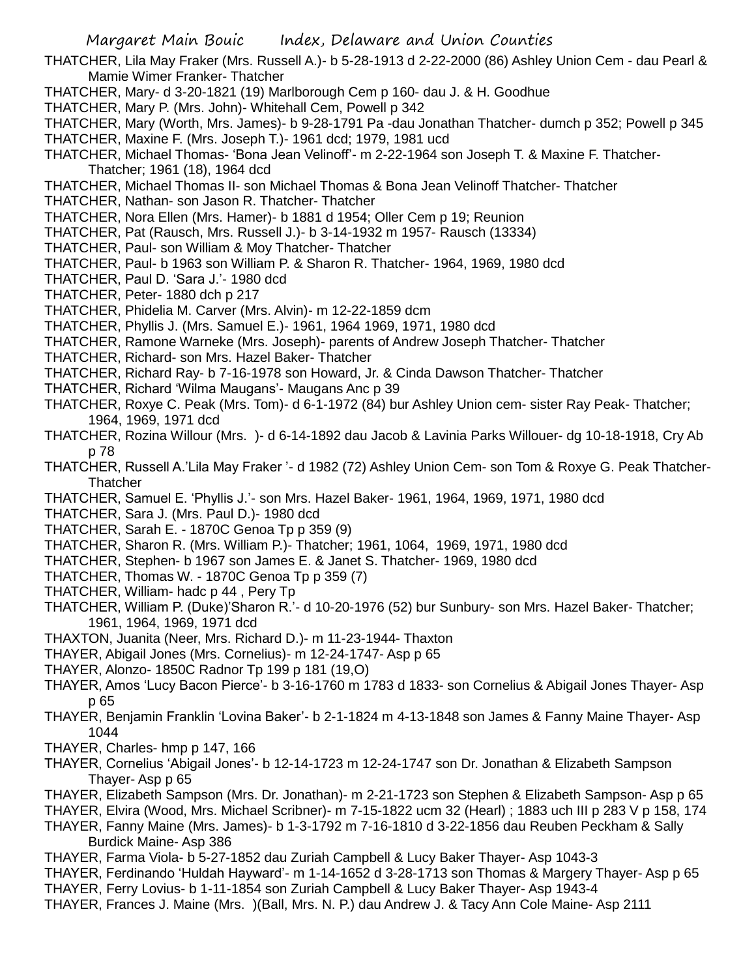THATCHER, Lila May Fraker (Mrs. Russell A.)- b 5-28-1913 d 2-22-2000 (86) Ashley Union Cem - dau Pearl & Mamie Wimer Franker- Thatcher

- THATCHER, Mary- d 3-20-1821 (19) Marlborough Cem p 160- dau J. & H. Goodhue
- THATCHER, Mary P. (Mrs. John)- Whitehall Cem, Powell p 342
- THATCHER, Mary (Worth, Mrs. James)- b 9-28-1791 Pa -dau Jonathan Thatcher- dumch p 352; Powell p 345 THATCHER, Maxine F. (Mrs. Joseph T.)- 1961 dcd; 1979, 1981 ucd
- THATCHER, Michael Thomas- 'Bona Jean Velinoff'- m 2-22-1964 son Joseph T. & Maxine F. Thatcher-Thatcher; 1961 (18), 1964 dcd
- THATCHER, Michael Thomas II- son Michael Thomas & Bona Jean Velinoff Thatcher- Thatcher
- THATCHER, Nathan- son Jason R. Thatcher- Thatcher
- THATCHER, Nora Ellen (Mrs. Hamer)- b 1881 d 1954; Oller Cem p 19; Reunion
- THATCHER, Pat (Rausch, Mrs. Russell J.)- b 3-14-1932 m 1957- Rausch (13334)
- THATCHER, Paul- son William & Moy Thatcher- Thatcher
- THATCHER, Paul- b 1963 son William P. & Sharon R. Thatcher- 1964, 1969, 1980 dcd
- THATCHER, Paul D. 'Sara J.'- 1980 dcd
- THATCHER, Peter- 1880 dch p 217
- THATCHER, Phidelia M. Carver (Mrs. Alvin)- m 12-22-1859 dcm
- THATCHER, Phyllis J. (Mrs. Samuel E.)- 1961, 1964 1969, 1971, 1980 dcd
- THATCHER, Ramone Warneke (Mrs. Joseph)- parents of Andrew Joseph Thatcher- Thatcher
- THATCHER, Richard- son Mrs. Hazel Baker- Thatcher
- THATCHER, Richard Ray- b 7-16-1978 son Howard, Jr. & Cinda Dawson Thatcher- Thatcher
- THATCHER, Richard 'Wilma Maugans'- Maugans Anc p 39
- THATCHER, Roxye C. Peak (Mrs. Tom)- d 6-1-1972 (84) bur Ashley Union cem- sister Ray Peak- Thatcher; 1964, 1969, 1971 dcd
- THATCHER, Rozina Willour (Mrs. )- d 6-14-1892 dau Jacob & Lavinia Parks Willouer- dg 10-18-1918, Cry Ab p 78
- THATCHER, Russell A.'Lila May Fraker '- d 1982 (72) Ashley Union Cem- son Tom & Roxye G. Peak Thatcher-**Thatcher**
- THATCHER, Samuel E. 'Phyllis J.'- son Mrs. Hazel Baker- 1961, 1964, 1969, 1971, 1980 dcd
- THATCHER, Sara J. (Mrs. Paul D.)- 1980 dcd
- THATCHER, Sarah E. 1870C Genoa Tp p 359 (9)
- THATCHER, Sharon R. (Mrs. William P.)- Thatcher; 1961, 1064, 1969, 1971, 1980 dcd
- THATCHER, Stephen- b 1967 son James E. & Janet S. Thatcher- 1969, 1980 dcd
- THATCHER, Thomas W. 1870C Genoa Tp p 359 (7)
- THATCHER, William- hadc p 44 , Pery Tp
- THATCHER, William P. (Duke)'Sharon R.'- d 10-20-1976 (52) bur Sunbury- son Mrs. Hazel Baker- Thatcher; 1961, 1964, 1969, 1971 dcd
- THAXTON, Juanita (Neer, Mrs. Richard D.)- m 11-23-1944- Thaxton
- THAYER, Abigail Jones (Mrs. Cornelius)- m 12-24-1747- Asp p 65
- THAYER, Alonzo- 1850C Radnor Tp 199 p 181 (19,O)
- THAYER, Amos 'Lucy Bacon Pierce'- b 3-16-1760 m 1783 d 1833- son Cornelius & Abigail Jones Thayer- Asp p 65
- THAYER, Benjamin Franklin 'Lovina Baker'- b 2-1-1824 m 4-13-1848 son James & Fanny Maine Thayer- Asp 1044
- THAYER, Charles- hmp p 147, 166
- THAYER, Cornelius 'Abigail Jones'- b 12-14-1723 m 12-24-1747 son Dr. Jonathan & Elizabeth Sampson Thayer- Asp p 65
- THAYER, Elizabeth Sampson (Mrs. Dr. Jonathan)- m 2-21-1723 son Stephen & Elizabeth Sampson- Asp p 65
- THAYER, Elvira (Wood, Mrs. Michael Scribner)- m 7-15-1822 ucm 32 (Hearl) ; 1883 uch III p 283 V p 158, 174
- THAYER, Fanny Maine (Mrs. James)- b 1-3-1792 m 7-16-1810 d 3-22-1856 dau Reuben Peckham & Sally Burdick Maine- Asp 386
- THAYER, Farma Viola- b 5-27-1852 dau Zuriah Campbell & Lucy Baker Thayer- Asp 1043-3
- THAYER, Ferdinando 'Huldah Hayward'- m 1-14-1652 d 3-28-1713 son Thomas & Margery Thayer- Asp p 65
- THAYER, Ferry Lovius- b 1-11-1854 son Zuriah Campbell & Lucy Baker Thayer- Asp 1943-4
- THAYER, Frances J. Maine (Mrs. )(Ball, Mrs. N. P.) dau Andrew J. & Tacy Ann Cole Maine- Asp 2111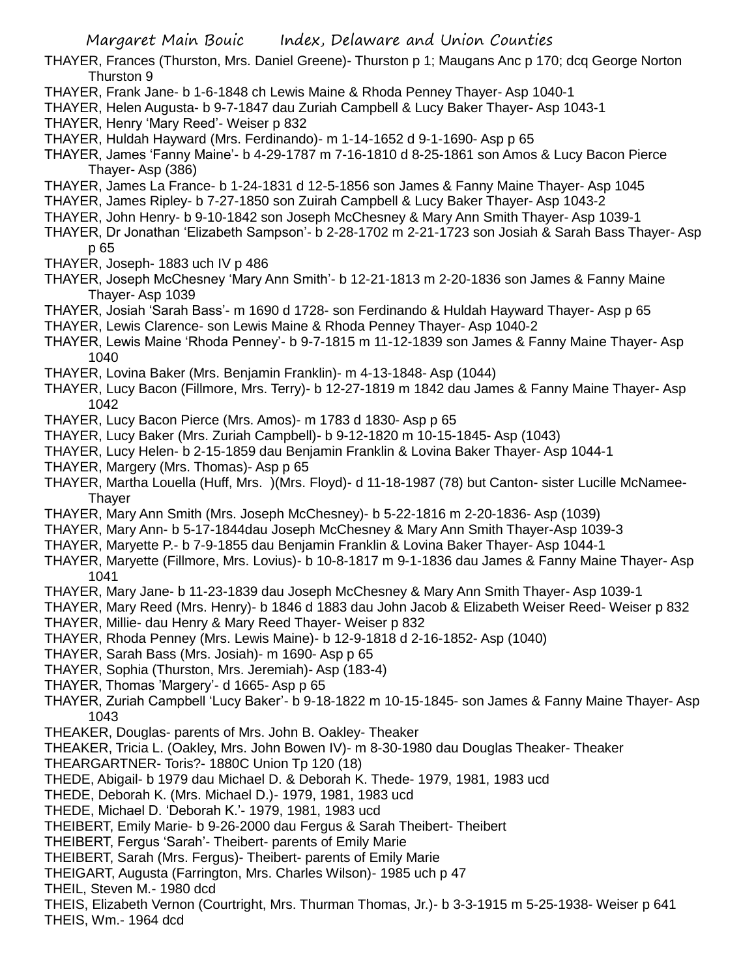- THAYER, Frances (Thurston, Mrs. Daniel Greene)- Thurston p 1; Maugans Anc p 170; dcq George Norton Thurston 9
- THAYER, Frank Jane- b 1-6-1848 ch Lewis Maine & Rhoda Penney Thayer- Asp 1040-1
- THAYER, Helen Augusta- b 9-7-1847 dau Zuriah Campbell & Lucy Baker Thayer- Asp 1043-1
- THAYER, Henry 'Mary Reed'- Weiser p 832
- THAYER, Huldah Hayward (Mrs. Ferdinando)- m 1-14-1652 d 9-1-1690- Asp p 65
- THAYER, James 'Fanny Maine'- b 4-29-1787 m 7-16-1810 d 8-25-1861 son Amos & Lucy Bacon Pierce Thayer- Asp (386)
- THAYER, James La France- b 1-24-1831 d 12-5-1856 son James & Fanny Maine Thayer- Asp 1045
- THAYER, James Ripley- b 7-27-1850 son Zuirah Campbell & Lucy Baker Thayer- Asp 1043-2
- THAYER, John Henry- b 9-10-1842 son Joseph McChesney & Mary Ann Smith Thayer- Asp 1039-1
- THAYER, Dr Jonathan 'Elizabeth Sampson'- b 2-28-1702 m 2-21-1723 son Josiah & Sarah Bass Thayer- Asp p 65
- THAYER, Joseph- 1883 uch IV p 486
- THAYER, Joseph McChesney 'Mary Ann Smith'- b 12-21-1813 m 2-20-1836 son James & Fanny Maine Thayer- Asp 1039
- THAYER, Josiah 'Sarah Bass'- m 1690 d 1728- son Ferdinando & Huldah Hayward Thayer- Asp p 65
- THAYER, Lewis Clarence- son Lewis Maine & Rhoda Penney Thayer- Asp 1040-2
- THAYER, Lewis Maine 'Rhoda Penney'- b 9-7-1815 m 11-12-1839 son James & Fanny Maine Thayer- Asp 1040
- THAYER, Lovina Baker (Mrs. Benjamin Franklin)- m 4-13-1848- Asp (1044)
- THAYER, Lucy Bacon (Fillmore, Mrs. Terry)- b 12-27-1819 m 1842 dau James & Fanny Maine Thayer- Asp 1042
- THAYER, Lucy Bacon Pierce (Mrs. Amos)- m 1783 d 1830- Asp p 65
- THAYER, Lucy Baker (Mrs. Zuriah Campbell)- b 9-12-1820 m 10-15-1845- Asp (1043)
- THAYER, Lucy Helen- b 2-15-1859 dau Benjamin Franklin & Lovina Baker Thayer- Asp 1044-1
- THAYER, Margery (Mrs. Thomas)- Asp p 65
- THAYER, Martha Louella (Huff, Mrs. )(Mrs. Floyd)- d 11-18-1987 (78) but Canton- sister Lucille McNamee-**Thaver**
- THAYER, Mary Ann Smith (Mrs. Joseph McChesney)- b 5-22-1816 m 2-20-1836- Asp (1039)
- THAYER, Mary Ann- b 5-17-1844dau Joseph McChesney & Mary Ann Smith Thayer-Asp 1039-3
- THAYER, Maryette P.- b 7-9-1855 dau Benjamin Franklin & Lovina Baker Thayer- Asp 1044-1
- THAYER, Maryette (Fillmore, Mrs. Lovius)- b 10-8-1817 m 9-1-1836 dau James & Fanny Maine Thayer- Asp 1041
- THAYER, Mary Jane- b 11-23-1839 dau Joseph McChesney & Mary Ann Smith Thayer- Asp 1039-1
- THAYER, Mary Reed (Mrs. Henry)- b 1846 d 1883 dau John Jacob & Elizabeth Weiser Reed- Weiser p 832
- THAYER, Millie- dau Henry & Mary Reed Thayer- Weiser p 832
- THAYER, Rhoda Penney (Mrs. Lewis Maine)- b 12-9-1818 d 2-16-1852- Asp (1040)
- THAYER, Sarah Bass (Mrs. Josiah)- m 1690- Asp p 65
- THAYER, Sophia (Thurston, Mrs. Jeremiah)- Asp (183-4)
- THAYER, Thomas 'Margery'- d 1665- Asp p 65
- THAYER, Zuriah Campbell 'Lucy Baker'- b 9-18-1822 m 10-15-1845- son James & Fanny Maine Thayer- Asp 1043
- THEAKER, Douglas- parents of Mrs. John B. Oakley- Theaker
- THEAKER, Tricia L. (Oakley, Mrs. John Bowen IV)- m 8-30-1980 dau Douglas Theaker- Theaker
- THEARGARTNER- Toris?- 1880C Union Tp 120 (18)
- THEDE, Abigail- b 1979 dau Michael D. & Deborah K. Thede- 1979, 1981, 1983 ucd
- THEDE, Deborah K. (Mrs. Michael D.)- 1979, 1981, 1983 ucd
- THEDE, Michael D. 'Deborah K.'- 1979, 1981, 1983 ucd
- THEIBERT, Emily Marie- b 9-26-2000 dau Fergus & Sarah Theibert- Theibert
- THEIBERT, Fergus 'Sarah'- Theibert- parents of Emily Marie
- THEIBERT, Sarah (Mrs. Fergus)- Theibert- parents of Emily Marie
- THEIGART, Augusta (Farrington, Mrs. Charles Wilson)- 1985 uch p 47
- THEIL, Steven M.- 1980 dcd
- THEIS, Elizabeth Vernon (Courtright, Mrs. Thurman Thomas, Jr.)- b 3-3-1915 m 5-25-1938- Weiser p 641 THEIS, Wm.- 1964 dcd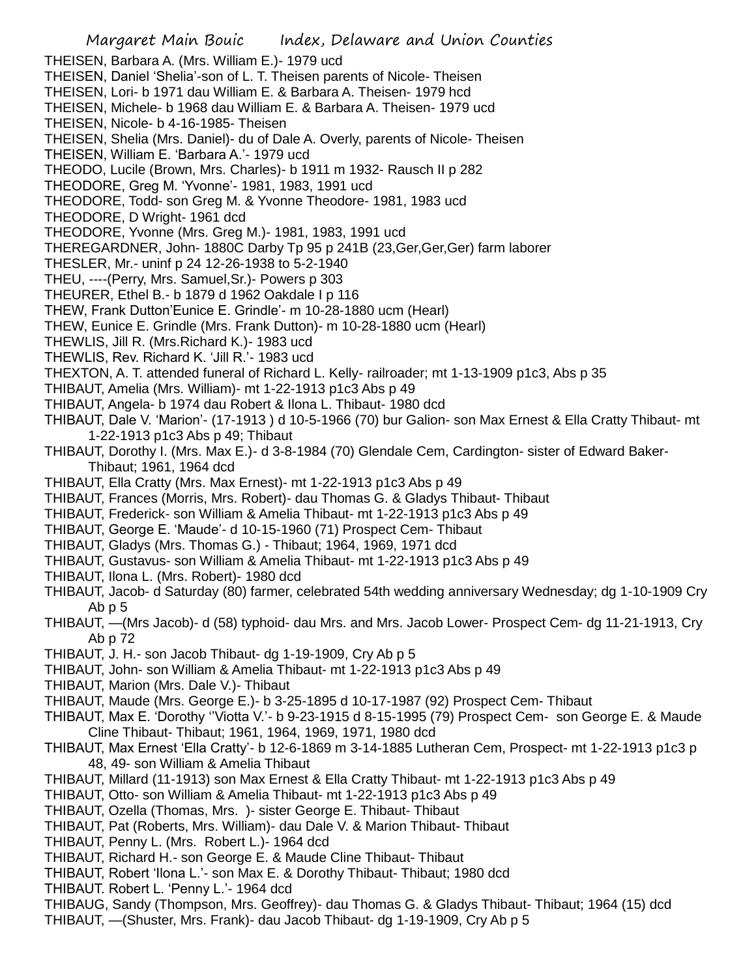THEISEN, Barbara A. (Mrs. William E.)- 1979 ucd

- THEISEN, Daniel 'Shelia'-son of L. T. Theisen parents of Nicole- Theisen
- THEISEN, Lori- b 1971 dau William E. & Barbara A. Theisen- 1979 hcd
- THEISEN, Michele- b 1968 dau William E. & Barbara A. Theisen- 1979 ucd
- THEISEN, Nicole- b 4-16-1985- Theisen
- THEISEN, Shelia (Mrs. Daniel)- du of Dale A. Overly, parents of Nicole- Theisen
- THEISEN, William E. 'Barbara A.'- 1979 ucd
- THEODO, Lucile (Brown, Mrs. Charles)- b 1911 m 1932- Rausch II p 282
- THEODORE, Greg M. 'Yvonne'- 1981, 1983, 1991 ucd
- THEODORE, Todd- son Greg M. & Yvonne Theodore- 1981, 1983 ucd
- THEODORE, D Wright- 1961 dcd
- THEODORE, Yvonne (Mrs. Greg M.)- 1981, 1983, 1991 ucd
- THEREGARDNER, John- 1880C Darby Tp 95 p 241B (23,Ger,Ger,Ger) farm laborer
- THESLER, Mr.- uninf p 24 12-26-1938 to 5-2-1940
- THEU, ----(Perry, Mrs. Samuel,Sr.)- Powers p 303
- THEURER, Ethel B.- b 1879 d 1962 Oakdale I p 116
- THEW, Frank Dutton'Eunice E. Grindle'- m 10-28-1880 ucm (Hearl)
- THEW, Eunice E. Grindle (Mrs. Frank Dutton)- m 10-28-1880 ucm (Hearl)
- THEWLIS, Jill R. (Mrs.Richard K.)- 1983 ucd
- THEWLIS, Rev. Richard K. 'Jill R.'- 1983 ucd
- THEXTON, A. T. attended funeral of Richard L. Kelly- railroader; mt 1-13-1909 p1c3, Abs p 35
- THIBAUT, Amelia (Mrs. William)- mt 1-22-1913 p1c3 Abs p 49
- THIBAUT, Angela- b 1974 dau Robert & Ilona L. Thibaut- 1980 dcd
- THIBAUT, Dale V. 'Marion'- (17-1913 ) d 10-5-1966 (70) bur Galion- son Max Ernest & Ella Cratty Thibaut- mt 1-22-1913 p1c3 Abs p 49; Thibaut
- THIBAUT, Dorothy I. (Mrs. Max E.)- d 3-8-1984 (70) Glendale Cem, Cardington- sister of Edward Baker-Thibaut; 1961, 1964 dcd
- THIBAUT, Ella Cratty (Mrs. Max Ernest)- mt 1-22-1913 p1c3 Abs p 49
- THIBAUT, Frances (Morris, Mrs. Robert)- dau Thomas G. & Gladys Thibaut- Thibaut
- THIBAUT, Frederick- son William & Amelia Thibaut- mt 1-22-1913 p1c3 Abs p 49
- THIBAUT, George E. 'Maude'- d 10-15-1960 (71) Prospect Cem- Thibaut
- THIBAUT, Gladys (Mrs. Thomas G.) Thibaut; 1964, 1969, 1971 dcd
- THIBAUT, Gustavus- son William & Amelia Thibaut- mt 1-22-1913 p1c3 Abs p 49
- THIBAUT, Ilona L. (Mrs. Robert)- 1980 dcd
- THIBAUT, Jacob- d Saturday (80) farmer, celebrated 54th wedding anniversary Wednesday; dg 1-10-1909 Cry Ab p 5
- THIBAUT, —(Mrs Jacob)- d (58) typhoid- dau Mrs. and Mrs. Jacob Lower- Prospect Cem- dg 11-21-1913, Cry Ab p 72
- THIBAUT, J. H.- son Jacob Thibaut- dg 1-19-1909, Cry Ab p 5
- THIBAUT, John- son William & Amelia Thibaut- mt 1-22-1913 p1c3 Abs p 49
- THIBAUT, Marion (Mrs. Dale V.)- Thibaut
- THIBAUT, Maude (Mrs. George E.)- b 3-25-1895 d 10-17-1987 (92) Prospect Cem- Thibaut
- THIBAUT, Max E. 'Dorothy ''Viotta V.'- b 9-23-1915 d 8-15-1995 (79) Prospect Cem- son George E. & Maude Cline Thibaut- Thibaut; 1961, 1964, 1969, 1971, 1980 dcd
- THIBAUT, Max Ernest 'Ella Cratty'- b 12-6-1869 m 3-14-1885 Lutheran Cem, Prospect- mt 1-22-1913 p1c3 p 48, 49- son William & Amelia Thibaut
- THIBAUT, Millard (11-1913) son Max Ernest & Ella Cratty Thibaut- mt 1-22-1913 p1c3 Abs p 49
- THIBAUT, Otto- son William & Amelia Thibaut- mt 1-22-1913 p1c3 Abs p 49
- THIBAUT, Ozella (Thomas, Mrs. )- sister George E. Thibaut- Thibaut
- THIBAUT, Pat (Roberts, Mrs. William)- dau Dale V. & Marion Thibaut- Thibaut
- THIBAUT, Penny L. (Mrs. Robert L.)- 1964 dcd
- THIBAUT, Richard H.- son George E. & Maude Cline Thibaut- Thibaut
- THIBAUT, Robert 'Ilona L.'- son Max E. & Dorothy Thibaut- Thibaut; 1980 dcd
- THIBAUT. Robert L. 'Penny L.'- 1964 dcd
- THIBAUG, Sandy (Thompson, Mrs. Geoffrey)- dau Thomas G. & Gladys Thibaut- Thibaut; 1964 (15) dcd
- THIBAUT, —(Shuster, Mrs. Frank)- dau Jacob Thibaut- dg 1-19-1909, Cry Ab p 5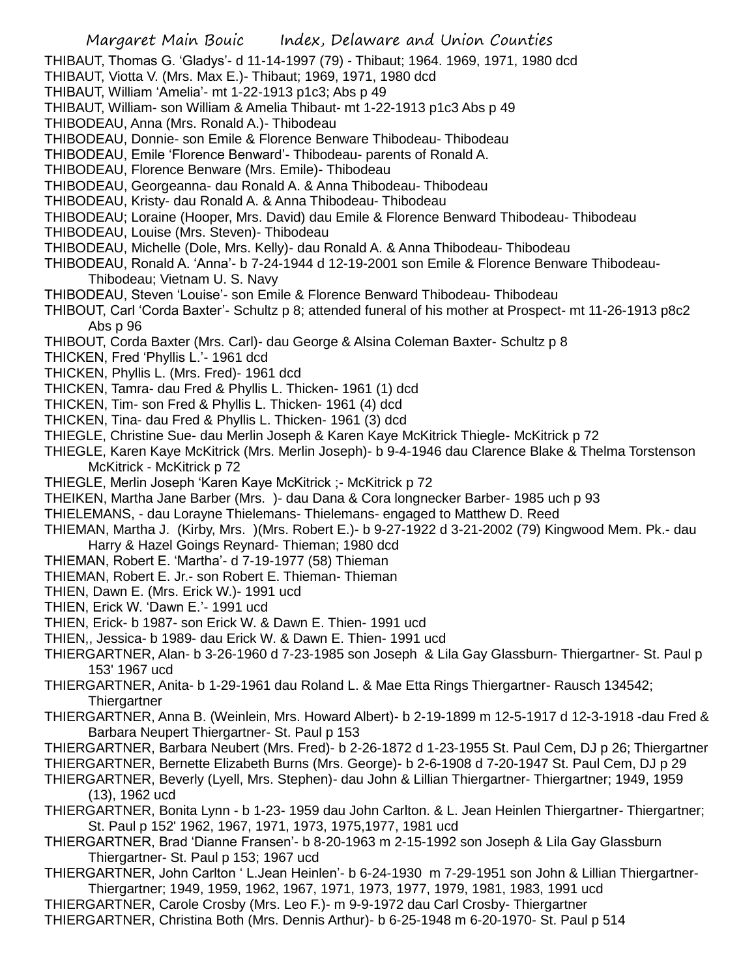THIBAUT, Thomas G. 'Gladys'- d 11-14-1997 (79) - Thibaut; 1964. 1969, 1971, 1980 dcd

- THIBAUT, Viotta V. (Mrs. Max E.)- Thibaut; 1969, 1971, 1980 dcd
- THIBAUT, William 'Amelia'- mt 1-22-1913 p1c3; Abs p 49
- THIBAUT, William- son William & Amelia Thibaut- mt 1-22-1913 p1c3 Abs p 49
- THIBODEAU, Anna (Mrs. Ronald A.)- Thibodeau
- THIBODEAU, Donnie- son Emile & Florence Benware Thibodeau- Thibodeau
- THIBODEAU, Emile 'Florence Benward'- Thibodeau- parents of Ronald A.
- THIBODEAU, Florence Benware (Mrs. Emile)- Thibodeau
- THIBODEAU, Georgeanna- dau Ronald A. & Anna Thibodeau- Thibodeau
- THIBODEAU, Kristy- dau Ronald A. & Anna Thibodeau- Thibodeau
- THIBODEAU; Loraine (Hooper, Mrs. David) dau Emile & Florence Benward Thibodeau- Thibodeau
- THIBODEAU, Louise (Mrs. Steven)- Thibodeau
- THIBODEAU, Michelle (Dole, Mrs. Kelly)- dau Ronald A. & Anna Thibodeau- Thibodeau
- THIBODEAU, Ronald A. 'Anna'- b 7-24-1944 d 12-19-2001 son Emile & Florence Benware Thibodeau-Thibodeau; Vietnam U. S. Navy
- THIBODEAU, Steven 'Louise'- son Emile & Florence Benward Thibodeau- Thibodeau
- THIBOUT, Carl 'Corda Baxter'- Schultz p 8; attended funeral of his mother at Prospect- mt 11-26-1913 p8c2 Abs p 96
- THIBOUT, Corda Baxter (Mrs. Carl)- dau George & Alsina Coleman Baxter- Schultz p 8
- THICKEN, Fred 'Phyllis L.'- 1961 dcd
- THICKEN, Phyllis L. (Mrs. Fred)- 1961 dcd
- THICKEN, Tamra- dau Fred & Phyllis L. Thicken- 1961 (1) dcd
- THICKEN, Tim- son Fred & Phyllis L. Thicken- 1961 (4) dcd
- THICKEN, Tina- dau Fred & Phyllis L. Thicken- 1961 (3) dcd
- THIEGLE, Christine Sue- dau Merlin Joseph & Karen Kaye McKitrick Thiegle- McKitrick p 72
- THIEGLE, Karen Kaye McKitrick (Mrs. Merlin Joseph)- b 9-4-1946 dau Clarence Blake & Thelma Torstenson McKitrick - McKitrick p 72
- THIEGLE, Merlin Joseph 'Karen Kaye McKitrick ;- McKitrick p 72
- THEIKEN, Martha Jane Barber (Mrs. )- dau Dana & Cora longnecker Barber- 1985 uch p 93
- THIELEMANS, dau Lorayne Thielemans- Thielemans- engaged to Matthew D. Reed
- THIEMAN, Martha J. (Kirby, Mrs. )(Mrs. Robert E.)- b 9-27-1922 d 3-21-2002 (79) Kingwood Mem. Pk.- dau Harry & Hazel Goings Reynard- Thieman; 1980 dcd
- THIEMAN, Robert E. 'Martha'- d 7-19-1977 (58) Thieman
- THIEMAN, Robert E. Jr.- son Robert E. Thieman- Thieman
- THIEN, Dawn E. (Mrs. Erick W.)- 1991 ucd
- THIEN, Erick W. 'Dawn E.'- 1991 ucd
- THIEN, Erick- b 1987- son Erick W. & Dawn E. Thien- 1991 ucd
- THIEN,, Jessica- b 1989- dau Erick W. & Dawn E. Thien- 1991 ucd
- THIERGARTNER, Alan- b 3-26-1960 d 7-23-1985 son Joseph & Lila Gay Glassburn- Thiergartner- St. Paul p 153' 1967 ucd
- THIERGARTNER, Anita- b 1-29-1961 dau Roland L. & Mae Etta Rings Thiergartner- Rausch 134542; **Thiergartner**
- THIERGARTNER, Anna B. (Weinlein, Mrs. Howard Albert)- b 2-19-1899 m 12-5-1917 d 12-3-1918 -dau Fred & Barbara Neupert Thiergartner- St. Paul p 153
- THIERGARTNER, Barbara Neubert (Mrs. Fred)- b 2-26-1872 d 1-23-1955 St. Paul Cem, DJ p 26; Thiergartner
- THIERGARTNER, Bernette Elizabeth Burns (Mrs. George)- b 2-6-1908 d 7-20-1947 St. Paul Cem, DJ p 29
- THIERGARTNER, Beverly (Lyell, Mrs. Stephen)- dau John & Lillian Thiergartner- Thiergartner; 1949, 1959 (13), 1962 ucd
- THIERGARTNER, Bonita Lynn b 1-23- 1959 dau John Carlton. & L. Jean Heinlen Thiergartner- Thiergartner; St. Paul p 152' 1962, 1967, 1971, 1973, 1975,1977, 1981 ucd
- THIERGARTNER, Brad 'Dianne Fransen'- b 8-20-1963 m 2-15-1992 son Joseph & Lila Gay Glassburn Thiergartner- St. Paul p 153; 1967 ucd
- THIERGARTNER, John Carlton ' L.Jean Heinlen'- b 6-24-1930 m 7-29-1951 son John & Lillian Thiergartner-Thiergartner; 1949, 1959, 1962, 1967, 1971, 1973, 1977, 1979, 1981, 1983, 1991 ucd
- THIERGARTNER, Carole Crosby (Mrs. Leo F.)- m 9-9-1972 dau Carl Crosby- Thiergartner THIERGARTNER, Christina Both (Mrs. Dennis Arthur)- b 6-25-1948 m 6-20-1970- St. Paul p 514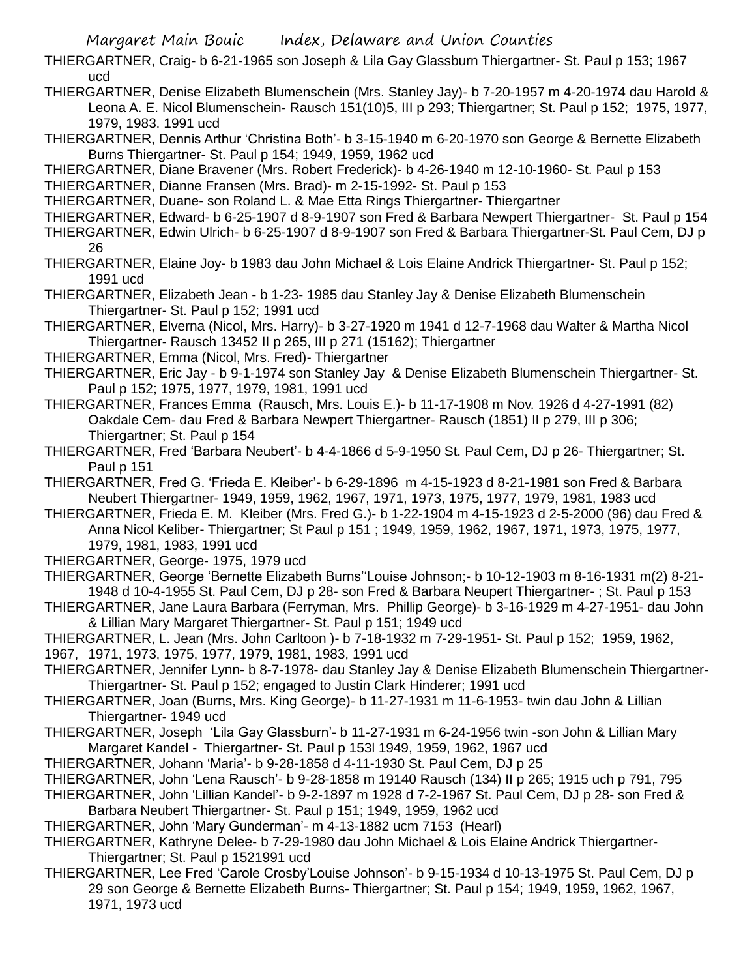THIERGARTNER, Craig- b 6-21-1965 son Joseph & Lila Gay Glassburn Thiergartner- St. Paul p 153; 1967 ucd

THIERGARTNER, Denise Elizabeth Blumenschein (Mrs. Stanley Jay)- b 7-20-1957 m 4-20-1974 dau Harold & Leona A. E. Nicol Blumenschein- Rausch 151(10)5, III p 293; Thiergartner; St. Paul p 152; 1975, 1977, 1979, 1983. 1991 ucd

THIERGARTNER, Dennis Arthur 'Christina Both'- b 3-15-1940 m 6-20-1970 son George & Bernette Elizabeth Burns Thiergartner- St. Paul p 154; 1949, 1959, 1962 ucd

THIERGARTNER, Diane Bravener (Mrs. Robert Frederick)- b 4-26-1940 m 12-10-1960- St. Paul p 153

THIERGARTNER, Dianne Fransen (Mrs. Brad)- m 2-15-1992- St. Paul p 153

THIERGARTNER, Duane- son Roland L. & Mae Etta Rings Thiergartner- Thiergartner

THIERGARTNER, Edward- b 6-25-1907 d 8-9-1907 son Fred & Barbara Newpert Thiergartner- St. Paul p 154 THIERGARTNER, Edwin Ulrich- b 6-25-1907 d 8-9-1907 son Fred & Barbara Thiergartner-St. Paul Cem, DJ p 26

THIERGARTNER, Elaine Joy- b 1983 dau John Michael & Lois Elaine Andrick Thiergartner- St. Paul p 152; 1991 ucd

THIERGARTNER, Elizabeth Jean - b 1-23- 1985 dau Stanley Jay & Denise Elizabeth Blumenschein Thiergartner- St. Paul p 152; 1991 ucd

THIERGARTNER, Elverna (Nicol, Mrs. Harry)- b 3-27-1920 m 1941 d 12-7-1968 dau Walter & Martha Nicol Thiergartner- Rausch 13452 II p 265, III p 271 (15162); Thiergartner

- THIERGARTNER, Emma (Nicol, Mrs. Fred)- Thiergartner
- THIERGARTNER, Eric Jay b 9-1-1974 son Stanley Jay & Denise Elizabeth Blumenschein Thiergartner- St. Paul p 152; 1975, 1977, 1979, 1981, 1991 ucd

THIERGARTNER, Frances Emma (Rausch, Mrs. Louis E.)- b 11-17-1908 m Nov. 1926 d 4-27-1991 (82) Oakdale Cem- dau Fred & Barbara Newpert Thiergartner- Rausch (1851) II p 279, III p 306; Thiergartner; St. Paul p 154

- THIERGARTNER, Fred 'Barbara Neubert'- b 4-4-1866 d 5-9-1950 St. Paul Cem, DJ p 26- Thiergartner; St. Paul p 151
- THIERGARTNER, Fred G. 'Frieda E. Kleiber'- b 6-29-1896 m 4-15-1923 d 8-21-1981 son Fred & Barbara Neubert Thiergartner- 1949, 1959, 1962, 1967, 1971, 1973, 1975, 1977, 1979, 1981, 1983 ucd

THIERGARTNER, Frieda E. M. Kleiber (Mrs. Fred G.)- b 1-22-1904 m 4-15-1923 d 2-5-2000 (96) dau Fred & Anna Nicol Keliber- Thiergartner; St Paul p 151 ; 1949, 1959, 1962, 1967, 1971, 1973, 1975, 1977, 1979, 1981, 1983, 1991 ucd

THIERGARTNER, George- 1975, 1979 ucd

THIERGARTNER, George 'Bernette Elizabeth Burns''Louise Johnson;- b 10-12-1903 m 8-16-1931 m(2) 8-21- 1948 d 10-4-1955 St. Paul Cem, DJ p 28- son Fred & Barbara Neupert Thiergartner- ; St. Paul p 153

THIERGARTNER, Jane Laura Barbara (Ferryman, Mrs. Phillip George)- b 3-16-1929 m 4-27-1951- dau John & Lillian Mary Margaret Thiergartner- St. Paul p 151; 1949 ucd

THIERGARTNER, L. Jean (Mrs. John Carltoon )- b 7-18-1932 m 7-29-1951- St. Paul p 152; 1959, 1962,

1967, 1971, 1973, 1975, 1977, 1979, 1981, 1983, 1991 ucd

THIERGARTNER, Jennifer Lynn- b 8-7-1978- dau Stanley Jay & Denise Elizabeth Blumenschein Thiergartner-Thiergartner- St. Paul p 152; engaged to Justin Clark Hinderer; 1991 ucd

- THIERGARTNER, Joan (Burns, Mrs. King George)- b 11-27-1931 m 11-6-1953- twin dau John & Lillian Thiergartner- 1949 ucd
- THIERGARTNER, Joseph 'Lila Gay Glassburn'- b 11-27-1931 m 6-24-1956 twin -son John & Lillian Mary Margaret Kandel - Thiergartner- St. Paul p 153l 1949, 1959, 1962, 1967 ucd

THIERGARTNER, Johann 'Maria'- b 9-28-1858 d 4-11-1930 St. Paul Cem, DJ p 25

THIERGARTNER, John 'Lena Rausch'- b 9-28-1858 m 19140 Rausch (134) II p 265; 1915 uch p 791, 795

THIERGARTNER, John 'Lillian Kandel'- b 9-2-1897 m 1928 d 7-2-1967 St. Paul Cem, DJ p 28- son Fred & Barbara Neubert Thiergartner- St. Paul p 151; 1949, 1959, 1962 ucd

THIERGARTNER, John 'Mary Gunderman'- m 4-13-1882 ucm 7153 (Hearl)

- THIERGARTNER, Kathryne Delee- b 7-29-1980 dau John Michael & Lois Elaine Andrick Thiergartner-Thiergartner; St. Paul p 1521991 ucd
- THIERGARTNER, Lee Fred 'Carole Crosby'Louise Johnson'- b 9-15-1934 d 10-13-1975 St. Paul Cem, DJ p 29 son George & Bernette Elizabeth Burns- Thiergartner; St. Paul p 154; 1949, 1959, 1962, 1967, 1971, 1973 ucd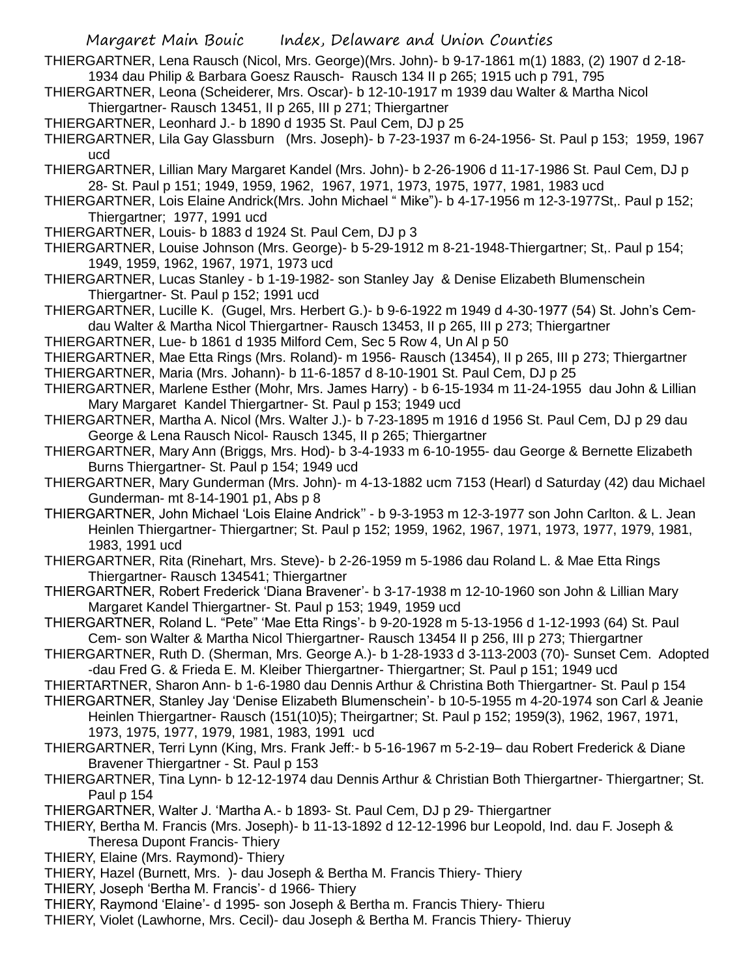- Margaret Main Bouic Index, Delaware and Union Counties
- THIERGARTNER, Lena Rausch (Nicol, Mrs. George)(Mrs. John)- b 9-17-1861 m(1) 1883, (2) 1907 d 2-18- 1934 dau Philip & Barbara Goesz Rausch- Rausch 134 II p 265; 1915 uch p 791, 795
- THIERGARTNER, Leona (Scheiderer, Mrs. Oscar)- b 12-10-1917 m 1939 dau Walter & Martha Nicol Thiergartner- Rausch 13451, II p 265, III p 271; Thiergartner
- THIERGARTNER, Leonhard J.- b 1890 d 1935 St. Paul Cem, DJ p 25
- THIERGARTNER, Lila Gay Glassburn (Mrs. Joseph)- b 7-23-1937 m 6-24-1956- St. Paul p 153; 1959, 1967 ucd
- THIERGARTNER, Lillian Mary Margaret Kandel (Mrs. John)- b 2-26-1906 d 11-17-1986 St. Paul Cem, DJ p 28- St. Paul p 151; 1949, 1959, 1962, 1967, 1971, 1973, 1975, 1977, 1981, 1983 ucd
- THIERGARTNER, Lois Elaine Andrick(Mrs. John Michael " Mike")- b 4-17-1956 m 12-3-1977St,. Paul p 152; Thiergartner; 1977, 1991 ucd
- THIERGARTNER, Louis- b 1883 d 1924 St. Paul Cem, DJ p 3
- THIERGARTNER, Louise Johnson (Mrs. George)- b 5-29-1912 m 8-21-1948-Thiergartner; St,. Paul p 154; 1949, 1959, 1962, 1967, 1971, 1973 ucd
- THIERGARTNER, Lucas Stanley b 1-19-1982- son Stanley Jay & Denise Elizabeth Blumenschein Thiergartner- St. Paul p 152; 1991 ucd
- THIERGARTNER, Lucille K. (Gugel, Mrs. Herbert G.)- b 9-6-1922 m 1949 d 4-30-1977 (54) St. John's Cemdau Walter & Martha Nicol Thiergartner- Rausch 13453, II p 265, III p 273; Thiergartner
- THIERGARTNER, Lue- b 1861 d 1935 Milford Cem, Sec 5 Row 4, Un Al p 50
- THIERGARTNER, Mae Etta Rings (Mrs. Roland)- m 1956- Rausch (13454), II p 265, III p 273; Thiergartner
- THIERGARTNER, Maria (Mrs. Johann)- b 11-6-1857 d 8-10-1901 St. Paul Cem, DJ p 25
- THIERGARTNER, Marlene Esther (Mohr, Mrs. James Harry) b 6-15-1934 m 11-24-1955 dau John & Lillian Mary Margaret Kandel Thiergartner- St. Paul p 153; 1949 ucd
- THIERGARTNER, Martha A. Nicol (Mrs. Walter J.)- b 7-23-1895 m 1916 d 1956 St. Paul Cem, DJ p 29 dau George & Lena Rausch Nicol- Rausch 1345, II p 265; Thiergartner
- THIERGARTNER, Mary Ann (Briggs, Mrs. Hod)- b 3-4-1933 m 6-10-1955- dau George & Bernette Elizabeth Burns Thiergartner- St. Paul p 154; 1949 ucd
- THIERGARTNER, Mary Gunderman (Mrs. John)- m 4-13-1882 ucm 7153 (Hearl) d Saturday (42) dau Michael Gunderman- mt 8-14-1901 p1, Abs p 8
- THIERGARTNER, John Michael 'Lois Elaine Andrick'' b 9-3-1953 m 12-3-1977 son John Carlton. & L. Jean Heinlen Thiergartner- Thiergartner; St. Paul p 152; 1959, 1962, 1967, 1971, 1973, 1977, 1979, 1981, 1983, 1991 ucd
- THIERGARTNER, Rita (Rinehart, Mrs. Steve)- b 2-26-1959 m 5-1986 dau Roland L. & Mae Etta Rings Thiergartner- Rausch 134541; Thiergartner
- THIERGARTNER, Robert Frederick 'Diana Bravener'- b 3-17-1938 m 12-10-1960 son John & Lillian Mary Margaret Kandel Thiergartner- St. Paul p 153; 1949, 1959 ucd
- THIERGARTNER, Roland L. "Pete" 'Mae Etta Rings'- b 9-20-1928 m 5-13-1956 d 1-12-1993 (64) St. Paul Cem- son Walter & Martha Nicol Thiergartner- Rausch 13454 II p 256, III p 273; Thiergartner
- THIERGARTNER, Ruth D. (Sherman, Mrs. George A.)- b 1-28-1933 d 3-113-2003 (70)- Sunset Cem. Adopted -dau Fred G. & Frieda E. M. Kleiber Thiergartner- Thiergartner; St. Paul p 151; 1949 ucd
- THIERTARTNER, Sharon Ann- b 1-6-1980 dau Dennis Arthur & Christina Both Thiergartner- St. Paul p 154
- THIERGARTNER, Stanley Jay 'Denise Elizabeth Blumenschein'- b 10-5-1955 m 4-20-1974 son Carl & Jeanie Heinlen Thiergartner- Rausch (151(10)5); Theirgartner; St. Paul p 152; 1959(3), 1962, 1967, 1971, 1973, 1975, 1977, 1979, 1981, 1983, 1991 ucd
- THIERGARTNER, Terri Lynn (King, Mrs. Frank Jeff:- b 5-16-1967 m 5-2-19– dau Robert Frederick & Diane Bravener Thiergartner - St. Paul p 153
- THIERGARTNER, Tina Lynn- b 12-12-1974 dau Dennis Arthur & Christian Both Thiergartner- Thiergartner; St. Paul p 154
- THIERGARTNER, Walter J. 'Martha A.- b 1893- St. Paul Cem, DJ p 29- Thiergartner
- THIERY, Bertha M. Francis (Mrs. Joseph)- b 11-13-1892 d 12-12-1996 bur Leopold, Ind. dau F. Joseph & Theresa Dupont Francis- Thiery
- THIERY, Elaine (Mrs. Raymond)- Thiery
- THIERY, Hazel (Burnett, Mrs. )- dau Joseph & Bertha M. Francis Thiery- Thiery
- THIERY, Joseph 'Bertha M. Francis'- d 1966- Thiery
- THIERY, Raymond 'Elaine'- d 1995- son Joseph & Bertha m. Francis Thiery- Thieru
- THIERY, Violet (Lawhorne, Mrs. Cecil)- dau Joseph & Bertha M. Francis Thiery- Thieruy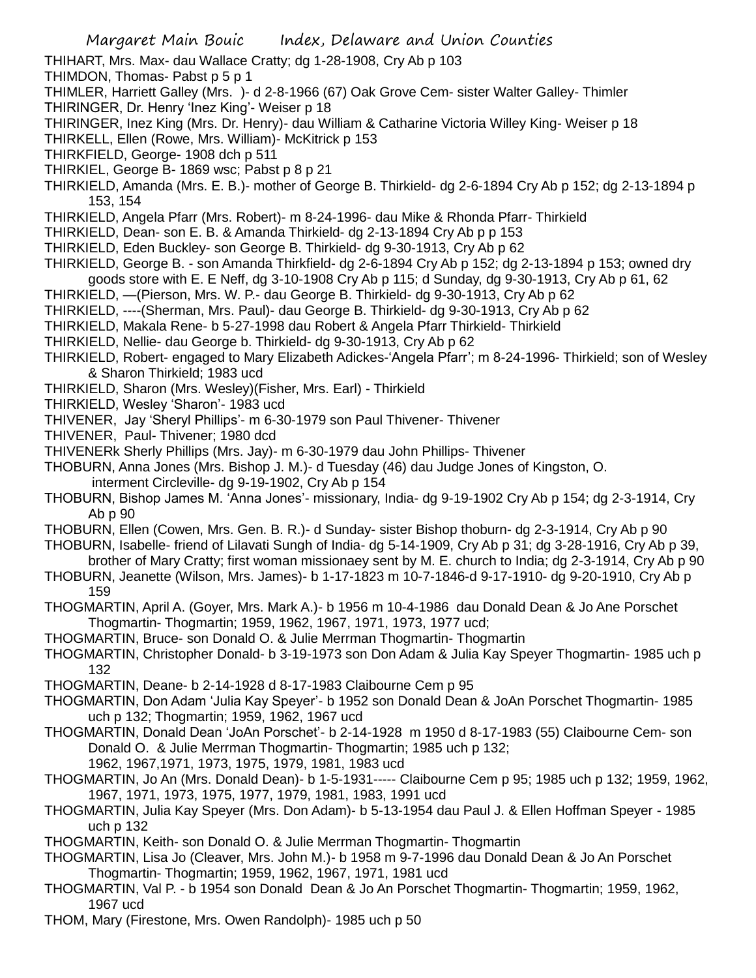- THIHART, Mrs. Max- dau Wallace Cratty; dg 1-28-1908, Cry Ab p 103
- THIMDON, Thomas- Pabst p 5 p 1
- THIMLER, Harriett Galley (Mrs. )- d 2-8-1966 (67) Oak Grove Cem- sister Walter Galley- Thimler THIRINGER, Dr. Henry 'Inez King'- Weiser p 18
- THIRINGER, Inez King (Mrs. Dr. Henry)- dau William & Catharine Victoria Willey King- Weiser p 18 THIRKELL, Ellen (Rowe, Mrs. William)- McKitrick p 153
- THIRKFIELD, George- 1908 dch p 511
- THIRKIEL, George B- 1869 wsc; Pabst p 8 p 21
- THIRKIELD, Amanda (Mrs. E. B.)- mother of George B. Thirkield- dg 2-6-1894 Cry Ab p 152; dg 2-13-1894 p 153, 154
- THIRKIELD, Angela Pfarr (Mrs. Robert)- m 8-24-1996- dau Mike & Rhonda Pfarr- Thirkield
- THIRKIELD, Dean- son E. B. & Amanda Thirkield- dg 2-13-1894 Cry Ab p p 153
- THIRKIELD, Eden Buckley- son George B. Thirkield- dg 9-30-1913, Cry Ab p 62
- THIRKIELD, George B. son Amanda Thirkfield- dg 2-6-1894 Cry Ab p 152; dg 2-13-1894 p 153; owned dry goods store with E. E Neff, dg 3-10-1908 Cry Ab p 115; d Sunday, dg 9-30-1913, Cry Ab p 61, 62
- THIRKIELD, —(Pierson, Mrs. W. P.- dau George B. Thirkield- dg 9-30-1913, Cry Ab p 62
- THIRKIELD, ----(Sherman, Mrs. Paul)- dau George B. Thirkield- dg 9-30-1913, Cry Ab p 62
- THIRKIELD, Makala Rene- b 5-27-1998 dau Robert & Angela Pfarr Thirkield- Thirkield
- THIRKIELD, Nellie- dau George b. Thirkield- dg 9-30-1913, Cry Ab p 62
- THIRKIELD, Robert- engaged to Mary Elizabeth Adickes-'Angela Pfarr'; m 8-24-1996- Thirkield; son of Wesley & Sharon Thirkield; 1983 ucd
- THIRKIELD, Sharon (Mrs. Wesley)(Fisher, Mrs. Earl) Thirkield
- THIRKIELD, Wesley 'Sharon'- 1983 ucd
- THIVENER, Jay 'Sheryl Phillips'- m 6-30-1979 son Paul Thivener- Thivener
- THIVENER, Paul- Thivener; 1980 dcd
- THIVENERk Sherly Phillips (Mrs. Jay)- m 6-30-1979 dau John Phillips- Thivener
- THOBURN, Anna Jones (Mrs. Bishop J. M.)- d Tuesday (46) dau Judge Jones of Kingston, O.
	- interment Circleville- dg 9-19-1902, Cry Ab p 154
- THOBURN, Bishop James M. 'Anna Jones'- missionary, India- dg 9-19-1902 Cry Ab p 154; dg 2-3-1914, Cry Ab p 90
- THOBURN, Ellen (Cowen, Mrs. Gen. B. R.)- d Sunday- sister Bishop thoburn- dg 2-3-1914, Cry Ab p 90
- THOBURN, Isabelle- friend of Lilavati Sungh of India- dg 5-14-1909, Cry Ab p 31; dg 3-28-1916, Cry Ab p 39, brother of Mary Cratty; first woman missionaey sent by M. E. church to India; dg 2-3-1914, Cry Ab p 90
- THOBURN, Jeanette (Wilson, Mrs. James)- b 1-17-1823 m 10-7-1846-d 9-17-1910- dg 9-20-1910, Cry Ab p 159
- THOGMARTIN, April A. (Goyer, Mrs. Mark A.)- b 1956 m 10-4-1986 dau Donald Dean & Jo Ane Porschet Thogmartin- Thogmartin; 1959, 1962, 1967, 1971, 1973, 1977 ucd;
- THOGMARTIN, Bruce- son Donald O. & Julie Merrman Thogmartin- Thogmartin
- THOGMARTIN, Christopher Donald- b 3-19-1973 son Don Adam & Julia Kay Speyer Thogmartin- 1985 uch p 132
- THOGMARTIN, Deane- b 2-14-1928 d 8-17-1983 Claibourne Cem p 95
- THOGMARTIN, Don Adam 'Julia Kay Speyer'- b 1952 son Donald Dean & JoAn Porschet Thogmartin- 1985 uch p 132; Thogmartin; 1959, 1962, 1967 ucd
- THOGMARTIN, Donald Dean 'JoAn Porschet'- b 2-14-1928 m 1950 d 8-17-1983 (55) Claibourne Cem- son Donald O. & Julie Merrman Thogmartin- Thogmartin; 1985 uch p 132; 1962, 1967,1971, 1973, 1975, 1979, 1981, 1983 ucd
- THOGMARTIN, Jo An (Mrs. Donald Dean)- b 1-5-1931----- Claibourne Cem p 95; 1985 uch p 132; 1959, 1962, 1967, 1971, 1973, 1975, 1977, 1979, 1981, 1983, 1991 ucd
- THOGMARTIN, Julia Kay Speyer (Mrs. Don Adam)- b 5-13-1954 dau Paul J. & Ellen Hoffman Speyer 1985 uch p 132
- THOGMARTIN, Keith- son Donald O. & Julie Merrman Thogmartin- Thogmartin
- THOGMARTIN, Lisa Jo (Cleaver, Mrs. John M.)- b 1958 m 9-7-1996 dau Donald Dean & Jo An Porschet Thogmartin- Thogmartin; 1959, 1962, 1967, 1971, 1981 ucd
- THOGMARTIN, Val P. b 1954 son Donald Dean & Jo An Porschet Thogmartin- Thogmartin; 1959, 1962, 1967 ucd
- THOM, Mary (Firestone, Mrs. Owen Randolph)- 1985 uch p 50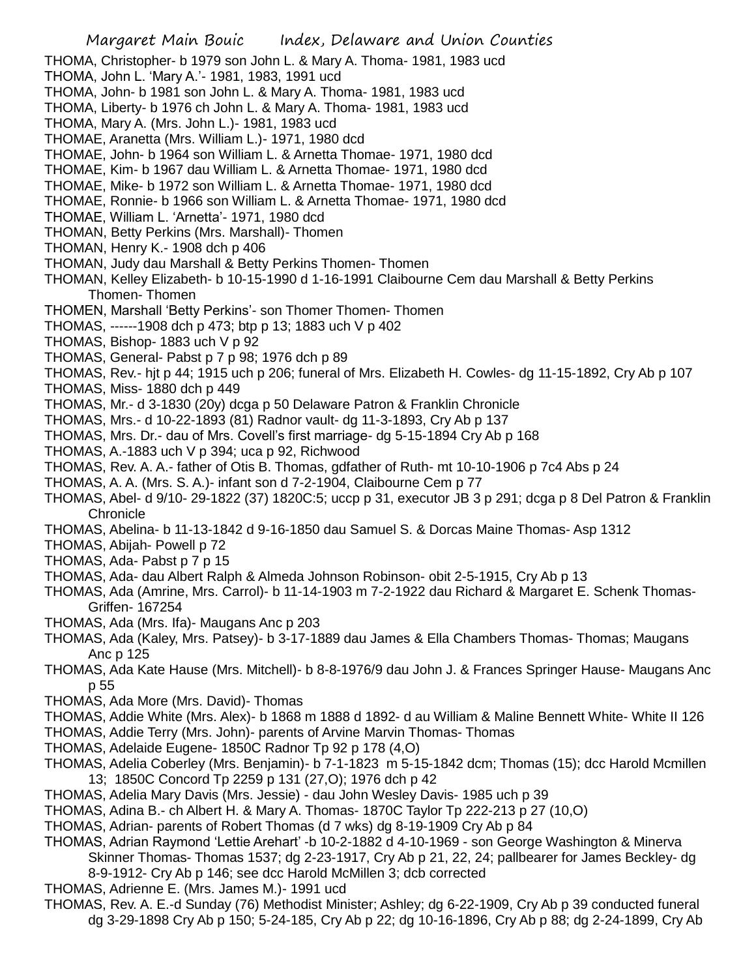- Margaret Main Bouic Index, Delaware and Union Counties THOMA, Christopher- b 1979 son John L. & Mary A. Thoma- 1981, 1983 ucd THOMA, John L. 'Mary A.'- 1981, 1983, 1991 ucd THOMA, John- b 1981 son John L. & Mary A. Thoma- 1981, 1983 ucd THOMA, Liberty- b 1976 ch John L. & Mary A. Thoma- 1981, 1983 ucd THOMA, Mary A. (Mrs. John L.)- 1981, 1983 ucd THOMAE, Aranetta (Mrs. William L.)- 1971, 1980 dcd THOMAE, John- b 1964 son William L. & Arnetta Thomae- 1971, 1980 dcd THOMAE, Kim- b 1967 dau William L. & Arnetta Thomae- 1971, 1980 dcd THOMAE, Mike- b 1972 son William L. & Arnetta Thomae- 1971, 1980 dcd THOMAE, Ronnie- b 1966 son William L. & Arnetta Thomae- 1971, 1980 dcd THOMAE, William L. 'Arnetta'- 1971, 1980 dcd THOMAN, Betty Perkins (Mrs. Marshall)- Thomen THOMAN, Henry K.- 1908 dch p 406 THOMAN, Judy dau Marshall & Betty Perkins Thomen- Thomen THOMAN, Kelley Elizabeth- b 10-15-1990 d 1-16-1991 Claibourne Cem dau Marshall & Betty Perkins Thomen- Thomen THOMEN, Marshall 'Betty Perkins'- son Thomer Thomen- Thomen THOMAS, ------1908 dch p 473; btp p 13; 1883 uch V p 402 THOMAS, Bishop- 1883 uch V p 92 THOMAS, General- Pabst p 7 p 98; 1976 dch p 89 THOMAS, Rev.- hjt p 44; 1915 uch p 206; funeral of Mrs. Elizabeth H. Cowles- dg 11-15-1892, Cry Ab p 107 THOMAS, Miss- 1880 dch p 449 THOMAS, Mr.- d 3-1830 (20y) dcga p 50 Delaware Patron & Franklin Chronicle THOMAS, Mrs.- d 10-22-1893 (81) Radnor vault- dg 11-3-1893, Cry Ab p 137 THOMAS, Mrs. Dr.- dau of Mrs. Covell's first marriage- dg 5-15-1894 Cry Ab p 168 THOMAS, A.-1883 uch V p 394; uca p 92, Richwood THOMAS, Rev. A. A.- father of Otis B. Thomas, gdfather of Ruth- mt 10-10-1906 p 7c4 Abs p 24 THOMAS, A. A. (Mrs. S. A.)- infant son d 7-2-1904, Claibourne Cem p 77 THOMAS, Abel- d 9/10- 29-1822 (37) 1820C:5; uccp p 31, executor JB 3 p 291; dcga p 8 Del Patron & Franklin **Chronicle** THOMAS, Abelina- b 11-13-1842 d 9-16-1850 dau Samuel S. & Dorcas Maine Thomas- Asp 1312 THOMAS, Abijah- Powell p 72 THOMAS, Ada- Pabst p 7 p 15 THOMAS, Ada- dau Albert Ralph & Almeda Johnson Robinson- obit 2-5-1915, Cry Ab p 13 THOMAS, Ada (Amrine, Mrs. Carrol)- b 11-14-1903 m 7-2-1922 dau Richard & Margaret E. Schenk Thomas-Griffen- 167254 THOMAS, Ada (Mrs. Ifa)- Maugans Anc p 203 THOMAS, Ada (Kaley, Mrs. Patsey)- b 3-17-1889 dau James & Ella Chambers Thomas- Thomas; Maugans Anc p 125 THOMAS, Ada Kate Hause (Mrs. Mitchell)- b 8-8-1976/9 dau John J. & Frances Springer Hause- Maugans Anc p 55 THOMAS, Ada More (Mrs. David)- Thomas THOMAS, Addie White (Mrs. Alex)- b 1868 m 1888 d 1892- d au William & Maline Bennett White- White II 126 THOMAS, Addie Terry (Mrs. John)- parents of Arvine Marvin Thomas- Thomas
	- THOMAS, Adelaide Eugene- 1850C Radnor Tp 92 p 178 (4,O)
	- THOMAS, Adelia Coberley (Mrs. Benjamin)- b 7-1-1823 m 5-15-1842 dcm; Thomas (15); dcc Harold Mcmillen 13; 1850C Concord Tp 2259 p 131 (27,O); 1976 dch p 42
	- THOMAS, Adelia Mary Davis (Mrs. Jessie) dau John Wesley Davis- 1985 uch p 39
	- THOMAS, Adina B.- ch Albert H. & Mary A. Thomas- 1870C Taylor Tp 222-213 p 27 (10,O)
	- THOMAS, Adrian- parents of Robert Thomas (d 7 wks) dg 8-19-1909 Cry Ab p 84
	- THOMAS, Adrian Raymond 'Lettie Arehart' -b 10-2-1882 d 4-10-1969 son George Washington & Minerva Skinner Thomas- Thomas 1537; dg 2-23-1917, Cry Ab p 21, 22, 24; pallbearer for James Beckley- dg 8-9-1912- Cry Ab p 146; see dcc Harold McMillen 3; dcb corrected
	- THOMAS, Adrienne E. (Mrs. James M.)- 1991 ucd
	- THOMAS, Rev. A. E.-d Sunday (76) Methodist Minister; Ashley; dg 6-22-1909, Cry Ab p 39 conducted funeral dg 3-29-1898 Cry Ab p 150; 5-24-185, Cry Ab p 22; dg 10-16-1896, Cry Ab p 88; dg 2-24-1899, Cry Ab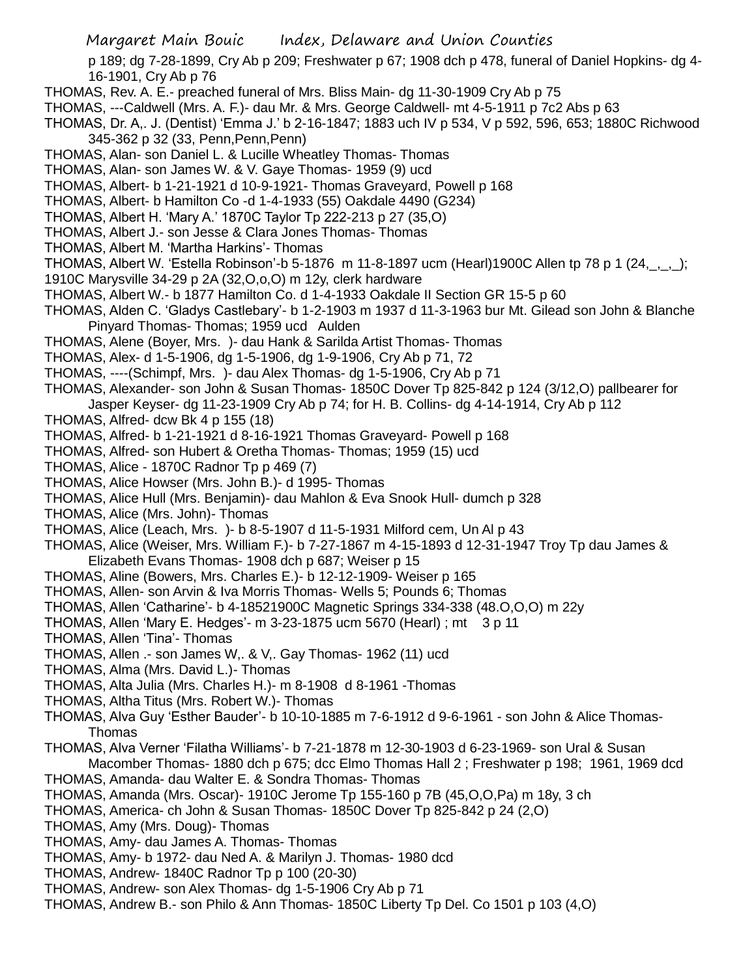p 189; dg 7-28-1899, Cry Ab p 209; Freshwater p 67; 1908 dch p 478, funeral of Daniel Hopkins- dg 4- 16-1901, Cry Ab p 76

- THOMAS, Rev. A. E.- preached funeral of Mrs. Bliss Main- dg 11-30-1909 Cry Ab p 75
- THOMAS, ---Caldwell (Mrs. A. F.)- dau Mr. & Mrs. George Caldwell- mt 4-5-1911 p 7c2 Abs p 63
- THOMAS, Dr. A,. J. (Dentist) 'Emma J.' b 2-16-1847; 1883 uch IV p 534, V p 592, 596, 653; 1880C Richwood 345-362 p 32 (33, Penn,Penn,Penn)
- THOMAS, Alan- son Daniel L. & Lucille Wheatley Thomas- Thomas
- THOMAS, Alan- son James W. & V. Gaye Thomas- 1959 (9) ucd
- THOMAS, Albert- b 1-21-1921 d 10-9-1921- Thomas Graveyard, Powell p 168
- THOMAS, Albert- b Hamilton Co -d 1-4-1933 (55) Oakdale 4490 (G234)
- THOMAS, Albert H. 'Mary A.' 1870C Taylor Tp 222-213 p 27 (35,O)
- THOMAS, Albert J.- son Jesse & Clara Jones Thomas- Thomas
- THOMAS, Albert M. 'Martha Harkins'- Thomas
- THOMAS, Albert W. 'Estella Robinson'-b 5-1876 m 11-8-1897 ucm (Hearl)1900C Allen tp 78 p 1 (24,\_,\_,\_);
- 1910C Marysville 34-29 p 2A (32,O,o,O) m 12y, clerk hardware
- THOMAS, Albert W.- b 1877 Hamilton Co. d 1-4-1933 Oakdale II Section GR 15-5 p 60
- THOMAS, Alden C. 'Gladys Castlebary'- b 1-2-1903 m 1937 d 11-3-1963 bur Mt. Gilead son John & Blanche Pinyard Thomas- Thomas; 1959 ucd Aulden
- THOMAS, Alene (Boyer, Mrs. )- dau Hank & Sarilda Artist Thomas- Thomas
- THOMAS, Alex- d 1-5-1906, dg 1-5-1906, dg 1-9-1906, Cry Ab p 71, 72
- THOMAS, ----(Schimpf, Mrs. )- dau Alex Thomas- dg 1-5-1906, Cry Ab p 71
- THOMAS, Alexander- son John & Susan Thomas- 1850C Dover Tp 825-842 p 124 (3/12,O) pallbearer for Jasper Keyser- dg 11-23-1909 Cry Ab p 74; for H. B. Collins- dg 4-14-1914, Cry Ab p 112
- THOMAS, Alfred- dcw Bk 4 p 155 (18)
- THOMAS, Alfred- b 1-21-1921 d 8-16-1921 Thomas Graveyard- Powell p 168
- THOMAS, Alfred- son Hubert & Oretha Thomas- Thomas; 1959 (15) ucd
- THOMAS, Alice 1870C Radnor Tp p 469 (7)
- THOMAS, Alice Howser (Mrs. John B.)- d 1995- Thomas
- THOMAS, Alice Hull (Mrs. Benjamin)- dau Mahlon & Eva Snook Hull- dumch p 328
- THOMAS, Alice (Mrs. John)- Thomas
- THOMAS, Alice (Leach, Mrs. )- b 8-5-1907 d 11-5-1931 Milford cem, Un Al p 43
- THOMAS, Alice (Weiser, Mrs. William F.)- b 7-27-1867 m 4-15-1893 d 12-31-1947 Troy Tp dau James & Elizabeth Evans Thomas- 1908 dch p 687; Weiser p 15
- THOMAS, Aline (Bowers, Mrs. Charles E.)- b 12-12-1909- Weiser p 165
- THOMAS, Allen- son Arvin & Iva Morris Thomas- Wells 5; Pounds 6; Thomas
- THOMAS, Allen 'Catharine'- b 4-18521900C Magnetic Springs 334-338 (48.O,O,O) m 22y
- THOMAS, Allen 'Mary E. Hedges'- m 3-23-1875 ucm 5670 (Hearl) ; mt 3 p 11
- THOMAS, Allen 'Tina'- Thomas
- THOMAS, Allen .- son James W,. & V,. Gay Thomas- 1962 (11) ucd
- THOMAS, Alma (Mrs. David L.)- Thomas
- THOMAS, Alta Julia (Mrs. Charles H.)- m 8-1908 d 8-1961 -Thomas
- THOMAS, Altha Titus (Mrs. Robert W.)- Thomas
- THOMAS, Alva Guy 'Esther Bauder'- b 10-10-1885 m 7-6-1912 d 9-6-1961 son John & Alice Thomas-Thomas
- THOMAS, Alva Verner 'Filatha Williams'- b 7-21-1878 m 12-30-1903 d 6-23-1969- son Ural & Susan Macomber Thomas- 1880 dch p 675; dcc Elmo Thomas Hall 2 ; Freshwater p 198; 1961, 1969 dcd
- THOMAS, Amanda- dau Walter E. & Sondra Thomas- Thomas
- THOMAS, Amanda (Mrs. Oscar)- 1910C Jerome Tp 155-160 p 7B (45,O,O,Pa) m 18y, 3 ch
- THOMAS, America- ch John & Susan Thomas- 1850C Dover Tp 825-842 p 24 (2,O)
- THOMAS, Amy (Mrs. Doug)- Thomas
- THOMAS, Amy- dau James A. Thomas- Thomas
- THOMAS, Amy- b 1972- dau Ned A. & Marilyn J. Thomas- 1980 dcd
- THOMAS, Andrew- 1840C Radnor Tp p 100 (20-30)
- THOMAS, Andrew- son Alex Thomas- dg 1-5-1906 Cry Ab p 71
- THOMAS, Andrew B.- son Philo & Ann Thomas- 1850C Liberty Tp Del. Co 1501 p 103 (4,O)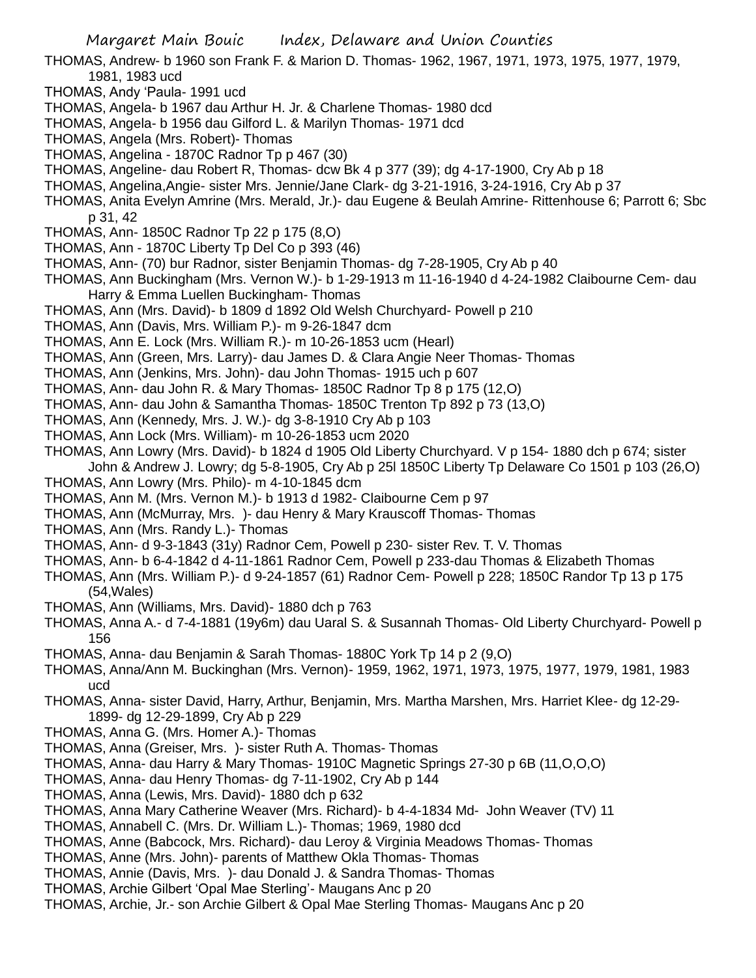- THOMAS, Andrew- b 1960 son Frank F. & Marion D. Thomas- 1962, 1967, 1971, 1973, 1975, 1977, 1979, 1981, 1983 ucd
- THOMAS, Andy 'Paula- 1991 ucd
- THOMAS, Angela- b 1967 dau Arthur H. Jr. & Charlene Thomas- 1980 dcd
- THOMAS, Angela- b 1956 dau Gilford L. & Marilyn Thomas- 1971 dcd
- THOMAS, Angela (Mrs. Robert)- Thomas
- THOMAS, Angelina 1870C Radnor Tp p 467 (30)
- THOMAS, Angeline- dau Robert R, Thomas- dcw Bk 4 p 377 (39); dg 4-17-1900, Cry Ab p 18
- THOMAS, Angelina,Angie- sister Mrs. Jennie/Jane Clark- dg 3-21-1916, 3-24-1916, Cry Ab p 37
- THOMAS, Anita Evelyn Amrine (Mrs. Merald, Jr.)- dau Eugene & Beulah Amrine- Rittenhouse 6; Parrott 6; Sbc p 31, 42
- THOMAS, Ann- 1850C Radnor Tp 22 p 175 (8,O)
- THOMAS, Ann 1870C Liberty Tp Del Co p 393 (46)
- THOMAS, Ann- (70) bur Radnor, sister Benjamin Thomas- dg 7-28-1905, Cry Ab p 40
- THOMAS, Ann Buckingham (Mrs. Vernon W.)- b 1-29-1913 m 11-16-1940 d 4-24-1982 Claibourne Cem- dau Harry & Emma Luellen Buckingham- Thomas
- THOMAS, Ann (Mrs. David)- b 1809 d 1892 Old Welsh Churchyard- Powell p 210
- THOMAS, Ann (Davis, Mrs. William P.)- m 9-26-1847 dcm
- THOMAS, Ann E. Lock (Mrs. William R.)- m 10-26-1853 ucm (Hearl)
- THOMAS, Ann (Green, Mrs. Larry)- dau James D. & Clara Angie Neer Thomas- Thomas
- THOMAS, Ann (Jenkins, Mrs. John)- dau John Thomas- 1915 uch p 607
- THOMAS, Ann- dau John R. & Mary Thomas- 1850C Radnor Tp 8 p 175 (12,O)
- THOMAS, Ann- dau John & Samantha Thomas- 1850C Trenton Tp 892 p 73 (13,O)
- THOMAS, Ann (Kennedy, Mrs. J. W.)- dg 3-8-1910 Cry Ab p 103
- THOMAS, Ann Lock (Mrs. William)- m 10-26-1853 ucm 2020
- THOMAS, Ann Lowry (Mrs. David)- b 1824 d 1905 Old Liberty Churchyard. V p 154- 1880 dch p 674; sister John & Andrew J. Lowry; dg 5-8-1905, Cry Ab p 25l 1850C Liberty Tp Delaware Co 1501 p 103 (26,O)
- THOMAS, Ann Lowry (Mrs. Philo)- m 4-10-1845 dcm
- THOMAS, Ann M. (Mrs. Vernon M.)- b 1913 d 1982- Claibourne Cem p 97
- THOMAS, Ann (McMurray, Mrs. )- dau Henry & Mary Krauscoff Thomas- Thomas
- THOMAS, Ann (Mrs. Randy L.)- Thomas
- THOMAS, Ann- d 9-3-1843 (31y) Radnor Cem, Powell p 230- sister Rev. T. V. Thomas
- THOMAS, Ann- b 6-4-1842 d 4-11-1861 Radnor Cem, Powell p 233-dau Thomas & Elizabeth Thomas
- THOMAS, Ann (Mrs. William P.)- d 9-24-1857 (61) Radnor Cem- Powell p 228; 1850C Randor Tp 13 p 175 (54,Wales)
- THOMAS, Ann (Williams, Mrs. David)- 1880 dch p 763
- THOMAS, Anna A.- d 7-4-1881 (19y6m) dau Uaral S. & Susannah Thomas- Old Liberty Churchyard- Powell p 156
- THOMAS, Anna- dau Benjamin & Sarah Thomas- 1880C York Tp 14 p 2 (9,O)
- THOMAS, Anna/Ann M. Buckinghan (Mrs. Vernon)- 1959, 1962, 1971, 1973, 1975, 1977, 1979, 1981, 1983 ucd
- THOMAS, Anna- sister David, Harry, Arthur, Benjamin, Mrs. Martha Marshen, Mrs. Harriet Klee- dg 12-29- 1899- dg 12-29-1899, Cry Ab p 229
- THOMAS, Anna G. (Mrs. Homer A.)- Thomas
- THOMAS, Anna (Greiser, Mrs. )- sister Ruth A. Thomas- Thomas
- THOMAS, Anna- dau Harry & Mary Thomas- 1910C Magnetic Springs 27-30 p 6B (11,O,O,O)
- THOMAS, Anna- dau Henry Thomas- dg 7-11-1902, Cry Ab p 144
- THOMAS, Anna (Lewis, Mrs. David)- 1880 dch p 632
- THOMAS, Anna Mary Catherine Weaver (Mrs. Richard)- b 4-4-1834 Md- John Weaver (TV) 11
- THOMAS, Annabell C. (Mrs. Dr. William L.)- Thomas; 1969, 1980 dcd
- THOMAS, Anne (Babcock, Mrs. Richard)- dau Leroy & Virginia Meadows Thomas- Thomas
- THOMAS, Anne (Mrs. John)- parents of Matthew Okla Thomas- Thomas
- THOMAS, Annie (Davis, Mrs. )- dau Donald J. & Sandra Thomas- Thomas
- THOMAS, Archie Gilbert 'Opal Mae Sterling'- Maugans Anc p 20
- THOMAS, Archie, Jr.- son Archie Gilbert & Opal Mae Sterling Thomas- Maugans Anc p 20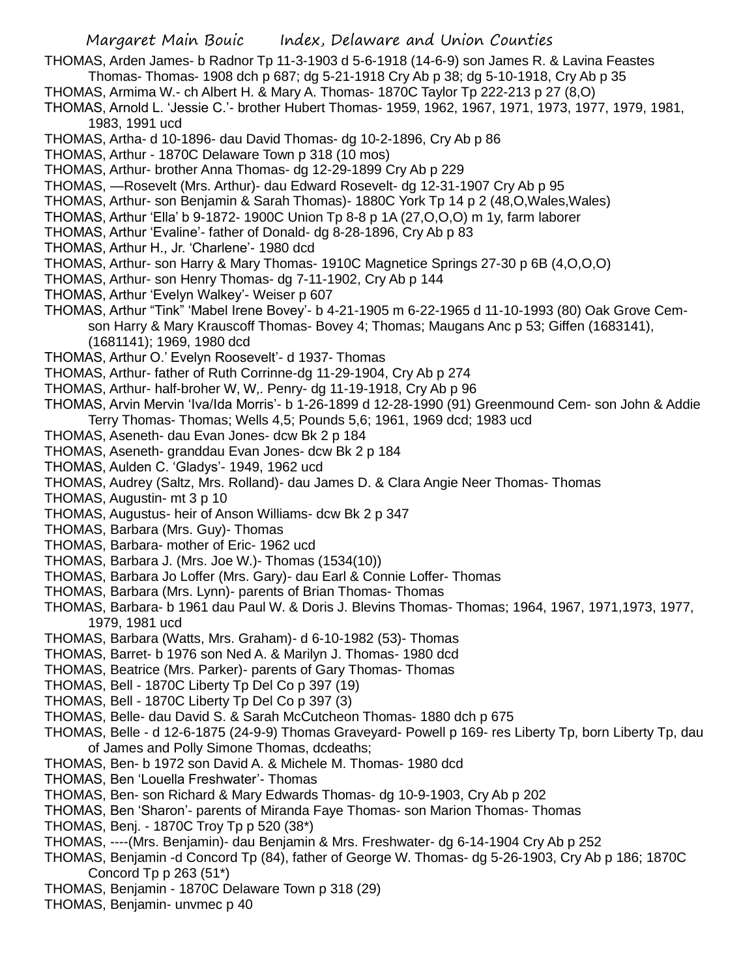THOMAS, Arden James- b Radnor Tp 11-3-1903 d 5-6-1918 (14-6-9) son James R. & Lavina Feastes Thomas- Thomas- 1908 dch p 687; dg 5-21-1918 Cry Ab p 38; dg 5-10-1918, Cry Ab p 35

- THOMAS, Armima W.- ch Albert H. & Mary A. Thomas- 1870C Taylor Tp 222-213 p 27 (8,O)
- THOMAS, Arnold L. 'Jessie C.'- brother Hubert Thomas- 1959, 1962, 1967, 1971, 1973, 1977, 1979, 1981, 1983, 1991 ucd
- THOMAS, Artha- d 10-1896- dau David Thomas- dg 10-2-1896, Cry Ab p 86
- THOMAS, Arthur 1870C Delaware Town p 318 (10 mos)
- THOMAS, Arthur- brother Anna Thomas- dg 12-29-1899 Cry Ab p 229
- THOMAS, —Rosevelt (Mrs. Arthur)- dau Edward Rosevelt- dg 12-31-1907 Cry Ab p 95
- THOMAS, Arthur- son Benjamin & Sarah Thomas)- 1880C York Tp 14 p 2 (48, O, Wales, Wales)
- THOMAS, Arthur 'Ella' b 9-1872- 1900C Union Tp 8-8 p 1A (27,O,O,O) m 1y, farm laborer
- THOMAS, Arthur 'Evaline'- father of Donald- dg 8-28-1896, Cry Ab p 83
- THOMAS, Arthur H., Jr. 'Charlene'- 1980 dcd
- THOMAS, Arthur- son Harry & Mary Thomas- 1910C Magnetice Springs 27-30 p 6B (4,O,O,O)
- THOMAS, Arthur- son Henry Thomas- dg 7-11-1902, Cry Ab p 144
- THOMAS, Arthur 'Evelyn Walkey'- Weiser p 607
- THOMAS, Arthur "Tink" 'Mabel Irene Bovey'- b 4-21-1905 m 6-22-1965 d 11-10-1993 (80) Oak Grove Cemson Harry & Mary Krauscoff Thomas- Bovey 4; Thomas; Maugans Anc p 53; Giffen (1683141), (1681141); 1969, 1980 dcd
- THOMAS, Arthur O.' Evelyn Roosevelt'- d 1937- Thomas
- THOMAS, Arthur- father of Ruth Corrinne-dg 11-29-1904, Cry Ab p 274
- THOMAS, Arthur- half-broher W, W,. Penry- dg 11-19-1918, Cry Ab p 96
- THOMAS, Arvin Mervin 'Iva/Ida Morris'- b 1-26-1899 d 12-28-1990 (91) Greenmound Cem- son John & Addie Terry Thomas- Thomas; Wells 4,5; Pounds 5,6; 1961, 1969 dcd; 1983 ucd
- THOMAS, Aseneth- dau Evan Jones- dcw Bk 2 p 184
- THOMAS, Aseneth- granddau Evan Jones- dcw Bk 2 p 184
- THOMAS, Aulden C. 'Gladys'- 1949, 1962 ucd
- THOMAS, Audrey (Saltz, Mrs. Rolland)- dau James D. & Clara Angie Neer Thomas- Thomas
- THOMAS, Augustin- mt 3 p 10
- THOMAS, Augustus- heir of Anson Williams- dcw Bk 2 p 347
- THOMAS, Barbara (Mrs. Guy)- Thomas
- THOMAS, Barbara- mother of Eric- 1962 ucd
- THOMAS, Barbara J. (Mrs. Joe W.)- Thomas (1534(10))
- THOMAS, Barbara Jo Loffer (Mrs. Gary)- dau Earl & Connie Loffer- Thomas
- THOMAS, Barbara (Mrs. Lynn)- parents of Brian Thomas- Thomas
- THOMAS, Barbara- b 1961 dau Paul W. & Doris J. Blevins Thomas- Thomas; 1964, 1967, 1971,1973, 1977, 1979, 1981 ucd
- THOMAS, Barbara (Watts, Mrs. Graham)- d 6-10-1982 (53)- Thomas
- THOMAS, Barret- b 1976 son Ned A. & Marilyn J. Thomas- 1980 dcd
- THOMAS, Beatrice (Mrs. Parker)- parents of Gary Thomas- Thomas
- THOMAS, Bell 1870C Liberty Tp Del Co p 397 (19)
- THOMAS, Bell 1870C Liberty Tp Del Co p 397 (3)
- THOMAS, Belle- dau David S. & Sarah McCutcheon Thomas- 1880 dch p 675
- THOMAS, Belle d 12-6-1875 (24-9-9) Thomas Graveyard- Powell p 169- res Liberty Tp, born Liberty Tp, dau of James and Polly Simone Thomas, dcdeaths;
- THOMAS, Ben- b 1972 son David A. & Michele M. Thomas- 1980 dcd
- THOMAS, Ben 'Louella Freshwater'- Thomas
- THOMAS, Ben- son Richard & Mary Edwards Thomas- dg 10-9-1903, Cry Ab p 202
- THOMAS, Ben 'Sharon'- parents of Miranda Faye Thomas- son Marion Thomas- Thomas
- THOMAS, Benj. 1870C Troy Tp p 520 (38\*)
- THOMAS, ----(Mrs. Benjamin)- dau Benjamin & Mrs. Freshwater- dg 6-14-1904 Cry Ab p 252
- THOMAS, Benjamin -d Concord Tp (84), father of George W. Thomas- dg 5-26-1903, Cry Ab p 186; 1870C Concord Tp p 263 (51\*)
- THOMAS, Benjamin 1870C Delaware Town p 318 (29)
- THOMAS, Benjamin- unvmec p 40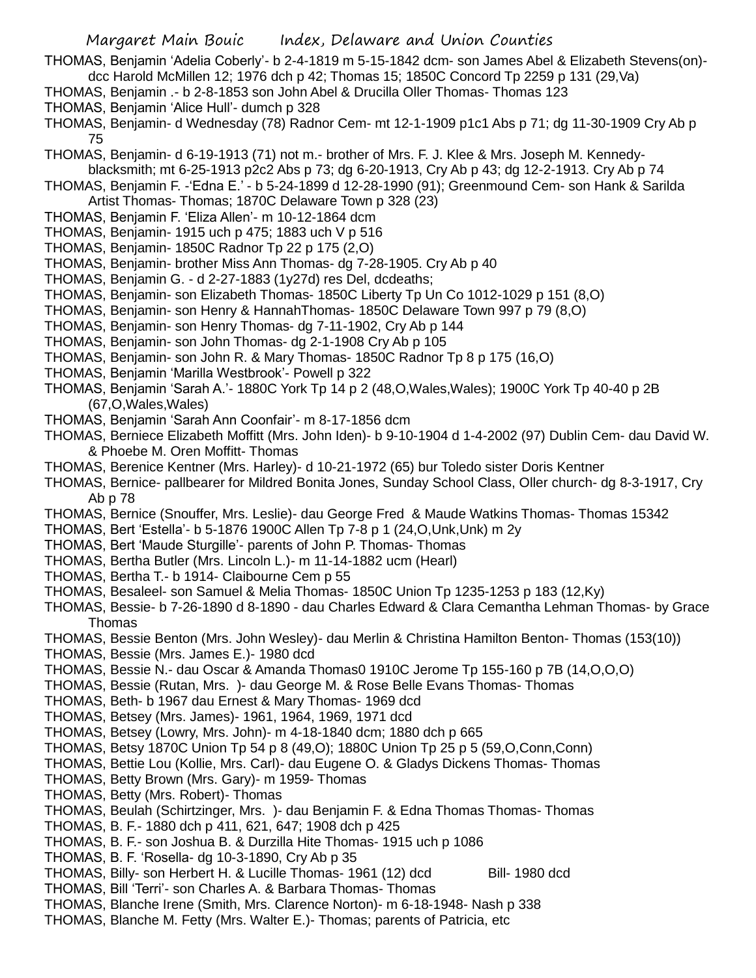THOMAS, Benjamin 'Adelia Coberly'- b 2-4-1819 m 5-15-1842 dcm- son James Abel & Elizabeth Stevens(on) dcc Harold McMillen 12; 1976 dch p 42; Thomas 15; 1850C Concord Tp 2259 p 131 (29,Va)

- THOMAS, Benjamin .- b 2-8-1853 son John Abel & Drucilla Oller Thomas- Thomas 123
- THOMAS, Benjamin 'Alice Hull'- dumch p 328
- THOMAS, Benjamin- d Wednesday (78) Radnor Cem- mt 12-1-1909 p1c1 Abs p 71; dg 11-30-1909 Cry Ab p 75
- THOMAS, Benjamin- d 6-19-1913 (71) not m.- brother of Mrs. F. J. Klee & Mrs. Joseph M. Kennedy-
- blacksmith; mt 6-25-1913 p2c2 Abs p 73; dg 6-20-1913, Cry Ab p 43; dg 12-2-1913. Cry Ab p 74
- THOMAS, Benjamin F. -'Edna E.' b 5-24-1899 d 12-28-1990 (91); Greenmound Cem- son Hank & Sarilda Artist Thomas- Thomas; 1870C Delaware Town p 328 (23)
- THOMAS, Benjamin F. 'Eliza Allen'- m 10-12-1864 dcm
- THOMAS, Benjamin- 1915 uch p 475; 1883 uch V p 516
- THOMAS, Benjamin- 1850C Radnor Tp 22 p 175 (2,O)
- THOMAS, Benjamin- brother Miss Ann Thomas- dg 7-28-1905. Cry Ab p 40
- THOMAS, Benjamin G. d 2-27-1883 (1y27d) res Del, dcdeaths;
- THOMAS, Benjamin- son Elizabeth Thomas- 1850C Liberty Tp Un Co 1012-1029 p 151 (8,O)
- THOMAS, Benjamin- son Henry & HannahThomas- 1850C Delaware Town 997 p 79 (8,O)
- THOMAS, Benjamin- son Henry Thomas- dg 7-11-1902, Cry Ab p 144
- THOMAS, Benjamin- son John Thomas- dg 2-1-1908 Cry Ab p 105
- THOMAS, Benjamin- son John R. & Mary Thomas- 1850C Radnor Tp 8 p 175 (16,O)
- THOMAS, Benjamin 'Marilla Westbrook'- Powell p 322
- THOMAS, Benjamin 'Sarah A.'- 1880C York Tp 14 p 2 (48,O,Wales,Wales); 1900C York Tp 40-40 p 2B (67,O,Wales,Wales)
- THOMAS, Benjamin 'Sarah Ann Coonfair'- m 8-17-1856 dcm
- THOMAS, Berniece Elizabeth Moffitt (Mrs. John Iden)- b 9-10-1904 d 1-4-2002 (97) Dublin Cem- dau David W. & Phoebe M. Oren Moffitt- Thomas
- THOMAS, Berenice Kentner (Mrs. Harley)- d 10-21-1972 (65) bur Toledo sister Doris Kentner
- THOMAS, Bernice- pallbearer for Mildred Bonita Jones, Sunday School Class, Oller church- dg 8-3-1917, Cry Ab p 78
- THOMAS, Bernice (Snouffer, Mrs. Leslie)- dau George Fred & Maude Watkins Thomas- Thomas 15342
- THOMAS, Bert 'Estella'- b 5-1876 1900C Allen Tp 7-8 p 1 (24,O,Unk,Unk) m 2y
- THOMAS, Bert 'Maude Sturgille'- parents of John P. Thomas- Thomas
- THOMAS, Bertha Butler (Mrs. Lincoln L.)- m 11-14-1882 ucm (Hearl)
- THOMAS, Bertha T.- b 1914- Claibourne Cem p 55
- THOMAS, Besaleel- son Samuel & Melia Thomas- 1850C Union Tp 1235-1253 p 183 (12,Ky)
- THOMAS, Bessie- b 7-26-1890 d 8-1890 dau Charles Edward & Clara Cemantha Lehman Thomas- by Grace **Thomas**
- THOMAS, Bessie Benton (Mrs. John Wesley)- dau Merlin & Christina Hamilton Benton- Thomas (153(10))
- THOMAS, Bessie (Mrs. James E.)- 1980 dcd
- THOMAS, Bessie N.- dau Oscar & Amanda Thomas0 1910C Jerome Tp 155-160 p 7B (14,O,O,O)
- THOMAS, Bessie (Rutan, Mrs. )- dau George M. & Rose Belle Evans Thomas- Thomas
- THOMAS, Beth- b 1967 dau Ernest & Mary Thomas- 1969 dcd
- THOMAS, Betsey (Mrs. James)- 1961, 1964, 1969, 1971 dcd
- THOMAS, Betsey (Lowry, Mrs. John)- m 4-18-1840 dcm; 1880 dch p 665
- THOMAS, Betsy 1870C Union Tp 54 p 8 (49,O); 1880C Union Tp 25 p 5 (59,O,Conn,Conn)
- THOMAS, Bettie Lou (Kollie, Mrs. Carl)- dau Eugene O. & Gladys Dickens Thomas- Thomas
- THOMAS, Betty Brown (Mrs. Gary)- m 1959- Thomas
- THOMAS, Betty (Mrs. Robert)- Thomas
- THOMAS, Beulah (Schirtzinger, Mrs. )- dau Benjamin F. & Edna Thomas Thomas- Thomas
- THOMAS, B. F.- 1880 dch p 411, 621, 647; 1908 dch p 425
- THOMAS, B. F.- son Joshua B. & Durzilla Hite Thomas- 1915 uch p 1086
- THOMAS, B. F. 'Rosella- dg 10-3-1890, Cry Ab p 35
- THOMAS, Billy- son Herbert H. & Lucille Thomas- 1961 (12) dcd Bill- 1980 dcd
- THOMAS, Bill 'Terri'- son Charles A. & Barbara Thomas- Thomas
- THOMAS, Blanche Irene (Smith, Mrs. Clarence Norton)- m 6-18-1948- Nash p 338
- THOMAS, Blanche M. Fetty (Mrs. Walter E.)- Thomas; parents of Patricia, etc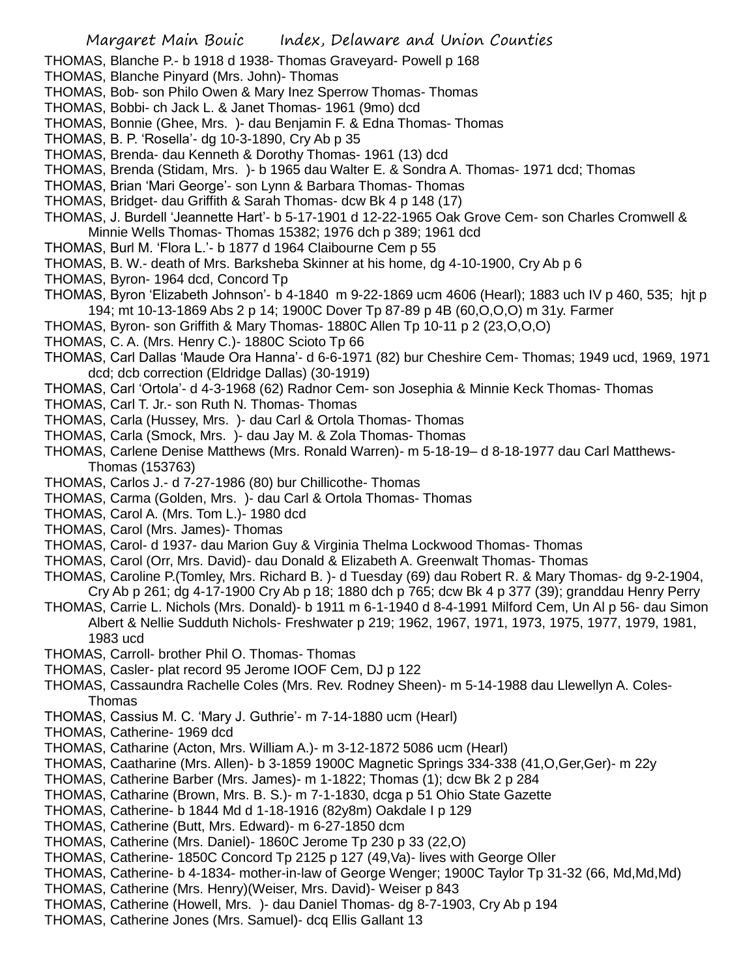- THOMAS, Blanche P.- b 1918 d 1938- Thomas Graveyard- Powell p 168
- THOMAS, Blanche Pinyard (Mrs. John)- Thomas
- THOMAS, Bob- son Philo Owen & Mary Inez Sperrow Thomas- Thomas
- THOMAS, Bobbi- ch Jack L. & Janet Thomas- 1961 (9mo) dcd
- THOMAS, Bonnie (Ghee, Mrs. )- dau Benjamin F. & Edna Thomas- Thomas
- THOMAS, B. P. 'Rosella'- dg 10-3-1890, Cry Ab p 35
- THOMAS, Brenda- dau Kenneth & Dorothy Thomas- 1961 (13) dcd
- THOMAS, Brenda (Stidam, Mrs. )- b 1965 dau Walter E. & Sondra A. Thomas- 1971 dcd; Thomas
- THOMAS, Brian 'Mari George'- son Lynn & Barbara Thomas- Thomas
- THOMAS, Bridget- dau Griffith & Sarah Thomas- dcw Bk 4 p 148 (17)
- THOMAS, J. Burdell 'Jeannette Hart'- b 5-17-1901 d 12-22-1965 Oak Grove Cem- son Charles Cromwell & Minnie Wells Thomas- Thomas 15382; 1976 dch p 389; 1961 dcd
- THOMAS, Burl M. 'Flora L.'- b 1877 d 1964 Claibourne Cem p 55
- THOMAS, B. W.- death of Mrs. Barksheba Skinner at his home, dg 4-10-1900, Cry Ab p 6
- THOMAS, Byron- 1964 dcd, Concord Tp
- THOMAS, Byron 'Elizabeth Johnson'- b 4-1840 m 9-22-1869 ucm 4606 (Hearl); 1883 uch IV p 460, 535; hjt p 194; mt 10-13-1869 Abs 2 p 14; 1900C Dover Tp 87-89 p 4B (60,O,O,O) m 31y. Farmer
- THOMAS, Byron- son Griffith & Mary Thomas- 1880C Allen Tp 10-11 p 2 (23,O,O,O)
- THOMAS, C. A. (Mrs. Henry C.)- 1880C Scioto Tp 66
- THOMAS, Carl Dallas 'Maude Ora Hanna'- d 6-6-1971 (82) bur Cheshire Cem- Thomas; 1949 ucd, 1969, 1971 dcd; dcb correction (Eldridge Dallas) (30-1919)
- THOMAS, Carl 'Ortola'- d 4-3-1968 (62) Radnor Cem- son Josephia & Minnie Keck Thomas- Thomas
- THOMAS, Carl T. Jr.- son Ruth N. Thomas- Thomas
- THOMAS, Carla (Hussey, Mrs. )- dau Carl & Ortola Thomas- Thomas
- THOMAS, Carla (Smock, Mrs. )- dau Jay M. & Zola Thomas- Thomas
- THOMAS, Carlene Denise Matthews (Mrs. Ronald Warren)- m 5-18-19– d 8-18-1977 dau Carl Matthews-Thomas (153763)
- THOMAS, Carlos J.- d 7-27-1986 (80) bur Chillicothe- Thomas
- THOMAS, Carma (Golden, Mrs. )- dau Carl & Ortola Thomas- Thomas
- THOMAS, Carol A. (Mrs. Tom L.)- 1980 dcd
- THOMAS, Carol (Mrs. James)- Thomas
- THOMAS, Carol- d 1937- dau Marion Guy & Virginia Thelma Lockwood Thomas- Thomas
- THOMAS, Carol (Orr, Mrs. David)- dau Donald & Elizabeth A. Greenwalt Thomas- Thomas
- THOMAS, Caroline P.(Tomley, Mrs. Richard B. )- d Tuesday (69) dau Robert R. & Mary Thomas- dg 9-2-1904, Cry Ab p 261; dg 4-17-1900 Cry Ab p 18; 1880 dch p 765; dcw Bk 4 p 377 (39); granddau Henry Perry
- THOMAS, Carrie L. Nichols (Mrs. Donald)- b 1911 m 6-1-1940 d 8-4-1991 Milford Cem, Un Al p 56- dau Simon Albert & Nellie Sudduth Nichols- Freshwater p 219; 1962, 1967, 1971, 1973, 1975, 1977, 1979, 1981, 1983 ucd
- THOMAS, Carroll- brother Phil O. Thomas- Thomas
- THOMAS, Casler- plat record 95 Jerome IOOF Cem, DJ p 122
- THOMAS, Cassaundra Rachelle Coles (Mrs. Rev. Rodney Sheen)- m 5-14-1988 dau Llewellyn A. Coles-Thomas
- THOMAS, Cassius M. C. 'Mary J. Guthrie'- m 7-14-1880 ucm (Hearl)
- THOMAS, Catherine- 1969 dcd
- THOMAS, Catharine (Acton, Mrs. William A.)- m 3-12-1872 5086 ucm (Hearl)
- THOMAS, Caatharine (Mrs. Allen)- b 3-1859 1900C Magnetic Springs 334-338 (41,O,Ger,Ger)- m 22y
- THOMAS, Catherine Barber (Mrs. James)- m 1-1822; Thomas (1); dcw Bk 2 p 284
- THOMAS, Catharine (Brown, Mrs. B. S.)- m 7-1-1830, dcga p 51 Ohio State Gazette
- THOMAS, Catherine- b 1844 Md d 1-18-1916 (82y8m) Oakdale I p 129
- THOMAS, Catherine (Butt, Mrs. Edward)- m 6-27-1850 dcm
- THOMAS, Catherine (Mrs. Daniel)- 1860C Jerome Tp 230 p 33 (22,O)
- THOMAS, Catherine- 1850C Concord Tp 2125 p 127 (49,Va)- lives with George Oller
- THOMAS, Catherine- b 4-1834- mother-in-law of George Wenger; 1900C Taylor Tp 31-32 (66, Md,Md,Md)
- THOMAS, Catherine (Mrs. Henry)(Weiser, Mrs. David)- Weiser p 843
- THOMAS, Catherine (Howell, Mrs. )- dau Daniel Thomas- dg 8-7-1903, Cry Ab p 194
- THOMAS, Catherine Jones (Mrs. Samuel)- dcq Ellis Gallant 13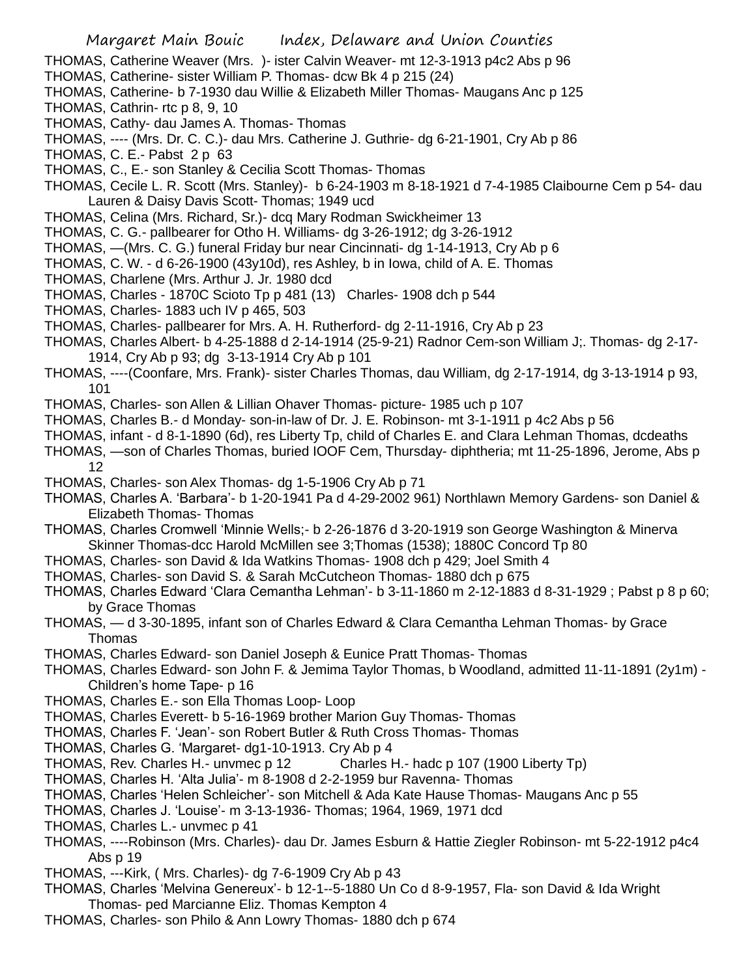- THOMAS, Catherine Weaver (Mrs. )- ister Calvin Weaver- mt 12-3-1913 p4c2 Abs p 96
- THOMAS, Catherine- sister William P. Thomas- dcw Bk 4 p 215 (24)
- THOMAS, Catherine- b 7-1930 dau Willie & Elizabeth Miller Thomas- Maugans Anc p 125
- THOMAS, Cathrin- rtc p 8, 9, 10
- THOMAS, Cathy- dau James A. Thomas- Thomas
- THOMAS, ---- (Mrs. Dr. C. C.)- dau Mrs. Catherine J. Guthrie- dg 6-21-1901, Cry Ab p 86
- THOMAS, C. E.- Pabst 2 p 63
- THOMAS, C., E.- son Stanley & Cecilia Scott Thomas- Thomas
- THOMAS, Cecile L. R. Scott (Mrs. Stanley)- b 6-24-1903 m 8-18-1921 d 7-4-1985 Claibourne Cem p 54- dau Lauren & Daisy Davis Scott- Thomas; 1949 ucd
- THOMAS, Celina (Mrs. Richard, Sr.)- dcq Mary Rodman Swickheimer 13
- THOMAS, C. G.- pallbearer for Otho H. Williams- dg 3-26-1912; dg 3-26-1912
- THOMAS, —(Mrs. C. G.) funeral Friday bur near Cincinnati- dg 1-14-1913, Cry Ab p 6
- THOMAS, C. W. d 6-26-1900 (43y10d), res Ashley, b in Iowa, child of A. E. Thomas
- THOMAS, Charlene (Mrs. Arthur J. Jr. 1980 dcd
- THOMAS, Charles 1870C Scioto Tp p 481 (13) Charles- 1908 dch p 544
- THOMAS, Charles- 1883 uch IV p 465, 503
- THOMAS, Charles- pallbearer for Mrs. A. H. Rutherford- dg 2-11-1916, Cry Ab p 23
- THOMAS, Charles Albert- b 4-25-1888 d 2-14-1914 (25-9-21) Radnor Cem-son William J;. Thomas- dg 2-17- 1914, Cry Ab p 93; dg 3-13-1914 Cry Ab p 101
- THOMAS, ----(Coonfare, Mrs. Frank)- sister Charles Thomas, dau William, dg 2-17-1914, dg 3-13-1914 p 93, 101
- THOMAS, Charles- son Allen & Lillian Ohaver Thomas- picture- 1985 uch p 107
- THOMAS, Charles B.- d Monday- son-in-law of Dr. J. E. Robinson- mt 3-1-1911 p 4c2 Abs p 56
- THOMAS, infant d 8-1-1890 (6d), res Liberty Tp, child of Charles E. and Clara Lehman Thomas, dcdeaths
- THOMAS, —son of Charles Thomas, buried IOOF Cem, Thursday- diphtheria; mt 11-25-1896, Jerome, Abs p 12
- THOMAS, Charles- son Alex Thomas- dg 1-5-1906 Cry Ab p 71
- THOMAS, Charles A. 'Barbara'- b 1-20-1941 Pa d 4-29-2002 961) Northlawn Memory Gardens- son Daniel & Elizabeth Thomas- Thomas
- THOMAS, Charles Cromwell 'Minnie Wells;- b 2-26-1876 d 3-20-1919 son George Washington & Minerva Skinner Thomas-dcc Harold McMillen see 3;Thomas (1538); 1880C Concord Tp 80
- THOMAS, Charles- son David & Ida Watkins Thomas- 1908 dch p 429; Joel Smith 4
- THOMAS, Charles- son David S. & Sarah McCutcheon Thomas- 1880 dch p 675
- THOMAS, Charles Edward 'Clara Cemantha Lehman'- b 3-11-1860 m 2-12-1883 d 8-31-1929 ; Pabst p 8 p 60; by Grace Thomas
- THOMAS, d 3-30-1895, infant son of Charles Edward & Clara Cemantha Lehman Thomas- by Grace Thomas
- THOMAS, Charles Edward- son Daniel Joseph & Eunice Pratt Thomas- Thomas
- THOMAS, Charles Edward- son John F. & Jemima Taylor Thomas, b Woodland, admitted 11-11-1891 (2y1m) Children's home Tape- p 16
- THOMAS, Charles E.- son Ella Thomas Loop- Loop
- THOMAS, Charles Everett- b 5-16-1969 brother Marion Guy Thomas- Thomas
- THOMAS, Charles F. 'Jean'- son Robert Butler & Ruth Cross Thomas- Thomas
- THOMAS, Charles G. 'Margaret- dg1-10-1913. Cry Ab p 4
- THOMAS, Rev. Charles H.- unvmec p 12 Charles H.- hadc p 107 (1900 Liberty Tp)
- THOMAS, Charles H. 'Alta Julia'- m 8-1908 d 2-2-1959 bur Ravenna- Thomas
- THOMAS, Charles 'Helen Schleicher'- son Mitchell & Ada Kate Hause Thomas- Maugans Anc p 55
- THOMAS, Charles J. 'Louise'- m 3-13-1936- Thomas; 1964, 1969, 1971 dcd
- THOMAS, Charles L.- unvmec p 41
- THOMAS, ----Robinson (Mrs. Charles)- dau Dr. James Esburn & Hattie Ziegler Robinson- mt 5-22-1912 p4c4 Abs p 19
- THOMAS, ---Kirk, ( Mrs. Charles)- dg 7-6-1909 Cry Ab p 43
- THOMAS, Charles 'Melvina Genereux'- b 12-1--5-1880 Un Co d 8-9-1957, Fla- son David & Ida Wright Thomas- ped Marcianne Eliz. Thomas Kempton 4
- THOMAS, Charles- son Philo & Ann Lowry Thomas- 1880 dch p 674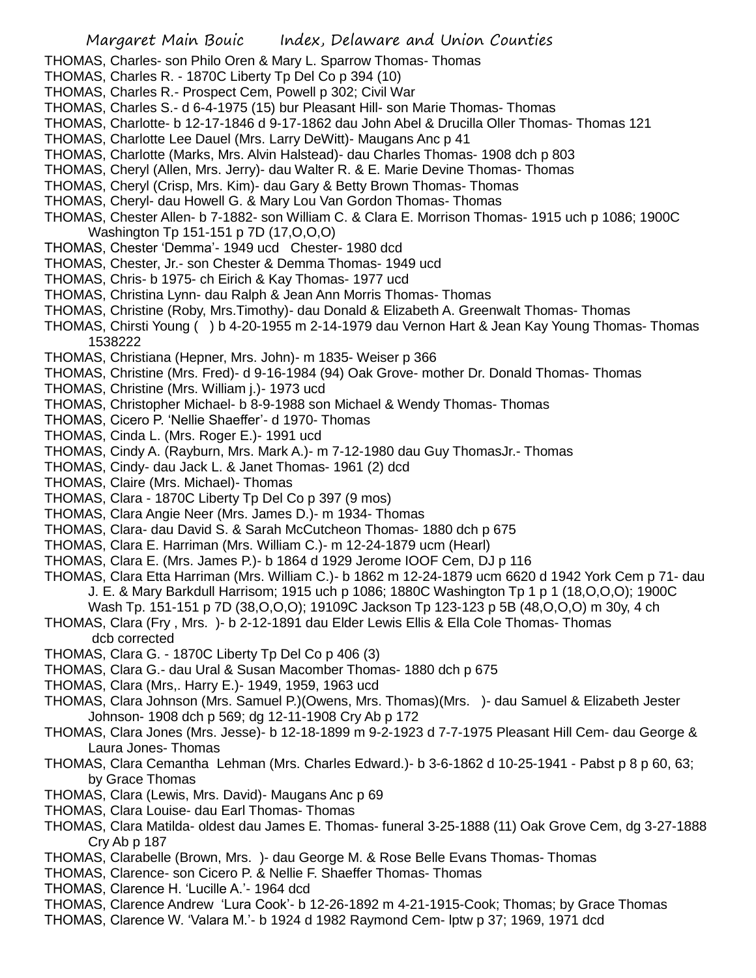- THOMAS, Charles- son Philo Oren & Mary L. Sparrow Thomas- Thomas
- THOMAS, Charles R. 1870C Liberty Tp Del Co p 394 (10)
- THOMAS, Charles R.- Prospect Cem, Powell p 302; Civil War
- THOMAS, Charles S.- d 6-4-1975 (15) bur Pleasant Hill- son Marie Thomas- Thomas
- THOMAS, Charlotte- b 12-17-1846 d 9-17-1862 dau John Abel & Drucilla Oller Thomas- Thomas 121
- THOMAS, Charlotte Lee Dauel (Mrs. Larry DeWitt)- Maugans Anc p 41
- THOMAS, Charlotte (Marks, Mrs. Alvin Halstead)- dau Charles Thomas- 1908 dch p 803
- THOMAS, Cheryl (Allen, Mrs. Jerry)- dau Walter R. & E. Marie Devine Thomas- Thomas
- THOMAS, Cheryl (Crisp, Mrs. Kim)- dau Gary & Betty Brown Thomas- Thomas
- THOMAS, Cheryl- dau Howell G. & Mary Lou Van Gordon Thomas- Thomas
- THOMAS, Chester Allen- b 7-1882- son William C. & Clara E. Morrison Thomas- 1915 uch p 1086; 1900C Washington Tp 151-151 p 7D (17,O,O,O)
- THOMAS, Chester 'Demma'- 1949 ucd Chester- 1980 dcd
- THOMAS, Chester, Jr.- son Chester & Demma Thomas- 1949 ucd
- THOMAS, Chris- b 1975- ch Eirich & Kay Thomas- 1977 ucd
- THOMAS, Christina Lynn- dau Ralph & Jean Ann Morris Thomas- Thomas
- THOMAS, Christine (Roby, Mrs.Timothy)- dau Donald & Elizabeth A. Greenwalt Thomas- Thomas
- THOMAS, Chirsti Young ( ) b 4-20-1955 m 2-14-1979 dau Vernon Hart & Jean Kay Young Thomas- Thomas 1538222
- THOMAS, Christiana (Hepner, Mrs. John)- m 1835- Weiser p 366
- THOMAS, Christine (Mrs. Fred)- d 9-16-1984 (94) Oak Grove- mother Dr. Donald Thomas- Thomas
- THOMAS, Christine (Mrs. William j.)- 1973 ucd
- THOMAS, Christopher Michael- b 8-9-1988 son Michael & Wendy Thomas- Thomas
- THOMAS, Cicero P. 'Nellie Shaeffer'- d 1970- Thomas
- THOMAS, Cinda L. (Mrs. Roger E.)- 1991 ucd
- THOMAS, Cindy A. (Rayburn, Mrs. Mark A.) m 7-12-1980 dau Guy ThomasJr. Thomas
- THOMAS, Cindy- dau Jack L. & Janet Thomas- 1961 (2) dcd
- THOMAS, Claire (Mrs. Michael)- Thomas
- THOMAS, Clara 1870C Liberty Tp Del Co p 397 (9 mos)
- THOMAS, Clara Angie Neer (Mrs. James D.)- m 1934- Thomas
- THOMAS, Clara- dau David S. & Sarah McCutcheon Thomas- 1880 dch p 675
- THOMAS, Clara E. Harriman (Mrs. William C.)- m 12-24-1879 ucm (Hearl)
- THOMAS, Clara E. (Mrs. James P.)- b 1864 d 1929 Jerome IOOF Cem, DJ p 116
- THOMAS, Clara Etta Harriman (Mrs. William C.)- b 1862 m 12-24-1879 ucm 6620 d 1942 York Cem p 71- dau J. E. & Mary Barkdull Harrisom; 1915 uch p 1086; 1880C Washington Tp 1 p 1 (18,O,O,O); 1900C Wash Tp. 151-151 p 7D (38,O,O,O); 19109C Jackson Tp 123-123 p 5B (48,O,O,O) m 30y, 4 ch
- THOMAS, Clara (Fry , Mrs. )- b 2-12-1891 dau Elder Lewis Ellis & Ella Cole Thomas- Thomas dcb corrected
- THOMAS, Clara G. 1870C Liberty Tp Del Co p 406 (3)
- THOMAS, Clara G.- dau Ural & Susan Macomber Thomas- 1880 dch p 675
- THOMAS, Clara (Mrs,. Harry E.)- 1949, 1959, 1963 ucd
- THOMAS, Clara Johnson (Mrs. Samuel P.)(Owens, Mrs. Thomas)(Mrs. )- dau Samuel & Elizabeth Jester Johnson- 1908 dch p 569; dg 12-11-1908 Cry Ab p 172
- THOMAS, Clara Jones (Mrs. Jesse)- b 12-18-1899 m 9-2-1923 d 7-7-1975 Pleasant Hill Cem- dau George & Laura Jones- Thomas
- THOMAS, Clara Cemantha Lehman (Mrs. Charles Edward.)- b 3-6-1862 d 10-25-1941 Pabst p 8 p 60, 63; by Grace Thomas
- THOMAS, Clara (Lewis, Mrs. David)- Maugans Anc p 69
- THOMAS, Clara Louise- dau Earl Thomas- Thomas
- THOMAS, Clara Matilda- oldest dau James E. Thomas- funeral 3-25-1888 (11) Oak Grove Cem, dg 3-27-1888 Cry Ab p 187
- THOMAS, Clarabelle (Brown, Mrs. )- dau George M. & Rose Belle Evans Thomas- Thomas
- THOMAS, Clarence- son Cicero P. & Nellie F. Shaeffer Thomas- Thomas
- THOMAS, Clarence H. 'Lucille A.'- 1964 dcd
- THOMAS, Clarence Andrew 'Lura Cook'- b 12-26-1892 m 4-21-1915-Cook; Thomas; by Grace Thomas
- THOMAS, Clarence W. 'Valara M.'- b 1924 d 1982 Raymond Cem- lptw p 37; 1969, 1971 dcd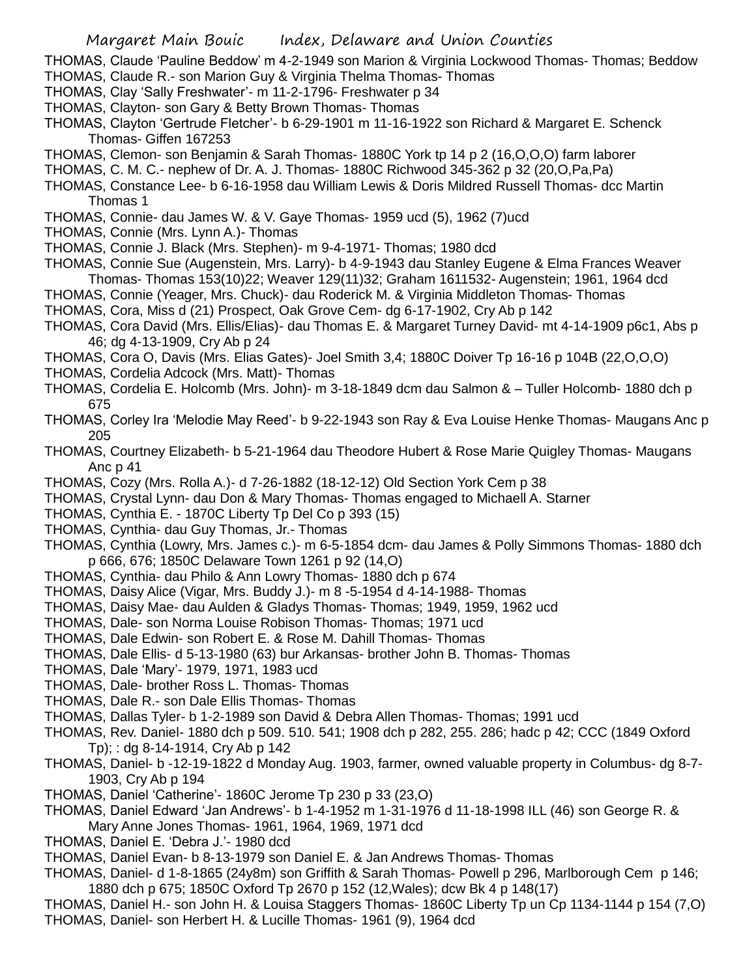- THOMAS, Claude 'Pauline Beddow' m 4-2-1949 son Marion & Virginia Lockwood Thomas- Thomas; Beddow
- THOMAS, Claude R.- son Marion Guy & Virginia Thelma Thomas- Thomas
- THOMAS, Clay 'Sally Freshwater'- m 11-2-1796- Freshwater p 34
- THOMAS, Clayton- son Gary & Betty Brown Thomas- Thomas
- THOMAS, Clayton 'Gertrude Fletcher'- b 6-29-1901 m 11-16-1922 son Richard & Margaret E. Schenck Thomas- Giffen 167253
- THOMAS, Clemon- son Benjamin & Sarah Thomas- 1880C York tp 14 p 2 (16,O,O,O) farm laborer
- THOMAS, C. M. C.- nephew of Dr. A. J. Thomas- 1880C Richwood 345-362 p 32 (20,O,Pa,Pa)
- THOMAS, Constance Lee- b 6-16-1958 dau William Lewis & Doris Mildred Russell Thomas- dcc Martin Thomas 1
- THOMAS, Connie- dau James W. & V. Gaye Thomas- 1959 ucd (5), 1962 (7)ucd
- THOMAS, Connie (Mrs. Lynn A.)- Thomas
- THOMAS, Connie J. Black (Mrs. Stephen)- m 9-4-1971- Thomas; 1980 dcd
- THOMAS, Connie Sue (Augenstein, Mrs. Larry)- b 4-9-1943 dau Stanley Eugene & Elma Frances Weaver Thomas- Thomas 153(10)22; Weaver 129(11)32; Graham 1611532- Augenstein; 1961, 1964 dcd
- THOMAS, Connie (Yeager, Mrs. Chuck)- dau Roderick M. & Virginia Middleton Thomas- Thomas
- THOMAS, Cora, Miss d (21) Prospect, Oak Grove Cem- dg 6-17-1902, Cry Ab p 142
- THOMAS, Cora David (Mrs. Ellis/Elias)- dau Thomas E. & Margaret Turney David- mt 4-14-1909 p6c1, Abs p 46; dg 4-13-1909, Cry Ab p 24
- THOMAS, Cora O, Davis (Mrs. Elias Gates)- Joel Smith 3,4; 1880C Doiver Tp 16-16 p 104B (22,O,O,O)
- THOMAS, Cordelia Adcock (Mrs. Matt)- Thomas
- THOMAS, Cordelia E. Holcomb (Mrs. John)- m 3-18-1849 dcm dau Salmon & Tuller Holcomb- 1880 dch p 675
- THOMAS, Corley Ira 'Melodie May Reed'- b 9-22-1943 son Ray & Eva Louise Henke Thomas- Maugans Anc p 205
- THOMAS, Courtney Elizabeth- b 5-21-1964 dau Theodore Hubert & Rose Marie Quigley Thomas- Maugans Anc p 41
- THOMAS, Cozy (Mrs. Rolla A.)- d 7-26-1882 (18-12-12) Old Section York Cem p 38
- THOMAS, Crystal Lynn- dau Don & Mary Thomas- Thomas engaged to Michaell A. Starner
- THOMAS, Cynthia E. 1870C Liberty Tp Del Co p 393 (15)
- THOMAS, Cynthia- dau Guy Thomas, Jr.- Thomas
- THOMAS, Cynthia (Lowry, Mrs. James c.)- m 6-5-1854 dcm- dau James & Polly Simmons Thomas- 1880 dch p 666, 676; 1850C Delaware Town 1261 p 92 (14,O)
- THOMAS, Cynthia- dau Philo & Ann Lowry Thomas- 1880 dch p 674
- THOMAS, Daisy Alice (Vigar, Mrs. Buddy J.)- m 8 -5-1954 d 4-14-1988- Thomas
- THOMAS, Daisy Mae- dau Aulden & Gladys Thomas- Thomas; 1949, 1959, 1962 ucd
- THOMAS, Dale- son Norma Louise Robison Thomas- Thomas; 1971 ucd
- THOMAS, Dale Edwin- son Robert E. & Rose M. Dahill Thomas- Thomas
- THOMAS, Dale Ellis- d 5-13-1980 (63) bur Arkansas- brother John B. Thomas- Thomas
- THOMAS, Dale 'Mary'- 1979, 1971, 1983 ucd
- THOMAS, Dale- brother Ross L. Thomas- Thomas
- THOMAS, Dale R.- son Dale Ellis Thomas- Thomas
- THOMAS, Dallas Tyler- b 1-2-1989 son David & Debra Allen Thomas- Thomas; 1991 ucd
- THOMAS, Rev. Daniel- 1880 dch p 509. 510. 541; 1908 dch p 282, 255. 286; hadc p 42; CCC (1849 Oxford Tp); : dg 8-14-1914, Cry Ab p 142
- THOMAS, Daniel- b -12-19-1822 d Monday Aug. 1903, farmer, owned valuable property in Columbus- dg 8-7- 1903, Cry Ab p 194
- THOMAS, Daniel 'Catherine'- 1860C Jerome Tp 230 p 33 (23,O)
- THOMAS, Daniel Edward 'Jan Andrews'- b 1-4-1952 m 1-31-1976 d 11-18-1998 ILL (46) son George R. &
- Mary Anne Jones Thomas- 1961, 1964, 1969, 1971 dcd
- THOMAS, Daniel E. 'Debra J.'- 1980 dcd
- THOMAS, Daniel Evan- b 8-13-1979 son Daniel E. & Jan Andrews Thomas- Thomas
- THOMAS, Daniel- d 1-8-1865 (24y8m) son Griffith & Sarah Thomas- Powell p 296, Marlborough Cem p 146; 1880 dch p 675; 1850C Oxford Tp 2670 p 152 (12,Wales); dcw Bk 4 p 148(17)
- THOMAS, Daniel H.- son John H. & Louisa Staggers Thomas- 1860C Liberty Tp un Cp 1134-1144 p 154 (7,O) THOMAS, Daniel- son Herbert H. & Lucille Thomas- 1961 (9), 1964 dcd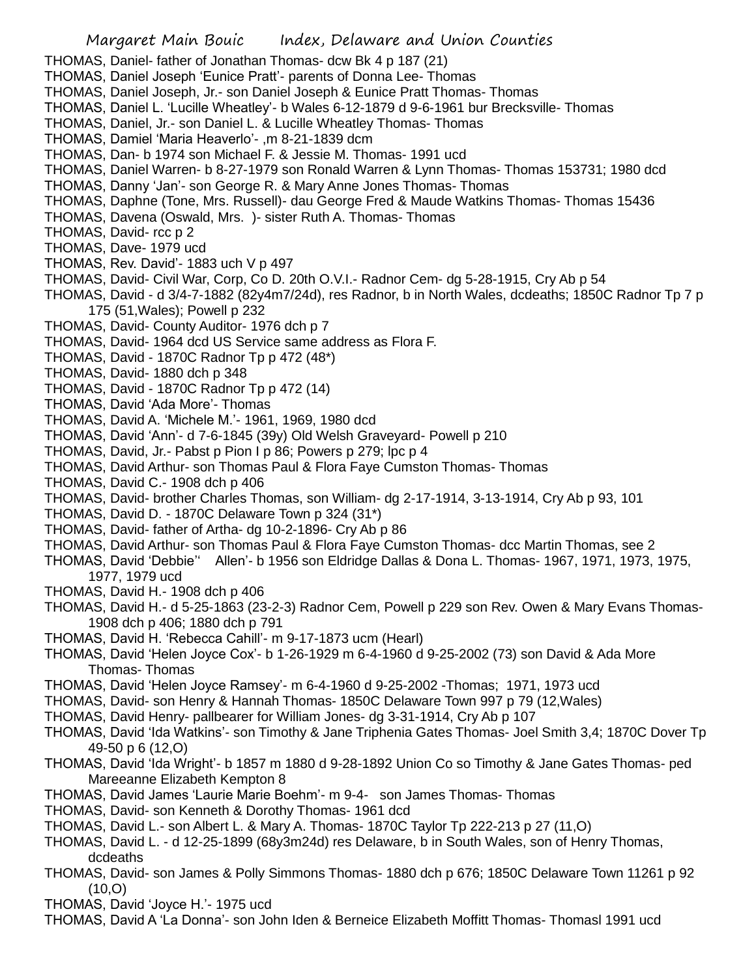- THOMAS, Daniel- father of Jonathan Thomas- dcw Bk 4 p 187 (21)
- THOMAS, Daniel Joseph 'Eunice Pratt'- parents of Donna Lee- Thomas
- THOMAS, Daniel Joseph, Jr.- son Daniel Joseph & Eunice Pratt Thomas- Thomas
- THOMAS, Daniel L. 'Lucille Wheatley'- b Wales 6-12-1879 d 9-6-1961 bur Brecksville- Thomas
- THOMAS, Daniel, Jr.- son Daniel L. & Lucille Wheatley Thomas- Thomas
- THOMAS, Damiel 'Maria Heaverlo'- ,m 8-21-1839 dcm
- THOMAS, Dan- b 1974 son Michael F. & Jessie M. Thomas- 1991 ucd
- THOMAS, Daniel Warren- b 8-27-1979 son Ronald Warren & Lynn Thomas- Thomas 153731; 1980 dcd
- THOMAS, Danny 'Jan'- son George R. & Mary Anne Jones Thomas- Thomas
- THOMAS, Daphne (Tone, Mrs. Russell)- dau George Fred & Maude Watkins Thomas- Thomas 15436
- THOMAS, Davena (Oswald, Mrs. )- sister Ruth A. Thomas- Thomas
- THOMAS, David- rcc p 2
- THOMAS, Dave- 1979 ucd
- THOMAS, Rev. David'- 1883 uch V p 497
- THOMAS, David- Civil War, Corp, Co D. 20th O.V.I.- Radnor Cem- dg 5-28-1915, Cry Ab p 54
- THOMAS, David d 3/4-7-1882 (82y4m7/24d), res Radnor, b in North Wales, dcdeaths; 1850C Radnor Tp 7 p 175 (51,Wales); Powell p 232
- THOMAS, David- County Auditor- 1976 dch p 7
- THOMAS, David- 1964 dcd US Service same address as Flora F.
- THOMAS, David 1870C Radnor Tp p 472 (48\*)
- THOMAS, David- 1880 dch p 348
- THOMAS, David 1870C Radnor Tp p 472 (14)
- THOMAS, David 'Ada More'- Thomas
- THOMAS, David A. 'Michele M.'- 1961, 1969, 1980 dcd
- THOMAS, David 'Ann'- d 7-6-1845 (39y) Old Welsh Graveyard- Powell p 210
- THOMAS, David, Jr.- Pabst p Pion I p 86; Powers p 279; lpc p 4
- THOMAS, David Arthur- son Thomas Paul & Flora Faye Cumston Thomas- Thomas
- THOMAS, David C.- 1908 dch p 406
- THOMAS, David- brother Charles Thomas, son William- dg 2-17-1914, 3-13-1914, Cry Ab p 93, 101
- THOMAS, David D. 1870C Delaware Town p 324 (31\*)
- THOMAS, David- father of Artha- dg 10-2-1896- Cry Ab p 86
- THOMAS, David Arthur- son Thomas Paul & Flora Faye Cumston Thomas- dcc Martin Thomas, see 2
- THOMAS, David 'Debbie'' Allen'- b 1956 son Eldridge Dallas & Dona L. Thomas- 1967, 1971, 1973, 1975, 1977, 1979 ucd
- THOMAS, David H.- 1908 dch p 406
- THOMAS, David H.- d 5-25-1863 (23-2-3) Radnor Cem, Powell p 229 son Rev. Owen & Mary Evans Thomas-1908 dch p 406; 1880 dch p 791
- THOMAS, David H. 'Rebecca Cahill'- m 9-17-1873 ucm (Hearl)
- THOMAS, David 'Helen Joyce Cox'- b 1-26-1929 m 6-4-1960 d 9-25-2002 (73) son David & Ada More Thomas- Thomas
- THOMAS, David 'Helen Joyce Ramsey'- m 6-4-1960 d 9-25-2002 -Thomas; 1971, 1973 ucd
- THOMAS, David- son Henry & Hannah Thomas- 1850C Delaware Town 997 p 79 (12,Wales)
- THOMAS, David Henry- pallbearer for William Jones- dg 3-31-1914, Cry Ab p 107
- THOMAS, David 'Ida Watkins'- son Timothy & Jane Triphenia Gates Thomas- Joel Smith 3,4; 1870C Dover Tp 49-50 p 6 (12,O)
- THOMAS, David 'Ida Wright'- b 1857 m 1880 d 9-28-1892 Union Co so Timothy & Jane Gates Thomas- ped Mareeanne Elizabeth Kempton 8
- THOMAS, David James 'Laurie Marie Boehm'- m 9-4- son James Thomas- Thomas
- THOMAS, David- son Kenneth & Dorothy Thomas- 1961 dcd
- THOMAS, David L.- son Albert L. & Mary A. Thomas- 1870C Taylor Tp 222-213 p 27 (11,O)
- THOMAS, David L. d 12-25-1899 (68y3m24d) res Delaware, b in South Wales, son of Henry Thomas, dcdeaths
- THOMAS, David- son James & Polly Simmons Thomas- 1880 dch p 676; 1850C Delaware Town 11261 p 92  $(10, 0)$
- THOMAS, David 'Joyce H.'- 1975 ucd
- THOMAS, David A 'La Donna'- son John Iden & Berneice Elizabeth Moffitt Thomas- Thomasl 1991 ucd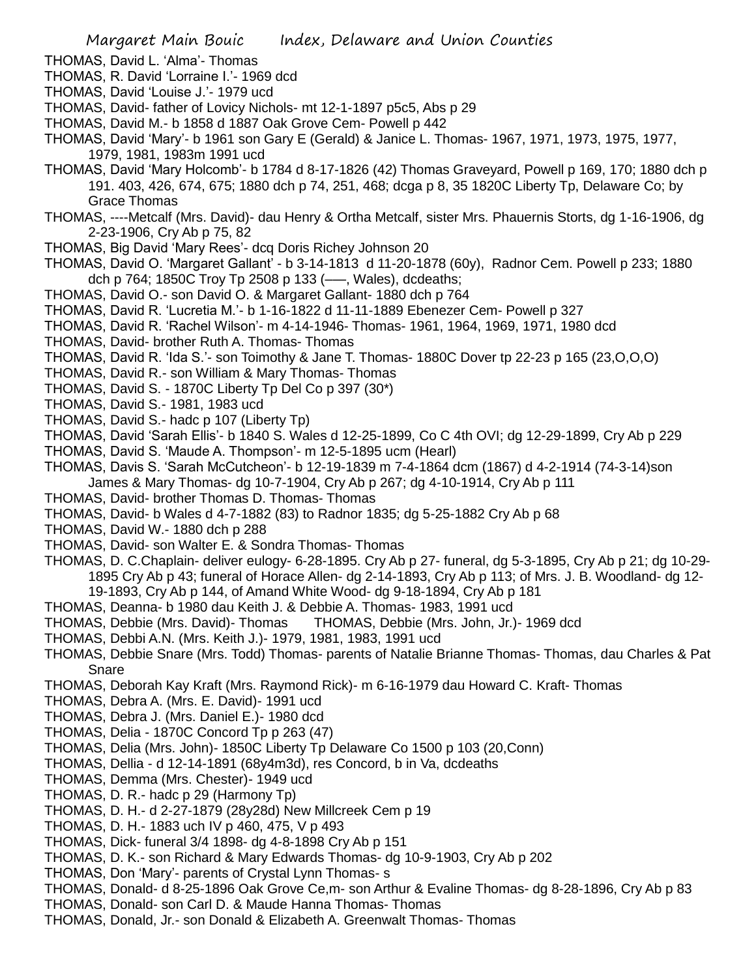- THOMAS, David L. 'Alma'- Thomas
- THOMAS, R. David 'Lorraine I.'- 1969 dcd
- THOMAS, David 'Louise J.'- 1979 ucd
- THOMAS, David- father of Lovicy Nichols- mt 12-1-1897 p5c5, Abs p 29
- THOMAS, David M.- b 1858 d 1887 Oak Grove Cem- Powell p 442
- THOMAS, David 'Mary'- b 1961 son Gary E (Gerald) & Janice L. Thomas- 1967, 1971, 1973, 1975, 1977, 1979, 1981, 1983m 1991 ucd
- THOMAS, David 'Mary Holcomb'- b 1784 d 8-17-1826 (42) Thomas Graveyard, Powell p 169, 170; 1880 dch p 191. 403, 426, 674, 675; 1880 dch p 74, 251, 468; dcga p 8, 35 1820C Liberty Tp, Delaware Co; by Grace Thomas
- THOMAS, ----Metcalf (Mrs. David)- dau Henry & Ortha Metcalf, sister Mrs. Phauernis Storts, dg 1-16-1906, dg 2-23-1906, Cry Ab p 75, 82
- THOMAS, Big David 'Mary Rees'- dcq Doris Richey Johnson 20
- THOMAS, David O. 'Margaret Gallant' b 3-14-1813 d 11-20-1878 (60y), Radnor Cem. Powell p 233; 1880 dch p 764; 1850C Troy Tp 2508 p 133 (–—, Wales), dcdeaths;
- THOMAS, David O.- son David O. & Margaret Gallant- 1880 dch p 764
- THOMAS, David R. 'Lucretia M.'- b 1-16-1822 d 11-11-1889 Ebenezer Cem- Powell p 327
- THOMAS, David R. 'Rachel Wilson'- m 4-14-1946- Thomas- 1961, 1964, 1969, 1971, 1980 dcd
- THOMAS, David- brother Ruth A. Thomas- Thomas
- THOMAS, David R. 'Ida S.'- son Toimothy & Jane T. Thomas- 1880C Dover tp 22-23 p 165 (23,O,O,O)
- THOMAS, David R.- son William & Mary Thomas- Thomas
- THOMAS, David S. 1870C Liberty Tp Del Co p 397 (30\*)
- THOMAS, David S.- 1981, 1983 ucd
- THOMAS, David S.- hadc p 107 (Liberty Tp)
- THOMAS, David 'Sarah Ellis'- b 1840 S. Wales d 12-25-1899, Co C 4th OVI; dg 12-29-1899, Cry Ab p 229
- THOMAS, David S. 'Maude A. Thompson'- m 12-5-1895 ucm (Hearl)
- THOMAS, Davis S. 'Sarah McCutcheon'- b 12-19-1839 m 7-4-1864 dcm (1867) d 4-2-1914 (74-3-14)son James & Mary Thomas- dg 10-7-1904, Cry Ab p 267; dg 4-10-1914, Cry Ab p 111
- THOMAS, David- brother Thomas D. Thomas- Thomas
- THOMAS, David- b Wales d 4-7-1882 (83) to Radnor 1835; dg 5-25-1882 Cry Ab p 68
- THOMAS, David W.- 1880 dch p 288
- THOMAS, David- son Walter E. & Sondra Thomas- Thomas
- THOMAS, D. C.Chaplain- deliver eulogy- 6-28-1895. Cry Ab p 27- funeral, dg 5-3-1895, Cry Ab p 21; dg 10-29- 1895 Cry Ab p 43; funeral of Horace Allen- dg 2-14-1893, Cry Ab p 113; of Mrs. J. B. Woodland- dg 12- 19-1893, Cry Ab p 144, of Amand White Wood- dg 9-18-1894, Cry Ab p 181
- THOMAS, Deanna- b 1980 dau Keith J. & Debbie A. Thomas- 1983, 1991 ucd
- THOMAS, Debbie (Mrs. David)- Thomas THOMAS, Debbie (Mrs. John, Jr.)- 1969 dcd
- 
- THOMAS, Debbi A.N. (Mrs. Keith J.)- 1979, 1981, 1983, 1991 ucd
- THOMAS, Debbie Snare (Mrs. Todd) Thomas- parents of Natalie Brianne Thomas- Thomas, dau Charles & Pat Snare
- THOMAS, Deborah Kay Kraft (Mrs. Raymond Rick)- m 6-16-1979 dau Howard C. Kraft- Thomas
- THOMAS, Debra A. (Mrs. E. David)- 1991 ucd
- THOMAS, Debra J. (Mrs. Daniel E.)- 1980 dcd
- THOMAS, Delia 1870C Concord Tp p 263 (47)
- THOMAS, Delia (Mrs. John)- 1850C Liberty Tp Delaware Co 1500 p 103 (20,Conn)
- THOMAS, Dellia d 12-14-1891 (68y4m3d), res Concord, b in Va, dcdeaths
- THOMAS, Demma (Mrs. Chester)- 1949 ucd
- THOMAS, D. R.- hadc p 29 (Harmony Tp)
- THOMAS, D. H.- d 2-27-1879 (28y28d) New Millcreek Cem p 19
- THOMAS, D. H.- 1883 uch IV p 460, 475, V p 493
- THOMAS, Dick- funeral 3/4 1898- dg 4-8-1898 Cry Ab p 151
- THOMAS, D. K.- son Richard & Mary Edwards Thomas- dg 10-9-1903, Cry Ab p 202
- THOMAS, Don 'Mary'- parents of Crystal Lynn Thomas- s
- THOMAS, Donald- d 8-25-1896 Oak Grove Ce,m- son Arthur & Evaline Thomas- dg 8-28-1896, Cry Ab p 83
- THOMAS, Donald- son Carl D. & Maude Hanna Thomas- Thomas
- THOMAS, Donald, Jr.- son Donald & Elizabeth A. Greenwalt Thomas- Thomas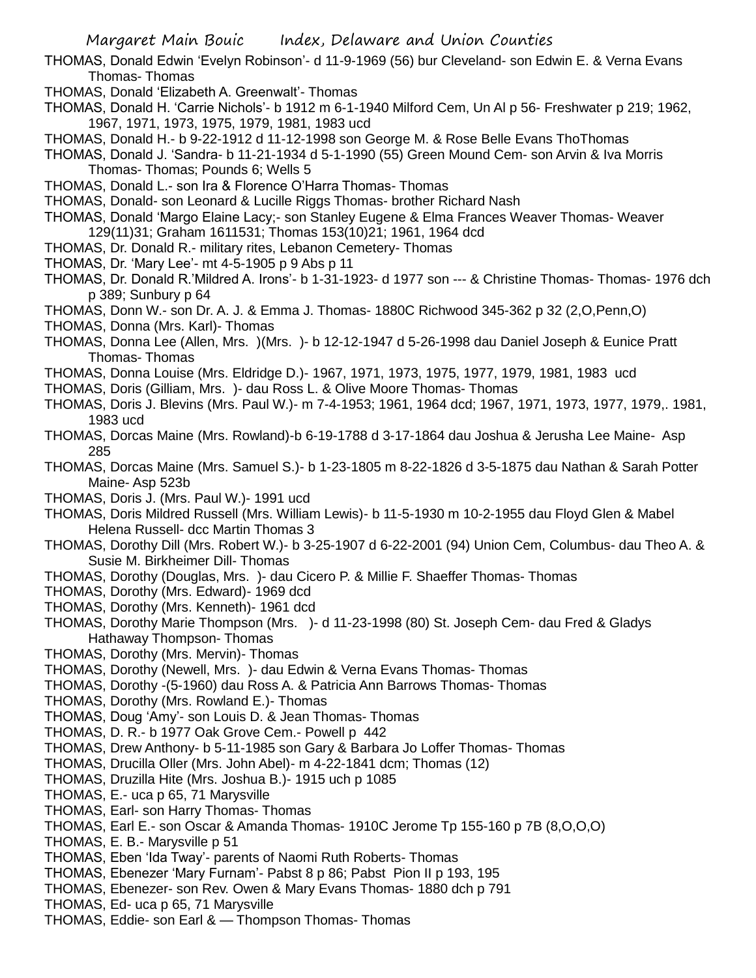- THOMAS, Donald Edwin 'Evelyn Robinson'- d 11-9-1969 (56) bur Cleveland- son Edwin E. & Verna Evans Thomas- Thomas
- THOMAS, Donald 'Elizabeth A. Greenwalt'- Thomas
- THOMAS, Donald H. 'Carrie Nichols'- b 1912 m 6-1-1940 Milford Cem, Un Al p 56- Freshwater p 219; 1962, 1967, 1971, 1973, 1975, 1979, 1981, 1983 ucd
- THOMAS, Donald H.- b 9-22-1912 d 11-12-1998 son George M. & Rose Belle Evans ThoThomas
- THOMAS, Donald J. 'Sandra- b 11-21-1934 d 5-1-1990 (55) Green Mound Cem- son Arvin & Iva Morris Thomas- Thomas; Pounds 6; Wells 5
- THOMAS, Donald L.- son Ira & Florence O'Harra Thomas- Thomas
- THOMAS, Donald- son Leonard & Lucille Riggs Thomas- brother Richard Nash
- THOMAS, Donald 'Margo Elaine Lacy;- son Stanley Eugene & Elma Frances Weaver Thomas- Weaver 129(11)31; Graham 1611531; Thomas 153(10)21; 1961, 1964 dcd
- THOMAS, Dr. Donald R.- military rites, Lebanon Cemetery- Thomas
- THOMAS, Dr. 'Mary Lee'- mt 4-5-1905 p 9 Abs p 11
- THOMAS, Dr. Donald R.'Mildred A. Irons'- b 1-31-1923- d 1977 son --- & Christine Thomas- Thomas- 1976 dch p 389; Sunbury p 64
- THOMAS, Donn W.- son Dr. A. J. & Emma J. Thomas- 1880C Richwood 345-362 p 32 (2,O,Penn,O)
- THOMAS, Donna (Mrs. Karl)- Thomas
- THOMAS, Donna Lee (Allen, Mrs. )(Mrs. )- b 12-12-1947 d 5-26-1998 dau Daniel Joseph & Eunice Pratt Thomas- Thomas
- THOMAS, Donna Louise (Mrs. Eldridge D.)- 1967, 1971, 1973, 1975, 1977, 1979, 1981, 1983 ucd
- THOMAS, Doris (Gilliam, Mrs. )- dau Ross L. & Olive Moore Thomas- Thomas
- THOMAS, Doris J. Blevins (Mrs. Paul W.)- m 7-4-1953; 1961, 1964 dcd; 1967, 1971, 1973, 1977, 1979,. 1981, 1983 ucd
- THOMAS, Dorcas Maine (Mrs. Rowland)-b 6-19-1788 d 3-17-1864 dau Joshua & Jerusha Lee Maine- Asp 285
- THOMAS, Dorcas Maine (Mrs. Samuel S.)- b 1-23-1805 m 8-22-1826 d 3-5-1875 dau Nathan & Sarah Potter Maine- Asp 523b
- THOMAS, Doris J. (Mrs. Paul W.)- 1991 ucd
- THOMAS, Doris Mildred Russell (Mrs. William Lewis)- b 11-5-1930 m 10-2-1955 dau Floyd Glen & Mabel Helena Russell- dcc Martin Thomas 3
- THOMAS, Dorothy Dill (Mrs. Robert W.)- b 3-25-1907 d 6-22-2001 (94) Union Cem, Columbus- dau Theo A. & Susie M. Birkheimer Dill- Thomas
- THOMAS, Dorothy (Douglas, Mrs. )- dau Cicero P. & Millie F. Shaeffer Thomas- Thomas
- THOMAS, Dorothy (Mrs. Edward)- 1969 dcd
- THOMAS, Dorothy (Mrs. Kenneth)- 1961 dcd
- THOMAS, Dorothy Marie Thompson (Mrs. )- d 11-23-1998 (80) St. Joseph Cem- dau Fred & Gladys Hathaway Thompson- Thomas
- THOMAS, Dorothy (Mrs. Mervin)- Thomas
- THOMAS, Dorothy (Newell, Mrs. )- dau Edwin & Verna Evans Thomas- Thomas
- THOMAS, Dorothy -(5-1960) dau Ross A. & Patricia Ann Barrows Thomas- Thomas
- THOMAS, Dorothy (Mrs. Rowland E.)- Thomas
- THOMAS, Doug 'Amy'- son Louis D. & Jean Thomas- Thomas
- THOMAS, D. R.- b 1977 Oak Grove Cem.- Powell p 442
- THOMAS, Drew Anthony- b 5-11-1985 son Gary & Barbara Jo Loffer Thomas- Thomas
- THOMAS, Drucilla Oller (Mrs. John Abel)- m 4-22-1841 dcm; Thomas (12)
- THOMAS, Druzilla Hite (Mrs. Joshua B.)- 1915 uch p 1085
- THOMAS, E.- uca p 65, 71 Marysville
- THOMAS, Earl- son Harry Thomas- Thomas
- THOMAS, Earl E.- son Oscar & Amanda Thomas- 1910C Jerome Tp 155-160 p 7B (8,O,O,O)
- THOMAS, E. B.- Marysville p 51
- THOMAS, Eben 'Ida Tway'- parents of Naomi Ruth Roberts- Thomas
- THOMAS, Ebenezer 'Mary Furnam'- Pabst 8 p 86; Pabst Pion II p 193, 195
- THOMAS, Ebenezer- son Rev. Owen & Mary Evans Thomas- 1880 dch p 791
- THOMAS, Ed- uca p 65, 71 Marysville
- THOMAS, Eddie- son Earl & Thompson Thomas- Thomas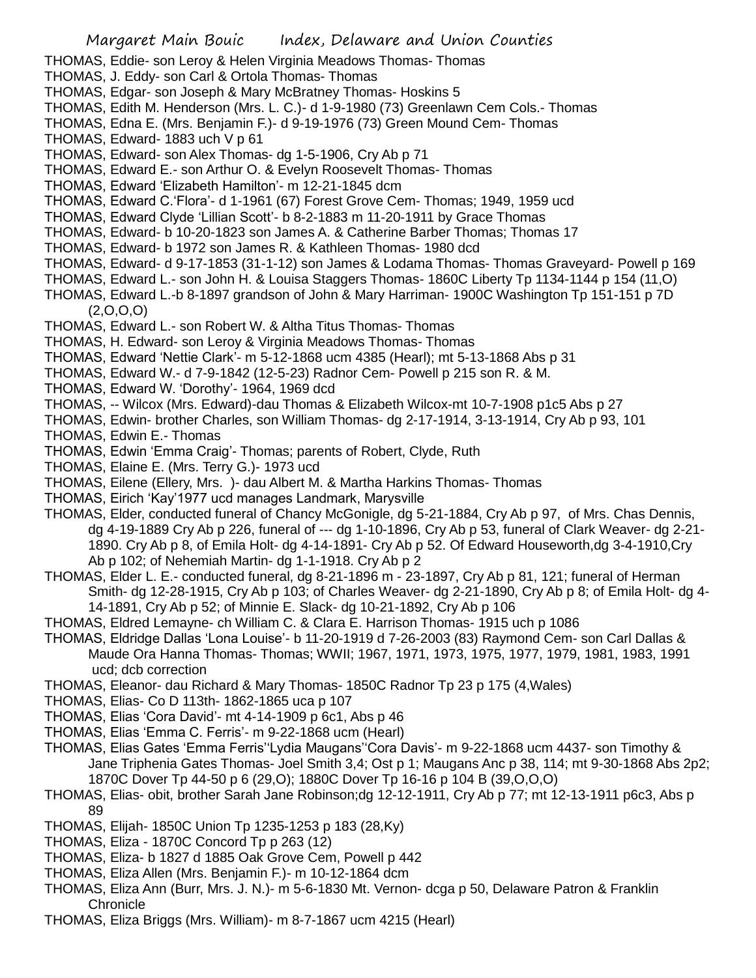- THOMAS, Eddie- son Leroy & Helen Virginia Meadows Thomas- Thomas
- THOMAS, J. Eddy- son Carl & Ortola Thomas- Thomas
- THOMAS, Edgar- son Joseph & Mary McBratney Thomas- Hoskins 5
- THOMAS, Edith M. Henderson (Mrs. L. C.)- d 1-9-1980 (73) Greenlawn Cem Cols.- Thomas
- THOMAS, Edna E. (Mrs. Benjamin F.)- d 9-19-1976 (73) Green Mound Cem- Thomas
- THOMAS, Edward- 1883 uch V p 61
- THOMAS, Edward- son Alex Thomas- dg 1-5-1906, Cry Ab p 71
- THOMAS, Edward E.- son Arthur O. & Evelyn Roosevelt Thomas- Thomas
- THOMAS, Edward 'Elizabeth Hamilton'- m 12-21-1845 dcm
- THOMAS, Edward C.'Flora'- d 1-1961 (67) Forest Grove Cem- Thomas; 1949, 1959 ucd
- THOMAS, Edward Clyde 'Lillian Scott'- b 8-2-1883 m 11-20-1911 by Grace Thomas
- THOMAS, Edward- b 10-20-1823 son James A. & Catherine Barber Thomas; Thomas 17
- THOMAS, Edward- b 1972 son James R. & Kathleen Thomas- 1980 dcd
- THOMAS, Edward- d 9-17-1853 (31-1-12) son James & Lodama Thomas- Thomas Graveyard- Powell p 169
- THOMAS, Edward L.- son John H. & Louisa Staggers Thomas- 1860C Liberty Tp 1134-1144 p 154 (11,O)
- THOMAS, Edward L.-b 8-1897 grandson of John & Mary Harriman- 1900C Washington Tp 151-151 p 7D  $(2,0,0,0)$
- THOMAS, Edward L.- son Robert W. & Altha Titus Thomas- Thomas
- THOMAS, H. Edward- son Leroy & Virginia Meadows Thomas- Thomas
- THOMAS, Edward 'Nettie Clark'- m 5-12-1868 ucm 4385 (Hearl); mt 5-13-1868 Abs p 31
- THOMAS, Edward W.- d 7-9-1842 (12-5-23) Radnor Cem- Powell p 215 son R. & M.
- THOMAS, Edward W. 'Dorothy'- 1964, 1969 dcd
- THOMAS, -- Wilcox (Mrs. Edward)-dau Thomas & Elizabeth Wilcox-mt 10-7-1908 p1c5 Abs p 27
- THOMAS, Edwin- brother Charles, son William Thomas- dg 2-17-1914, 3-13-1914, Cry Ab p 93, 101
- THOMAS, Edwin E.- Thomas
- THOMAS, Edwin 'Emma Craig'- Thomas; parents of Robert, Clyde, Ruth
- THOMAS, Elaine E. (Mrs. Terry G.)- 1973 ucd
- THOMAS, Eilene (Ellery, Mrs. )- dau Albert M. & Martha Harkins Thomas- Thomas
- THOMAS, Eirich 'Kay'1977 ucd manages Landmark, Marysville
- THOMAS, Elder, conducted funeral of Chancy McGonigle, dg 5-21-1884, Cry Ab p 97, of Mrs. Chas Dennis, dg 4-19-1889 Cry Ab p 226, funeral of --- dg 1-10-1896, Cry Ab p 53, funeral of Clark Weaver- dg 2-21- 1890. Cry Ab p 8, of Emila Holt- dg 4-14-1891- Cry Ab p 52. Of Edward Houseworth,dg 3-4-1910,Cry Ab p 102; of Nehemiah Martin- dg 1-1-1918. Cry Ab p 2
- THOMAS, Elder L. E.- conducted funeral, dg 8-21-1896 m 23-1897, Cry Ab p 81, 121; funeral of Herman Smith- dg 12-28-1915, Cry Ab p 103; of Charles Weaver- dg 2-21-1890, Cry Ab p 8; of Emila Holt- dg 4- 14-1891, Cry Ab p 52; of Minnie E. Slack- dg 10-21-1892, Cry Ab p 106
- THOMAS, Eldred Lemayne- ch William C. & Clara E. Harrison Thomas- 1915 uch p 1086
- THOMAS, Eldridge Dallas 'Lona Louise'- b 11-20-1919 d 7-26-2003 (83) Raymond Cem- son Carl Dallas & Maude Ora Hanna Thomas- Thomas; WWII; 1967, 1971, 1973, 1975, 1977, 1979, 1981, 1983, 1991 ucd; dcb correction
- THOMAS, Eleanor- dau Richard & Mary Thomas- 1850C Radnor Tp 23 p 175 (4,Wales)
- THOMAS, Elias- Co D 113th- 1862-1865 uca p 107
- THOMAS, Elias 'Cora David'- mt 4-14-1909 p 6c1, Abs p 46
- THOMAS, Elias 'Emma C. Ferris'- m 9-22-1868 ucm (Hearl)
- THOMAS, Elias Gates 'Emma Ferris''Lydia Maugans''Cora Davis'- m 9-22-1868 ucm 4437- son Timothy & Jane Triphenia Gates Thomas- Joel Smith 3,4; Ost p 1; Maugans Anc p 38, 114; mt 9-30-1868 Abs 2p2; 1870C Dover Tp 44-50 p 6 (29,O); 1880C Dover Tp 16-16 p 104 B (39,O,O,O)
- THOMAS, Elias- obit, brother Sarah Jane Robinson;dg 12-12-1911, Cry Ab p 77; mt 12-13-1911 p6c3, Abs p 89
- THOMAS, Elijah- 1850C Union Tp 1235-1253 p 183 (28,Ky)
- THOMAS, Eliza 1870C Concord Tp p 263 (12)
- THOMAS, Eliza- b 1827 d 1885 Oak Grove Cem, Powell p 442
- THOMAS, Eliza Allen (Mrs. Benjamin F.)- m 10-12-1864 dcm
- THOMAS, Eliza Ann (Burr, Mrs. J. N.)- m 5-6-1830 Mt. Vernon- dcga p 50, Delaware Patron & Franklin **Chronicle**
- THOMAS, Eliza Briggs (Mrs. William)- m 8-7-1867 ucm 4215 (Hearl)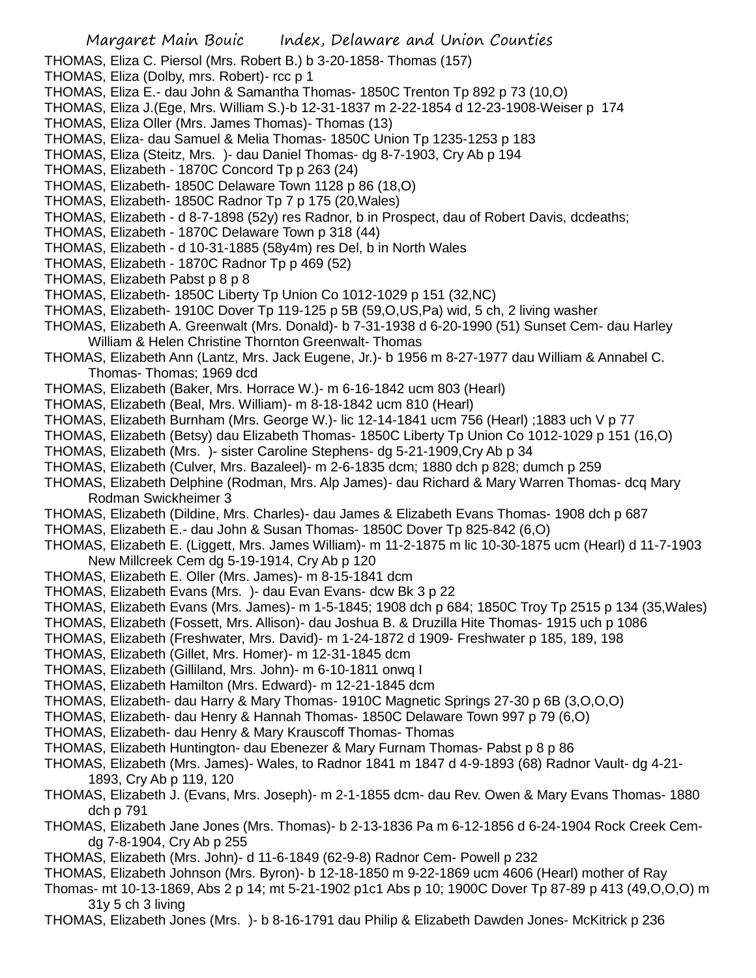- THOMAS, Eliza C. Piersol (Mrs. Robert B.) b 3-20-1858- Thomas (157)
- THOMAS, Eliza (Dolby, mrs. Robert)- rcc p 1
- THOMAS, Eliza E.- dau John & Samantha Thomas- 1850C Trenton Tp 892 p 73 (10,O)
- THOMAS, Eliza J.(Ege, Mrs. William S.)-b 12-31-1837 m 2-22-1854 d 12-23-1908-Weiser p 174
- THOMAS, Eliza Oller (Mrs. James Thomas)- Thomas (13)
- THOMAS, Eliza- dau Samuel & Melia Thomas- 1850C Union Tp 1235-1253 p 183
- THOMAS, Eliza (Steitz, Mrs. )- dau Daniel Thomas- dg 8-7-1903, Cry Ab p 194
- THOMAS, Elizabeth 1870C Concord Tp p 263 (24)
- THOMAS, Elizabeth- 1850C Delaware Town 1128 p 86 (18,O)
- THOMAS, Elizabeth- 1850C Radnor Tp 7 p 175 (20,Wales)
- THOMAS, Elizabeth d 8-7-1898 (52y) res Radnor, b in Prospect, dau of Robert Davis, dcdeaths;
- THOMAS, Elizabeth 1870C Delaware Town p 318 (44)
- THOMAS, Elizabeth d 10-31-1885 (58y4m) res Del, b in North Wales
- THOMAS, Elizabeth 1870C Radnor Tp p 469 (52)
- THOMAS, Elizabeth Pabst p 8 p 8
- THOMAS, Elizabeth- 1850C Liberty Tp Union Co 1012-1029 p 151 (32,NC)
- THOMAS, Elizabeth- 1910C Dover Tp 119-125 p 5B (59,O,US,Pa) wid, 5 ch, 2 living washer
- THOMAS, Elizabeth A. Greenwalt (Mrs. Donald)- b 7-31-1938 d 6-20-1990 (51) Sunset Cem- dau Harley William & Helen Christine Thornton Greenwalt- Thomas
- THOMAS, Elizabeth Ann (Lantz, Mrs. Jack Eugene, Jr.)- b 1956 m 8-27-1977 dau William & Annabel C. Thomas- Thomas; 1969 dcd
- THOMAS, Elizabeth (Baker, Mrs. Horrace W.)- m 6-16-1842 ucm 803 (Hearl)
- THOMAS, Elizabeth (Beal, Mrs. William)- m 8-18-1842 ucm 810 (Hearl)
- THOMAS, Elizabeth Burnham (Mrs. George W.)- lic 12-14-1841 ucm 756 (Hearl) ;1883 uch V p 77
- THOMAS, Elizabeth (Betsy) dau Elizabeth Thomas- 1850C Liberty Tp Union Co 1012-1029 p 151 (16,O)
- THOMAS, Elizabeth (Mrs. )- sister Caroline Stephens- dg 5-21-1909,Cry Ab p 34
- THOMAS, Elizabeth (Culver, Mrs. Bazaleel)- m 2-6-1835 dcm; 1880 dch p 828; dumch p 259
- THOMAS, Elizabeth Delphine (Rodman, Mrs. Alp James)- dau Richard & Mary Warren Thomas- dcq Mary Rodman Swickheimer 3
- THOMAS, Elizabeth (Dildine, Mrs. Charles)- dau James & Elizabeth Evans Thomas- 1908 dch p 687
- THOMAS, Elizabeth E.- dau John & Susan Thomas- 1850C Dover Tp 825-842 (6,O)
- THOMAS, Elizabeth E. (Liggett, Mrs. James William)- m 11-2-1875 m lic 10-30-1875 ucm (Hearl) d 11-7-1903 New Millcreek Cem dg 5-19-1914, Cry Ab p 120
- THOMAS, Elizabeth E. Oller (Mrs. James)- m 8-15-1841 dcm
- THOMAS, Elizabeth Evans (Mrs. )- dau Evan Evans- dcw Bk 3 p 22
- THOMAS, Elizabeth Evans (Mrs. James)- m 1-5-1845; 1908 dch p 684; 1850C Troy Tp 2515 p 134 (35,Wales)
- THOMAS, Elizabeth (Fossett, Mrs. Allison)- dau Joshua B. & Druzilla Hite Thomas- 1915 uch p 1086
- THOMAS, Elizabeth (Freshwater, Mrs. David)- m 1-24-1872 d 1909- Freshwater p 185, 189, 198
- THOMAS, Elizabeth (Gillet, Mrs. Homer)- m 12-31-1845 dcm
- THOMAS, Elizabeth (Gilliland, Mrs. John)- m 6-10-1811 onwq I
- THOMAS, Elizabeth Hamilton (Mrs. Edward)- m 12-21-1845 dcm
- THOMAS, Elizabeth- dau Harry & Mary Thomas- 1910C Magnetic Springs 27-30 p 6B (3,O,O,O)
- THOMAS, Elizabeth- dau Henry & Hannah Thomas- 1850C Delaware Town 997 p 79 (6,O)
- THOMAS, Elizabeth- dau Henry & Mary Krauscoff Thomas- Thomas
- THOMAS, Elizabeth Huntington- dau Ebenezer & Mary Furnam Thomas- Pabst p 8 p 86
- THOMAS, Elizabeth (Mrs. James)- Wales, to Radnor 1841 m 1847 d 4-9-1893 (68) Radnor Vault- dg 4-21- 1893, Cry Ab p 119, 120
- THOMAS, Elizabeth J. (Evans, Mrs. Joseph)- m 2-1-1855 dcm- dau Rev. Owen & Mary Evans Thomas- 1880 dch p 791
- THOMAS, Elizabeth Jane Jones (Mrs. Thomas)- b 2-13-1836 Pa m 6-12-1856 d 6-24-1904 Rock Creek Cemdg 7-8-1904, Cry Ab p 255
- THOMAS, Elizabeth (Mrs. John)- d 11-6-1849 (62-9-8) Radnor Cem- Powell p 232
- THOMAS, Elizabeth Johnson (Mrs. Byron)- b 12-18-1850 m 9-22-1869 ucm 4606 (Hearl) mother of Ray
- Thomas- mt 10-13-1869, Abs 2 p 14; mt 5-21-1902 p1c1 Abs p 10; 1900C Dover Tp 87-89 p 413 (49,O,O,O) m 31y 5 ch 3 living
- THOMAS, Elizabeth Jones (Mrs. )- b 8-16-1791 dau Philip & Elizabeth Dawden Jones- McKitrick p 236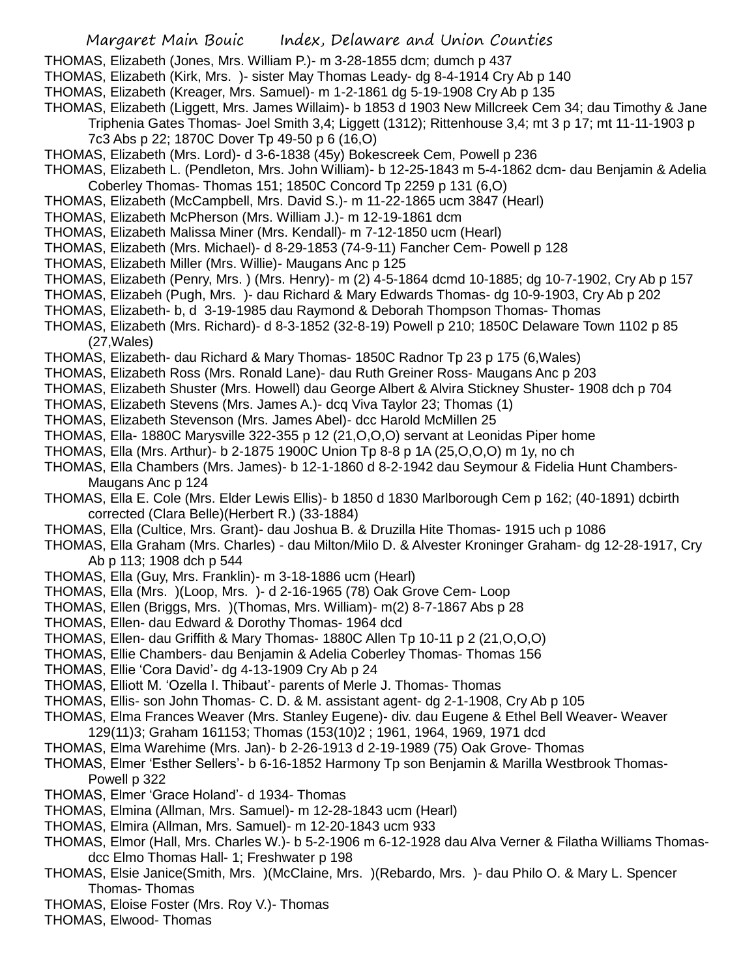THOMAS, Elizabeth (Jones, Mrs. William P.)- m 3-28-1855 dcm; dumch p 437

- THOMAS, Elizabeth (Kirk, Mrs. )- sister May Thomas Leady- dg 8-4-1914 Cry Ab p 140
- THOMAS, Elizabeth (Kreager, Mrs. Samuel)- m 1-2-1861 dg 5-19-1908 Cry Ab p 135
- THOMAS, Elizabeth (Liggett, Mrs. James Willaim)- b 1853 d 1903 New Millcreek Cem 34; dau Timothy & Jane
	- Triphenia Gates Thomas- Joel Smith 3,4; Liggett (1312); Rittenhouse 3,4; mt 3 p 17; mt 11-11-1903 p 7c3 Abs p 22; 1870C Dover Tp 49-50 p 6 (16,O)
- THOMAS, Elizabeth (Mrs. Lord)- d 3-6-1838 (45y) Bokescreek Cem, Powell p 236
- THOMAS, Elizabeth L. (Pendleton, Mrs. John William)- b 12-25-1843 m 5-4-1862 dcm- dau Benjamin & Adelia Coberley Thomas- Thomas 151; 1850C Concord Tp 2259 p 131 (6,O)
- THOMAS, Elizabeth (McCampbell, Mrs. David S.)- m 11-22-1865 ucm 3847 (Hearl)
- THOMAS, Elizabeth McPherson (Mrs. William J.)- m 12-19-1861 dcm
- THOMAS, Elizabeth Malissa Miner (Mrs. Kendall)- m 7-12-1850 ucm (Hearl)
- THOMAS, Elizabeth (Mrs. Michael)- d 8-29-1853 (74-9-11) Fancher Cem- Powell p 128
- THOMAS, Elizabeth Miller (Mrs. Willie)- Maugans Anc p 125
- THOMAS, Elizabeth (Penry, Mrs. ) (Mrs. Henry)- m (2) 4-5-1864 dcmd 10-1885; dg 10-7-1902, Cry Ab p 157
- THOMAS, Elizabeh (Pugh, Mrs. )- dau Richard & Mary Edwards Thomas- dg 10-9-1903, Cry Ab p 202
- THOMAS, Elizabeth- b, d 3-19-1985 dau Raymond & Deborah Thompson Thomas- Thomas
- THOMAS, Elizabeth (Mrs. Richard)- d 8-3-1852 (32-8-19) Powell p 210; 1850C Delaware Town 1102 p 85 (27,Wales)
- THOMAS, Elizabeth- dau Richard & Mary Thomas- 1850C Radnor Tp 23 p 175 (6,Wales)
- THOMAS, Elizabeth Ross (Mrs. Ronald Lane)- dau Ruth Greiner Ross- Maugans Anc p 203
- THOMAS, Elizabeth Shuster (Mrs. Howell) dau George Albert & Alvira Stickney Shuster- 1908 dch p 704
- THOMAS, Elizabeth Stevens (Mrs. James A.)- dcq Viva Taylor 23; Thomas (1)
- THOMAS, Elizabeth Stevenson (Mrs. James Abel)- dcc Harold McMillen 25
- THOMAS, Ella- 1880C Marysville 322-355 p 12 (21,O,O,O) servant at Leonidas Piper home
- THOMAS, Ella (Mrs. Arthur)- b 2-1875 1900C Union Tp 8-8 p 1A (25,O,O,O) m 1y, no ch
- THOMAS, Ella Chambers (Mrs. James)- b 12-1-1860 d 8-2-1942 dau Seymour & Fidelia Hunt Chambers-Maugans Anc p 124
- THOMAS, Ella E. Cole (Mrs. Elder Lewis Ellis)- b 1850 d 1830 Marlborough Cem p 162; (40-1891) dcbirth corrected (Clara Belle)(Herbert R.) (33-1884)
- THOMAS, Ella (Cultice, Mrs. Grant)- dau Joshua B. & Druzilla Hite Thomas- 1915 uch p 1086
- THOMAS, Ella Graham (Mrs. Charles) dau Milton/Milo D. & Alvester Kroninger Graham- dg 12-28-1917, Cry Ab p 113; 1908 dch p 544
- THOMAS, Ella (Guy, Mrs. Franklin)- m 3-18-1886 ucm (Hearl)
- THOMAS, Ella (Mrs. )(Loop, Mrs. )- d 2-16-1965 (78) Oak Grove Cem- Loop
- THOMAS, Ellen (Briggs, Mrs. )(Thomas, Mrs. William)- m(2) 8-7-1867 Abs p 28
- THOMAS, Ellen- dau Edward & Dorothy Thomas- 1964 dcd
- THOMAS, Ellen- dau Griffith & Mary Thomas- 1880C Allen Tp 10-11 p 2 (21,O,O,O)
- THOMAS, Ellie Chambers- dau Benjamin & Adelia Coberley Thomas- Thomas 156
- THOMAS, Ellie 'Cora David'- dg 4-13-1909 Cry Ab p 24
- THOMAS, Elliott M. 'Ozella I. Thibaut'- parents of Merle J. Thomas- Thomas
- THOMAS, Ellis- son John Thomas- C. D. & M. assistant agent- dg 2-1-1908, Cry Ab p 105
- THOMAS, Elma Frances Weaver (Mrs. Stanley Eugene)- div. dau Eugene & Ethel Bell Weaver- Weaver 129(11)3; Graham 161153; Thomas (153(10)2 ; 1961, 1964, 1969, 1971 dcd
- THOMAS, Elma Warehime (Mrs. Jan)- b 2-26-1913 d 2-19-1989 (75) Oak Grove- Thomas
- THOMAS, Elmer 'Esther Sellers'- b 6-16-1852 Harmony Tp son Benjamin & Marilla Westbrook Thomas-Powell p 322
- THOMAS, Elmer 'Grace Holand'- d 1934- Thomas
- THOMAS, Elmina (Allman, Mrs. Samuel)- m 12-28-1843 ucm (Hearl)
- THOMAS, Elmira (Allman, Mrs. Samuel)- m 12-20-1843 ucm 933
- THOMAS, Elmor (Hall, Mrs. Charles W.)- b 5-2-1906 m 6-12-1928 dau Alva Verner & Filatha Williams Thomasdcc Elmo Thomas Hall- 1; Freshwater p 198
- THOMAS, Elsie Janice(Smith, Mrs. )(McClaine, Mrs. )(Rebardo, Mrs. )- dau Philo O. & Mary L. Spencer Thomas- Thomas
- THOMAS, Eloise Foster (Mrs. Roy V.)- Thomas
- THOMAS, Elwood- Thomas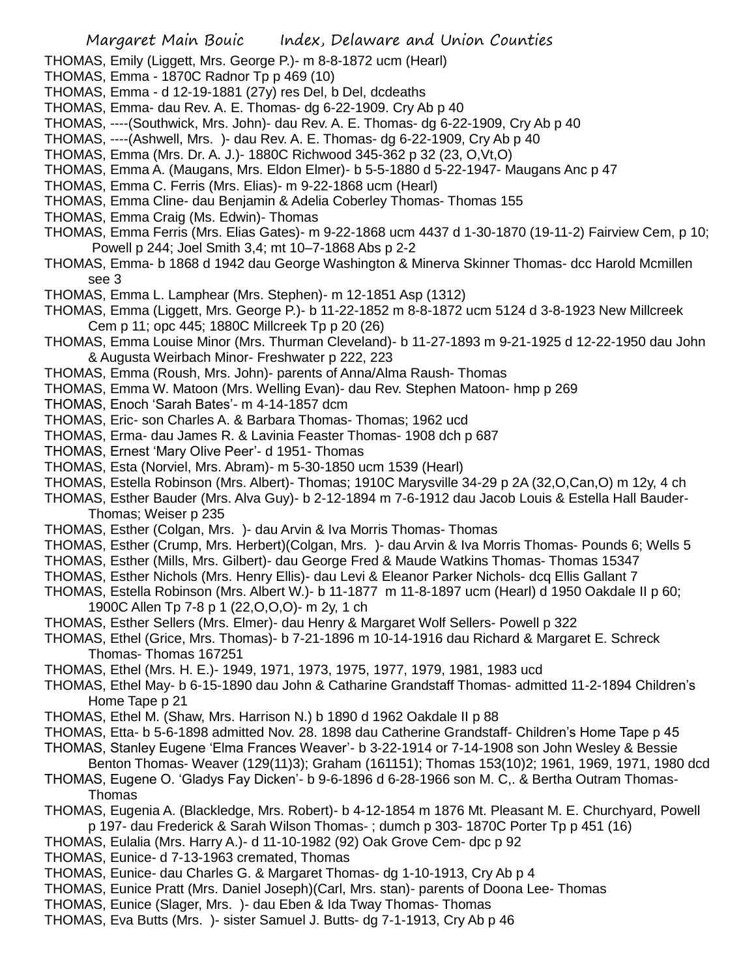- THOMAS, Emily (Liggett, Mrs. George P.)- m 8-8-1872 ucm (Hearl)
- THOMAS, Emma 1870C Radnor Tp p 469 (10)
- THOMAS, Emma d 12-19-1881 (27y) res Del, b Del, dcdeaths
- THOMAS, Emma- dau Rev. A. E. Thomas- dg 6-22-1909. Cry Ab p 40
- THOMAS, ----(Southwick, Mrs. John)- dau Rev. A. E. Thomas- dg 6-22-1909, Cry Ab p 40
- THOMAS, ----(Ashwell, Mrs. )- dau Rev. A. E. Thomas- dg 6-22-1909, Cry Ab p 40
- THOMAS, Emma (Mrs. Dr. A. J.)- 1880C Richwood 345-362 p 32 (23, O,Vt,O)
- THOMAS, Emma A. (Maugans, Mrs. Eldon Elmer)- b 5-5-1880 d 5-22-1947- Maugans Anc p 47
- THOMAS, Emma C. Ferris (Mrs. Elias)- m 9-22-1868 ucm (Hearl)
- THOMAS, Emma Cline- dau Benjamin & Adelia Coberley Thomas- Thomas 155
- THOMAS, Emma Craig (Ms. Edwin)- Thomas
- THOMAS, Emma Ferris (Mrs. Elias Gates)- m 9-22-1868 ucm 4437 d 1-30-1870 (19-11-2) Fairview Cem, p 10; Powell p 244; Joel Smith 3,4; mt 10–7-1868 Abs p 2-2
- THOMAS, Emma- b 1868 d 1942 dau George Washington & Minerva Skinner Thomas- dcc Harold Mcmillen see 3
- THOMAS, Emma L. Lamphear (Mrs. Stephen)- m 12-1851 Asp (1312)
- THOMAS, Emma (Liggett, Mrs. George P.)- b 11-22-1852 m 8-8-1872 ucm 5124 d 3-8-1923 New Millcreek Cem p 11; opc 445; 1880C Millcreek Tp p 20 (26)
- THOMAS, Emma Louise Minor (Mrs. Thurman Cleveland)- b 11-27-1893 m 9-21-1925 d 12-22-1950 dau John & Augusta Weirbach Minor- Freshwater p 222, 223
- THOMAS, Emma (Roush, Mrs. John)- parents of Anna/Alma Raush- Thomas
- THOMAS, Emma W. Matoon (Mrs. Welling Evan)- dau Rev. Stephen Matoon- hmp p 269
- THOMAS, Enoch 'Sarah Bates'- m 4-14-1857 dcm
- THOMAS, Eric- son Charles A. & Barbara Thomas- Thomas; 1962 ucd
- THOMAS, Erma- dau James R. & Lavinia Feaster Thomas- 1908 dch p 687
- THOMAS, Ernest 'Mary Olive Peer'- d 1951- Thomas
- THOMAS, Esta (Norviel, Mrs. Abram)- m 5-30-1850 ucm 1539 (Hearl)
- THOMAS, Estella Robinson (Mrs. Albert)- Thomas; 1910C Marysville 34-29 p 2A (32,O,Can,O) m 12y, 4 ch
- THOMAS, Esther Bauder (Mrs. Alva Guy)- b 2-12-1894 m 7-6-1912 dau Jacob Louis & Estella Hall Bauder-Thomas; Weiser p 235
- THOMAS, Esther (Colgan, Mrs. )- dau Arvin & Iva Morris Thomas- Thomas
- THOMAS, Esther (Crump, Mrs. Herbert)(Colgan, Mrs. )- dau Arvin & Iva Morris Thomas- Pounds 6; Wells 5
- THOMAS, Esther (Mills, Mrs. Gilbert)- dau George Fred & Maude Watkins Thomas- Thomas 15347
- THOMAS, Esther Nichols (Mrs. Henry Ellis)- dau Levi & Eleanor Parker Nichols- dcq Ellis Gallant 7
- THOMAS, Estella Robinson (Mrs. Albert W.)- b 11-1877 m 11-8-1897 ucm (Hearl) d 1950 Oakdale II p 60; 1900C Allen Tp 7-8 p 1 (22,O,O,O)- m 2y, 1 ch
- THOMAS, Esther Sellers (Mrs. Elmer)- dau Henry & Margaret Wolf Sellers- Powell p 322
- THOMAS, Ethel (Grice, Mrs. Thomas)- b 7-21-1896 m 10-14-1916 dau Richard & Margaret E. Schreck Thomas- Thomas 167251
- THOMAS, Ethel (Mrs. H. E.)- 1949, 1971, 1973, 1975, 1977, 1979, 1981, 1983 ucd
- THOMAS, Ethel May- b 6-15-1890 dau John & Catharine Grandstaff Thomas- admitted 11-2-1894 Children's Home Tape p 21
- THOMAS, Ethel M. (Shaw, Mrs. Harrison N.) b 1890 d 1962 Oakdale II p 88
- THOMAS, Etta- b 5-6-1898 admitted Nov. 28. 1898 dau Catherine Grandstaff- Children's Home Tape p 45
- THOMAS, Stanley Eugene 'Elma Frances Weaver'- b 3-22-1914 or 7-14-1908 son John Wesley & Bessie Benton Thomas- Weaver (129(11)3); Graham (161151); Thomas 153(10)2; 1961, 1969, 1971, 1980 dcd
- THOMAS, Eugene O. 'Gladys Fay Dicken'- b 9-6-1896 d 6-28-1966 son M. C,. & Bertha Outram Thomas-Thomas
- THOMAS, Eugenia A. (Blackledge, Mrs. Robert)- b 4-12-1854 m 1876 Mt. Pleasant M. E. Churchyard, Powell p 197- dau Frederick & Sarah Wilson Thomas- ; dumch p 303- 1870C Porter Tp p 451 (16)
- THOMAS, Eulalia (Mrs. Harry A.)- d 11-10-1982 (92) Oak Grove Cem- dpc p 92
- THOMAS, Eunice- d 7-13-1963 cremated, Thomas
- THOMAS, Eunice- dau Charles G. & Margaret Thomas- dg 1-10-1913, Cry Ab p 4
- THOMAS, Eunice Pratt (Mrs. Daniel Joseph)(Carl, Mrs. stan)- parents of Doona Lee- Thomas
- THOMAS, Eunice (Slager, Mrs. )- dau Eben & Ida Tway Thomas- Thomas
- THOMAS, Eva Butts (Mrs. )- sister Samuel J. Butts- dg 7-1-1913, Cry Ab p 46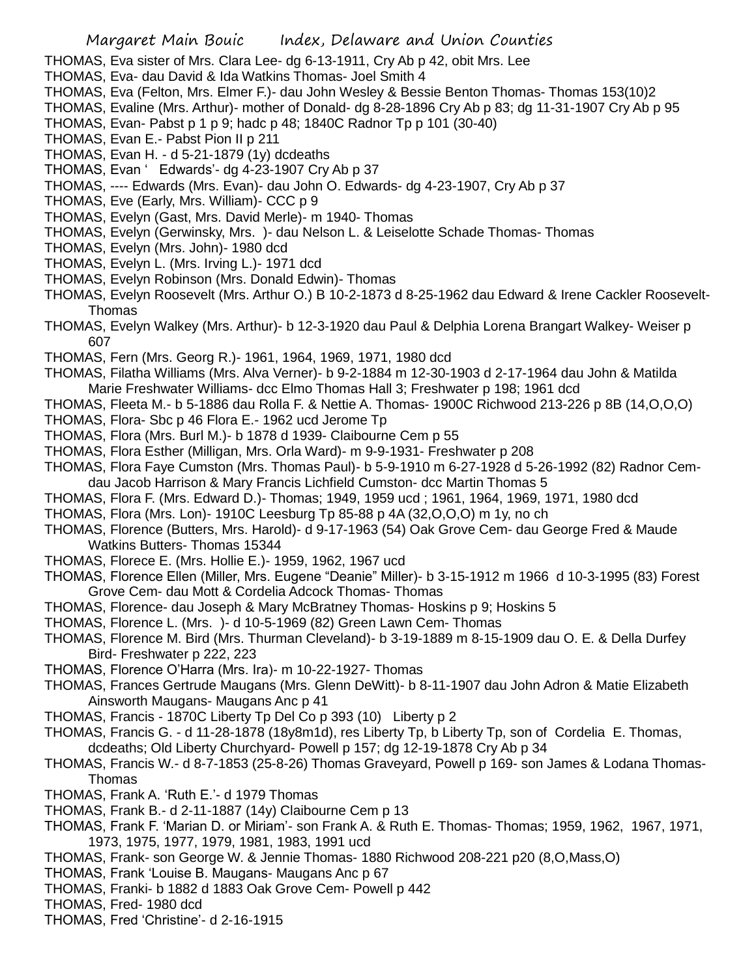- THOMAS, Eva sister of Mrs. Clara Lee- dg 6-13-1911, Cry Ab p 42, obit Mrs. Lee
- THOMAS, Eva- dau David & Ida Watkins Thomas- Joel Smith 4
- THOMAS, Eva (Felton, Mrs. Elmer F.)- dau John Wesley & Bessie Benton Thomas- Thomas 153(10)2
- THOMAS, Evaline (Mrs. Arthur)- mother of Donald- dg 8-28-1896 Cry Ab p 83; dg 11-31-1907 Cry Ab p 95
- THOMAS, Evan- Pabst p 1 p 9; hadc p 48; 1840C Radnor Tp p 101 (30-40)
- THOMAS, Evan E.- Pabst Pion II p 211
- THOMAS, Evan H. d 5-21-1879 (1y) dcdeaths
- THOMAS, Evan ' Edwards'- dg 4-23-1907 Cry Ab p 37
- THOMAS, ---- Edwards (Mrs. Evan)- dau John O. Edwards- dg 4-23-1907, Cry Ab p 37
- THOMAS, Eve (Early, Mrs. William)- CCC p 9
- THOMAS, Evelyn (Gast, Mrs. David Merle)- m 1940- Thomas
- THOMAS, Evelyn (Gerwinsky, Mrs. )- dau Nelson L. & Leiselotte Schade Thomas- Thomas
- THOMAS, Evelyn (Mrs. John)- 1980 dcd
- THOMAS, Evelyn L. (Mrs. Irving L.)- 1971 dcd
- THOMAS, Evelyn Robinson (Mrs. Donald Edwin)- Thomas
- THOMAS, Evelyn Roosevelt (Mrs. Arthur O.) B 10-2-1873 d 8-25-1962 dau Edward & Irene Cackler Roosevelt-Thomas
- THOMAS, Evelyn Walkey (Mrs. Arthur)- b 12-3-1920 dau Paul & Delphia Lorena Brangart Walkey- Weiser p 607
- THOMAS, Fern (Mrs. Georg R.)- 1961, 1964, 1969, 1971, 1980 dcd
- THOMAS, Filatha Williams (Mrs. Alva Verner)- b 9-2-1884 m 12-30-1903 d 2-17-1964 dau John & Matilda Marie Freshwater Williams- dcc Elmo Thomas Hall 3; Freshwater p 198; 1961 dcd
- THOMAS, Fleeta M.- b 5-1886 dau Rolla F. & Nettie A. Thomas- 1900C Richwood 213-226 p 8B (14,O,O,O)
- THOMAS, Flora- Sbc p 46 Flora E.- 1962 ucd Jerome Tp
- THOMAS, Flora (Mrs. Burl M.)- b 1878 d 1939- Claibourne Cem p 55
- THOMAS, Flora Esther (Milligan, Mrs. Orla Ward)- m 9-9-1931- Freshwater p 208
- THOMAS, Flora Faye Cumston (Mrs. Thomas Paul)- b 5-9-1910 m 6-27-1928 d 5-26-1992 (82) Radnor Cemdau Jacob Harrison & Mary Francis Lichfield Cumston- dcc Martin Thomas 5
- THOMAS, Flora F. (Mrs. Edward D.)- Thomas; 1949, 1959 ucd ; 1961, 1964, 1969, 1971, 1980 dcd
- THOMAS, Flora (Mrs. Lon)- 1910C Leesburg Tp 85-88 p 4A (32,O,O,O) m 1y, no ch
- THOMAS, Florence (Butters, Mrs. Harold)- d 9-17-1963 (54) Oak Grove Cem- dau George Fred & Maude Watkins Butters- Thomas 15344
- THOMAS, Florece E. (Mrs. Hollie E.)- 1959, 1962, 1967 ucd
- THOMAS, Florence Ellen (Miller, Mrs. Eugene "Deanie" Miller)- b 3-15-1912 m 1966 d 10-3-1995 (83) Forest Grove Cem- dau Mott & Cordelia Adcock Thomas- Thomas
- THOMAS, Florence- dau Joseph & Mary McBratney Thomas- Hoskins p 9; Hoskins 5
- THOMAS, Florence L. (Mrs. )- d 10-5-1969 (82) Green Lawn Cem- Thomas
- THOMAS, Florence M. Bird (Mrs. Thurman Cleveland)- b 3-19-1889 m 8-15-1909 dau O. E. & Della Durfey Bird- Freshwater p 222, 223
- THOMAS, Florence O'Harra (Mrs. Ira)- m 10-22-1927- Thomas
- THOMAS, Frances Gertrude Maugans (Mrs. Glenn DeWitt)- b 8-11-1907 dau John Adron & Matie Elizabeth Ainsworth Maugans- Maugans Anc p 41
- THOMAS, Francis 1870C Liberty Tp Del Co p 393 (10) Liberty p 2
- THOMAS, Francis G. d 11-28-1878 (18y8m1d), res Liberty Tp, b Liberty Tp, son of Cordelia E. Thomas, dcdeaths; Old Liberty Churchyard- Powell p 157; dg 12-19-1878 Cry Ab p 34
- THOMAS, Francis W.- d 8-7-1853 (25-8-26) Thomas Graveyard, Powell p 169- son James & Lodana Thomas-Thomas
- THOMAS, Frank A. 'Ruth E.'- d 1979 Thomas
- THOMAS, Frank B.- d 2-11-1887 (14y) Claibourne Cem p 13
- THOMAS, Frank F. 'Marian D. or Miriam'- son Frank A. & Ruth E. Thomas- Thomas; 1959, 1962, 1967, 1971, 1973, 1975, 1977, 1979, 1981, 1983, 1991 ucd
- THOMAS, Frank- son George W. & Jennie Thomas- 1880 Richwood 208-221 p20 (8,O,Mass,O)
- THOMAS, Frank 'Louise B. Maugans- Maugans Anc p 67
- THOMAS, Franki- b 1882 d 1883 Oak Grove Cem- Powell p 442
- THOMAS, Fred- 1980 dcd
- THOMAS, Fred 'Christine'- d 2-16-1915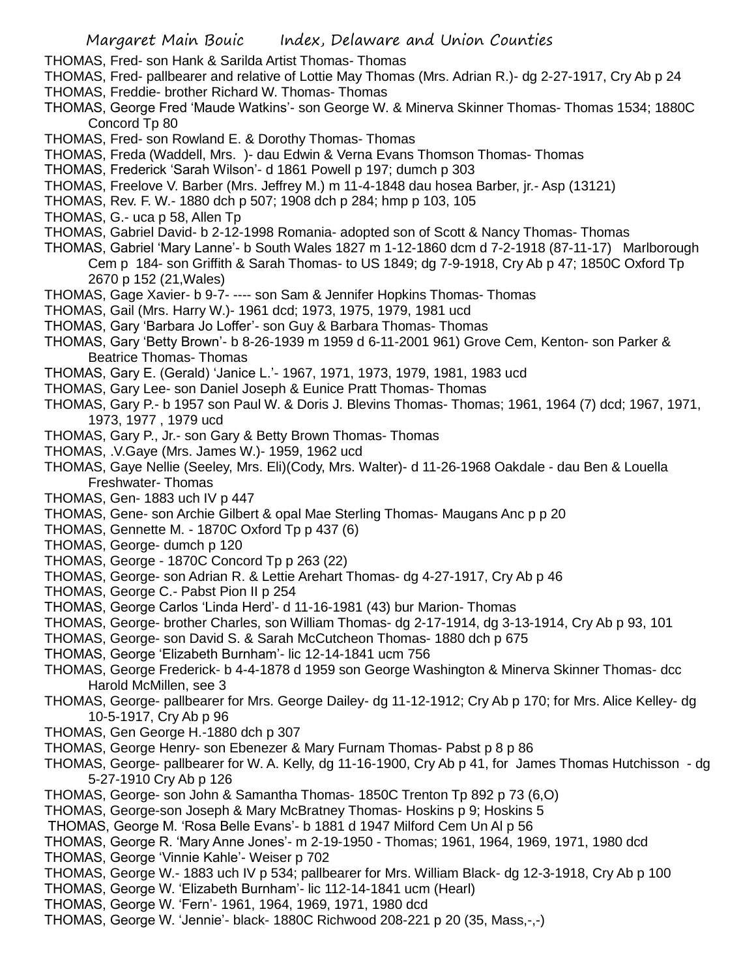- THOMAS, Fred- son Hank & Sarilda Artist Thomas- Thomas
- THOMAS, Fred- pallbearer and relative of Lottie May Thomas (Mrs. Adrian R.)- dg 2-27-1917, Cry Ab p 24
- THOMAS, Freddie- brother Richard W. Thomas- Thomas
- THOMAS, George Fred 'Maude Watkins'- son George W. & Minerva Skinner Thomas- Thomas 1534; 1880C Concord Tp 80
- THOMAS, Fred- son Rowland E. & Dorothy Thomas- Thomas
- THOMAS, Freda (Waddell, Mrs. )- dau Edwin & Verna Evans Thomson Thomas- Thomas
- THOMAS, Frederick 'Sarah Wilson'- d 1861 Powell p 197; dumch p 303
- THOMAS, Freelove V. Barber (Mrs. Jeffrey M.) m 11-4-1848 dau hosea Barber, jr.- Asp (13121)
- THOMAS, Rev. F. W.- 1880 dch p 507; 1908 dch p 284; hmp p 103, 105
- THOMAS, G.- uca p 58, Allen Tp
- THOMAS, Gabriel David- b 2-12-1998 Romania- adopted son of Scott & Nancy Thomas- Thomas
- THOMAS, Gabriel 'Mary Lanne'- b South Wales 1827 m 1-12-1860 dcm d 7-2-1918 (87-11-17) Marlborough Cem p 184- son Griffith & Sarah Thomas- to US 1849; dg 7-9-1918, Cry Ab p 47; 1850C Oxford Tp 2670 p 152 (21,Wales)
- THOMAS, Gage Xavier- b 9-7- ---- son Sam & Jennifer Hopkins Thomas- Thomas
- THOMAS, Gail (Mrs. Harry W.)- 1961 dcd; 1973, 1975, 1979, 1981 ucd
- THOMAS, Gary 'Barbara Jo Loffer'- son Guy & Barbara Thomas- Thomas
- THOMAS, Gary 'Betty Brown'- b 8-26-1939 m 1959 d 6-11-2001 961) Grove Cem, Kenton- son Parker & Beatrice Thomas- Thomas
- THOMAS, Gary E. (Gerald) 'Janice L.'- 1967, 1971, 1973, 1979, 1981, 1983 ucd
- THOMAS, Gary Lee- son Daniel Joseph & Eunice Pratt Thomas- Thomas
- THOMAS, Gary P.- b 1957 son Paul W. & Doris J. Blevins Thomas- Thomas; 1961, 1964 (7) dcd; 1967, 1971, 1973, 1977 , 1979 ucd
- THOMAS, Gary P., Jr.- son Gary & Betty Brown Thomas- Thomas
- THOMAS, .V.Gaye (Mrs. James W.)- 1959, 1962 ucd
- THOMAS, Gaye Nellie (Seeley, Mrs. Eli)(Cody, Mrs. Walter)- d 11-26-1968 Oakdale dau Ben & Louella Freshwater- Thomas
- THOMAS, Gen- 1883 uch IV p 447
- THOMAS, Gene- son Archie Gilbert & opal Mae Sterling Thomas- Maugans Anc p p 20
- THOMAS, Gennette M. 1870C Oxford Tp p 437 (6)
- THOMAS, George- dumch p 120
- THOMAS, George 1870C Concord Tp p 263 (22)
- THOMAS, George- son Adrian R. & Lettie Arehart Thomas- dg 4-27-1917, Cry Ab p 46
- THOMAS, George C.- Pabst Pion II p 254
- THOMAS, George Carlos 'Linda Herd'- d 11-16-1981 (43) bur Marion- Thomas
- THOMAS, George- brother Charles, son William Thomas- dg 2-17-1914, dg 3-13-1914, Cry Ab p 93, 101
- THOMAS, George- son David S. & Sarah McCutcheon Thomas- 1880 dch p 675
- THOMAS, George 'Elizabeth Burnham'- lic 12-14-1841 ucm 756
- THOMAS, George Frederick- b 4-4-1878 d 1959 son George Washington & Minerva Skinner Thomas- dcc Harold McMillen, see 3
- THOMAS, George- pallbearer for Mrs. George Dailey- dg 11-12-1912; Cry Ab p 170; for Mrs. Alice Kelley- dg 10-5-1917, Cry Ab p 96
- THOMAS, Gen George H.-1880 dch p 307
- THOMAS, George Henry- son Ebenezer & Mary Furnam Thomas- Pabst p 8 p 86
- THOMAS, George- pallbearer for W. A. Kelly, dg 11-16-1900, Cry Ab p 41, for James Thomas Hutchisson dg 5-27-1910 Cry Ab p 126
- THOMAS, George- son John & Samantha Thomas- 1850C Trenton Tp 892 p 73 (6,O)
- THOMAS, George-son Joseph & Mary McBratney Thomas- Hoskins p 9; Hoskins 5
- THOMAS, George M. 'Rosa Belle Evans'- b 1881 d 1947 Milford Cem Un Al p 56
- THOMAS, George R. 'Mary Anne Jones'- m 2-19-1950 Thomas; 1961, 1964, 1969, 1971, 1980 dcd
- THOMAS, George 'Vinnie Kahle'- Weiser p 702
- THOMAS, George W.- 1883 uch IV p 534; pallbearer for Mrs. William Black- dg 12-3-1918, Cry Ab p 100
- THOMAS, George W. 'Elizabeth Burnham'- lic 112-14-1841 ucm (Hearl)
- THOMAS, George W. 'Fern'- 1961, 1964, 1969, 1971, 1980 dcd
- THOMAS, George W. 'Jennie'- black- 1880C Richwood 208-221 p 20 (35, Mass,-,-)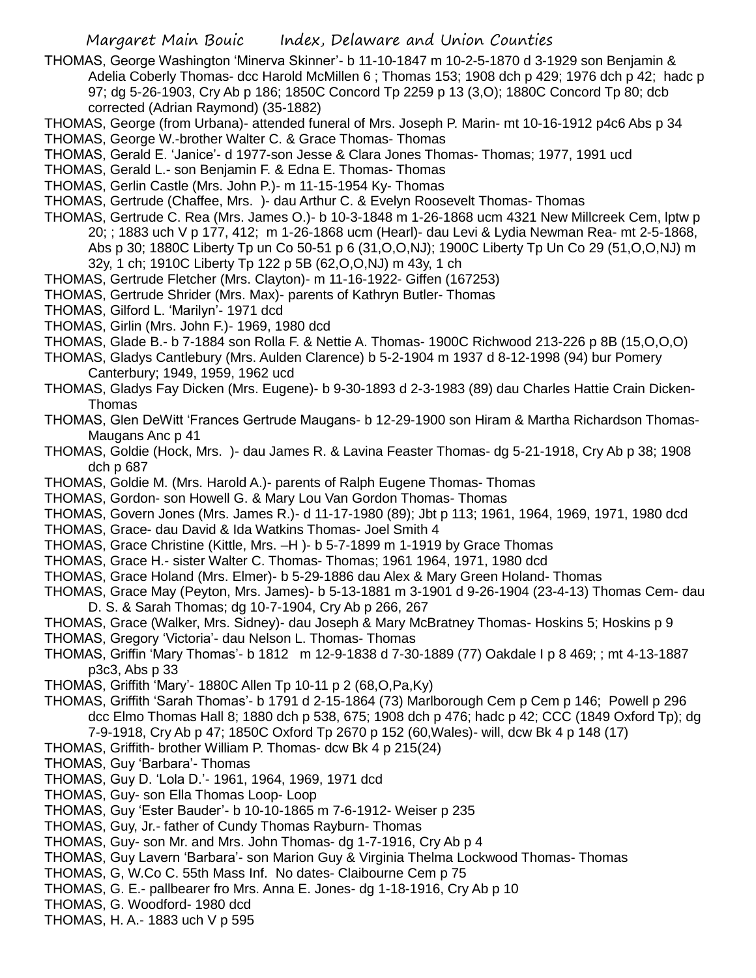- THOMAS, George Washington 'Minerva Skinner'- b 11-10-1847 m 10-2-5-1870 d 3-1929 son Benjamin & Adelia Coberly Thomas- dcc Harold McMillen 6 ; Thomas 153; 1908 dch p 429; 1976 dch p 42; hadc p 97; dg 5-26-1903, Cry Ab p 186; 1850C Concord Tp 2259 p 13 (3,O); 1880C Concord Tp 80; dcb corrected (Adrian Raymond) (35-1882)
- THOMAS, George (from Urbana)- attended funeral of Mrs. Joseph P. Marin- mt 10-16-1912 p4c6 Abs p 34 THOMAS, George W.-brother Walter C. & Grace Thomas- Thomas
- THOMAS, Gerald E. 'Janice'- d 1977-son Jesse & Clara Jones Thomas- Thomas; 1977, 1991 ucd
- THOMAS, Gerald L.- son Benjamin F. & Edna E. Thomas- Thomas
- THOMAS, Gerlin Castle (Mrs. John P.)- m 11-15-1954 Ky- Thomas
- THOMAS, Gertrude (Chaffee, Mrs. )- dau Arthur C. & Evelyn Roosevelt Thomas- Thomas
- THOMAS, Gertrude C. Rea (Mrs. James O.)- b 10-3-1848 m 1-26-1868 ucm 4321 New Millcreek Cem, lptw p 20; ; 1883 uch V p 177, 412; m 1-26-1868 ucm (Hearl)- dau Levi & Lydia Newman Rea- mt 2-5-1868, Abs p 30; 1880C Liberty Tp un Co 50-51 p 6 (31,O,O,NJ); 1900C Liberty Tp Un Co 29 (51,O,O,NJ) m 32y, 1 ch; 1910C Liberty Tp 122 p 5B (62,O,O,NJ) m 43y, 1 ch
- THOMAS, Gertrude Fletcher (Mrs. Clayton)- m 11-16-1922- Giffen (167253)
- THOMAS, Gertrude Shrider (Mrs. Max)- parents of Kathryn Butler- Thomas
- THOMAS, Gilford L. 'Marilyn'- 1971 dcd
- THOMAS, Girlin (Mrs. John F.)- 1969, 1980 dcd
- THOMAS, Glade B.- b 7-1884 son Rolla F. & Nettie A. Thomas- 1900C Richwood 213-226 p 8B (15,O,O,O)
- THOMAS, Gladys Cantlebury (Mrs. Aulden Clarence) b 5-2-1904 m 1937 d 8-12-1998 (94) bur Pomery Canterbury; 1949, 1959, 1962 ucd
- THOMAS, Gladys Fay Dicken (Mrs. Eugene)- b 9-30-1893 d 2-3-1983 (89) dau Charles Hattie Crain Dicken-Thomas
- THOMAS, Glen DeWitt 'Frances Gertrude Maugans- b 12-29-1900 son Hiram & Martha Richardson Thomas-Maugans Anc p 41
- THOMAS, Goldie (Hock, Mrs. )- dau James R. & Lavina Feaster Thomas- dg 5-21-1918, Cry Ab p 38; 1908 dch p 687
- THOMAS, Goldie M. (Mrs. Harold A.)- parents of Ralph Eugene Thomas- Thomas
- THOMAS, Gordon- son Howell G. & Mary Lou Van Gordon Thomas- Thomas
- THOMAS, Govern Jones (Mrs. James R.)- d 11-17-1980 (89); Jbt p 113; 1961, 1964, 1969, 1971, 1980 dcd
- THOMAS, Grace- dau David & Ida Watkins Thomas- Joel Smith 4
- THOMAS, Grace Christine (Kittle, Mrs. –H )- b 5-7-1899 m 1-1919 by Grace Thomas
- THOMAS, Grace H.- sister Walter C. Thomas- Thomas; 1961 1964, 1971, 1980 dcd
- THOMAS, Grace Holand (Mrs. Elmer)- b 5-29-1886 dau Alex & Mary Green Holand- Thomas
- THOMAS, Grace May (Peyton, Mrs. James)- b 5-13-1881 m 3-1901 d 9-26-1904 (23-4-13) Thomas Cem- dau D. S. & Sarah Thomas; dg 10-7-1904, Cry Ab p 266, 267
- THOMAS, Grace (Walker, Mrs. Sidney)- dau Joseph & Mary McBratney Thomas- Hoskins 5; Hoskins p 9
- THOMAS, Gregory 'Victoria'- dau Nelson L. Thomas- Thomas
- THOMAS, Griffin 'Mary Thomas'- b 1812 m 12-9-1838 d 7-30-1889 (77) Oakdale I p 8 469; ; mt 4-13-1887 p3c3, Abs p 33
- THOMAS, Griffith 'Mary'- 1880C Allen Tp 10-11 p 2 (68,O,Pa,Ky)
- THOMAS, Griffith 'Sarah Thomas'- b 1791 d 2-15-1864 (73) Marlborough Cem p Cem p 146; Powell p 296 dcc Elmo Thomas Hall 8; 1880 dch p 538, 675; 1908 dch p 476; hadc p 42; CCC (1849 Oxford Tp); dg 7-9-1918, Cry Ab p 47; 1850C Oxford Tp 2670 p 152 (60,Wales)- will, dcw Bk 4 p 148 (17)
- THOMAS, Griffith- brother William P. Thomas- dcw Bk 4 p 215(24)
- THOMAS, Guy 'Barbara'- Thomas
- THOMAS, Guy D. 'Lola D.'- 1961, 1964, 1969, 1971 dcd
- THOMAS, Guy- son Ella Thomas Loop- Loop
- THOMAS, Guy 'Ester Bauder'- b 10-10-1865 m 7-6-1912- Weiser p 235
- THOMAS, Guy, Jr.- father of Cundy Thomas Rayburn- Thomas
- THOMAS, Guy- son Mr. and Mrs. John Thomas- dg 1-7-1916, Cry Ab p 4
- THOMAS, Guy Lavern 'Barbara'- son Marion Guy & Virginia Thelma Lockwood Thomas- Thomas
- THOMAS, G, W.Co C. 55th Mass Inf. No dates- Claibourne Cem p 75
- THOMAS, G. E.- pallbearer fro Mrs. Anna E. Jones- dg 1-18-1916, Cry Ab p 10
- THOMAS, G. Woodford- 1980 dcd
- THOMAS, H. A.- 1883 uch V p 595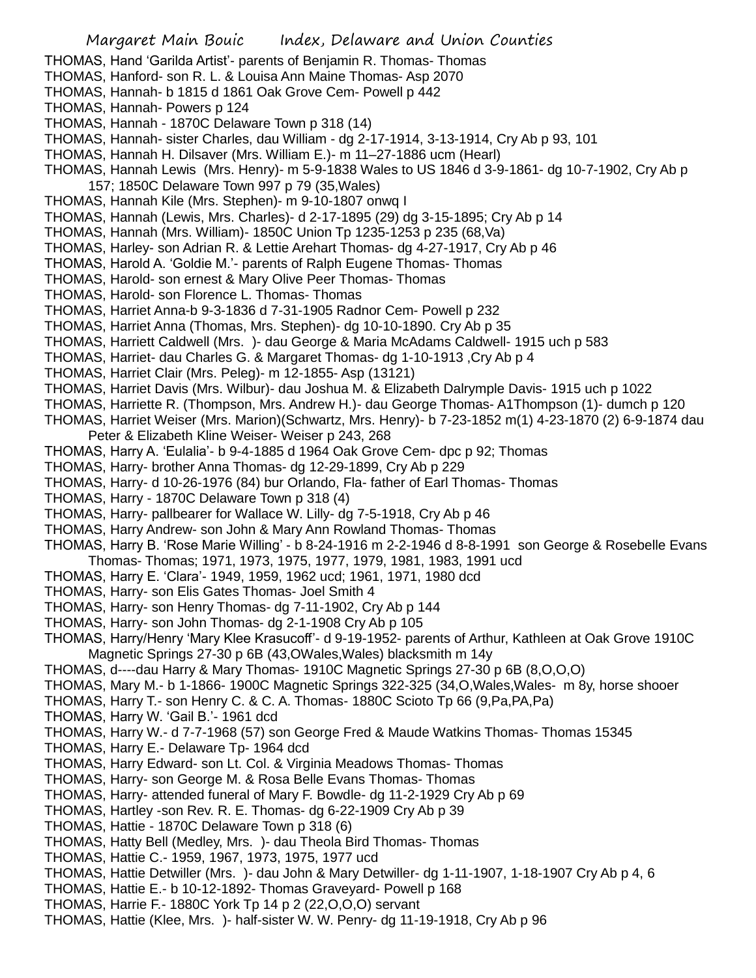- THOMAS, Hand 'Garilda Artist'- parents of Benjamin R. Thomas- Thomas
- THOMAS, Hanford- son R. L. & Louisa Ann Maine Thomas- Asp 2070
- THOMAS, Hannah- b 1815 d 1861 Oak Grove Cem- Powell p 442
- THOMAS, Hannah- Powers p 124
- THOMAS, Hannah 1870C Delaware Town p 318 (14)
- THOMAS, Hannah- sister Charles, dau William dg 2-17-1914, 3-13-1914, Cry Ab p 93, 101
- THOMAS, Hannah H. Dilsaver (Mrs. William E.)- m 11–27-1886 ucm (Hearl)
- THOMAS, Hannah Lewis (Mrs. Henry)- m 5-9-1838 Wales to US 1846 d 3-9-1861- dg 10-7-1902, Cry Ab p 157; 1850C Delaware Town 997 p 79 (35,Wales)
- THOMAS, Hannah Kile (Mrs. Stephen)- m 9-10-1807 onwq I
- THOMAS, Hannah (Lewis, Mrs. Charles)- d 2-17-1895 (29) dg 3-15-1895; Cry Ab p 14
- THOMAS, Hannah (Mrs. William)- 1850C Union Tp 1235-1253 p 235 (68,Va)
- THOMAS, Harley- son Adrian R. & Lettie Arehart Thomas- dg 4-27-1917, Cry Ab p 46
- THOMAS, Harold A. 'Goldie M.'- parents of Ralph Eugene Thomas- Thomas
- THOMAS, Harold- son ernest & Mary Olive Peer Thomas- Thomas
- THOMAS, Harold- son Florence L. Thomas- Thomas
- THOMAS, Harriet Anna-b 9-3-1836 d 7-31-1905 Radnor Cem- Powell p 232
- THOMAS, Harriet Anna (Thomas, Mrs. Stephen)- dg 10-10-1890. Cry Ab p 35
- THOMAS, Harriett Caldwell (Mrs. )- dau George & Maria McAdams Caldwell- 1915 uch p 583
- THOMAS, Harriet- dau Charles G. & Margaret Thomas- dg 1-10-1913 ,Cry Ab p 4
- THOMAS, Harriet Clair (Mrs. Peleg)- m 12-1855- Asp (13121)
- THOMAS, Harriet Davis (Mrs. Wilbur)- dau Joshua M. & Elizabeth Dalrymple Davis- 1915 uch p 1022
- THOMAS, Harriette R. (Thompson, Mrs. Andrew H.)- dau George Thomas- A1Thompson (1)- dumch p 120
- THOMAS, Harriet Weiser (Mrs. Marion)(Schwartz, Mrs. Henry)- b 7-23-1852 m(1) 4-23-1870 (2) 6-9-1874 dau Peter & Elizabeth Kline Weiser- Weiser p 243, 268
- THOMAS, Harry A. 'Eulalia'- b 9-4-1885 d 1964 Oak Grove Cem- dpc p 92; Thomas
- THOMAS, Harry- brother Anna Thomas- dg 12-29-1899, Cry Ab p 229
- THOMAS, Harry- d 10-26-1976 (84) bur Orlando, Fla- father of Earl Thomas- Thomas
- THOMAS, Harry 1870C Delaware Town p 318 (4)
- THOMAS, Harry- pallbearer for Wallace W. Lilly- dg 7-5-1918, Cry Ab p 46
- THOMAS, Harry Andrew- son John & Mary Ann Rowland Thomas- Thomas
- THOMAS, Harry B. 'Rose Marie Willing' b 8-24-1916 m 2-2-1946 d 8-8-1991 son George & Rosebelle Evans Thomas- Thomas; 1971, 1973, 1975, 1977, 1979, 1981, 1983, 1991 ucd
- THOMAS, Harry E. 'Clara'- 1949, 1959, 1962 ucd; 1961, 1971, 1980 dcd
- THOMAS, Harry- son Elis Gates Thomas- Joel Smith 4
- THOMAS, Harry- son Henry Thomas- dg 7-11-1902, Cry Ab p 144
- THOMAS, Harry- son John Thomas- dg 2-1-1908 Cry Ab p 105
- THOMAS, Harry/Henry 'Mary Klee Krasucoff'- d 9-19-1952- parents of Arthur, Kathleen at Oak Grove 1910C Magnetic Springs 27-30 p 6B (43,OWales,Wales) blacksmith m 14y
- THOMAS, d----dau Harry & Mary Thomas- 1910C Magnetic Springs 27-30 p 6B (8,O,O,O)
- THOMAS, Mary M.- b 1-1866- 1900C Magnetic Springs 322-325 (34,O,Wales,Wales- m 8y, horse shooer
- THOMAS, Harry T.- son Henry C. & C. A. Thomas- 1880C Scioto Tp 66 (9,Pa,PA,Pa)
- THOMAS, Harry W. 'Gail B.'- 1961 dcd
- THOMAS, Harry W.- d 7-7-1968 (57) son George Fred & Maude Watkins Thomas- Thomas 15345
- THOMAS, Harry E.- Delaware Tp- 1964 dcd
- THOMAS, Harry Edward- son Lt. Col. & Virginia Meadows Thomas- Thomas
- THOMAS, Harry- son George M. & Rosa Belle Evans Thomas- Thomas
- THOMAS, Harry- attended funeral of Mary F. Bowdle- dg 11-2-1929 Cry Ab p 69
- THOMAS, Hartley -son Rev. R. E. Thomas- dg 6-22-1909 Cry Ab p 39
- THOMAS, Hattie 1870C Delaware Town p 318 (6)
- THOMAS, Hatty Bell (Medley, Mrs. )- dau Theola Bird Thomas- Thomas
- THOMAS, Hattie C.- 1959, 1967, 1973, 1975, 1977 ucd
- THOMAS, Hattie Detwiller (Mrs. )- dau John & Mary Detwiller- dg 1-11-1907, 1-18-1907 Cry Ab p 4, 6
- THOMAS, Hattie E.- b 10-12-1892- Thomas Graveyard- Powell p 168
- THOMAS, Harrie F.- 1880C York Tp 14 p 2 (22,O,O,O) servant
- THOMAS, Hattie (Klee, Mrs. )- half-sister W. W. Penry- dg 11-19-1918, Cry Ab p 96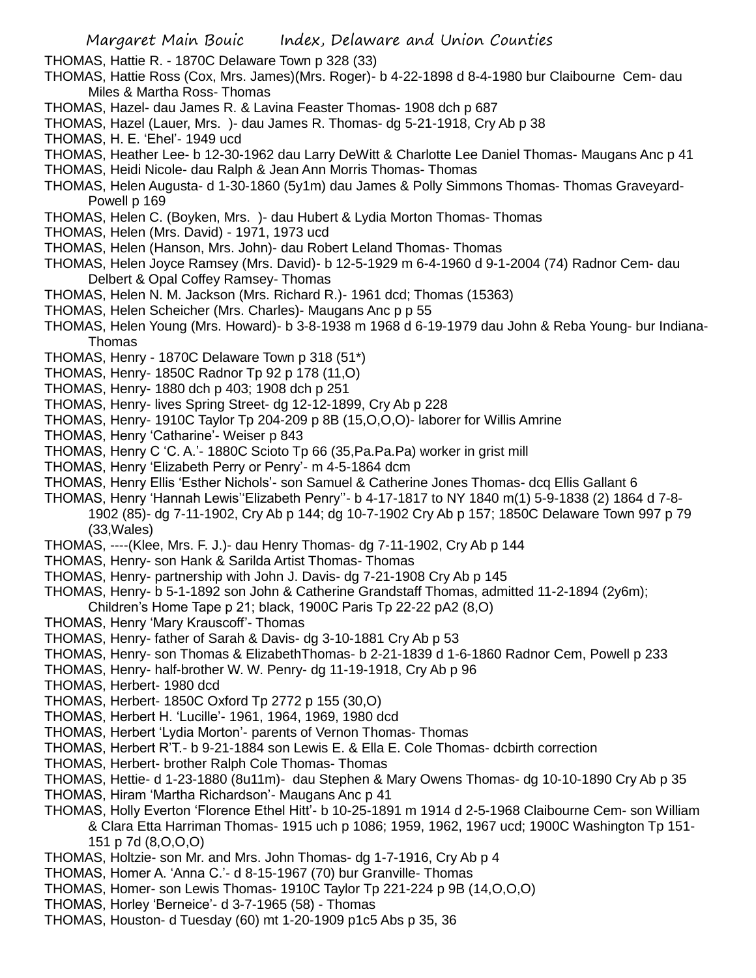THOMAS, Hattie R. - 1870C Delaware Town p 328 (33)

- THOMAS, Hattie Ross (Cox, Mrs. James)(Mrs. Roger)- b 4-22-1898 d 8-4-1980 bur Claibourne Cem- dau Miles & Martha Ross- Thomas
- THOMAS, Hazel- dau James R. & Lavina Feaster Thomas- 1908 dch p 687
- THOMAS, Hazel (Lauer, Mrs. )- dau James R. Thomas- dg 5-21-1918, Cry Ab p 38
- THOMAS, H. E. 'Ehel'- 1949 ucd
- THOMAS, Heather Lee- b 12-30-1962 dau Larry DeWitt & Charlotte Lee Daniel Thomas- Maugans Anc p 41
- THOMAS, Heidi Nicole- dau Ralph & Jean Ann Morris Thomas- Thomas
- THOMAS, Helen Augusta- d 1-30-1860 (5y1m) dau James & Polly Simmons Thomas- Thomas Graveyard-Powell p 169
- THOMAS, Helen C. (Boyken, Mrs. )- dau Hubert & Lydia Morton Thomas- Thomas
- THOMAS, Helen (Mrs. David) 1971, 1973 ucd
- THOMAS, Helen (Hanson, Mrs. John)- dau Robert Leland Thomas- Thomas
- THOMAS, Helen Joyce Ramsey (Mrs. David)- b 12-5-1929 m 6-4-1960 d 9-1-2004 (74) Radnor Cem- dau Delbert & Opal Coffey Ramsey- Thomas
- THOMAS, Helen N. M. Jackson (Mrs. Richard R.)- 1961 dcd; Thomas (15363)
- THOMAS, Helen Scheicher (Mrs. Charles)- Maugans Anc p p 55
- THOMAS, Helen Young (Mrs. Howard)- b 3-8-1938 m 1968 d 6-19-1979 dau John & Reba Young- bur Indiana-Thomas
- THOMAS, Henry 1870C Delaware Town p 318 (51\*)
- THOMAS, Henry- 1850C Radnor Tp 92 p 178 (11,O)
- THOMAS, Henry- 1880 dch p 403; 1908 dch p 251
- THOMAS, Henry- lives Spring Street- dg 12-12-1899, Cry Ab p 228
- THOMAS, Henry- 1910C Taylor Tp 204-209 p 8B (15,O,O,O)- laborer for Willis Amrine
- THOMAS, Henry 'Catharine'- Weiser p 843
- THOMAS, Henry C 'C. A.'- 1880C Scioto Tp 66 (35,Pa.Pa.Pa) worker in grist mill
- THOMAS, Henry 'Elizabeth Perry or Penry'- m 4-5-1864 dcm
- THOMAS, Henry Ellis 'Esther Nichols'- son Samuel & Catherine Jones Thomas- dcq Ellis Gallant 6
- THOMAS, Henry 'Hannah Lewis''Elizabeth Penry''- b 4-17-1817 to NY 1840 m(1) 5-9-1838 (2) 1864 d 7-8- 1902 (85)- dg 7-11-1902, Cry Ab p 144; dg 10-7-1902 Cry Ab p 157; 1850C Delaware Town 997 p 79 (33,Wales)
- THOMAS, ----(Klee, Mrs. F. J.)- dau Henry Thomas- dg 7-11-1902, Cry Ab p 144
- THOMAS, Henry- son Hank & Sarilda Artist Thomas- Thomas
- THOMAS, Henry- partnership with John J. Davis- dg 7-21-1908 Cry Ab p 145
- THOMAS, Henry- b 5-1-1892 son John & Catherine Grandstaff Thomas, admitted 11-2-1894 (2y6m); Children's Home Tape p 21; black, 1900C Paris Tp 22-22 pA2 (8,O)
- THOMAS, Henry 'Mary Krauscoff'- Thomas
- THOMAS, Henry- father of Sarah & Davis- dg 3-10-1881 Cry Ab p 53
- THOMAS, Henry- son Thomas & ElizabethThomas- b 2-21-1839 d 1-6-1860 Radnor Cem, Powell p 233
- THOMAS, Henry- half-brother W. W. Penry- dg 11-19-1918, Cry Ab p 96
- THOMAS, Herbert- 1980 dcd
- THOMAS, Herbert- 1850C Oxford Tp 2772 p 155 (30,O)
- THOMAS, Herbert H. 'Lucille'- 1961, 1964, 1969, 1980 dcd
- THOMAS, Herbert 'Lydia Morton'- parents of Vernon Thomas- Thomas
- THOMAS, Herbert R'T.- b 9-21-1884 son Lewis E. & Ella E. Cole Thomas- dcbirth correction
- THOMAS, Herbert- brother Ralph Cole Thomas- Thomas
- THOMAS, Hettie- d 1-23-1880 (8u11m)- dau Stephen & Mary Owens Thomas- dg 10-10-1890 Cry Ab p 35
- THOMAS, Hiram 'Martha Richardson'- Maugans Anc p 41
- THOMAS, Holly Everton 'Florence Ethel Hitt'- b 10-25-1891 m 1914 d 2-5-1968 Claibourne Cem- son William & Clara Etta Harriman Thomas- 1915 uch p 1086; 1959, 1962, 1967 ucd; 1900C Washington Tp 151- 151 p 7d (8,O,O,O)
- THOMAS, Holtzie- son Mr. and Mrs. John Thomas- dg 1-7-1916, Cry Ab p 4
- THOMAS, Homer A. 'Anna C.'- d 8-15-1967 (70) bur Granville- Thomas
- THOMAS, Homer- son Lewis Thomas- 1910C Taylor Tp 221-224 p 9B (14,O,O,O)
- THOMAS, Horley 'Berneice'- d 3-7-1965 (58) Thomas
- THOMAS, Houston- d Tuesday (60) mt 1-20-1909 p1c5 Abs p 35, 36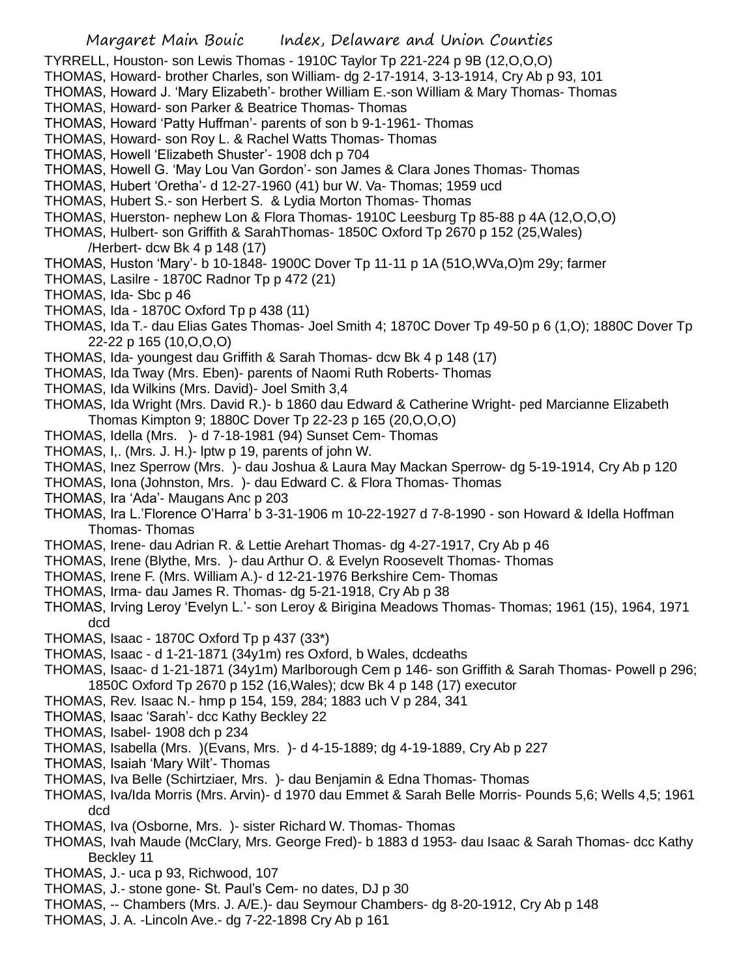- TYRRELL, Houston- son Lewis Thomas 1910C Taylor Tp 221-224 p 9B (12,O,O,O)
- THOMAS, Howard- brother Charles, son William- dg 2-17-1914, 3-13-1914, Cry Ab p 93, 101
- THOMAS, Howard J. 'Mary Elizabeth'- brother William E.-son William & Mary Thomas- Thomas
- THOMAS, Howard- son Parker & Beatrice Thomas- Thomas
- THOMAS, Howard 'Patty Huffman'- parents of son b 9-1-1961- Thomas
- THOMAS, Howard- son Roy L. & Rachel Watts Thomas- Thomas
- THOMAS, Howell 'Elizabeth Shuster'- 1908 dch p 704
- THOMAS, Howell G. 'May Lou Van Gordon'- son James & Clara Jones Thomas- Thomas
- THOMAS, Hubert 'Oretha'- d 12-27-1960 (41) bur W. Va- Thomas; 1959 ucd
- THOMAS, Hubert S.- son Herbert S. & Lydia Morton Thomas- Thomas
- THOMAS, Huerston- nephew Lon & Flora Thomas- 1910C Leesburg Tp 85-88 p 4A (12,O,O,O)
- THOMAS, Hulbert- son Griffith & SarahThomas- 1850C Oxford Tp 2670 p 152 (25,Wales) /Herbert- dcw Bk 4 p 148 (17)
- THOMAS, Huston 'Mary'- b 10-1848- 1900C Dover Tp 11-11 p 1A (51O,WVa,O)m 29y; farmer
- THOMAS, Lasilre 1870C Radnor Tp p 472 (21)
- THOMAS, Ida- Sbc p 46
- THOMAS, Ida 1870C Oxford Tp p 438 (11)
- THOMAS, Ida T.- dau Elias Gates Thomas- Joel Smith 4; 1870C Dover Tp 49-50 p 6 (1,O); 1880C Dover Tp 22-22 p 165 (10,O,O,O)
- THOMAS, Ida- youngest dau Griffith & Sarah Thomas- dcw Bk 4 p 148 (17)
- THOMAS, Ida Tway (Mrs. Eben)- parents of Naomi Ruth Roberts- Thomas
- THOMAS, Ida Wilkins (Mrs. David)- Joel Smith 3,4
- THOMAS, Ida Wright (Mrs. David R.)- b 1860 dau Edward & Catherine Wright- ped Marcianne Elizabeth Thomas Kimpton 9; 1880C Dover Tp 22-23 p 165 (20,O,O,O)
- THOMAS, Idella (Mrs. )- d 7-18-1981 (94) Sunset Cem- Thomas
- THOMAS, I,. (Mrs. J. H.)- lptw p 19, parents of john W.
- THOMAS, Inez Sperrow (Mrs. )- dau Joshua & Laura May Mackan Sperrow- dg 5-19-1914, Cry Ab p 120
- THOMAS, Iona (Johnston, Mrs. )- dau Edward C. & Flora Thomas- Thomas
- THOMAS, Ira 'Ada'- Maugans Anc p 203
- THOMAS, Ira L.'Florence O'Harra' b 3-31-1906 m 10-22-1927 d 7-8-1990 son Howard & Idella Hoffman Thomas- Thomas
- THOMAS, Irene- dau Adrian R. & Lettie Arehart Thomas- dg 4-27-1917, Cry Ab p 46
- THOMAS, Irene (Blythe, Mrs. )- dau Arthur O. & Evelyn Roosevelt Thomas- Thomas
- THOMAS, Irene F. (Mrs. William A.)- d 12-21-1976 Berkshire Cem- Thomas
- THOMAS, Irma- dau James R. Thomas- dg 5-21-1918, Cry Ab p 38
- THOMAS, Irving Leroy 'Evelyn L.'- son Leroy & Birigina Meadows Thomas- Thomas; 1961 (15), 1964, 1971 dcd
- THOMAS, Isaac 1870C Oxford Tp p 437 (33\*)
- THOMAS, Isaac d 1-21-1871 (34y1m) res Oxford, b Wales, dcdeaths
- THOMAS, Isaac- d 1-21-1871 (34y1m) Marlborough Cem p 146- son Griffith & Sarah Thomas- Powell p 296; 1850C Oxford Tp 2670 p 152 (16,Wales); dcw Bk 4 p 148 (17) executor
- THOMAS, Rev. Isaac N.- hmp p 154, 159, 284; 1883 uch V p 284, 341
- THOMAS, Isaac 'Sarah'- dcc Kathy Beckley 22
- THOMAS, Isabel- 1908 dch p 234
- THOMAS, Isabella (Mrs. )(Evans, Mrs. )- d 4-15-1889; dg 4-19-1889, Cry Ab p 227
- THOMAS, Isaiah 'Mary Wilt'- Thomas
- THOMAS, Iva Belle (Schirtziaer, Mrs. )- dau Benjamin & Edna Thomas- Thomas
- THOMAS, Iva/Ida Morris (Mrs. Arvin)- d 1970 dau Emmet & Sarah Belle Morris- Pounds 5,6; Wells 4,5; 1961 dcd
- THOMAS, Iva (Osborne, Mrs. )- sister Richard W. Thomas- Thomas
- THOMAS, Ivah Maude (McClary, Mrs. George Fred)- b 1883 d 1953- dau Isaac & Sarah Thomas- dcc Kathy Beckley 11
- THOMAS, J.- uca p 93, Richwood, 107
- THOMAS, J.- stone gone- St. Paul's Cem- no dates, DJ p 30
- THOMAS, -- Chambers (Mrs. J. A/E.)- dau Seymour Chambers- dg 8-20-1912, Cry Ab p 148
- THOMAS, J. A. -Lincoln Ave.- dg 7-22-1898 Cry Ab p 161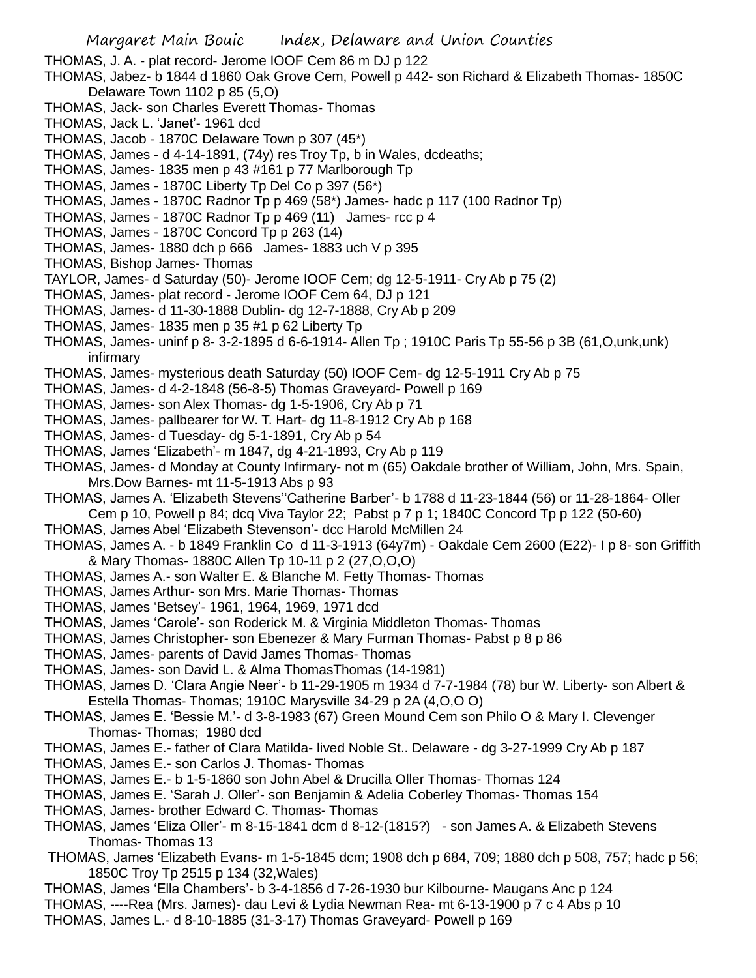- THOMAS, J. A. plat record- Jerome IOOF Cem 86 m DJ p 122
- THOMAS, Jabez- b 1844 d 1860 Oak Grove Cem, Powell p 442- son Richard & Elizabeth Thomas- 1850C Delaware Town 1102 p 85 (5,O)
- THOMAS, Jack- son Charles Everett Thomas- Thomas
- THOMAS, Jack L. 'Janet'- 1961 dcd
- THOMAS, Jacob 1870C Delaware Town p 307 (45\*)
- THOMAS, James d 4-14-1891, (74y) res Troy Tp, b in Wales, dcdeaths;
- THOMAS, James- 1835 men p 43 #161 p 77 Marlborough Tp
- THOMAS, James 1870C Liberty Tp Del Co p 397 (56\*)
- THOMAS, James 1870C Radnor Tp p 469 (58\*) James- hadc p 117 (100 Radnor Tp)
- THOMAS, James 1870C Radnor Tp p 469 (11) James- rcc p 4
- THOMAS, James 1870C Concord Tp p 263 (14)
- THOMAS, James- 1880 dch p 666 James- 1883 uch V p 395
- THOMAS, Bishop James- Thomas
- TAYLOR, James- d Saturday (50)- Jerome IOOF Cem; dg 12-5-1911- Cry Ab p 75 (2)
- THOMAS, James- plat record Jerome IOOF Cem 64, DJ p 121
- THOMAS, James- d 11-30-1888 Dublin- dg 12-7-1888, Cry Ab p 209
- THOMAS, James- 1835 men p 35 #1 p 62 Liberty Tp
- THOMAS, James- uninf p 8- 3-2-1895 d 6-6-1914- Allen Tp ; 1910C Paris Tp 55-56 p 3B (61,O,unk,unk) infirmary
- THOMAS, James- mysterious death Saturday (50) IOOF Cem- dg 12-5-1911 Cry Ab p 75
- THOMAS, James- d 4-2-1848 (56-8-5) Thomas Graveyard- Powell p 169
- THOMAS, James- son Alex Thomas- dg 1-5-1906, Cry Ab p 71
- THOMAS, James- pallbearer for W. T. Hart- dg 11-8-1912 Cry Ab p 168
- THOMAS, James- d Tuesday- dg 5-1-1891, Cry Ab p 54
- THOMAS, James 'Elizabeth'- m 1847, dg 4-21-1893, Cry Ab p 119
- THOMAS, James- d Monday at County Infirmary- not m (65) Oakdale brother of William, John, Mrs. Spain, Mrs.Dow Barnes- mt 11-5-1913 Abs p 93
- THOMAS, James A. 'Elizabeth Stevens''Catherine Barber'- b 1788 d 11-23-1844 (56) or 11-28-1864- Oller Cem p 10, Powell p 84; dcq Viva Taylor 22; Pabst p 7 p 1; 1840C Concord Tp p 122 (50-60)
- THOMAS, James Abel 'Elizabeth Stevenson'- dcc Harold McMillen 24
- THOMAS, James A. b 1849 Franklin Co d 11-3-1913 (64y7m) Oakdale Cem 2600 (E22)- I p 8- son Griffith & Mary Thomas- 1880C Allen Tp 10-11 p 2 (27,O,O,O)
- THOMAS, James A.- son Walter E. & Blanche M. Fetty Thomas- Thomas
- THOMAS, James Arthur- son Mrs. Marie Thomas- Thomas
- THOMAS, James 'Betsey'- 1961, 1964, 1969, 1971 dcd
- THOMAS, James 'Carole'- son Roderick M. & Virginia Middleton Thomas- Thomas
- THOMAS, James Christopher- son Ebenezer & Mary Furman Thomas- Pabst p 8 p 86
- THOMAS, James- parents of David James Thomas- Thomas
- THOMAS, James- son David L. & Alma ThomasThomas (14-1981)
- THOMAS, James D. 'Clara Angie Neer'- b 11-29-1905 m 1934 d 7-7-1984 (78) bur W. Liberty- son Albert & Estella Thomas- Thomas; 1910C Marysville 34-29 p 2A (4,O,O O)
- THOMAS, James E. 'Bessie M.'- d 3-8-1983 (67) Green Mound Cem son Philo O & Mary I. Clevenger Thomas- Thomas; 1980 dcd
- THOMAS, James E.- father of Clara Matilda- lived Noble St.. Delaware dg 3-27-1999 Cry Ab p 187
- THOMAS, James E.- son Carlos J. Thomas- Thomas
- THOMAS, James E.- b 1-5-1860 son John Abel & Drucilla Oller Thomas- Thomas 124
- THOMAS, James E. 'Sarah J. Oller'- son Benjamin & Adelia Coberley Thomas- Thomas 154
- THOMAS, James- brother Edward C. Thomas- Thomas
- THOMAS, James 'Eliza Oller'- m 8-15-1841 dcm d 8-12-(1815?) son James A. & Elizabeth Stevens Thomas- Thomas 13
- THOMAS, James 'Elizabeth Evans- m 1-5-1845 dcm; 1908 dch p 684, 709; 1880 dch p 508, 757; hadc p 56; 1850C Troy Tp 2515 p 134 (32,Wales)
- THOMAS, James 'Ella Chambers'- b 3-4-1856 d 7-26-1930 bur Kilbourne- Maugans Anc p 124
- THOMAS, ----Rea (Mrs. James)- dau Levi & Lydia Newman Rea- mt 6-13-1900 p 7 c 4 Abs p 10
- THOMAS, James L.- d 8-10-1885 (31-3-17) Thomas Graveyard- Powell p 169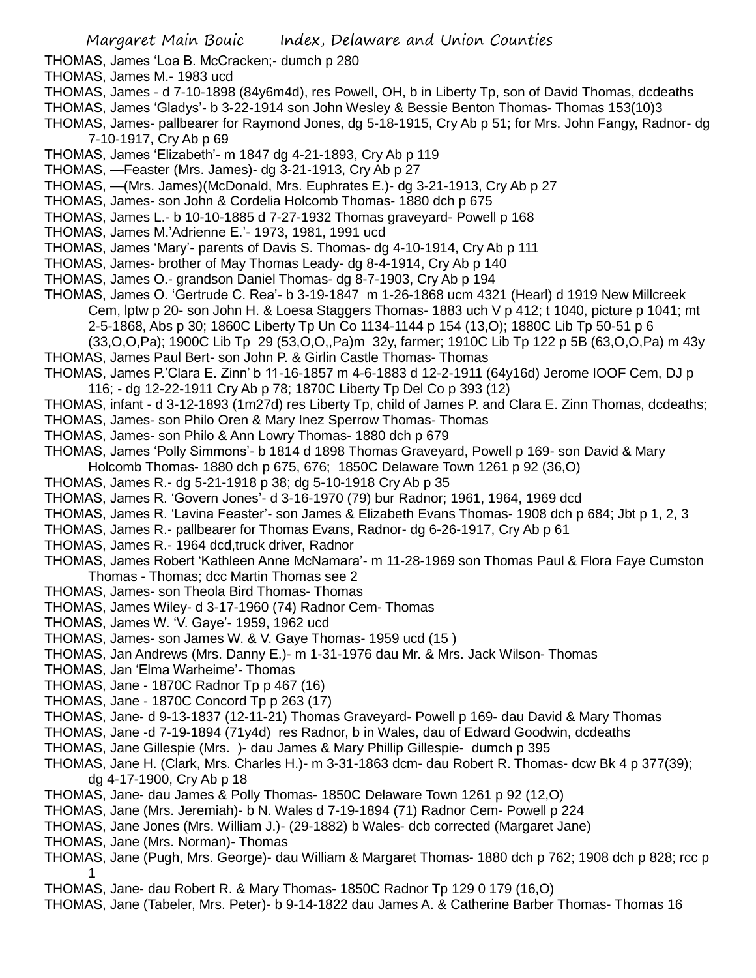- THOMAS, James 'Loa B. McCracken;- dumch p 280
- THOMAS, James M.- 1983 ucd
- THOMAS, James d 7-10-1898 (84y6m4d), res Powell, OH, b in Liberty Tp, son of David Thomas, dcdeaths
- THOMAS, James 'Gladys'- b 3-22-1914 son John Wesley & Bessie Benton Thomas- Thomas 153(10)3
- THOMAS, James- pallbearer for Raymond Jones, dg 5-18-1915, Cry Ab p 51; for Mrs. John Fangy, Radnor- dg 7-10-1917, Cry Ab p 69
- THOMAS, James 'Elizabeth'- m 1847 dg 4-21-1893, Cry Ab p 119
- THOMAS, —Feaster (Mrs. James)- dg 3-21-1913, Cry Ab p 27
- THOMAS, —(Mrs. James)(McDonald, Mrs. Euphrates E.)- dg 3-21-1913, Cry Ab p 27
- THOMAS, James- son John & Cordelia Holcomb Thomas- 1880 dch p 675
- THOMAS, James L.- b 10-10-1885 d 7-27-1932 Thomas graveyard- Powell p 168
- THOMAS, James M.'Adrienne E.'- 1973, 1981, 1991 ucd
- THOMAS, James 'Mary'- parents of Davis S. Thomas- dg 4-10-1914, Cry Ab p 111
- THOMAS, James- brother of May Thomas Leady- dg 8-4-1914, Cry Ab p 140
- THOMAS, James O.- grandson Daniel Thomas- dg 8-7-1903, Cry Ab p 194
- THOMAS, James O. 'Gertrude C. Rea'- b 3-19-1847 m 1-26-1868 ucm 4321 (Hearl) d 1919 New Millcreek Cem, lptw p 20- son John H. & Loesa Staggers Thomas- 1883 uch V p 412; t 1040, picture p 1041; mt 2-5-1868, Abs p 30; 1860C Liberty Tp Un Co 1134-1144 p 154 (13,O); 1880C Lib Tp 50-51 p 6 (33,O,O,Pa); 1900C Lib Tp 29 (53,O,O,,Pa)m 32y, farmer; 1910C Lib Tp 122 p 5B (63,O,O,Pa) m 43y
- THOMAS, James Paul Bert- son John P. & Girlin Castle Thomas- Thomas
- THOMAS, James P.'Clara E. Zinn' b 11-16-1857 m 4-6-1883 d 12-2-1911 (64y16d) Jerome IOOF Cem, DJ p 116; - dg 12-22-1911 Cry Ab p 78; 1870C Liberty Tp Del Co p 393 (12)
- THOMAS, infant d 3-12-1893 (1m27d) res Liberty Tp, child of James P. and Clara E. Zinn Thomas, dcdeaths;
- THOMAS, James- son Philo Oren & Mary Inez Sperrow Thomas- Thomas
- THOMAS, James- son Philo & Ann Lowry Thomas- 1880 dch p 679
- THOMAS, James 'Polly Simmons'- b 1814 d 1898 Thomas Graveyard, Powell p 169- son David & Mary Holcomb Thomas- 1880 dch p 675, 676; 1850C Delaware Town 1261 p 92 (36,O)
- THOMAS, James R.- dg 5-21-1918 p 38; dg 5-10-1918 Cry Ab p 35
- THOMAS, James R. 'Govern Jones'- d 3-16-1970 (79) bur Radnor; 1961, 1964, 1969 dcd
- THOMAS, James R. 'Lavina Feaster'- son James & Elizabeth Evans Thomas- 1908 dch p 684; Jbt p 1, 2, 3
- THOMAS, James R.- pallbearer for Thomas Evans, Radnor- dg 6-26-1917, Cry Ab p 61
- THOMAS, James R.- 1964 dcd,truck driver, Radnor
- THOMAS, James Robert 'Kathleen Anne McNamara'- m 11-28-1969 son Thomas Paul & Flora Faye Cumston Thomas - Thomas; dcc Martin Thomas see 2
- THOMAS, James- son Theola Bird Thomas- Thomas
- THOMAS, James Wiley- d 3-17-1960 (74) Radnor Cem- Thomas
- THOMAS, James W. 'V. Gaye'- 1959, 1962 ucd
- THOMAS, James- son James W. & V. Gaye Thomas- 1959 ucd (15 )
- THOMAS, Jan Andrews (Mrs. Danny E.)- m 1-31-1976 dau Mr. & Mrs. Jack Wilson- Thomas
- THOMAS, Jan 'Elma Warheime'- Thomas
- THOMAS, Jane 1870C Radnor Tp p 467 (16)
- THOMAS, Jane 1870C Concord Tp p 263 (17)
- THOMAS, Jane- d 9-13-1837 (12-11-21) Thomas Graveyard- Powell p 169- dau David & Mary Thomas
- THOMAS, Jane -d 7-19-1894 (71y4d) res Radnor, b in Wales, dau of Edward Goodwin, dcdeaths
- THOMAS, Jane Gillespie (Mrs. )- dau James & Mary Phillip Gillespie- dumch p 395
- THOMAS, Jane H. (Clark, Mrs. Charles H.)- m 3-31-1863 dcm- dau Robert R. Thomas- dcw Bk 4 p 377(39); dg 4-17-1900, Cry Ab p 18
- THOMAS, Jane- dau James & Polly Thomas- 1850C Delaware Town 1261 p 92 (12,O)
- THOMAS, Jane (Mrs. Jeremiah)- b N. Wales d 7-19-1894 (71) Radnor Cem- Powell p 224
- THOMAS, Jane Jones (Mrs. William J.)- (29-1882) b Wales- dcb corrected (Margaret Jane)
- THOMAS, Jane (Mrs. Norman)- Thomas
- THOMAS, Jane (Pugh, Mrs. George)- dau William & Margaret Thomas- 1880 dch p 762; 1908 dch p 828; rcc p 1
- THOMAS, Jane- dau Robert R. & Mary Thomas- 1850C Radnor Tp 129 0 179 (16,O)
- THOMAS, Jane (Tabeler, Mrs. Peter)- b 9-14-1822 dau James A. & Catherine Barber Thomas- Thomas 16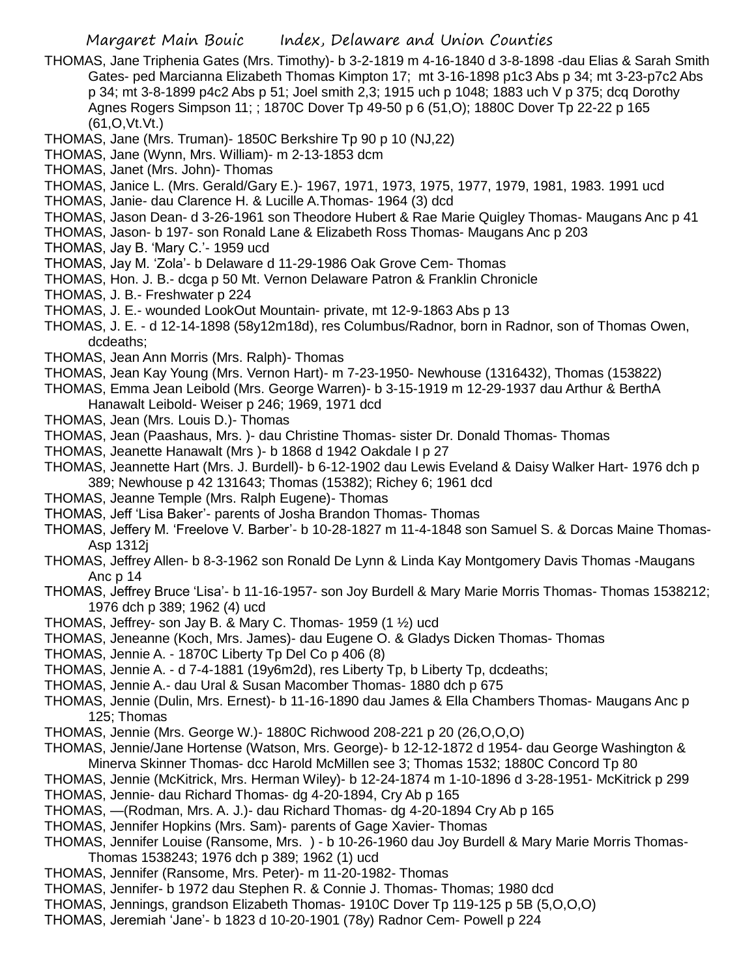- THOMAS, Jane Triphenia Gates (Mrs. Timothy)- b 3-2-1819 m 4-16-1840 d 3-8-1898 -dau Elias & Sarah Smith Gates- ped Marcianna Elizabeth Thomas Kimpton 17; mt 3-16-1898 p1c3 Abs p 34; mt 3-23-p7c2 Abs p 34; mt 3-8-1899 p4c2 Abs p 51; Joel smith 2,3; 1915 uch p 1048; 1883 uch V p 375; dcq Dorothy Agnes Rogers Simpson 11; ; 1870C Dover Tp 49-50 p 6 (51,O); 1880C Dover Tp 22-22 p 165 (61,O,Vt.Vt.)
- THOMAS, Jane (Mrs. Truman)- 1850C Berkshire Tp 90 p 10 (NJ,22)
- THOMAS, Jane (Wynn, Mrs. William)- m 2-13-1853 dcm
- THOMAS, Janet (Mrs. John)- Thomas
- THOMAS, Janice L. (Mrs. Gerald/Gary E.)- 1967, 1971, 1973, 1975, 1977, 1979, 1981, 1983. 1991 ucd
- THOMAS, Janie- dau Clarence H. & Lucille A.Thomas- 1964 (3) dcd
- THOMAS, Jason Dean- d 3-26-1961 son Theodore Hubert & Rae Marie Quigley Thomas- Maugans Anc p 41
- THOMAS, Jason- b 197- son Ronald Lane & Elizabeth Ross Thomas- Maugans Anc p 203
- THOMAS, Jay B. 'Mary C.'- 1959 ucd
- THOMAS, Jay M. 'Zola'- b Delaware d 11-29-1986 Oak Grove Cem- Thomas
- THOMAS, Hon. J. B.- dcga p 50 Mt. Vernon Delaware Patron & Franklin Chronicle
- THOMAS, J. B.- Freshwater p 224
- THOMAS, J. E.- wounded LookOut Mountain- private, mt 12-9-1863 Abs p 13
- THOMAS, J. E. d 12-14-1898 (58y12m18d), res Columbus/Radnor, born in Radnor, son of Thomas Owen, dcdeaths;
- THOMAS, Jean Ann Morris (Mrs. Ralph)- Thomas
- THOMAS, Jean Kay Young (Mrs. Vernon Hart)- m 7-23-1950- Newhouse (1316432), Thomas (153822)
- THOMAS, Emma Jean Leibold (Mrs. George Warren)- b 3-15-1919 m 12-29-1937 dau Arthur & BerthA Hanawalt Leibold- Weiser p 246; 1969, 1971 dcd
- THOMAS, Jean (Mrs. Louis D.)- Thomas
- THOMAS, Jean (Paashaus, Mrs. )- dau Christine Thomas- sister Dr. Donald Thomas- Thomas
- THOMAS, Jeanette Hanawalt (Mrs )- b 1868 d 1942 Oakdale I p 27
- THOMAS, Jeannette Hart (Mrs. J. Burdell)- b 6-12-1902 dau Lewis Eveland & Daisy Walker Hart- 1976 dch p 389; Newhouse p 42 131643; Thomas (15382); Richey 6; 1961 dcd
- THOMAS, Jeanne Temple (Mrs. Ralph Eugene)- Thomas
- THOMAS, Jeff 'Lisa Baker'- parents of Josha Brandon Thomas- Thomas
- THOMAS, Jeffery M. 'Freelove V. Barber'- b 10-28-1827 m 11-4-1848 son Samuel S. & Dorcas Maine Thomas-Asp 1312j
- THOMAS, Jeffrey Allen- b 8-3-1962 son Ronald De Lynn & Linda Kay Montgomery Davis Thomas -Maugans Anc p 14
- THOMAS, Jeffrey Bruce 'Lisa'- b 11-16-1957- son Joy Burdell & Mary Marie Morris Thomas- Thomas 1538212; 1976 dch p 389; 1962 (4) ucd
- THOMAS, Jeffrey- son Jay B. & Mary C. Thomas- 1959 (1 ½) ucd
- THOMAS, Jeneanne (Koch, Mrs. James)- dau Eugene O. & Gladys Dicken Thomas- Thomas
- THOMAS, Jennie A. 1870C Liberty Tp Del Co p 406 (8)
- THOMAS, Jennie A. d 7-4-1881 (19y6m2d), res Liberty Tp, b Liberty Tp, dcdeaths;
- THOMAS, Jennie A.- dau Ural & Susan Macomber Thomas- 1880 dch p 675
- THOMAS, Jennie (Dulin, Mrs. Ernest)- b 11-16-1890 dau James & Ella Chambers Thomas- Maugans Anc p 125; Thomas
- THOMAS, Jennie (Mrs. George W.)- 1880C Richwood 208-221 p 20 (26,O,O,O)
- THOMAS, Jennie/Jane Hortense (Watson, Mrs. George)- b 12-12-1872 d 1954- dau George Washington & Minerva Skinner Thomas- dcc Harold McMillen see 3; Thomas 1532; 1880C Concord Tp 80
- THOMAS, Jennie (McKitrick, Mrs. Herman Wiley)- b 12-24-1874 m 1-10-1896 d 3-28-1951- McKitrick p 299 THOMAS, Jennie- dau Richard Thomas- dg 4-20-1894, Cry Ab p 165
- THOMAS, —(Rodman, Mrs. A. J.)- dau Richard Thomas- dg 4-20-1894 Cry Ab p 165
- THOMAS, Jennifer Hopkins (Mrs. Sam)- parents of Gage Xavier- Thomas
- THOMAS, Jennifer Louise (Ransome, Mrs. ) b 10-26-1960 dau Joy Burdell & Mary Marie Morris Thomas-Thomas 1538243; 1976 dch p 389; 1962 (1) ucd
- THOMAS, Jennifer (Ransome, Mrs. Peter)- m 11-20-1982- Thomas
- THOMAS, Jennifer- b 1972 dau Stephen R. & Connie J. Thomas- Thomas; 1980 dcd
- THOMAS, Jennings, grandson Elizabeth Thomas- 1910C Dover Tp 119-125 p 5B (5,O,O,O)
- THOMAS, Jeremiah 'Jane'- b 1823 d 10-20-1901 (78y) Radnor Cem- Powell p 224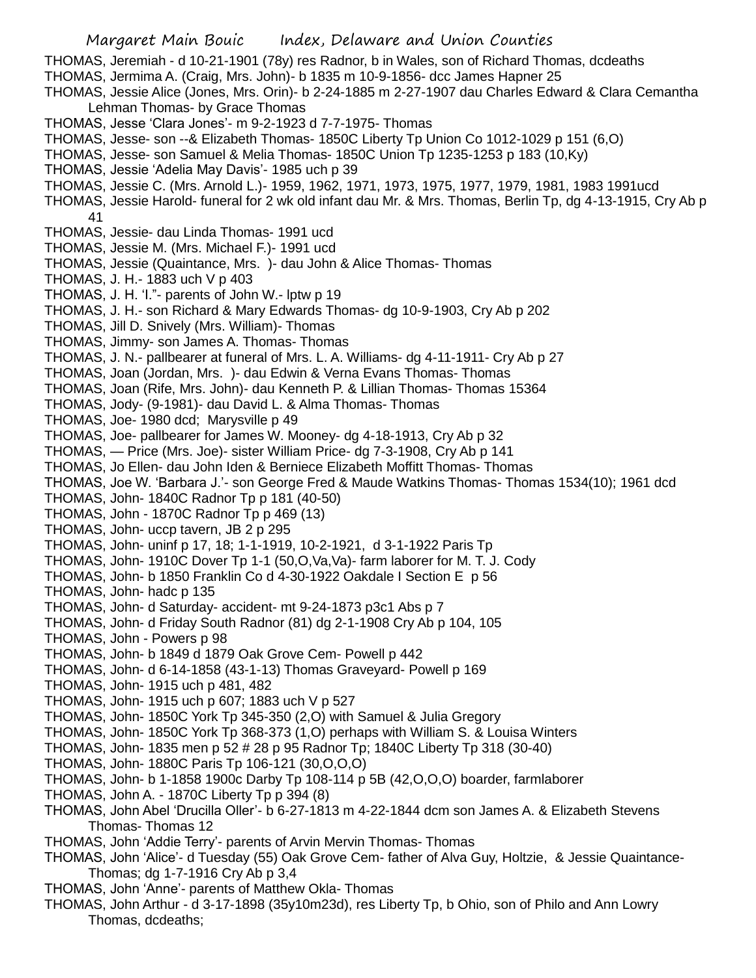- Margaret Main Bouic Index, Delaware and Union Counties THOMAS, Jeremiah - d 10-21-1901 (78y) res Radnor, b in Wales, son of Richard Thomas, dcdeaths THOMAS, Jermima A. (Craig, Mrs. John)- b 1835 m 10-9-1856- dcc James Hapner 25 THOMAS, Jessie Alice (Jones, Mrs. Orin)- b 2-24-1885 m 2-27-1907 dau Charles Edward & Clara Cemantha Lehman Thomas- by Grace Thomas THOMAS, Jesse 'Clara Jones'- m 9-2-1923 d 7-7-1975- Thomas THOMAS, Jesse- son --& Elizabeth Thomas- 1850C Liberty Tp Union Co 1012-1029 p 151 (6,O) THOMAS, Jesse- son Samuel & Melia Thomas- 1850C Union Tp 1235-1253 p 183 (10,Ky) THOMAS, Jessie 'Adelia May Davis'- 1985 uch p 39 THOMAS, Jessie C. (Mrs. Arnold L.)- 1959, 1962, 1971, 1973, 1975, 1977, 1979, 1981, 1983 1991ucd THOMAS, Jessie Harold- funeral for 2 wk old infant dau Mr. & Mrs. Thomas, Berlin Tp, dg 4-13-1915, Cry Ab p 41 THOMAS, Jessie- dau Linda Thomas- 1991 ucd THOMAS, Jessie M. (Mrs. Michael F.)- 1991 ucd THOMAS, Jessie (Quaintance, Mrs. )- dau John & Alice Thomas- Thomas THOMAS, J. H.- 1883 uch V p 403 THOMAS, J. H. 'I."- parents of John W.- lptw p 19 THOMAS, J. H.- son Richard & Mary Edwards Thomas- dg 10-9-1903, Cry Ab p 202 THOMAS, Jill D. Snively (Mrs. William)- Thomas THOMAS, Jimmy- son James A. Thomas- Thomas THOMAS, J. N.- pallbearer at funeral of Mrs. L. A. Williams- dg 4-11-1911- Cry Ab p 27 THOMAS, Joan (Jordan, Mrs. )- dau Edwin & Verna Evans Thomas- Thomas THOMAS, Joan (Rife, Mrs. John)- dau Kenneth P. & Lillian Thomas- Thomas 15364 THOMAS, Jody- (9-1981)- dau David L. & Alma Thomas- Thomas THOMAS, Joe- 1980 dcd; Marysville p 49 THOMAS, Joe- pallbearer for James W. Mooney- dg 4-18-1913, Cry Ab p 32 THOMAS, — Price (Mrs. Joe)- sister William Price- dg 7-3-1908, Cry Ab p 141 THOMAS, Jo Ellen- dau John Iden & Berniece Elizabeth Moffitt Thomas- Thomas THOMAS, Joe W. 'Barbara J.'- son George Fred & Maude Watkins Thomas- Thomas 1534(10); 1961 dcd THOMAS, John- 1840C Radnor Tp p 181 (40-50) THOMAS, John - 1870C Radnor Tp p 469 (13) THOMAS, John- uccp tavern, JB 2 p 295 THOMAS, John- uninf p 17, 18; 1-1-1919, 10-2-1921, d 3-1-1922 Paris Tp THOMAS, John- 1910C Dover Tp 1-1 (50,O,Va,Va)- farm laborer for M. T. J. Cody THOMAS, John- b 1850 Franklin Co d 4-30-1922 Oakdale I Section E p 56 THOMAS, John- hadc p 135 THOMAS, John- d Saturday- accident- mt 9-24-1873 p3c1 Abs p 7 THOMAS, John- d Friday South Radnor (81) dg 2-1-1908 Cry Ab p 104, 105 THOMAS, John - Powers p 98 THOMAS, John- b 1849 d 1879 Oak Grove Cem- Powell p 442 THOMAS, John- d 6-14-1858 (43-1-13) Thomas Graveyard- Powell p 169 THOMAS, John- 1915 uch p 481, 482 THOMAS, John- 1915 uch p 607; 1883 uch V p 527 THOMAS, John- 1850C York Tp 345-350 (2,O) with Samuel & Julia Gregory THOMAS, John- 1850C York Tp 368-373 (1,O) perhaps with William S. & Louisa Winters THOMAS, John- 1835 men p 52 # 28 p 95 Radnor Tp; 1840C Liberty Tp 318 (30-40) THOMAS, John- 1880C Paris Tp 106-121 (30,O,O,O) THOMAS, John- b 1-1858 1900c Darby Tp 108-114 p 5B (42,O,O,O) boarder, farmlaborer THOMAS, John A. - 1870C Liberty Tp p 394 (8) THOMAS, John Abel 'Drucilla Oller'- b 6-27-1813 m 4-22-1844 dcm son James A. & Elizabeth Stevens Thomas- Thomas 12 THOMAS, John 'Addie Terry'- parents of Arvin Mervin Thomas- Thomas THOMAS, John 'Alice'- d Tuesday (55) Oak Grove Cem- father of Alva Guy, Holtzie, & Jessie Quaintance-Thomas; dg 1-7-1916 Cry Ab p 3,4
- THOMAS, John 'Anne'- parents of Matthew Okla- Thomas
- THOMAS, John Arthur d 3-17-1898 (35y10m23d), res Liberty Tp, b Ohio, son of Philo and Ann Lowry Thomas, dcdeaths;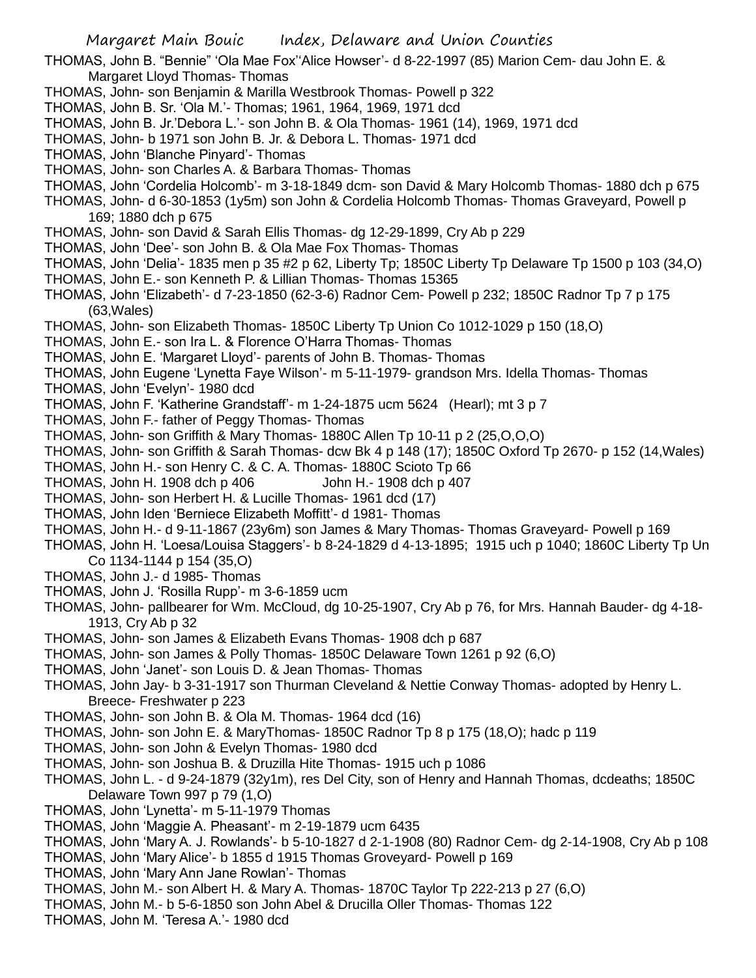- THOMAS, John B. "Bennie" 'Ola Mae Fox''Alice Howser'- d 8-22-1997 (85) Marion Cem- dau John E. & Margaret Lloyd Thomas- Thomas
- THOMAS, John- son Benjamin & Marilla Westbrook Thomas- Powell p 322
- THOMAS, John B. Sr. 'Ola M.'- Thomas; 1961, 1964, 1969, 1971 dcd
- THOMAS, John B. Jr.'Debora L.'- son John B. & Ola Thomas- 1961 (14), 1969, 1971 dcd
- THOMAS, John- b 1971 son John B. Jr. & Debora L. Thomas- 1971 dcd
- THOMAS, John 'Blanche Pinyard'- Thomas
- THOMAS, John- son Charles A. & Barbara Thomas- Thomas
- THOMAS, John 'Cordelia Holcomb'- m 3-18-1849 dcm- son David & Mary Holcomb Thomas- 1880 dch p 675
- THOMAS, John- d 6-30-1853 (1y5m) son John & Cordelia Holcomb Thomas- Thomas Graveyard, Powell p 169; 1880 dch p 675
- THOMAS, John- son David & Sarah Ellis Thomas- dg 12-29-1899, Cry Ab p 229
- THOMAS, John 'Dee'- son John B. & Ola Mae Fox Thomas- Thomas
- THOMAS, John 'Delia'- 1835 men p 35 #2 p 62, Liberty Tp; 1850C Liberty Tp Delaware Tp 1500 p 103 (34,O)
- THOMAS, John E.- son Kenneth P. & Lillian Thomas- Thomas 15365
- THOMAS, John 'Elizabeth'- d 7-23-1850 (62-3-6) Radnor Cem- Powell p 232; 1850C Radnor Tp 7 p 175 (63,Wales)
- THOMAS, John- son Elizabeth Thomas- 1850C Liberty Tp Union Co 1012-1029 p 150 (18,O)
- THOMAS, John E.- son Ira L. & Florence O'Harra Thomas- Thomas
- THOMAS, John E. 'Margaret Lloyd'- parents of John B. Thomas- Thomas
- THOMAS, John Eugene 'Lynetta Faye Wilson'- m 5-11-1979- grandson Mrs. Idella Thomas- Thomas
- THOMAS, John 'Evelyn'- 1980 dcd
- THOMAS, John F. 'Katherine Grandstaff'- m 1-24-1875 ucm 5624 (Hearl); mt 3 p 7
- THOMAS, John F.- father of Peggy Thomas- Thomas
- THOMAS, John- son Griffith & Mary Thomas- 1880C Allen Tp 10-11 p 2 (25,O,O,O)
- THOMAS, John- son Griffith & Sarah Thomas- dcw Bk 4 p 148 (17); 1850C Oxford Tp 2670- p 152 (14,Wales)
- THOMAS, John H.- son Henry C. & C. A. Thomas- 1880C Scioto Tp 66
- THOMAS, John H. 1908 dch p 406 John H.- 1908 dch p 407
- THOMAS, John- son Herbert H. & Lucille Thomas- 1961 dcd (17)
- THOMAS, John Iden 'Berniece Elizabeth Moffitt'- d 1981- Thomas
- THOMAS, John H.- d 9-11-1867 (23y6m) son James & Mary Thomas- Thomas Graveyard- Powell p 169
- THOMAS, John H. 'Loesa/Louisa Staggers'- b 8-24-1829 d 4-13-1895; 1915 uch p 1040; 1860C Liberty Tp Un Co 1134-1144 p 154 (35,O)
- THOMAS, John J.- d 1985- Thomas
- THOMAS, John J. 'Rosilla Rupp'- m 3-6-1859 ucm
- THOMAS, John- pallbearer for Wm. McCloud, dg 10-25-1907, Cry Ab p 76, for Mrs. Hannah Bauder- dg 4-18- 1913, Cry Ab p 32
- THOMAS, John- son James & Elizabeth Evans Thomas- 1908 dch p 687
- THOMAS, John- son James & Polly Thomas- 1850C Delaware Town 1261 p 92 (6,O)
- THOMAS, John 'Janet'- son Louis D. & Jean Thomas- Thomas
- THOMAS, John Jay- b 3-31-1917 son Thurman Cleveland & Nettie Conway Thomas- adopted by Henry L. Breece- Freshwater p 223
- THOMAS, John- son John B. & Ola M. Thomas- 1964 dcd (16)
- THOMAS, John- son John E. & MaryThomas- 1850C Radnor Tp 8 p 175 (18,O); hadc p 119
- THOMAS, John- son John & Evelyn Thomas- 1980 dcd
- THOMAS, John- son Joshua B. & Druzilla Hite Thomas- 1915 uch p 1086
- THOMAS, John L. d 9-24-1879 (32y1m), res Del City, son of Henry and Hannah Thomas, dcdeaths; 1850C Delaware Town 997 p 79 (1,O)
- THOMAS, John 'Lynetta'- m 5-11-1979 Thomas
- THOMAS, John 'Maggie A. Pheasant'- m 2-19-1879 ucm 6435
- THOMAS, John 'Mary A. J. Rowlands'- b 5-10-1827 d 2-1-1908 (80) Radnor Cem- dg 2-14-1908, Cry Ab p 108
- THOMAS, John 'Mary Alice'- b 1855 d 1915 Thomas Groveyard- Powell p 169
- THOMAS, John 'Mary Ann Jane Rowlan'- Thomas
- THOMAS, John M.- son Albert H. & Mary A. Thomas- 1870C Taylor Tp 222-213 p 27 (6,O)
- THOMAS, John M.- b 5-6-1850 son John Abel & Drucilla Oller Thomas- Thomas 122
- THOMAS, John M. 'Teresa A.'- 1980 dcd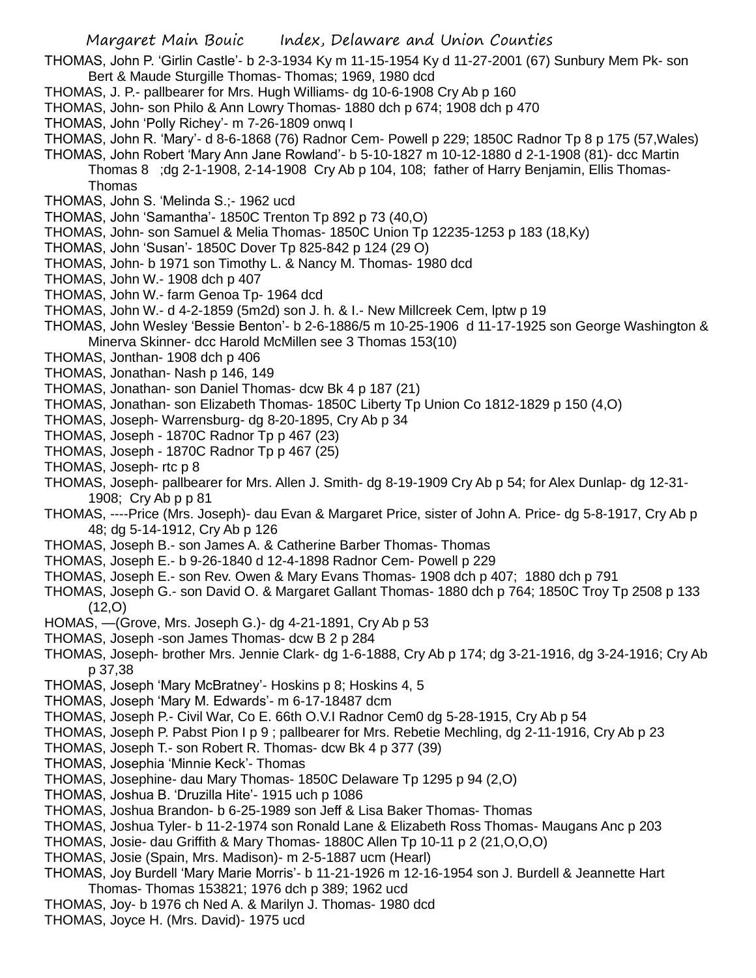THOMAS, John P. 'Girlin Castle'- b 2-3-1934 Ky m 11-15-1954 Ky d 11-27-2001 (67) Sunbury Mem Pk- son Bert & Maude Sturgille Thomas- Thomas; 1969, 1980 dcd

- THOMAS, J. P.- pallbearer for Mrs. Hugh Williams- dg 10-6-1908 Cry Ab p 160
- THOMAS, John- son Philo & Ann Lowry Thomas- 1880 dch p 674; 1908 dch p 470
- THOMAS, John 'Polly Richey'- m 7-26-1809 onwq I
- THOMAS, John R. 'Mary'- d 8-6-1868 (76) Radnor Cem- Powell p 229; 1850C Radnor Tp 8 p 175 (57,Wales)
- THOMAS, John Robert 'Mary Ann Jane Rowland'- b 5-10-1827 m 10-12-1880 d 2-1-1908 (81)- dcc Martin Thomas 8 ;dg 2-1-1908, 2-14-1908 Cry Ab p 104, 108; father of Harry Benjamin, Ellis Thomas-Thomas
- THOMAS, John S. 'Melinda S.;- 1962 ucd
- THOMAS, John 'Samantha'- 1850C Trenton Tp 892 p 73 (40,O)
- THOMAS, John- son Samuel & Melia Thomas- 1850C Union Tp 12235-1253 p 183 (18,Ky)
- THOMAS, John 'Susan'- 1850C Dover Tp 825-842 p 124 (29 O)
- THOMAS, John- b 1971 son Timothy L. & Nancy M. Thomas- 1980 dcd
- THOMAS, John W.- 1908 dch p 407
- THOMAS, John W.- farm Genoa Tp- 1964 dcd
- THOMAS, John W.- d 4-2-1859 (5m2d) son J. h. & I.- New Millcreek Cem, lptw p 19
- THOMAS, John Wesley 'Bessie Benton'- b 2-6-1886/5 m 10-25-1906 d 11-17-1925 son George Washington & Minerva Skinner- dcc Harold McMillen see 3 Thomas 153(10)
- THOMAS, Jonthan- 1908 dch p 406
- THOMAS, Jonathan- Nash p 146, 149
- THOMAS, Jonathan- son Daniel Thomas- dcw Bk 4 p 187 (21)
- THOMAS, Jonathan- son Elizabeth Thomas- 1850C Liberty Tp Union Co 1812-1829 p 150 (4,O)
- THOMAS, Joseph- Warrensburg- dg 8-20-1895, Cry Ab p 34
- THOMAS, Joseph 1870C Radnor Tp p 467 (23)
- THOMAS, Joseph 1870C Radnor Tp p 467 (25)
- THOMAS, Joseph- rtc p 8
- THOMAS, Joseph- pallbearer for Mrs. Allen J. Smith- dg 8-19-1909 Cry Ab p 54; for Alex Dunlap- dg 12-31- 1908; Cry Ab p p 81
- THOMAS, ----Price (Mrs. Joseph)- dau Evan & Margaret Price, sister of John A. Price- dg 5-8-1917, Cry Ab p 48; dg 5-14-1912, Cry Ab p 126
- THOMAS, Joseph B.- son James A. & Catherine Barber Thomas- Thomas
- THOMAS, Joseph E.- b 9-26-1840 d 12-4-1898 Radnor Cem- Powell p 229
- THOMAS, Joseph E.- son Rev. Owen & Mary Evans Thomas- 1908 dch p 407; 1880 dch p 791
- THOMAS, Joseph G.- son David O. & Margaret Gallant Thomas- 1880 dch p 764; 1850C Troy Tp 2508 p 133 (12,O)
- HOMAS, —(Grove, Mrs. Joseph G.)- dg 4-21-1891, Cry Ab p 53
- THOMAS, Joseph -son James Thomas- dcw B 2 p 284
- THOMAS, Joseph- brother Mrs. Jennie Clark- dg 1-6-1888, Cry Ab p 174; dg 3-21-1916, dg 3-24-1916; Cry Ab p 37,38
- THOMAS, Joseph 'Mary McBratney'- Hoskins p 8; Hoskins 4, 5
- THOMAS, Joseph 'Mary M. Edwards'- m 6-17-18487 dcm
- THOMAS, Joseph P.- Civil War, Co E. 66th O.V.I Radnor Cem0 dg 5-28-1915, Cry Ab p 54
- THOMAS, Joseph P. Pabst Pion I p 9 ; pallbearer for Mrs. Rebetie Mechling, dg 2-11-1916, Cry Ab p 23
- THOMAS, Joseph T.- son Robert R. Thomas- dcw Bk 4 p 377 (39)
- THOMAS, Josephia 'Minnie Keck'- Thomas
- THOMAS, Josephine- dau Mary Thomas- 1850C Delaware Tp 1295 p 94 (2,O)
- THOMAS, Joshua B. 'Druzilla Hite'- 1915 uch p 1086
- THOMAS, Joshua Brandon- b 6-25-1989 son Jeff & Lisa Baker Thomas- Thomas
- THOMAS, Joshua Tyler- b 11-2-1974 son Ronald Lane & Elizabeth Ross Thomas- Maugans Anc p 203
- THOMAS, Josie- dau Griffith & Mary Thomas- 1880C Allen Tp 10-11 p 2 (21,O,O,O)
- THOMAS, Josie (Spain, Mrs. Madison)- m 2-5-1887 ucm (Hearl)
- THOMAS, Joy Burdell 'Mary Marie Morris'- b 11-21-1926 m 12-16-1954 son J. Burdell & Jeannette Hart Thomas- Thomas 153821; 1976 dch p 389; 1962 ucd
- THOMAS, Joy- b 1976 ch Ned A. & Marilyn J. Thomas- 1980 dcd
- THOMAS, Joyce H. (Mrs. David)- 1975 ucd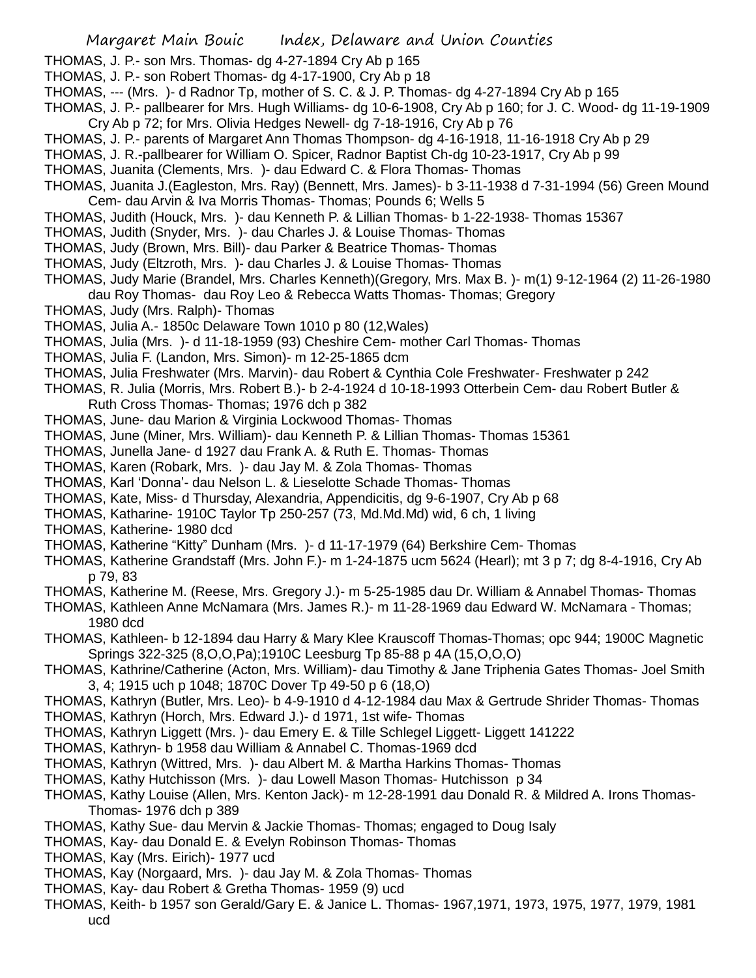- THOMAS, J. P.- son Mrs. Thomas- dg 4-27-1894 Cry Ab p 165
- THOMAS, J. P.- son Robert Thomas- dg 4-17-1900, Cry Ab p 18
- THOMAS, --- (Mrs. )- d Radnor Tp, mother of S. C. & J. P. Thomas- dg 4-27-1894 Cry Ab p 165
- THOMAS, J. P.- pallbearer for Mrs. Hugh Williams- dg 10-6-1908, Cry Ab p 160; for J. C. Wood- dg 11-19-1909 Cry Ab p 72; for Mrs. Olivia Hedges Newell- dg 7-18-1916, Cry Ab p 76
- THOMAS, J. P.- parents of Margaret Ann Thomas Thompson- dg 4-16-1918, 11-16-1918 Cry Ab p 29
- THOMAS, J. R.-pallbearer for William O. Spicer, Radnor Baptist Ch-dg 10-23-1917, Cry Ab p 99
- THOMAS, Juanita (Clements, Mrs. )- dau Edward C. & Flora Thomas- Thomas
- THOMAS, Juanita J.(Eagleston, Mrs. Ray) (Bennett, Mrs. James)- b 3-11-1938 d 7-31-1994 (56) Green Mound Cem- dau Arvin & Iva Morris Thomas- Thomas; Pounds 6; Wells 5
- THOMAS, Judith (Houck, Mrs. )- dau Kenneth P. & Lillian Thomas- b 1-22-1938- Thomas 15367
- THOMAS, Judith (Snyder, Mrs. )- dau Charles J. & Louise Thomas- Thomas
- THOMAS, Judy (Brown, Mrs. Bill)- dau Parker & Beatrice Thomas- Thomas
- THOMAS, Judy (Eltzroth, Mrs. )- dau Charles J. & Louise Thomas- Thomas
- THOMAS, Judy Marie (Brandel, Mrs. Charles Kenneth)(Gregory, Mrs. Max B. )- m(1) 9-12-1964 (2) 11-26-1980
	- dau Roy Thomas- dau Roy Leo & Rebecca Watts Thomas- Thomas; Gregory
- THOMAS, Judy (Mrs. Ralph)- Thomas
- THOMAS, Julia A.- 1850c Delaware Town 1010 p 80 (12,Wales)
- THOMAS, Julia (Mrs. )- d 11-18-1959 (93) Cheshire Cem- mother Carl Thomas- Thomas
- THOMAS, Julia F. (Landon, Mrs. Simon)- m 12-25-1865 dcm
- THOMAS, Julia Freshwater (Mrs. Marvin)- dau Robert & Cynthia Cole Freshwater- Freshwater p 242
- THOMAS, R. Julia (Morris, Mrs. Robert B.)- b 2-4-1924 d 10-18-1993 Otterbein Cem- dau Robert Butler &
	- Ruth Cross Thomas- Thomas; 1976 dch p 382
- THOMAS, June- dau Marion & Virginia Lockwood Thomas- Thomas
- THOMAS, June (Miner, Mrs. William)- dau Kenneth P. & Lillian Thomas- Thomas 15361
- THOMAS, Junella Jane- d 1927 dau Frank A. & Ruth E. Thomas- Thomas
- THOMAS, Karen (Robark, Mrs. )- dau Jay M. & Zola Thomas- Thomas
- THOMAS, Karl 'Donna'- dau Nelson L. & Lieselotte Schade Thomas- Thomas
- THOMAS, Kate, Miss- d Thursday, Alexandria, Appendicitis, dg 9-6-1907, Cry Ab p 68
- THOMAS, Katharine- 1910C Taylor Tp 250-257 (73, Md.Md.Md) wid, 6 ch, 1 living
- THOMAS, Katherine- 1980 dcd
- THOMAS, Katherine "Kitty" Dunham (Mrs. )- d 11-17-1979 (64) Berkshire Cem- Thomas
- THOMAS, Katherine Grandstaff (Mrs. John F.)- m 1-24-1875 ucm 5624 (Hearl); mt 3 p 7; dg 8-4-1916, Cry Ab p 79, 83
- THOMAS, Katherine M. (Reese, Mrs. Gregory J.)- m 5-25-1985 dau Dr. William & Annabel Thomas- Thomas
- THOMAS, Kathleen Anne McNamara (Mrs. James R.)- m 11-28-1969 dau Edward W. McNamara Thomas; 1980 dcd
- THOMAS, Kathleen- b 12-1894 dau Harry & Mary Klee Krauscoff Thomas-Thomas; opc 944; 1900C Magnetic Springs 322-325 (8,O,O,Pa);1910C Leesburg Tp 85-88 p 4A (15,O,O,O)
- THOMAS, Kathrine/Catherine (Acton, Mrs. William)- dau Timothy & Jane Triphenia Gates Thomas- Joel Smith 3, 4; 1915 uch p 1048; 1870C Dover Tp 49-50 p 6 (18,O)
- THOMAS, Kathryn (Butler, Mrs. Leo)- b 4-9-1910 d 4-12-1984 dau Max & Gertrude Shrider Thomas- Thomas
- THOMAS, Kathryn (Horch, Mrs. Edward J.)- d 1971, 1st wife- Thomas
- THOMAS, Kathryn Liggett (Mrs. )- dau Emery E. & Tille Schlegel Liggett- Liggett 141222
- THOMAS, Kathryn- b 1958 dau William & Annabel C. Thomas-1969 dcd
- THOMAS, Kathryn (Wittred, Mrs. )- dau Albert M. & Martha Harkins Thomas- Thomas
- THOMAS, Kathy Hutchisson (Mrs. )- dau Lowell Mason Thomas- Hutchisson p 34
- THOMAS, Kathy Louise (Allen, Mrs. Kenton Jack)- m 12-28-1991 dau Donald R. & Mildred A. Irons Thomas-Thomas- 1976 dch p 389
- THOMAS, Kathy Sue- dau Mervin & Jackie Thomas- Thomas; engaged to Doug Isaly
- THOMAS, Kay- dau Donald E. & Evelyn Robinson Thomas- Thomas
- THOMAS, Kay (Mrs. Eirich)- 1977 ucd
- THOMAS, Kay (Norgaard, Mrs. )- dau Jay M. & Zola Thomas- Thomas
- THOMAS, Kay- dau Robert & Gretha Thomas- 1959 (9) ucd
- THOMAS, Keith- b 1957 son Gerald/Gary E. & Janice L. Thomas- 1967,1971, 1973, 1975, 1977, 1979, 1981 ucd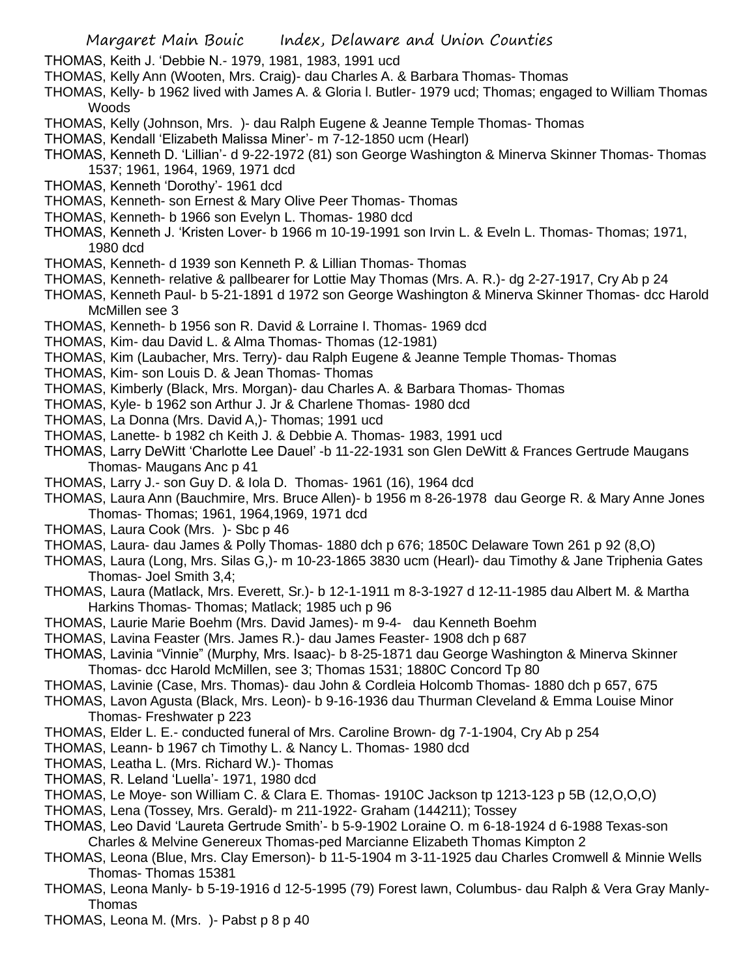THOMAS, Keith J. 'Debbie N.- 1979, 1981, 1983, 1991 ucd

- THOMAS, Kelly Ann (Wooten, Mrs. Craig)- dau Charles A. & Barbara Thomas- Thomas
- THOMAS, Kelly- b 1962 lived with James A. & Gloria l. Butler- 1979 ucd; Thomas; engaged to William Thomas **Woods**
- THOMAS, Kelly (Johnson, Mrs. )- dau Ralph Eugene & Jeanne Temple Thomas- Thomas
- THOMAS, Kendall 'Elizabeth Malissa Miner'- m 7-12-1850 ucm (Hearl)
- THOMAS, Kenneth D. 'Lillian'- d 9-22-1972 (81) son George Washington & Minerva Skinner Thomas- Thomas 1537; 1961, 1964, 1969, 1971 dcd
- THOMAS, Kenneth 'Dorothy'- 1961 dcd
- THOMAS, Kenneth- son Ernest & Mary Olive Peer Thomas- Thomas
- THOMAS, Kenneth- b 1966 son Evelyn L. Thomas- 1980 dcd
- THOMAS, Kenneth J. 'Kristen Lover- b 1966 m 10-19-1991 son Irvin L. & Eveln L. Thomas- Thomas; 1971, 1980 dcd
- THOMAS, Kenneth- d 1939 son Kenneth P. & Lillian Thomas- Thomas
- THOMAS, Kenneth- relative & pallbearer for Lottie May Thomas (Mrs. A. R.)- dg 2-27-1917, Cry Ab p 24
- THOMAS, Kenneth Paul- b 5-21-1891 d 1972 son George Washington & Minerva Skinner Thomas- dcc Harold McMillen see 3
- THOMAS, Kenneth- b 1956 son R. David & Lorraine I. Thomas- 1969 dcd
- THOMAS, Kim- dau David L. & Alma Thomas- Thomas (12-1981)
- THOMAS, Kim (Laubacher, Mrs. Terry)- dau Ralph Eugene & Jeanne Temple Thomas- Thomas
- THOMAS, Kim- son Louis D. & Jean Thomas- Thomas
- THOMAS, Kimberly (Black, Mrs. Morgan)- dau Charles A. & Barbara Thomas- Thomas
- THOMAS, Kyle- b 1962 son Arthur J. Jr & Charlene Thomas- 1980 dcd
- THOMAS, La Donna (Mrs. David A,)- Thomas; 1991 ucd
- THOMAS, Lanette- b 1982 ch Keith J. & Debbie A. Thomas- 1983, 1991 ucd
- THOMAS, Larry DeWitt 'Charlotte Lee Dauel' -b 11-22-1931 son Glen DeWitt & Frances Gertrude Maugans Thomas- Maugans Anc p 41
- THOMAS, Larry J.- son Guy D. & Iola D. Thomas- 1961 (16), 1964 dcd
- THOMAS, Laura Ann (Bauchmire, Mrs. Bruce Allen)- b 1956 m 8-26-1978 dau George R. & Mary Anne Jones Thomas- Thomas; 1961, 1964,1969, 1971 dcd
- THOMAS, Laura Cook (Mrs. )- Sbc p 46
- THOMAS, Laura- dau James & Polly Thomas- 1880 dch p 676; 1850C Delaware Town 261 p 92 (8,O)
- THOMAS, Laura (Long, Mrs. Silas G,)- m 10-23-1865 3830 ucm (Hearl)- dau Timothy & Jane Triphenia Gates Thomas- Joel Smith 3,4;
- THOMAS, Laura (Matlack, Mrs. Everett, Sr.)- b 12-1-1911 m 8-3-1927 d 12-11-1985 dau Albert M. & Martha Harkins Thomas- Thomas; Matlack; 1985 uch p 96
- THOMAS, Laurie Marie Boehm (Mrs. David James)- m 9-4- dau Kenneth Boehm
- THOMAS, Lavina Feaster (Mrs. James R.)- dau James Feaster- 1908 dch p 687
- THOMAS, Lavinia "Vinnie" (Murphy, Mrs. Isaac)- b 8-25-1871 dau George Washington & Minerva Skinner Thomas- dcc Harold McMillen, see 3; Thomas 1531; 1880C Concord Tp 80
- THOMAS, Lavinie (Case, Mrs. Thomas)- dau John & Cordleia Holcomb Thomas- 1880 dch p 657, 675
- THOMAS, Lavon Agusta (Black, Mrs. Leon)- b 9-16-1936 dau Thurman Cleveland & Emma Louise Minor Thomas- Freshwater p 223
- THOMAS, Elder L. E.- conducted funeral of Mrs. Caroline Brown- dg 7-1-1904, Cry Ab p 254
- THOMAS, Leann- b 1967 ch Timothy L. & Nancy L. Thomas- 1980 dcd
- THOMAS, Leatha L. (Mrs. Richard W.)- Thomas
- THOMAS, R. Leland 'Luella'- 1971, 1980 dcd
- THOMAS, Le Moye- son William C. & Clara E. Thomas- 1910C Jackson tp 1213-123 p 5B (12,O,O,O)
- THOMAS, Lena (Tossey, Mrs. Gerald)- m 211-1922- Graham (144211); Tossey
- THOMAS, Leo David 'Laureta Gertrude Smith'- b 5-9-1902 Loraine O. m 6-18-1924 d 6-1988 Texas-son Charles & Melvine Genereux Thomas-ped Marcianne Elizabeth Thomas Kimpton 2
- THOMAS, Leona (Blue, Mrs. Clay Emerson)- b 11-5-1904 m 3-11-1925 dau Charles Cromwell & Minnie Wells Thomas- Thomas 15381
- THOMAS, Leona Manly- b 5-19-1916 d 12-5-1995 (79) Forest lawn, Columbus- dau Ralph & Vera Gray Manly-Thomas
- THOMAS, Leona M. (Mrs. )- Pabst p 8 p 40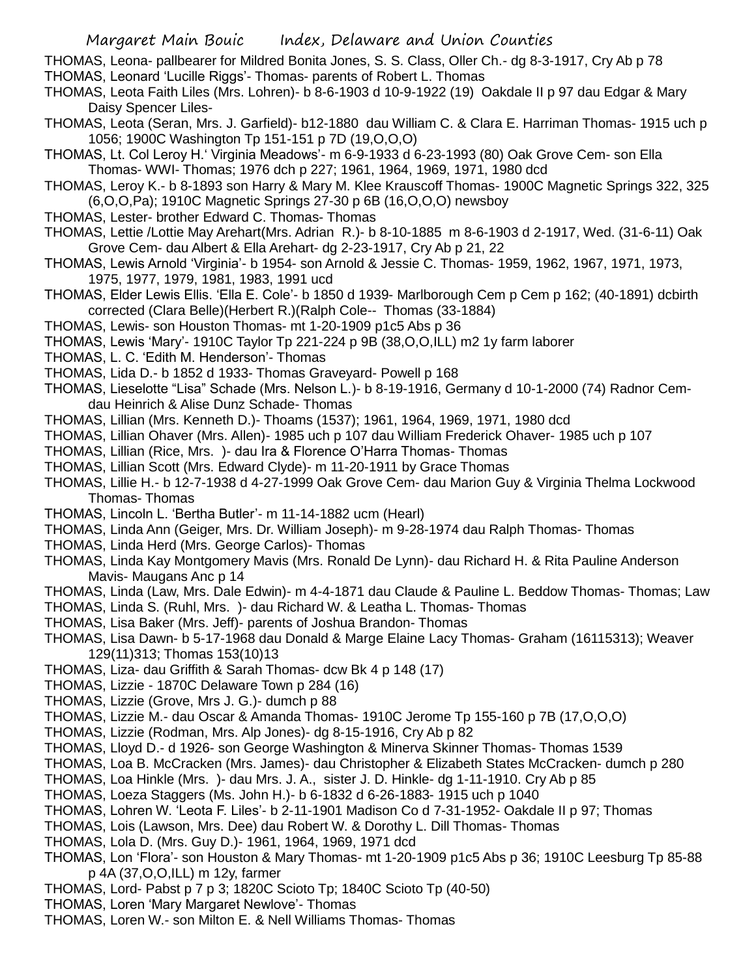THOMAS, Leona- pallbearer for Mildred Bonita Jones, S. S. Class, Oller Ch.- dg 8-3-1917, Cry Ab p 78

- THOMAS, Leonard 'Lucille Riggs'- Thomas- parents of Robert L. Thomas
- THOMAS, Leota Faith Liles (Mrs. Lohren)- b 8-6-1903 d 10-9-1922 (19) Oakdale II p 97 dau Edgar & Mary Daisy Spencer Liles-
- THOMAS, Leota (Seran, Mrs. J. Garfield)- b12-1880 dau William C. & Clara E. Harriman Thomas- 1915 uch p 1056; 1900C Washington Tp 151-151 p 7D (19,O,O,O)
- THOMAS, Lt. Col Leroy H.' Virginia Meadows'- m 6-9-1933 d 6-23-1993 (80) Oak Grove Cem- son Ella Thomas- WWI- Thomas; 1976 dch p 227; 1961, 1964, 1969, 1971, 1980 dcd
- THOMAS, Leroy K.- b 8-1893 son Harry & Mary M. Klee Krauscoff Thomas- 1900C Magnetic Springs 322, 325 (6,O,O,Pa); 1910C Magnetic Springs 27-30 p 6B (16,O,O,O) newsboy
- THOMAS, Lester- brother Edward C. Thomas- Thomas
- THOMAS, Lettie /Lottie May Arehart(Mrs. Adrian R.)- b 8-10-1885 m 8-6-1903 d 2-1917, Wed. (31-6-11) Oak Grove Cem- dau Albert & Ella Arehart- dg 2-23-1917, Cry Ab p 21, 22
- THOMAS, Lewis Arnold 'Virginia'- b 1954- son Arnold & Jessie C. Thomas- 1959, 1962, 1967, 1971, 1973, 1975, 1977, 1979, 1981, 1983, 1991 ucd
- THOMAS, Elder Lewis Ellis. 'Ella E. Cole'- b 1850 d 1939- Marlborough Cem p Cem p 162; (40-1891) dcbirth corrected (Clara Belle)(Herbert R.)(Ralph Cole-- Thomas (33-1884)
- THOMAS, Lewis- son Houston Thomas- mt 1-20-1909 p1c5 Abs p 36
- THOMAS, Lewis 'Mary'- 1910C Taylor Tp 221-224 p 9B (38,O,O,ILL) m2 1y farm laborer
- THOMAS, L. C. 'Edith M. Henderson'- Thomas
- THOMAS, Lida D.- b 1852 d 1933- Thomas Graveyard- Powell p 168
- THOMAS, Lieselotte "Lisa" Schade (Mrs. Nelson L.)- b 8-19-1916, Germany d 10-1-2000 (74) Radnor Cemdau Heinrich & Alise Dunz Schade- Thomas
- THOMAS, Lillian (Mrs. Kenneth D.)- Thoams (1537); 1961, 1964, 1969, 1971, 1980 dcd
- THOMAS, Lillian Ohaver (Mrs. Allen)- 1985 uch p 107 dau William Frederick Ohaver- 1985 uch p 107
- THOMAS, Lillian (Rice, Mrs. )- dau Ira & Florence O'Harra Thomas- Thomas
- THOMAS, Lillian Scott (Mrs. Edward Clyde)- m 11-20-1911 by Grace Thomas
- THOMAS, Lillie H.- b 12-7-1938 d 4-27-1999 Oak Grove Cem- dau Marion Guy & Virginia Thelma Lockwood Thomas- Thomas
- THOMAS, Lincoln L. 'Bertha Butler'- m 11-14-1882 ucm (Hearl)
- THOMAS, Linda Ann (Geiger, Mrs. Dr. William Joseph)- m 9-28-1974 dau Ralph Thomas- Thomas
- THOMAS, Linda Herd (Mrs. George Carlos)- Thomas
- THOMAS, Linda Kay Montgomery Mavis (Mrs. Ronald De Lynn)- dau Richard H. & Rita Pauline Anderson Mavis- Maugans Anc p 14
- THOMAS, Linda (Law, Mrs. Dale Edwin)- m 4-4-1871 dau Claude & Pauline L. Beddow Thomas- Thomas; Law
- THOMAS, Linda S. (Ruhl, Mrs. )- dau Richard W. & Leatha L. Thomas- Thomas
- THOMAS, Lisa Baker (Mrs. Jeff)- parents of Joshua Brandon- Thomas
- THOMAS, Lisa Dawn- b 5-17-1968 dau Donald & Marge Elaine Lacy Thomas- Graham (16115313); Weaver 129(11)313; Thomas 153(10)13
- THOMAS, Liza- dau Griffith & Sarah Thomas- dcw Bk 4 p 148 (17)
- THOMAS, Lizzie 1870C Delaware Town p 284 (16)
- THOMAS, Lizzie (Grove, Mrs J. G.)- dumch p 88
- THOMAS, Lizzie M.- dau Oscar & Amanda Thomas- 1910C Jerome Tp 155-160 p 7B (17,O,O,O)
- THOMAS, Lizzie (Rodman, Mrs. Alp Jones)- dg 8-15-1916, Cry Ab p 82
- THOMAS, Lloyd D.- d 1926- son George Washington & Minerva Skinner Thomas- Thomas 1539
- THOMAS, Loa B. McCracken (Mrs. James)- dau Christopher & Elizabeth States McCracken- dumch p 280
- THOMAS, Loa Hinkle (Mrs. )- dau Mrs. J. A., sister J. D. Hinkle- dg 1-11-1910. Cry Ab p 85
- THOMAS, Loeza Staggers (Ms. John H.)- b 6-1832 d 6-26-1883- 1915 uch p 1040
- THOMAS, Lohren W. 'Leota F. Liles'- b 2-11-1901 Madison Co d 7-31-1952- Oakdale II p 97; Thomas
- THOMAS, Lois (Lawson, Mrs. Dee) dau Robert W. & Dorothy L. Dill Thomas- Thomas
- THOMAS, Lola D. (Mrs. Guy D.)- 1961, 1964, 1969, 1971 dcd
- THOMAS, Lon 'Flora'- son Houston & Mary Thomas- mt 1-20-1909 p1c5 Abs p 36; 1910C Leesburg Tp 85-88 p 4A (37,O,O,ILL) m 12y, farmer
- THOMAS, Lord- Pabst p 7 p 3; 1820C Scioto Tp; 1840C Scioto Tp (40-50)
- THOMAS, Loren 'Mary Margaret Newlove'- Thomas
- THOMAS, Loren W.- son Milton E. & Nell Williams Thomas- Thomas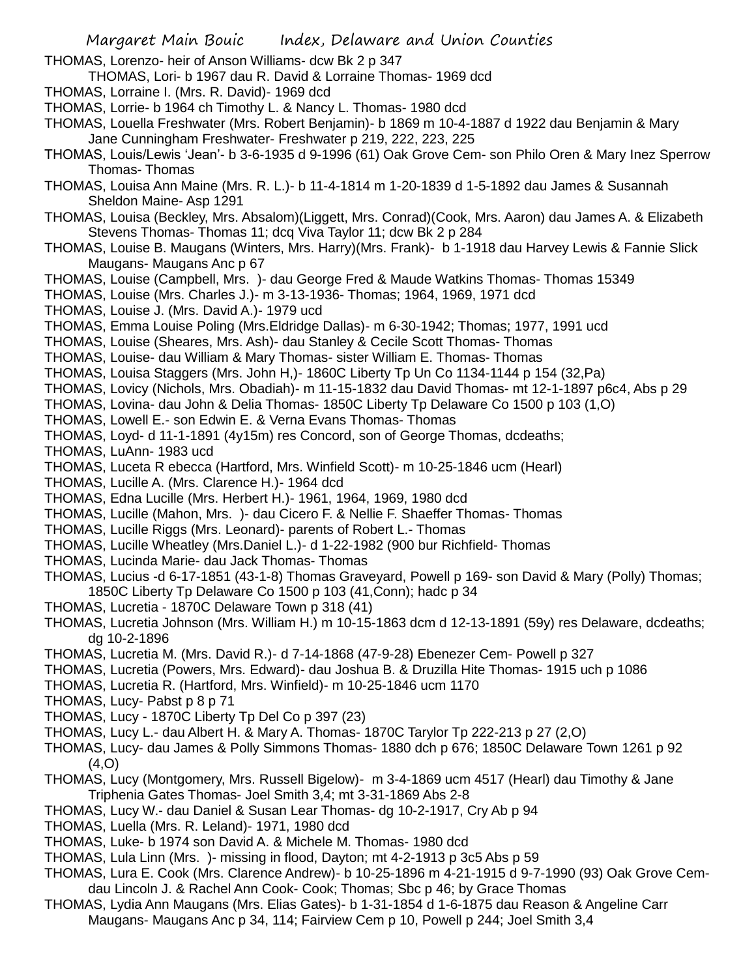- THOMAS, Lorenzo- heir of Anson Williams- dcw Bk 2 p 347
- THOMAS, Lori- b 1967 dau R. David & Lorraine Thomas- 1969 dcd
- THOMAS, Lorraine I. (Mrs. R. David)- 1969 dcd
- THOMAS, Lorrie- b 1964 ch Timothy L. & Nancy L. Thomas- 1980 dcd
- THOMAS, Louella Freshwater (Mrs. Robert Benjamin)- b 1869 m 10-4-1887 d 1922 dau Benjamin & Mary Jane Cunningham Freshwater- Freshwater p 219, 222, 223, 225
- THOMAS, Louis/Lewis 'Jean'- b 3-6-1935 d 9-1996 (61) Oak Grove Cem- son Philo Oren & Mary Inez Sperrow Thomas- Thomas
- THOMAS, Louisa Ann Maine (Mrs. R. L.)- b 11-4-1814 m 1-20-1839 d 1-5-1892 dau James & Susannah Sheldon Maine- Asp 1291
- THOMAS, Louisa (Beckley, Mrs. Absalom)(Liggett, Mrs. Conrad)(Cook, Mrs. Aaron) dau James A. & Elizabeth Stevens Thomas- Thomas 11; dcq Viva Taylor 11; dcw Bk 2 p 284
- THOMAS, Louise B. Maugans (Winters, Mrs. Harry)(Mrs. Frank)- b 1-1918 dau Harvey Lewis & Fannie Slick Maugans- Maugans Anc p 67
- THOMAS, Louise (Campbell, Mrs. )- dau George Fred & Maude Watkins Thomas- Thomas 15349
- THOMAS, Louise (Mrs. Charles J.)- m 3-13-1936- Thomas; 1964, 1969, 1971 dcd
- THOMAS, Louise J. (Mrs. David A.)- 1979 ucd
- THOMAS, Emma Louise Poling (Mrs.Eldridge Dallas)- m 6-30-1942; Thomas; 1977, 1991 ucd
- THOMAS, Louise (Sheares, Mrs. Ash)- dau Stanley & Cecile Scott Thomas- Thomas
- THOMAS, Louise- dau William & Mary Thomas- sister William E. Thomas- Thomas
- THOMAS, Louisa Staggers (Mrs. John H,)- 1860C Liberty Tp Un Co 1134-1144 p 154 (32,Pa)
- THOMAS, Lovicy (Nichols, Mrs. Obadiah)- m 11-15-1832 dau David Thomas- mt 12-1-1897 p6c4, Abs p 29
- THOMAS, Lovina- dau John & Delia Thomas- 1850C Liberty Tp Delaware Co 1500 p 103 (1,O)
- THOMAS, Lowell E.- son Edwin E. & Verna Evans Thomas- Thomas
- THOMAS, Loyd- d 11-1-1891 (4y15m) res Concord, son of George Thomas, dcdeaths;
- THOMAS, LuAnn- 1983 ucd
- THOMAS, Luceta R ebecca (Hartford, Mrs. Winfield Scott)- m 10-25-1846 ucm (Hearl)
- THOMAS, Lucille A. (Mrs. Clarence H.)- 1964 dcd
- THOMAS, Edna Lucille (Mrs. Herbert H.)- 1961, 1964, 1969, 1980 dcd
- THOMAS, Lucille (Mahon, Mrs. )- dau Cicero F. & Nellie F. Shaeffer Thomas- Thomas
- THOMAS, Lucille Riggs (Mrs. Leonard)- parents of Robert L.- Thomas
- THOMAS, Lucille Wheatley (Mrs.Daniel L.)- d 1-22-1982 (900 bur Richfield- Thomas
- THOMAS, Lucinda Marie- dau Jack Thomas- Thomas
- THOMAS, Lucius -d 6-17-1851 (43-1-8) Thomas Graveyard, Powell p 169- son David & Mary (Polly) Thomas; 1850C Liberty Tp Delaware Co 1500 p 103 (41,Conn); hadc p 34
- THOMAS, Lucretia 1870C Delaware Town p 318 (41)
- THOMAS, Lucretia Johnson (Mrs. William H.) m 10-15-1863 dcm d 12-13-1891 (59y) res Delaware, dcdeaths; dg 10-2-1896
- THOMAS, Lucretia M. (Mrs. David R.)- d 7-14-1868 (47-9-28) Ebenezer Cem- Powell p 327
- THOMAS, Lucretia (Powers, Mrs. Edward)- dau Joshua B. & Druzilla Hite Thomas- 1915 uch p 1086
- THOMAS, Lucretia R. (Hartford, Mrs. Winfield)- m 10-25-1846 ucm 1170
- THOMAS, Lucy- Pabst p 8 p 71
- THOMAS, Lucy 1870C Liberty Tp Del Co p 397 (23)
- THOMAS, Lucy L.- dau Albert H. & Mary A. Thomas- 1870C Tarylor Tp 222-213 p 27 (2,O)
- THOMAS, Lucy- dau James & Polly Simmons Thomas- 1880 dch p 676; 1850C Delaware Town 1261 p 92 (4,O)
- THOMAS, Lucy (Montgomery, Mrs. Russell Bigelow)- m 3-4-1869 ucm 4517 (Hearl) dau Timothy & Jane Triphenia Gates Thomas- Joel Smith 3,4; mt 3-31-1869 Abs 2-8
- THOMAS, Lucy W.- dau Daniel & Susan Lear Thomas- dg 10-2-1917, Cry Ab p 94
- THOMAS, Luella (Mrs. R. Leland)- 1971, 1980 dcd
- THOMAS, Luke- b 1974 son David A. & Michele M. Thomas- 1980 dcd
- THOMAS, Lula Linn (Mrs. )- missing in flood, Dayton; mt 4-2-1913 p 3c5 Abs p 59
- THOMAS, Lura E. Cook (Mrs. Clarence Andrew)- b 10-25-1896 m 4-21-1915 d 9-7-1990 (93) Oak Grove Cemdau Lincoln J. & Rachel Ann Cook- Cook; Thomas; Sbc p 46; by Grace Thomas
- THOMAS, Lydia Ann Maugans (Mrs. Elias Gates)- b 1-31-1854 d 1-6-1875 dau Reason & Angeline Carr Maugans- Maugans Anc p 34, 114; Fairview Cem p 10, Powell p 244; Joel Smith 3,4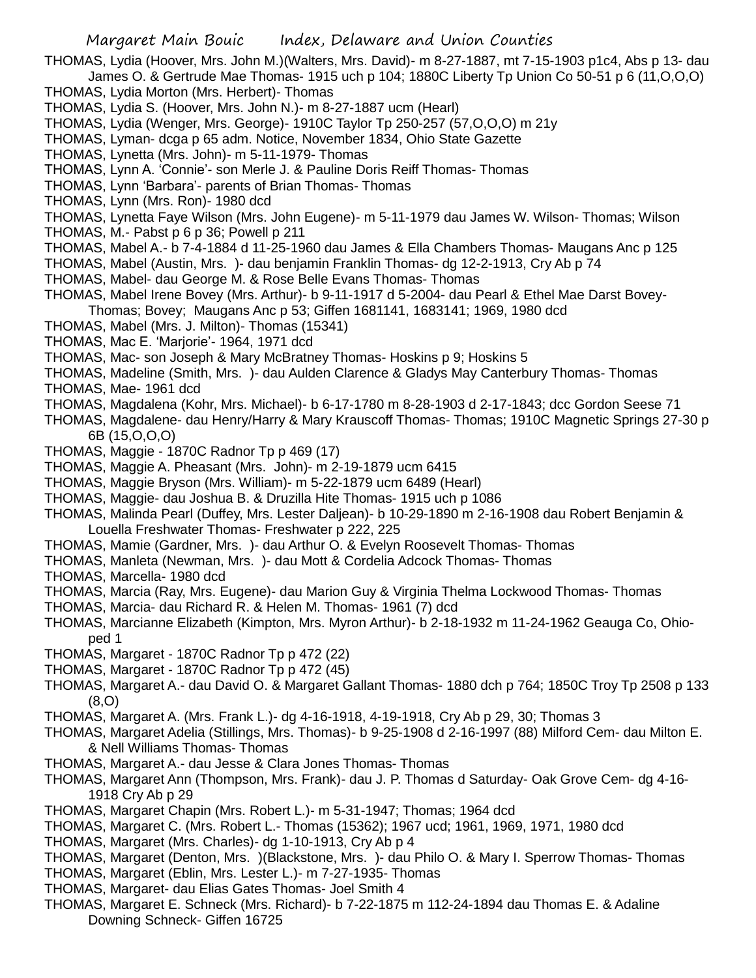THOMAS, Lydia (Hoover, Mrs. John M.)(Walters, Mrs. David)- m 8-27-1887, mt 7-15-1903 p1c4, Abs p 13- dau James O. & Gertrude Mae Thomas- 1915 uch p 104; 1880C Liberty Tp Union Co 50-51 p 6 (11,O,O,O)

- THOMAS, Lydia Morton (Mrs. Herbert)- Thomas
- THOMAS, Lydia S. (Hoover, Mrs. John N.)- m 8-27-1887 ucm (Hearl)
- THOMAS, Lydia (Wenger, Mrs. George)- 1910C Taylor Tp 250-257 (57,O,O,O) m 21y
- THOMAS, Lyman- dcga p 65 adm. Notice, November 1834, Ohio State Gazette
- THOMAS, Lynetta (Mrs. John)- m 5-11-1979- Thomas
- THOMAS, Lynn A. 'Connie'- son Merle J. & Pauline Doris Reiff Thomas- Thomas
- THOMAS, Lynn 'Barbara'- parents of Brian Thomas- Thomas
- THOMAS, Lynn (Mrs. Ron)- 1980 dcd
- THOMAS, Lynetta Faye Wilson (Mrs. John Eugene)- m 5-11-1979 dau James W. Wilson- Thomas; Wilson
- THOMAS, M.- Pabst p 6 p 36; Powell p 211
- THOMAS, Mabel A.- b 7-4-1884 d 11-25-1960 dau James & Ella Chambers Thomas- Maugans Anc p 125
- THOMAS, Mabel (Austin, Mrs. )- dau benjamin Franklin Thomas- dg 12-2-1913, Cry Ab p 74
- THOMAS, Mabel- dau George M. & Rose Belle Evans Thomas- Thomas
- THOMAS, Mabel Irene Bovey (Mrs. Arthur)- b 9-11-1917 d 5-2004- dau Pearl & Ethel Mae Darst Bovey-Thomas; Bovey; Maugans Anc p 53; Giffen 1681141, 1683141; 1969, 1980 dcd
- THOMAS, Mabel (Mrs. J. Milton)- Thomas (15341)
- THOMAS, Mac E. 'Marjorie'- 1964, 1971 dcd
- THOMAS, Mac- son Joseph & Mary McBratney Thomas- Hoskins p 9; Hoskins 5
- THOMAS, Madeline (Smith, Mrs. )- dau Aulden Clarence & Gladys May Canterbury Thomas- Thomas
- THOMAS, Mae- 1961 dcd
- THOMAS, Magdalena (Kohr, Mrs. Michael)- b 6-17-1780 m 8-28-1903 d 2-17-1843; dcc Gordon Seese 71
- THOMAS, Magdalene- dau Henry/Harry & Mary Krauscoff Thomas- Thomas; 1910C Magnetic Springs 27-30 p 6B (15,O,O,O)
- THOMAS, Maggie 1870C Radnor Tp p 469 (17)
- THOMAS, Maggie A. Pheasant (Mrs. John)- m 2-19-1879 ucm 6415
- THOMAS, Maggie Bryson (Mrs. William)- m 5-22-1879 ucm 6489 (Hearl)
- THOMAS, Maggie- dau Joshua B. & Druzilla Hite Thomas- 1915 uch p 1086
- THOMAS, Malinda Pearl (Duffey, Mrs. Lester Daljean)- b 10-29-1890 m 2-16-1908 dau Robert Benjamin & Louella Freshwater Thomas- Freshwater p 222, 225
- THOMAS, Mamie (Gardner, Mrs. )- dau Arthur O. & Evelyn Roosevelt Thomas- Thomas
- THOMAS, Manleta (Newman, Mrs. )- dau Mott & Cordelia Adcock Thomas- Thomas
- THOMAS, Marcella- 1980 dcd
- THOMAS, Marcia (Ray, Mrs. Eugene)- dau Marion Guy & Virginia Thelma Lockwood Thomas- Thomas
- THOMAS, Marcia- dau Richard R. & Helen M. Thomas- 1961 (7) dcd
- THOMAS, Marcianne Elizabeth (Kimpton, Mrs. Myron Arthur)- b 2-18-1932 m 11-24-1962 Geauga Co, Ohioped 1
- THOMAS, Margaret 1870C Radnor Tp p 472 (22)
- THOMAS, Margaret 1870C Radnor Tp p 472 (45)
- THOMAS, Margaret A.- dau David O. & Margaret Gallant Thomas- 1880 dch p 764; 1850C Troy Tp 2508 p 133 (8,O)
- THOMAS, Margaret A. (Mrs. Frank L.)- dg 4-16-1918, 4-19-1918, Cry Ab p 29, 30; Thomas 3
- THOMAS, Margaret Adelia (Stillings, Mrs. Thomas)- b 9-25-1908 d 2-16-1997 (88) Milford Cem- dau Milton E. & Nell Williams Thomas- Thomas
- THOMAS, Margaret A.- dau Jesse & Clara Jones Thomas- Thomas
- THOMAS, Margaret Ann (Thompson, Mrs. Frank)- dau J. P. Thomas d Saturday- Oak Grove Cem- dg 4-16- 1918 Cry Ab p 29
- THOMAS, Margaret Chapin (Mrs. Robert L.)- m 5-31-1947; Thomas; 1964 dcd
- THOMAS, Margaret C. (Mrs. Robert L.- Thomas (15362); 1967 ucd; 1961, 1969, 1971, 1980 dcd
- THOMAS, Margaret (Mrs. Charles)- dg 1-10-1913, Cry Ab p 4
- THOMAS, Margaret (Denton, Mrs. )(Blackstone, Mrs. )- dau Philo O. & Mary I. Sperrow Thomas- Thomas
- THOMAS, Margaret (Eblin, Mrs. Lester L.)- m 7-27-1935- Thomas
- THOMAS, Margaret- dau Elias Gates Thomas- Joel Smith 4
- THOMAS, Margaret E. Schneck (Mrs. Richard)- b 7-22-1875 m 112-24-1894 dau Thomas E. & Adaline Downing Schneck- Giffen 16725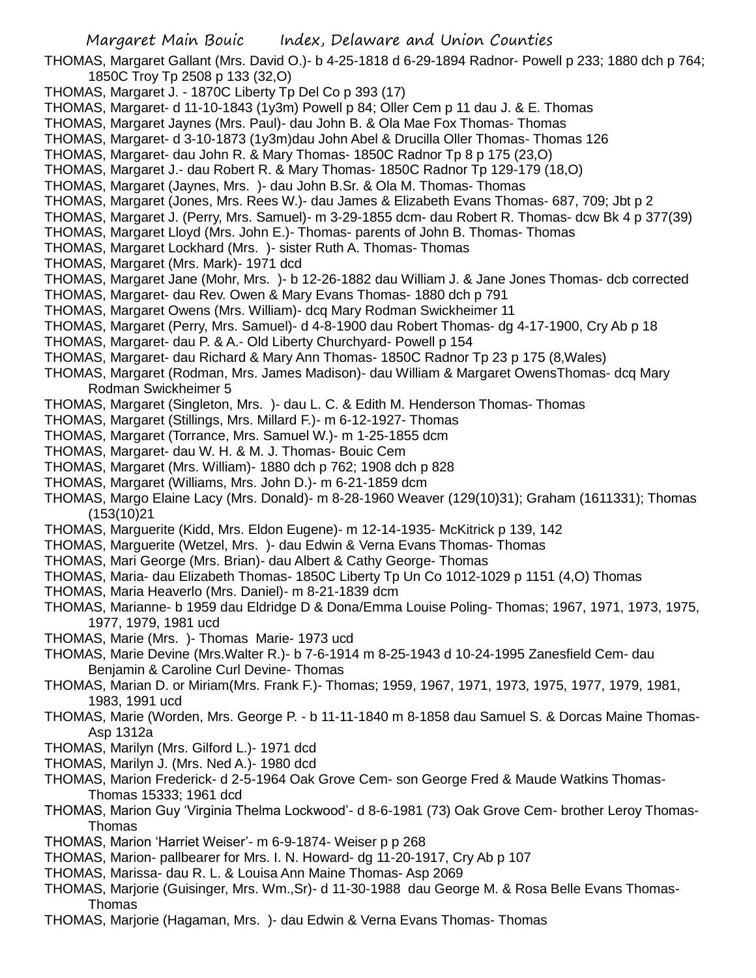THOMAS, Margaret Gallant (Mrs. David O.)- b 4-25-1818 d 6-29-1894 Radnor- Powell p 233; 1880 dch p 764; 1850C Troy Tp 2508 p 133 (32,O)

- THOMAS, Margaret J. 1870C Liberty Tp Del Co p 393 (17)
- THOMAS, Margaret- d 11-10-1843 (1y3m) Powell p 84; Oller Cem p 11 dau J. & E. Thomas
- THOMAS, Margaret Jaynes (Mrs. Paul)- dau John B. & Ola Mae Fox Thomas- Thomas
- THOMAS, Margaret- d 3-10-1873 (1y3m)dau John Abel & Drucilla Oller Thomas- Thomas 126
- THOMAS, Margaret- dau John R. & Mary Thomas- 1850C Radnor Tp 8 p 175 (23,O)
- THOMAS, Margaret J.- dau Robert R. & Mary Thomas- 1850C Radnor Tp 129-179 (18,O)
- THOMAS, Margaret (Jaynes, Mrs. )- dau John B.Sr. & Ola M. Thomas- Thomas
- THOMAS, Margaret (Jones, Mrs. Rees W.)- dau James & Elizabeth Evans Thomas- 687, 709; Jbt p 2
- THOMAS, Margaret J. (Perry, Mrs. Samuel)- m 3-29-1855 dcm- dau Robert R. Thomas- dcw Bk 4 p 377(39)
- THOMAS, Margaret Lloyd (Mrs. John E.)- Thomas- parents of John B. Thomas- Thomas
- THOMAS, Margaret Lockhard (Mrs. )- sister Ruth A. Thomas- Thomas
- THOMAS, Margaret (Mrs. Mark)- 1971 dcd
- THOMAS, Margaret Jane (Mohr, Mrs. )- b 12-26-1882 dau William J. & Jane Jones Thomas- dcb corrected
- THOMAS, Margaret- dau Rev. Owen & Mary Evans Thomas- 1880 dch p 791
- THOMAS, Margaret Owens (Mrs. William)- dcq Mary Rodman Swickheimer 11
- THOMAS, Margaret (Perry, Mrs. Samuel)- d 4-8-1900 dau Robert Thomas- dg 4-17-1900, Cry Ab p 18
- THOMAS, Margaret- dau P. & A.- Old Liberty Churchyard- Powell p 154
- THOMAS, Margaret- dau Richard & Mary Ann Thomas- 1850C Radnor Tp 23 p 175 (8,Wales)
- THOMAS, Margaret (Rodman, Mrs. James Madison)- dau William & Margaret OwensThomas- dcq Mary Rodman Swickheimer 5
- THOMAS, Margaret (Singleton, Mrs. )- dau L. C. & Edith M. Henderson Thomas- Thomas
- THOMAS, Margaret (Stillings, Mrs. Millard F.)- m 6-12-1927- Thomas
- THOMAS, Margaret (Torrance, Mrs. Samuel W.)- m 1-25-1855 dcm
- THOMAS, Margaret- dau W. H. & M. J. Thomas- Bouic Cem
- THOMAS, Margaret (Mrs. William)- 1880 dch p 762; 1908 dch p 828
- THOMAS, Margaret (Williams, Mrs. John D.)- m 6-21-1859 dcm
- THOMAS, Margo Elaine Lacy (Mrs. Donald)- m 8-28-1960 Weaver (129(10)31); Graham (1611331); Thomas (153(10)21
- THOMAS, Marguerite (Kidd, Mrs. Eldon Eugene)- m 12-14-1935- McKitrick p 139, 142
- THOMAS, Marguerite (Wetzel, Mrs. )- dau Edwin & Verna Evans Thomas- Thomas
- THOMAS, Mari George (Mrs. Brian)- dau Albert & Cathy George- Thomas
- THOMAS, Maria- dau Elizabeth Thomas- 1850C Liberty Tp Un Co 1012-1029 p 1151 (4,O) Thomas
- THOMAS, Maria Heaverlo (Mrs. Daniel)- m 8-21-1839 dcm
- THOMAS, Marianne- b 1959 dau Eldridge D & Dona/Emma Louise Poling- Thomas; 1967, 1971, 1973, 1975, 1977, 1979, 1981 ucd
- THOMAS, Marie (Mrs. )- Thomas Marie- 1973 ucd
- THOMAS, Marie Devine (Mrs.Walter R.)- b 7-6-1914 m 8-25-1943 d 10-24-1995 Zanesfield Cem- dau Benjamin & Caroline Curl Devine- Thomas
- THOMAS, Marian D. or Miriam(Mrs. Frank F.)- Thomas; 1959, 1967, 1971, 1973, 1975, 1977, 1979, 1981, 1983, 1991 ucd
- THOMAS, Marie (Worden, Mrs. George P. b 11-11-1840 m 8-1858 dau Samuel S. & Dorcas Maine Thomas-Asp 1312a
- THOMAS, Marilyn (Mrs. Gilford L.)- 1971 dcd
- THOMAS, Marilyn J. (Mrs. Ned A.)- 1980 dcd
- THOMAS, Marion Frederick- d 2-5-1964 Oak Grove Cem- son George Fred & Maude Watkins Thomas-Thomas 15333; 1961 dcd
- THOMAS, Marion Guy 'Virginia Thelma Lockwood'- d 8-6-1981 (73) Oak Grove Cem- brother Leroy Thomas-Thomas
- THOMAS, Marion 'Harriet Weiser'- m 6-9-1874- Weiser p p 268
- THOMAS, Marion- pallbearer for Mrs. I. N. Howard- dg 11-20-1917, Cry Ab p 107
- THOMAS, Marissa- dau R. L. & Louisa Ann Maine Thomas- Asp 2069
- THOMAS, Marjorie (Guisinger, Mrs. Wm.,Sr)- d 11-30-1988 dau George M. & Rosa Belle Evans Thomas-Thomas
- THOMAS, Marjorie (Hagaman, Mrs. )- dau Edwin & Verna Evans Thomas- Thomas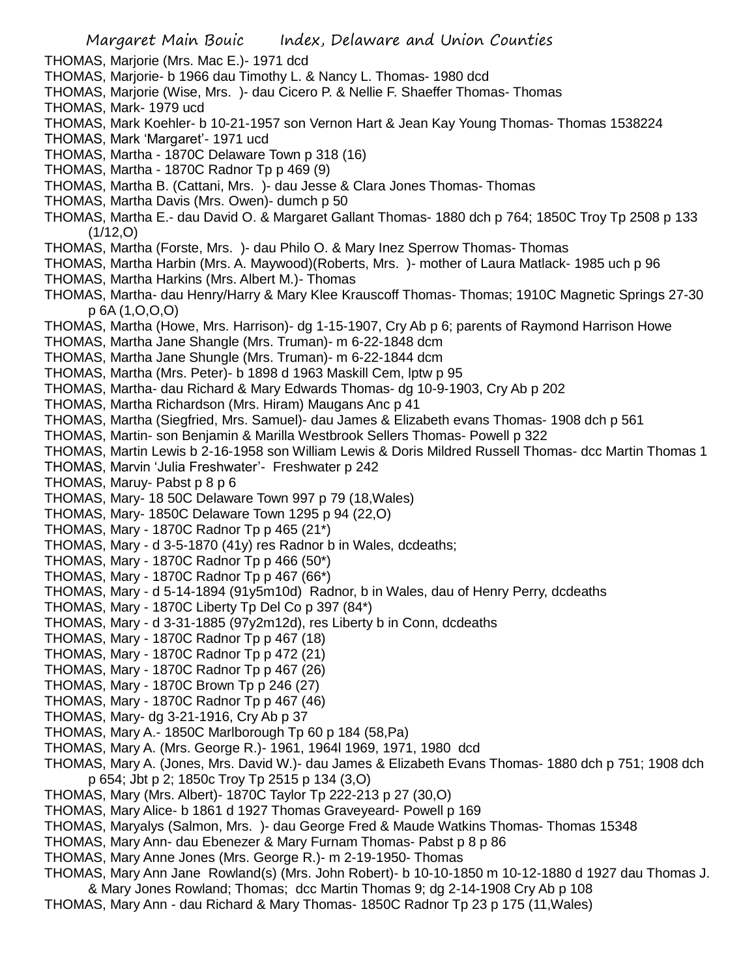- THOMAS, Marjorie (Mrs. Mac E.)- 1971 dcd
- THOMAS, Marjorie- b 1966 dau Timothy L. & Nancy L. Thomas- 1980 dcd
- THOMAS, Marjorie (Wise, Mrs. )- dau Cicero P. & Nellie F. Shaeffer Thomas- Thomas
- THOMAS, Mark- 1979 ucd
- THOMAS, Mark Koehler- b 10-21-1957 son Vernon Hart & Jean Kay Young Thomas- Thomas 1538224
- THOMAS, Mark 'Margaret'- 1971 ucd
- THOMAS, Martha 1870C Delaware Town p 318 (16)
- THOMAS, Martha 1870C Radnor Tp p 469 (9)
- THOMAS, Martha B. (Cattani, Mrs. )- dau Jesse & Clara Jones Thomas- Thomas
- THOMAS, Martha Davis (Mrs. Owen)- dumch p 50
- THOMAS, Martha E.- dau David O. & Margaret Gallant Thomas- 1880 dch p 764; 1850C Troy Tp 2508 p 133  $(1/12,0)$
- THOMAS, Martha (Forste, Mrs. )- dau Philo O. & Mary Inez Sperrow Thomas- Thomas
- THOMAS, Martha Harbin (Mrs. A. Maywood)(Roberts, Mrs. )- mother of Laura Matlack- 1985 uch p 96
- THOMAS, Martha Harkins (Mrs. Albert M.)- Thomas
- THOMAS, Martha- dau Henry/Harry & Mary Klee Krauscoff Thomas- Thomas; 1910C Magnetic Springs 27-30 p 6A (1,O,O,O)
- THOMAS, Martha (Howe, Mrs. Harrison)- dg 1-15-1907, Cry Ab p 6; parents of Raymond Harrison Howe
- THOMAS, Martha Jane Shangle (Mrs. Truman)- m 6-22-1848 dcm
- THOMAS, Martha Jane Shungle (Mrs. Truman)- m 6-22-1844 dcm
- THOMAS, Martha (Mrs. Peter)- b 1898 d 1963 Maskill Cem, lptw p 95
- THOMAS, Martha- dau Richard & Mary Edwards Thomas- dg 10-9-1903, Cry Ab p 202
- THOMAS, Martha Richardson (Mrs. Hiram) Maugans Anc p 41
- THOMAS, Martha (Siegfried, Mrs. Samuel)- dau James & Elizabeth evans Thomas- 1908 dch p 561
- THOMAS, Martin- son Benjamin & Marilla Westbrook Sellers Thomas- Powell p 322
- THOMAS, Martin Lewis b 2-16-1958 son William Lewis & Doris Mildred Russell Thomas- dcc Martin Thomas 1
- THOMAS, Marvin 'Julia Freshwater'- Freshwater p 242
- THOMAS, Maruy- Pabst p 8 p 6
- THOMAS, Mary- 18 50C Delaware Town 997 p 79 (18,Wales)
- THOMAS, Mary- 1850C Delaware Town 1295 p 94 (22,O)
- THOMAS, Mary 1870C Radnor Tp p 465 (21\*)
- THOMAS, Mary d 3-5-1870 (41y) res Radnor b in Wales, dcdeaths;
- THOMAS, Mary 1870C Radnor Tp p 466 (50\*)
- THOMAS, Mary 1870C Radnor Tp p 467 (66\*)
- THOMAS, Mary d 5-14-1894 (91y5m10d) Radnor, b in Wales, dau of Henry Perry, dcdeaths
- THOMAS, Mary 1870C Liberty Tp Del Co p 397 (84\*)
- THOMAS, Mary d 3-31-1885 (97y2m12d), res Liberty b in Conn, dcdeaths
- THOMAS, Mary 1870C Radnor Tp p 467 (18)
- THOMAS, Mary 1870C Radnor Tp p 472 (21)
- THOMAS, Mary 1870C Radnor Tp p 467 (26)
- THOMAS, Mary 1870C Brown Tp p 246 (27)
- THOMAS, Mary 1870C Radnor Tp p 467 (46)
- THOMAS, Mary- dg 3-21-1916, Cry Ab p 37
- THOMAS, Mary A.- 1850C Marlborough Tp 60 p 184 (58,Pa)
- THOMAS, Mary A. (Mrs. George R.)- 1961, 1964l 1969, 1971, 1980 dcd
- THOMAS, Mary A. (Jones, Mrs. David W.)- dau James & Elizabeth Evans Thomas- 1880 dch p 751; 1908 dch p 654; Jbt p 2; 1850c Troy Tp 2515 p 134 (3,O)
- THOMAS, Mary (Mrs. Albert)- 1870C Taylor Tp 222-213 p 27 (30,O)
- THOMAS, Mary Alice- b 1861 d 1927 Thomas Graveyeard- Powell p 169
- THOMAS, Maryalys (Salmon, Mrs. )- dau George Fred & Maude Watkins Thomas- Thomas 15348
- THOMAS, Mary Ann- dau Ebenezer & Mary Furnam Thomas- Pabst p 8 p 86
- THOMAS, Mary Anne Jones (Mrs. George R.)- m 2-19-1950- Thomas
- THOMAS, Mary Ann Jane Rowland(s) (Mrs. John Robert)- b 10-10-1850 m 10-12-1880 d 1927 dau Thomas J. & Mary Jones Rowland; Thomas; dcc Martin Thomas 9; dg 2-14-1908 Cry Ab p 108
- THOMAS, Mary Ann dau Richard & Mary Thomas- 1850C Radnor Tp 23 p 175 (11,Wales)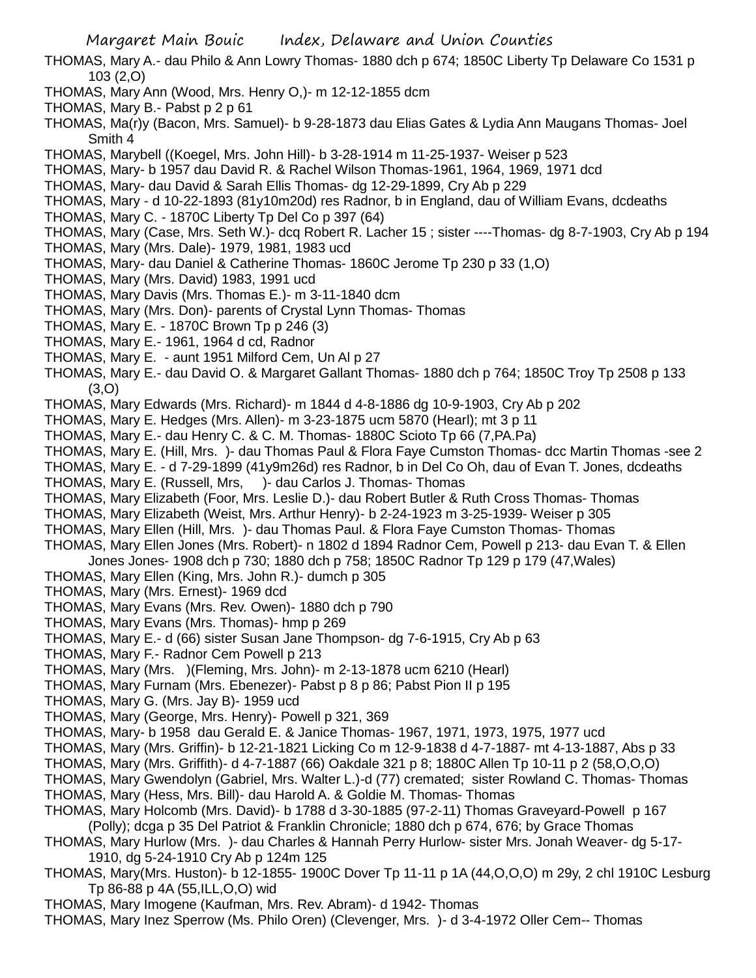- THOMAS, Mary A.- dau Philo & Ann Lowry Thomas- 1880 dch p 674; 1850C Liberty Tp Delaware Co 1531 p 103 (2,O)
- THOMAS, Mary Ann (Wood, Mrs. Henry O,)- m 12-12-1855 dcm
- THOMAS, Mary B.- Pabst p 2 p 61
- THOMAS, Ma(r)y (Bacon, Mrs. Samuel)- b 9-28-1873 dau Elias Gates & Lydia Ann Maugans Thomas- Joel Smith 4
- THOMAS, Marybell ((Koegel, Mrs. John Hill)- b 3-28-1914 m 11-25-1937- Weiser p 523
- THOMAS, Mary- b 1957 dau David R. & Rachel Wilson Thomas-1961, 1964, 1969, 1971 dcd
- THOMAS, Mary- dau David & Sarah Ellis Thomas- dg 12-29-1899, Cry Ab p 229
- THOMAS, Mary d 10-22-1893 (81y10m20d) res Radnor, b in England, dau of William Evans, dcdeaths
- THOMAS, Mary C. 1870C Liberty Tp Del Co p 397 (64)
- THOMAS, Mary (Case, Mrs. Seth W.)- dcq Robert R. Lacher 15 ; sister ----Thomas- dg 8-7-1903, Cry Ab p 194
- THOMAS, Mary (Mrs. Dale)- 1979, 1981, 1983 ucd
- THOMAS, Mary- dau Daniel & Catherine Thomas- 1860C Jerome Tp 230 p 33 (1,O)
- THOMAS, Mary (Mrs. David) 1983, 1991 ucd
- THOMAS, Mary Davis (Mrs. Thomas E.)- m 3-11-1840 dcm
- THOMAS, Mary (Mrs. Don)- parents of Crystal Lynn Thomas- Thomas
- THOMAS, Mary E. 1870C Brown Tp p 246 (3)
- THOMAS, Mary E.- 1961, 1964 d cd, Radnor
- THOMAS, Mary E. aunt 1951 Milford Cem, Un Al p 27
- THOMAS, Mary E.- dau David O. & Margaret Gallant Thomas- 1880 dch p 764; 1850C Troy Tp 2508 p 133 (3,O)
- THOMAS, Mary Edwards (Mrs. Richard)- m 1844 d 4-8-1886 dg 10-9-1903, Cry Ab p 202
- THOMAS, Mary E. Hedges (Mrs. Allen)- m 3-23-1875 ucm 5870 (Hearl); mt 3 p 11
- THOMAS, Mary E.- dau Henry C. & C. M. Thomas- 1880C Scioto Tp 66 (7,PA.Pa)
- THOMAS, Mary E. (Hill, Mrs. )- dau Thomas Paul & Flora Faye Cumston Thomas- dcc Martin Thomas -see 2
- THOMAS, Mary E. d 7-29-1899 (41y9m26d) res Radnor, b in Del Co Oh, dau of Evan T. Jones, dcdeaths
- THOMAS, Mary E. (Russell, Mrs, )- dau Carlos J. Thomas- Thomas
- THOMAS, Mary Elizabeth (Foor, Mrs. Leslie D.)- dau Robert Butler & Ruth Cross Thomas- Thomas
- THOMAS, Mary Elizabeth (Weist, Mrs. Arthur Henry)- b 2-24-1923 m 3-25-1939- Weiser p 305
- THOMAS, Mary Ellen (Hill, Mrs. )- dau Thomas Paul. & Flora Faye Cumston Thomas- Thomas
- THOMAS, Mary Ellen Jones (Mrs. Robert)- n 1802 d 1894 Radnor Cem, Powell p 213- dau Evan T. & Ellen
- Jones Jones- 1908 dch p 730; 1880 dch p 758; 1850C Radnor Tp 129 p 179 (47,Wales)
- THOMAS, Mary Ellen (King, Mrs. John R.)- dumch p 305
- THOMAS, Mary (Mrs. Ernest)- 1969 dcd
- THOMAS, Mary Evans (Mrs. Rev. Owen)- 1880 dch p 790
- THOMAS, Mary Evans (Mrs. Thomas)- hmp p 269
- THOMAS, Mary E.- d (66) sister Susan Jane Thompson- dg 7-6-1915, Cry Ab p 63
- THOMAS, Mary F.- Radnor Cem Powell p 213
- THOMAS, Mary (Mrs. )(Fleming, Mrs. John)- m 2-13-1878 ucm 6210 (Hearl)
- THOMAS, Mary Furnam (Mrs. Ebenezer)- Pabst p 8 p 86; Pabst Pion II p 195
- THOMAS, Mary G. (Mrs. Jay B)- 1959 ucd
- THOMAS, Mary (George, Mrs. Henry)- Powell p 321, 369
- THOMAS, Mary- b 1958 dau Gerald E. & Janice Thomas- 1967, 1971, 1973, 1975, 1977 ucd
- THOMAS, Mary (Mrs. Griffin)- b 12-21-1821 Licking Co m 12-9-1838 d 4-7-1887- mt 4-13-1887, Abs p 33
- THOMAS, Mary (Mrs. Griffith)- d 4-7-1887 (66) Oakdale 321 p 8; 1880C Allen Tp 10-11 p 2 (58,O,O,O)
- THOMAS, Mary Gwendolyn (Gabriel, Mrs. Walter L.)-d (77) cremated; sister Rowland C. Thomas- Thomas
- THOMAS, Mary (Hess, Mrs. Bill)- dau Harold A. & Goldie M. Thomas- Thomas
- THOMAS, Mary Holcomb (Mrs. David)- b 1788 d 3-30-1885 (97-2-11) Thomas Graveyard-Powell p 167
- (Polly); dcga p 35 Del Patriot & Franklin Chronicle; 1880 dch p 674, 676; by Grace Thomas
- THOMAS, Mary Hurlow (Mrs. )- dau Charles & Hannah Perry Hurlow- sister Mrs. Jonah Weaver- dg 5-17- 1910, dg 5-24-1910 Cry Ab p 124m 125
- THOMAS, Mary(Mrs. Huston)- b 12-1855- 1900C Dover Tp 11-11 p 1A (44,O,O,O) m 29y, 2 chl 1910C Lesburg Tp 86-88 p 4A (55,ILL,O,O) wid
- THOMAS, Mary Imogene (Kaufman, Mrs. Rev. Abram)- d 1942- Thomas
- THOMAS, Mary Inez Sperrow (Ms. Philo Oren) (Clevenger, Mrs. )- d 3-4-1972 Oller Cem-- Thomas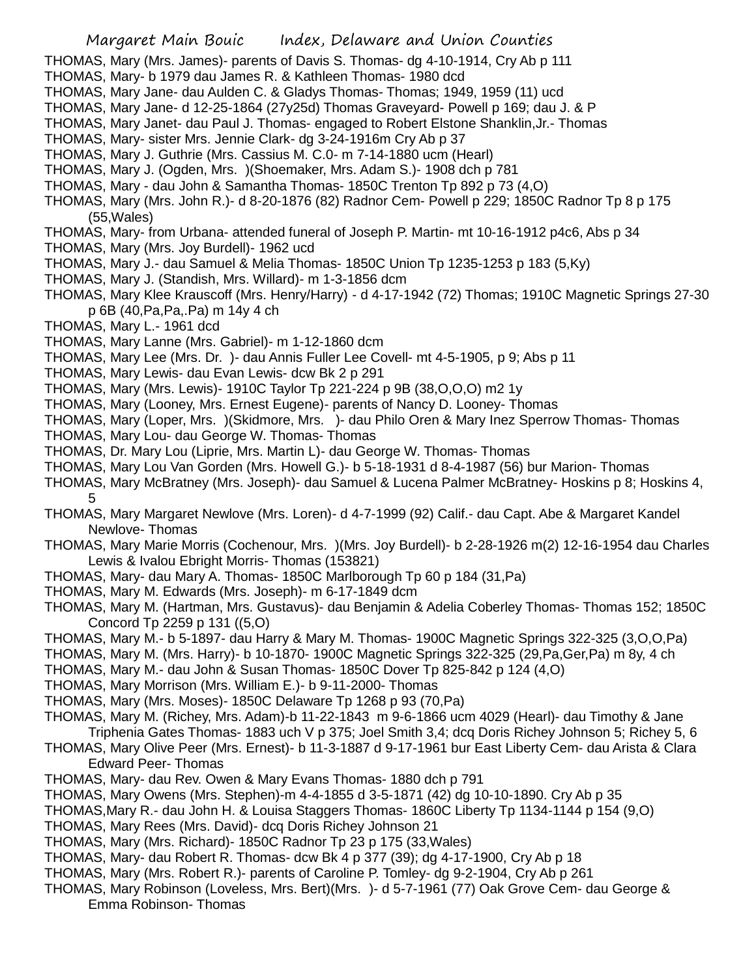- THOMAS, Mary (Mrs. James)- parents of Davis S. Thomas- dg 4-10-1914, Cry Ab p 111
- THOMAS, Mary- b 1979 dau James R. & Kathleen Thomas- 1980 dcd
- THOMAS, Mary Jane- dau Aulden C. & Gladys Thomas- Thomas; 1949, 1959 (11) ucd
- THOMAS, Mary Jane- d 12-25-1864 (27y25d) Thomas Graveyard- Powell p 169; dau J. & P
- THOMAS, Mary Janet- dau Paul J. Thomas- engaged to Robert Elstone Shanklin,Jr.- Thomas
- THOMAS, Mary- sister Mrs. Jennie Clark- dg 3-24-1916m Cry Ab p 37
- THOMAS, Mary J. Guthrie (Mrs. Cassius M. C.0- m 7-14-1880 ucm (Hearl)
- THOMAS, Mary J. (Ogden, Mrs. )(Shoemaker, Mrs. Adam S.)- 1908 dch p 781
- THOMAS, Mary dau John & Samantha Thomas- 1850C Trenton Tp 892 p 73 (4,O)
- THOMAS, Mary (Mrs. John R.)- d 8-20-1876 (82) Radnor Cem- Powell p 229; 1850C Radnor Tp 8 p 175 (55,Wales)
- THOMAS, Mary- from Urbana- attended funeral of Joseph P. Martin- mt 10-16-1912 p4c6, Abs p 34
- THOMAS, Mary (Mrs. Joy Burdell)- 1962 ucd
- THOMAS, Mary J.- dau Samuel & Melia Thomas- 1850C Union Tp 1235-1253 p 183 (5,Ky)
- THOMAS, Mary J. (Standish, Mrs. Willard)- m 1-3-1856 dcm
- THOMAS, Mary Klee Krauscoff (Mrs. Henry/Harry) d 4-17-1942 (72) Thomas; 1910C Magnetic Springs 27-30 p 6B (40,Pa,Pa,.Pa) m 14y 4 ch
- THOMAS, Mary L.- 1961 dcd
- THOMAS, Mary Lanne (Mrs. Gabriel)- m 1-12-1860 dcm
- THOMAS, Mary Lee (Mrs. Dr. )- dau Annis Fuller Lee Covell- mt 4-5-1905, p 9; Abs p 11
- THOMAS, Mary Lewis- dau Evan Lewis- dcw Bk 2 p 291
- THOMAS, Mary (Mrs. Lewis)- 1910C Taylor Tp 221-224 p 9B (38,O,O,O) m2 1y
- THOMAS, Mary (Looney, Mrs. Ernest Eugene)- parents of Nancy D. Looney- Thomas
- THOMAS, Mary (Loper, Mrs. )(Skidmore, Mrs. )- dau Philo Oren & Mary Inez Sperrow Thomas- Thomas
- THOMAS, Mary Lou- dau George W. Thomas- Thomas
- THOMAS, Dr. Mary Lou (Liprie, Mrs. Martin L)- dau George W. Thomas- Thomas
- THOMAS, Mary Lou Van Gorden (Mrs. Howell G.)- b 5-18-1931 d 8-4-1987 (56) bur Marion- Thomas
- THOMAS, Mary McBratney (Mrs. Joseph)- dau Samuel & Lucena Palmer McBratney- Hoskins p 8; Hoskins 4, 5
- THOMAS, Mary Margaret Newlove (Mrs. Loren)- d 4-7-1999 (92) Calif.- dau Capt. Abe & Margaret Kandel Newlove- Thomas
- THOMAS, Mary Marie Morris (Cochenour, Mrs. )(Mrs. Joy Burdell)- b 2-28-1926 m(2) 12-16-1954 dau Charles Lewis & Ivalou Ebright Morris- Thomas (153821)
- THOMAS, Mary- dau Mary A. Thomas- 1850C Marlborough Tp 60 p 184 (31,Pa)
- THOMAS, Mary M. Edwards (Mrs. Joseph)- m 6-17-1849 dcm
- THOMAS, Mary M. (Hartman, Mrs. Gustavus)- dau Benjamin & Adelia Coberley Thomas- Thomas 152; 1850C Concord Tp 2259 p 131 ((5,O)
- THOMAS, Mary M.- b 5-1897- dau Harry & Mary M. Thomas- 1900C Magnetic Springs 322-325 (3,O,O,Pa)
- THOMAS, Mary M. (Mrs. Harry)- b 10-1870- 1900C Magnetic Springs 322-325 (29,Pa,Ger,Pa) m 8y, 4 ch
- THOMAS, Mary M.- dau John & Susan Thomas- 1850C Dover Tp 825-842 p 124 (4,O)
- THOMAS, Mary Morrison (Mrs. William E.)- b 9-11-2000- Thomas
- THOMAS, Mary (Mrs. Moses)- 1850C Delaware Tp 1268 p 93 (70,Pa)
- THOMAS, Mary M. (Richey, Mrs. Adam)-b 11-22-1843 m 9-6-1866 ucm 4029 (Hearl)- dau Timothy & Jane Triphenia Gates Thomas- 1883 uch V p 375; Joel Smith 3,4; dcq Doris Richey Johnson 5; Richey 5, 6
- THOMAS, Mary Olive Peer (Mrs. Ernest)- b 11-3-1887 d 9-17-1961 bur East Liberty Cem- dau Arista & Clara Edward Peer- Thomas
- THOMAS, Mary- dau Rev. Owen & Mary Evans Thomas- 1880 dch p 791
- THOMAS, Mary Owens (Mrs. Stephen)-m 4-4-1855 d 3-5-1871 (42) dg 10-10-1890. Cry Ab p 35
- THOMAS,Mary R.- dau John H. & Louisa Staggers Thomas- 1860C Liberty Tp 1134-1144 p 154 (9,O)
- THOMAS, Mary Rees (Mrs. David)- dcq Doris Richey Johnson 21
- THOMAS, Mary (Mrs. Richard)- 1850C Radnor Tp 23 p 175 (33,Wales)
- THOMAS, Mary- dau Robert R. Thomas- dcw Bk 4 p 377 (39); dg 4-17-1900, Cry Ab p 18
- THOMAS, Mary (Mrs. Robert R.)- parents of Caroline P. Tomley- dg 9-2-1904, Cry Ab p 261
- THOMAS, Mary Robinson (Loveless, Mrs. Bert)(Mrs. )- d 5-7-1961 (77) Oak Grove Cem- dau George & Emma Robinson- Thomas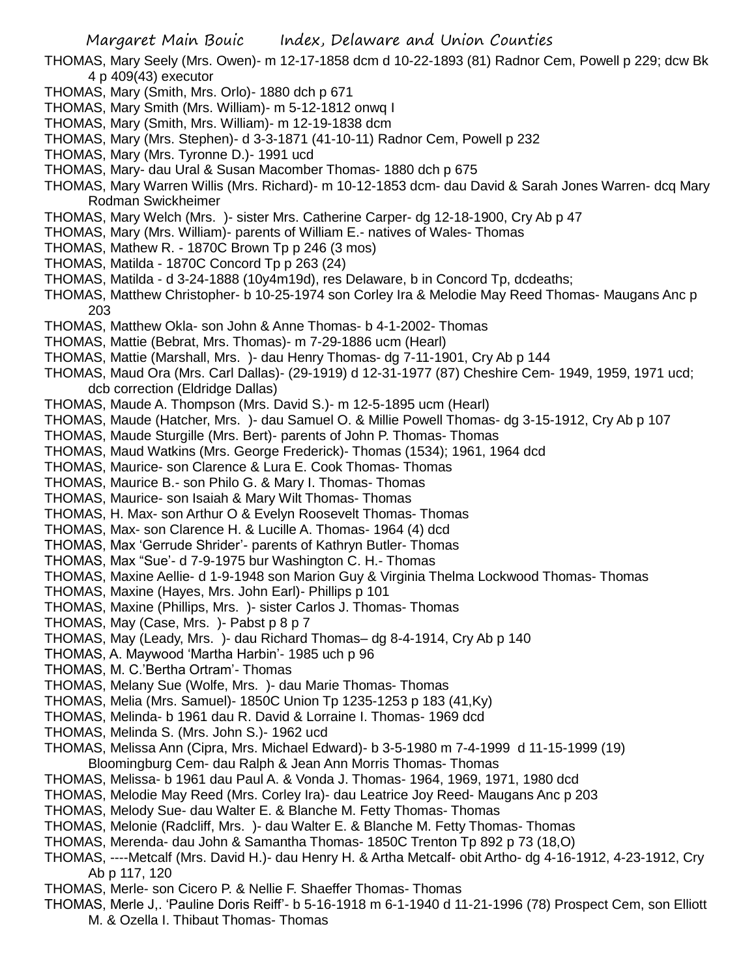- THOMAS, Mary Seely (Mrs. Owen)- m 12-17-1858 dcm d 10-22-1893 (81) Radnor Cem, Powell p 229; dcw Bk 4 p 409(43) executor
- THOMAS, Mary (Smith, Mrs. Orlo)- 1880 dch p 671
- THOMAS, Mary Smith (Mrs. William)- m 5-12-1812 onwq I
- THOMAS, Mary (Smith, Mrs. William)- m 12-19-1838 dcm
- THOMAS, Mary (Mrs. Stephen)- d 3-3-1871 (41-10-11) Radnor Cem, Powell p 232
- THOMAS, Mary (Mrs. Tyronne D.)- 1991 ucd
- THOMAS, Mary- dau Ural & Susan Macomber Thomas- 1880 dch p 675
- THOMAS, Mary Warren Willis (Mrs. Richard)- m 10-12-1853 dcm- dau David & Sarah Jones Warren- dcq Mary Rodman Swickheimer
- THOMAS, Mary Welch (Mrs. )- sister Mrs. Catherine Carper- dg 12-18-1900, Cry Ab p 47
- THOMAS, Mary (Mrs. William)- parents of William E.- natives of Wales- Thomas
- THOMAS, Mathew R. 1870C Brown Tp p 246 (3 mos)
- THOMAS, Matilda 1870C Concord Tp p 263 (24)
- THOMAS, Matilda d 3-24-1888 (10y4m19d), res Delaware, b in Concord Tp, dcdeaths;
- THOMAS, Matthew Christopher- b 10-25-1974 son Corley Ira & Melodie May Reed Thomas- Maugans Anc p 203
- THOMAS, Matthew Okla- son John & Anne Thomas- b 4-1-2002- Thomas
- THOMAS, Mattie (Bebrat, Mrs. Thomas)- m 7-29-1886 ucm (Hearl)
- THOMAS, Mattie (Marshall, Mrs. )- dau Henry Thomas- dg 7-11-1901, Cry Ab p 144
- THOMAS, Maud Ora (Mrs. Carl Dallas)- (29-1919) d 12-31-1977 (87) Cheshire Cem- 1949, 1959, 1971 ucd; dcb correction (Eldridge Dallas)
- THOMAS, Maude A. Thompson (Mrs. David S.)- m 12-5-1895 ucm (Hearl)
- THOMAS, Maude (Hatcher, Mrs. )- dau Samuel O. & Millie Powell Thomas- dg 3-15-1912, Cry Ab p 107
- THOMAS, Maude Sturgille (Mrs. Bert)- parents of John P. Thomas- Thomas
- THOMAS, Maud Watkins (Mrs. George Frederick)- Thomas (1534); 1961, 1964 dcd
- THOMAS, Maurice- son Clarence & Lura E. Cook Thomas- Thomas
- THOMAS, Maurice B.- son Philo G. & Mary I. Thomas- Thomas
- THOMAS, Maurice- son Isaiah & Mary Wilt Thomas- Thomas
- THOMAS, H. Max- son Arthur O & Evelyn Roosevelt Thomas- Thomas
- THOMAS, Max- son Clarence H. & Lucille A. Thomas- 1964 (4) dcd
- THOMAS, Max 'Gerrude Shrider'- parents of Kathryn Butler- Thomas
- THOMAS, Max "Sue'- d 7-9-1975 bur Washington C. H.- Thomas
- THOMAS, Maxine Aellie- d 1-9-1948 son Marion Guy & Virginia Thelma Lockwood Thomas- Thomas
- THOMAS, Maxine (Hayes, Mrs. John Earl)- Phillips p 101
- THOMAS, Maxine (Phillips, Mrs. )- sister Carlos J. Thomas- Thomas
- THOMAS, May (Case, Mrs. )- Pabst p 8 p 7
- THOMAS, May (Leady, Mrs. )- dau Richard Thomas– dg 8-4-1914, Cry Ab p 140
- THOMAS, A. Maywood 'Martha Harbin'- 1985 uch p 96
- THOMAS, M. C.'Bertha Ortram'- Thomas
- THOMAS, Melany Sue (Wolfe, Mrs. )- dau Marie Thomas- Thomas
- THOMAS, Melia (Mrs. Samuel)- 1850C Union Tp 1235-1253 p 183 (41,Ky)
- THOMAS, Melinda- b 1961 dau R. David & Lorraine I. Thomas- 1969 dcd
- THOMAS, Melinda S. (Mrs. John S.)- 1962 ucd
- THOMAS, Melissa Ann (Cipra, Mrs. Michael Edward)- b 3-5-1980 m 7-4-1999 d 11-15-1999 (19) Bloomingburg Cem- dau Ralph & Jean Ann Morris Thomas- Thomas
- THOMAS, Melissa- b 1961 dau Paul A. & Vonda J. Thomas- 1964, 1969, 1971, 1980 dcd
- THOMAS, Melodie May Reed (Mrs. Corley Ira)- dau Leatrice Joy Reed- Maugans Anc p 203
- THOMAS, Melody Sue- dau Walter E. & Blanche M. Fetty Thomas- Thomas
- THOMAS, Melonie (Radcliff, Mrs. )- dau Walter E. & Blanche M. Fetty Thomas- Thomas
- THOMAS, Merenda- dau John & Samantha Thomas- 1850C Trenton Tp 892 p 73 (18,O)
- THOMAS, ----Metcalf (Mrs. David H.)- dau Henry H. & Artha Metcalf- obit Artho- dg 4-16-1912, 4-23-1912, Cry Ab p 117, 120
- THOMAS, Merle- son Cicero P. & Nellie F. Shaeffer Thomas- Thomas
- THOMAS, Merle J,. 'Pauline Doris Reiff'- b 5-16-1918 m 6-1-1940 d 11-21-1996 (78) Prospect Cem, son Elliott M. & Ozella I. Thibaut Thomas- Thomas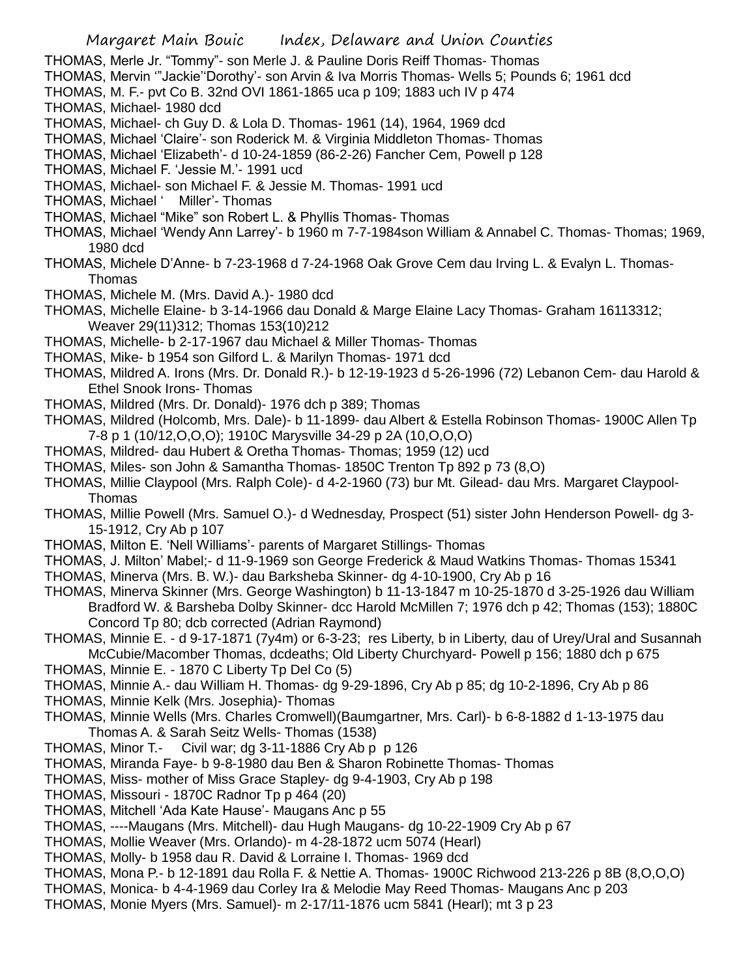- THOMAS, Merle Jr. "Tommy"- son Merle J. & Pauline Doris Reiff Thomas- Thomas
- THOMAS, Mervin '"Jackie''Dorothy'- son Arvin & Iva Morris Thomas- Wells 5; Pounds 6; 1961 dcd
- THOMAS, M. F.- pvt Co B. 32nd OVI 1861-1865 uca p 109; 1883 uch IV p 474
- THOMAS, Michael- 1980 dcd
- THOMAS, Michael- ch Guy D. & Lola D. Thomas- 1961 (14), 1964, 1969 dcd
- THOMAS, Michael 'Claire'- son Roderick M. & Virginia Middleton Thomas- Thomas
- THOMAS, Michael 'Elizabeth'- d 10-24-1859 (86-2-26) Fancher Cem, Powell p 128
- THOMAS, Michael F. 'Jessie M.'- 1991 ucd
- THOMAS, Michael- son Michael F. & Jessie M. Thomas- 1991 ucd
- THOMAS, Michael ' Miller'- Thomas
- THOMAS, Michael "Mike" son Robert L. & Phyllis Thomas- Thomas
- THOMAS, Michael 'Wendy Ann Larrey'- b 1960 m 7-7-1984son William & Annabel C. Thomas- Thomas; 1969, 1980 dcd
- THOMAS, Michele D'Anne- b 7-23-1968 d 7-24-1968 Oak Grove Cem dau Irving L. & Evalyn L. Thomas-Thomas
- THOMAS, Michele M. (Mrs. David A.)- 1980 dcd
- THOMAS, Michelle Elaine- b 3-14-1966 dau Donald & Marge Elaine Lacy Thomas- Graham 16113312; Weaver 29(11)312; Thomas 153(10)212
- THOMAS, Michelle- b 2-17-1967 dau Michael & Miller Thomas- Thomas
- THOMAS, Mike- b 1954 son Gilford L. & Marilyn Thomas- 1971 dcd
- THOMAS, Mildred A. Irons (Mrs. Dr. Donald R.)- b 12-19-1923 d 5-26-1996 (72) Lebanon Cem- dau Harold & Ethel Snook Irons- Thomas
- THOMAS, Mildred (Mrs. Dr. Donald)- 1976 dch p 389; Thomas
- THOMAS, Mildred (Holcomb, Mrs. Dale)- b 11-1899- dau Albert & Estella Robinson Thomas- 1900C Allen Tp 7-8 p 1 (10/12,O,O,O); 1910C Marysville 34-29 p 2A (10,O,O,O)
- THOMAS, Mildred- dau Hubert & Oretha Thomas- Thomas; 1959 (12) ucd
- THOMAS, Miles- son John & Samantha Thomas- 1850C Trenton Tp 892 p 73 (8,O)
- THOMAS, Millie Claypool (Mrs. Ralph Cole)- d 4-2-1960 (73) bur Mt. Gilead- dau Mrs. Margaret Claypool-Thomas
- THOMAS, Millie Powell (Mrs. Samuel O.)- d Wednesday, Prospect (51) sister John Henderson Powell- dg 3- 15-1912, Cry Ab p 107
- THOMAS, Milton E. 'Nell Williams'- parents of Margaret Stillings- Thomas
- THOMAS, J. Milton' Mabel;- d 11-9-1969 son George Frederick & Maud Watkins Thomas- Thomas 15341
- THOMAS, Minerva (Mrs. B. W.)- dau Barksheba Skinner- dg 4-10-1900, Cry Ab p 16
- THOMAS, Minerva Skinner (Mrs. George Washington) b 11-13-1847 m 10-25-1870 d 3-25-1926 dau William Bradford W. & Barsheba Dolby Skinner- dcc Harold McMillen 7; 1976 dch p 42; Thomas (153); 1880C Concord Tp 80; dcb corrected (Adrian Raymond)
- THOMAS, Minnie E. d 9-17-1871 (7y4m) or 6-3-23; res Liberty, b in Liberty, dau of Urey/Ural and Susannah McCubie/Macomber Thomas, dcdeaths; Old Liberty Churchyard- Powell p 156; 1880 dch p 675
- THOMAS, Minnie E. 1870 C Liberty Tp Del Co (5)
- THOMAS, Minnie A.- dau William H. Thomas- dg 9-29-1896, Cry Ab p 85; dg 10-2-1896, Cry Ab p 86
- THOMAS, Minnie Kelk (Mrs. Josephia)- Thomas
- THOMAS, Minnie Wells (Mrs. Charles Cromwell)(Baumgartner, Mrs. Carl)- b 6-8-1882 d 1-13-1975 dau Thomas A. & Sarah Seitz Wells- Thomas (1538)
- THOMAS, Minor T.- Civil war; dg 3-11-1886 Cry Ab p p 126
- THOMAS, Miranda Faye- b 9-8-1980 dau Ben & Sharon Robinette Thomas- Thomas
- THOMAS, Miss- mother of Miss Grace Stapley- dg 9-4-1903, Cry Ab p 198
- THOMAS, Missouri 1870C Radnor Tp p 464 (20)
- THOMAS, Mitchell 'Ada Kate Hause'- Maugans Anc p 55
- THOMAS, ----Maugans (Mrs. Mitchell)- dau Hugh Maugans- dg 10-22-1909 Cry Ab p 67
- THOMAS, Mollie Weaver (Mrs. Orlando)- m 4-28-1872 ucm 5074 (Hearl)
- THOMAS, Molly- b 1958 dau R. David & Lorraine I. Thomas- 1969 dcd
- THOMAS, Mona P.- b 12-1891 dau Rolla F. & Nettie A. Thomas- 1900C Richwood 213-226 p 8B (8,O,O,O)
- THOMAS, Monica- b 4-4-1969 dau Corley Ira & Melodie May Reed Thomas- Maugans Anc p 203
- THOMAS, Monie Myers (Mrs. Samuel)- m 2-17/11-1876 ucm 5841 (Hearl); mt 3 p 23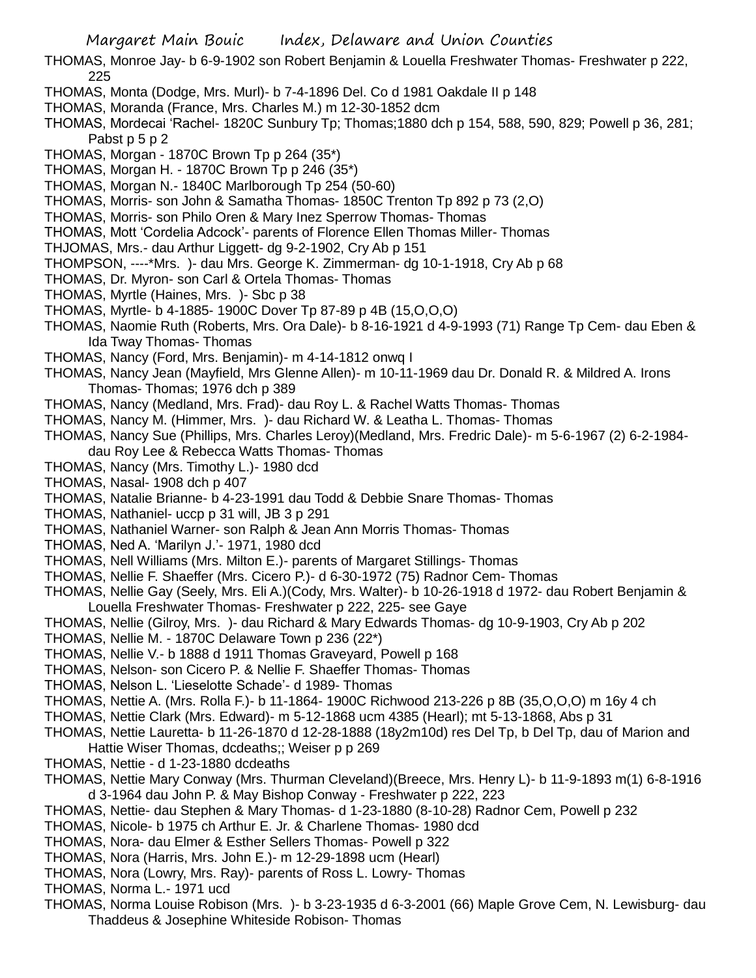- THOMAS, Monroe Jay- b 6-9-1902 son Robert Benjamin & Louella Freshwater Thomas- Freshwater p 222, 225
- THOMAS, Monta (Dodge, Mrs. Murl)- b 7-4-1896 Del. Co d 1981 Oakdale II p 148
- THOMAS, Moranda (France, Mrs. Charles M.) m 12-30-1852 dcm
- THOMAS, Mordecai 'Rachel- 1820C Sunbury Tp; Thomas;1880 dch p 154, 588, 590, 829; Powell p 36, 281; Pabst p 5 p 2
- THOMAS, Morgan 1870C Brown Tp p 264 (35\*)
- THOMAS, Morgan H. 1870C Brown Tp p 246 (35\*)
- THOMAS, Morgan N.- 1840C Marlborough Tp 254 (50-60)
- THOMAS, Morris- son John & Samatha Thomas- 1850C Trenton Tp 892 p 73 (2,O)
- THOMAS, Morris- son Philo Oren & Mary Inez Sperrow Thomas- Thomas
- THOMAS, Mott 'Cordelia Adcock'- parents of Florence Ellen Thomas Miller- Thomas
- THJOMAS, Mrs.- dau Arthur Liggett- dg 9-2-1902, Cry Ab p 151
- THOMPSON, ----\*Mrs. )- dau Mrs. George K. Zimmerman- dg 10-1-1918, Cry Ab p 68
- THOMAS, Dr. Myron- son Carl & Ortela Thomas- Thomas
- THOMAS, Myrtle (Haines, Mrs. )- Sbc p 38
- THOMAS, Myrtle- b 4-1885- 1900C Dover Tp 87-89 p 4B (15,O,O,O)
- THOMAS, Naomie Ruth (Roberts, Mrs. Ora Dale)- b 8-16-1921 d 4-9-1993 (71) Range Tp Cem- dau Eben & Ida Tway Thomas- Thomas
- THOMAS, Nancy (Ford, Mrs. Benjamin)- m 4-14-1812 onwq I
- THOMAS, Nancy Jean (Mayfield, Mrs Glenne Allen)- m 10-11-1969 dau Dr. Donald R. & Mildred A. Irons Thomas- Thomas; 1976 dch p 389
- THOMAS, Nancy (Medland, Mrs. Frad)- dau Roy L. & Rachel Watts Thomas- Thomas
- THOMAS, Nancy M. (Himmer, Mrs. )- dau Richard W. & Leatha L. Thomas- Thomas
- THOMAS, Nancy Sue (Phillips, Mrs. Charles Leroy)(Medland, Mrs. Fredric Dale)- m 5-6-1967 (2) 6-2-1984 dau Roy Lee & Rebecca Watts Thomas- Thomas
- THOMAS, Nancy (Mrs. Timothy L.)- 1980 dcd
- THOMAS, Nasal- 1908 dch p 407
- THOMAS, Natalie Brianne- b 4-23-1991 dau Todd & Debbie Snare Thomas- Thomas
- THOMAS, Nathaniel- uccp p 31 will, JB 3 p 291
- THOMAS, Nathaniel Warner- son Ralph & Jean Ann Morris Thomas- Thomas
- THOMAS, Ned A. 'Marilyn J.'- 1971, 1980 dcd
- THOMAS, Nell Williams (Mrs. Milton E.)- parents of Margaret Stillings- Thomas
- THOMAS, Nellie F. Shaeffer (Mrs. Cicero P.)- d 6-30-1972 (75) Radnor Cem- Thomas
- THOMAS, Nellie Gay (Seely, Mrs. Eli A.)(Cody, Mrs. Walter)- b 10-26-1918 d 1972- dau Robert Benjamin & Louella Freshwater Thomas- Freshwater p 222, 225- see Gaye
- THOMAS, Nellie (Gilroy, Mrs. )- dau Richard & Mary Edwards Thomas- dg 10-9-1903, Cry Ab p 202
- THOMAS, Nellie M. 1870C Delaware Town p 236 (22\*)
- THOMAS, Nellie V.- b 1888 d 1911 Thomas Graveyard, Powell p 168
- THOMAS, Nelson- son Cicero P. & Nellie F. Shaeffer Thomas- Thomas
- THOMAS, Nelson L. 'Lieselotte Schade'- d 1989- Thomas
- THOMAS, Nettie A. (Mrs. Rolla F.)- b 11-1864- 1900C Richwood 213-226 p 8B (35,O,O,O) m 16y 4 ch
- THOMAS, Nettie Clark (Mrs. Edward)- m 5-12-1868 ucm 4385 (Hearl); mt 5-13-1868, Abs p 31
- THOMAS, Nettie Lauretta- b 11-26-1870 d 12-28-1888 (18y2m10d) res Del Tp, b Del Tp, dau of Marion and Hattie Wiser Thomas, dcdeaths;; Weiser p p 269
- THOMAS, Nettie d 1-23-1880 dcdeaths
- THOMAS, Nettie Mary Conway (Mrs. Thurman Cleveland)(Breece, Mrs. Henry L)- b 11-9-1893 m(1) 6-8-1916 d 3-1964 dau John P. & May Bishop Conway - Freshwater p 222, 223
- THOMAS, Nettie- dau Stephen & Mary Thomas- d 1-23-1880 (8-10-28) Radnor Cem, Powell p 232
- THOMAS, Nicole- b 1975 ch Arthur E. Jr. & Charlene Thomas- 1980 dcd
- THOMAS, Nora- dau Elmer & Esther Sellers Thomas- Powell p 322
- THOMAS, Nora (Harris, Mrs. John E.)- m 12-29-1898 ucm (Hearl)
- THOMAS, Nora (Lowry, Mrs. Ray)- parents of Ross L. Lowry- Thomas
- THOMAS, Norma L.- 1971 ucd
- THOMAS, Norma Louise Robison (Mrs. )- b 3-23-1935 d 6-3-2001 (66) Maple Grove Cem, N. Lewisburg- dau Thaddeus & Josephine Whiteside Robison- Thomas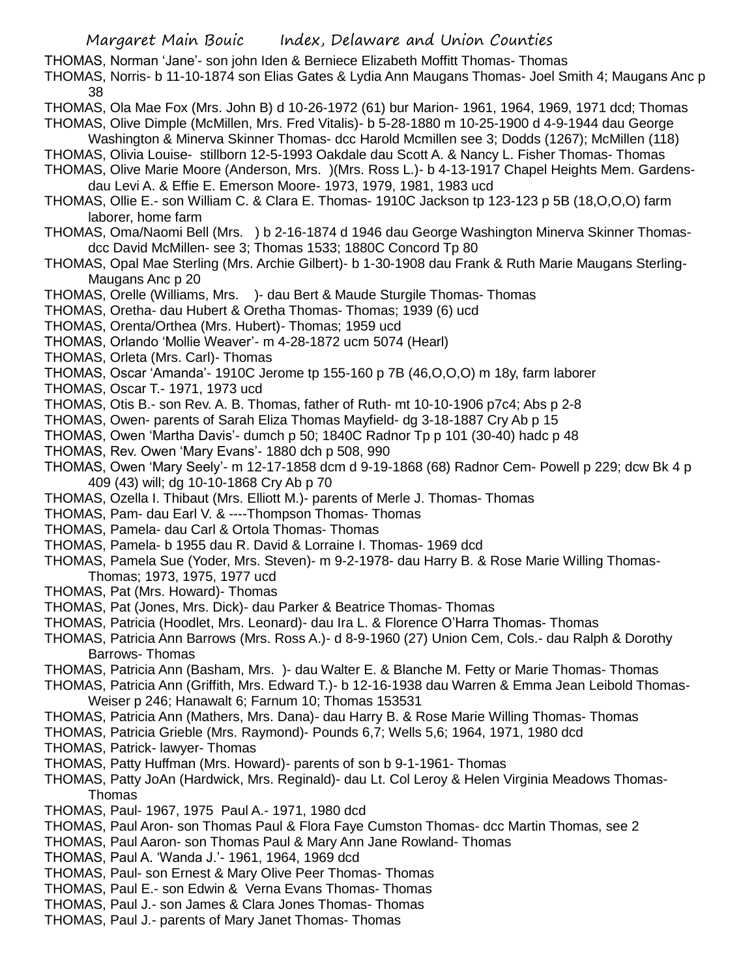Margaret Main Bouic Index, Delaware and Union Counties THOMAS, Norman 'Jane'- son john Iden & Berniece Elizabeth Moffitt Thomas- Thomas THOMAS, Norris- b 11-10-1874 son Elias Gates & Lydia Ann Maugans Thomas- Joel Smith 4; Maugans Anc p 38 THOMAS, Ola Mae Fox (Mrs. John B) d 10-26-1972 (61) bur Marion- 1961, 1964, 1969, 1971 dcd; Thomas THOMAS, Olive Dimple (McMillen, Mrs. Fred Vitalis)- b 5-28-1880 m 10-25-1900 d 4-9-1944 dau George Washington & Minerva Skinner Thomas- dcc Harold Mcmillen see 3; Dodds (1267); McMillen (118) THOMAS, Olivia Louise- stillborn 12-5-1993 Oakdale dau Scott A. & Nancy L. Fisher Thomas- Thomas THOMAS, Olive Marie Moore (Anderson, Mrs. )(Mrs. Ross L.)- b 4-13-1917 Chapel Heights Mem. Gardensdau Levi A. & Effie E. Emerson Moore- 1973, 1979, 1981, 1983 ucd THOMAS, Ollie E.- son William C. & Clara E. Thomas- 1910C Jackson tp 123-123 p 5B (18,O,O,O) farm laborer, home farm THOMAS, Oma/Naomi Bell (Mrs. ) b 2-16-1874 d 1946 dau George Washington Minerva Skinner Thomasdcc David McMillen- see 3; Thomas 1533; 1880C Concord Tp 80 THOMAS, Opal Mae Sterling (Mrs. Archie Gilbert)- b 1-30-1908 dau Frank & Ruth Marie Maugans Sterling-Maugans Anc p 20 THOMAS, Orelle (Williams, Mrs. )- dau Bert & Maude Sturgile Thomas- Thomas THOMAS, Oretha- dau Hubert & Oretha Thomas- Thomas; 1939 (6) ucd THOMAS, Orenta/Orthea (Mrs. Hubert)- Thomas; 1959 ucd THOMAS, Orlando 'Mollie Weaver'- m 4-28-1872 ucm 5074 (Hearl) THOMAS, Orleta (Mrs. Carl)- Thomas THOMAS, Oscar 'Amanda'- 1910C Jerome tp 155-160 p 7B (46,O,O,O) m 18y, farm laborer THOMAS, Oscar T.- 1971, 1973 ucd THOMAS, Otis B.- son Rev. A. B. Thomas, father of Ruth- mt 10-10-1906 p7c4; Abs p 2-8 THOMAS, Owen- parents of Sarah Eliza Thomas Mayfield- dg 3-18-1887 Cry Ab p 15 THOMAS, Owen 'Martha Davis'- dumch p 50; 1840C Radnor Tp p 101 (30-40) hadc p 48 THOMAS, Rev. Owen 'Mary Evans'- 1880 dch p 508, 990 THOMAS, Owen 'Mary Seely'- m 12-17-1858 dcm d 9-19-1868 (68) Radnor Cem- Powell p 229; dcw Bk 4 p 409 (43) will; dg 10-10-1868 Cry Ab p 70 THOMAS, Ozella I. Thibaut (Mrs. Elliott M.)- parents of Merle J. Thomas- Thomas THOMAS, Pam- dau Earl V. & ----Thompson Thomas- Thomas THOMAS, Pamela- dau Carl & Ortola Thomas- Thomas THOMAS, Pamela- b 1955 dau R. David & Lorraine I. Thomas- 1969 dcd THOMAS, Pamela Sue (Yoder, Mrs. Steven)- m 9-2-1978- dau Harry B. & Rose Marie Willing Thomas-Thomas; 1973, 1975, 1977 ucd THOMAS, Pat (Mrs. Howard)- Thomas THOMAS, Pat (Jones, Mrs. Dick)- dau Parker & Beatrice Thomas- Thomas THOMAS, Patricia (Hoodlet, Mrs. Leonard)- dau Ira L. & Florence O'Harra Thomas- Thomas

- THOMAS, Patricia Ann Barrows (Mrs. Ross A.)- d 8-9-1960 (27) Union Cem, Cols.- dau Ralph & Dorothy Barrows- Thomas
- THOMAS, Patricia Ann (Basham, Mrs. )- dau Walter E. & Blanche M. Fetty or Marie Thomas- Thomas
- THOMAS, Patricia Ann (Griffith, Mrs. Edward T.)- b 12-16-1938 dau Warren & Emma Jean Leibold Thomas-Weiser p 246; Hanawalt 6; Farnum 10; Thomas 153531
- THOMAS, Patricia Ann (Mathers, Mrs. Dana)- dau Harry B. & Rose Marie Willing Thomas- Thomas
- THOMAS, Patricia Grieble (Mrs. Raymond)- Pounds 6,7; Wells 5,6; 1964, 1971, 1980 dcd
- THOMAS, Patrick- lawyer- Thomas
- THOMAS, Patty Huffman (Mrs. Howard)- parents of son b 9-1-1961- Thomas
- THOMAS, Patty JoAn (Hardwick, Mrs. Reginald)- dau Lt. Col Leroy & Helen Virginia Meadows Thomas-Thomas
- THOMAS, Paul- 1967, 1975 Paul A.- 1971, 1980 dcd
- THOMAS, Paul Aron- son Thomas Paul & Flora Faye Cumston Thomas- dcc Martin Thomas, see 2
- THOMAS, Paul Aaron- son Thomas Paul & Mary Ann Jane Rowland- Thomas
- THOMAS, Paul A. 'Wanda J.'- 1961, 1964, 1969 dcd
- THOMAS, Paul- son Ernest & Mary Olive Peer Thomas- Thomas
- THOMAS, Paul E.- son Edwin & Verna Evans Thomas- Thomas
- THOMAS, Paul J.- son James & Clara Jones Thomas- Thomas
- THOMAS, Paul J.- parents of Mary Janet Thomas- Thomas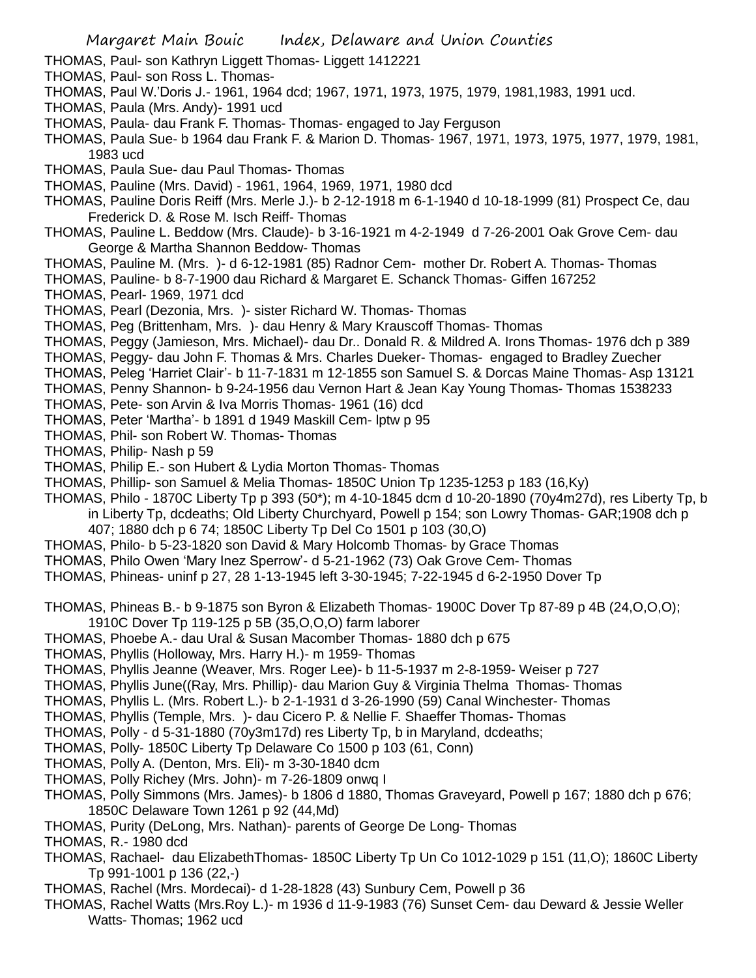- THOMAS, Paul- son Kathryn Liggett Thomas- Liggett 1412221
- THOMAS, Paul- son Ross L. Thomas-
- THOMAS, Paul W.'Doris J.- 1961, 1964 dcd; 1967, 1971, 1973, 1975, 1979, 1981,1983, 1991 ucd.
- THOMAS, Paula (Mrs. Andy)- 1991 ucd
- THOMAS, Paula- dau Frank F. Thomas- Thomas- engaged to Jay Ferguson
- THOMAS, Paula Sue- b 1964 dau Frank F. & Marion D. Thomas- 1967, 1971, 1973, 1975, 1977, 1979, 1981, 1983 ucd
- THOMAS, Paula Sue- dau Paul Thomas- Thomas
- THOMAS, Pauline (Mrs. David) 1961, 1964, 1969, 1971, 1980 dcd
- THOMAS, Pauline Doris Reiff (Mrs. Merle J.)- b 2-12-1918 m 6-1-1940 d 10-18-1999 (81) Prospect Ce, dau Frederick D. & Rose M. Isch Reiff- Thomas
- THOMAS, Pauline L. Beddow (Mrs. Claude)- b 3-16-1921 m 4-2-1949 d 7-26-2001 Oak Grove Cem- dau George & Martha Shannon Beddow- Thomas
- THOMAS, Pauline M. (Mrs. )- d 6-12-1981 (85) Radnor Cem- mother Dr. Robert A. Thomas- Thomas
- THOMAS, Pauline- b 8-7-1900 dau Richard & Margaret E. Schanck Thomas- Giffen 167252
- THOMAS, Pearl- 1969, 1971 dcd
- THOMAS, Pearl (Dezonia, Mrs. )- sister Richard W. Thomas- Thomas
- THOMAS, Peg (Brittenham, Mrs. )- dau Henry & Mary Krauscoff Thomas- Thomas
- THOMAS, Peggy (Jamieson, Mrs. Michael)- dau Dr.. Donald R. & Mildred A. Irons Thomas- 1976 dch p 389
- THOMAS, Peggy- dau John F. Thomas & Mrs. Charles Dueker- Thomas- engaged to Bradley Zuecher
- THOMAS, Peleg 'Harriet Clair'- b 11-7-1831 m 12-1855 son Samuel S. & Dorcas Maine Thomas- Asp 13121
- THOMAS, Penny Shannon- b 9-24-1956 dau Vernon Hart & Jean Kay Young Thomas- Thomas 1538233
- THOMAS, Pete- son Arvin & Iva Morris Thomas- 1961 (16) dcd
- THOMAS, Peter 'Martha'- b 1891 d 1949 Maskill Cem- lptw p 95
- THOMAS, Phil- son Robert W. Thomas- Thomas
- THOMAS, Philip- Nash p 59
- THOMAS, Philip E.- son Hubert & Lydia Morton Thomas- Thomas
- THOMAS, Phillip- son Samuel & Melia Thomas- 1850C Union Tp 1235-1253 p 183 (16,Ky)
- THOMAS, Philo 1870C Liberty Tp p 393 (50\*); m 4-10-1845 dcm d 10-20-1890 (70y4m27d), res Liberty Tp, b in Liberty Tp, dcdeaths; Old Liberty Churchyard, Powell p 154; son Lowry Thomas- GAR;1908 dch p 407; 1880 dch p 6 74; 1850C Liberty Tp Del Co 1501 p 103 (30,O)
- THOMAS, Philo- b 5-23-1820 son David & Mary Holcomb Thomas- by Grace Thomas
- THOMAS, Philo Owen 'Mary Inez Sperrow'- d 5-21-1962 (73) Oak Grove Cem- Thomas
- THOMAS, Phineas- uninf p 27, 28 1-13-1945 left 3-30-1945; 7-22-1945 d 6-2-1950 Dover Tp
- THOMAS, Phineas B.- b 9-1875 son Byron & Elizabeth Thomas- 1900C Dover Tp 87-89 p 4B (24,O,O,O); 1910C Dover Tp 119-125 p 5B (35,O,O,O) farm laborer
- THOMAS, Phoebe A.- dau Ural & Susan Macomber Thomas- 1880 dch p 675
- THOMAS, Phyllis (Holloway, Mrs. Harry H.)- m 1959- Thomas
- THOMAS, Phyllis Jeanne (Weaver, Mrs. Roger Lee)- b 11-5-1937 m 2-8-1959- Weiser p 727
- THOMAS, Phyllis June((Ray, Mrs. Phillip)- dau Marion Guy & Virginia Thelma Thomas- Thomas
- THOMAS, Phyllis L. (Mrs. Robert L.)- b 2-1-1931 d 3-26-1990 (59) Canal Winchester- Thomas
- THOMAS, Phyllis (Temple, Mrs. )- dau Cicero P. & Nellie F. Shaeffer Thomas- Thomas
- THOMAS, Polly d 5-31-1880 (70y3m17d) res Liberty Tp, b in Maryland, dcdeaths;
- THOMAS, Polly- 1850C Liberty Tp Delaware Co 1500 p 103 (61, Conn)
- THOMAS, Polly A. (Denton, Mrs. Eli)- m 3-30-1840 dcm
- THOMAS, Polly Richey (Mrs. John)- m 7-26-1809 onwq I
- THOMAS, Polly Simmons (Mrs. James)- b 1806 d 1880, Thomas Graveyard, Powell p 167; 1880 dch p 676; 1850C Delaware Town 1261 p 92 (44,Md)
- THOMAS, Purity (DeLong, Mrs. Nathan)- parents of George De Long- Thomas
- THOMAS, R.- 1980 dcd
- THOMAS, Rachael- dau ElizabethThomas- 1850C Liberty Tp Un Co 1012-1029 p 151 (11,O); 1860C Liberty Tp 991-1001 p 136 (22,-)
- THOMAS, Rachel (Mrs. Mordecai)- d 1-28-1828 (43) Sunbury Cem, Powell p 36
- THOMAS, Rachel Watts (Mrs.Roy L.)- m 1936 d 11-9-1983 (76) Sunset Cem- dau Deward & Jessie Weller Watts- Thomas; 1962 ucd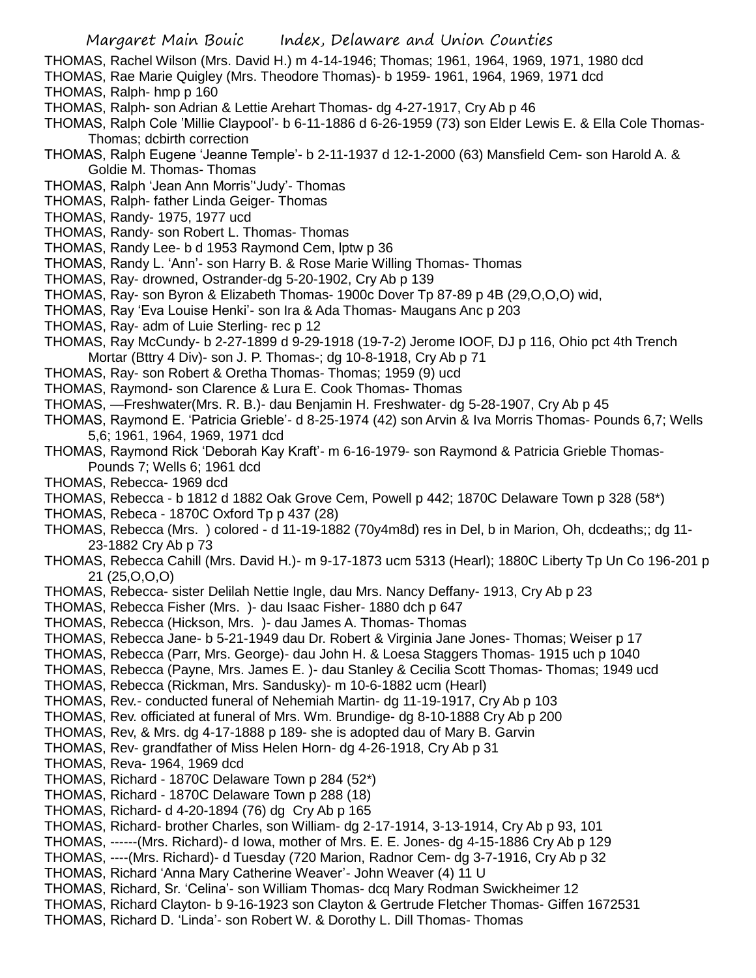- THOMAS, Rachel Wilson (Mrs. David H.) m 4-14-1946; Thomas; 1961, 1964, 1969, 1971, 1980 dcd
- THOMAS, Rae Marie Quigley (Mrs. Theodore Thomas)- b 1959- 1961, 1964, 1969, 1971 dcd
- THOMAS, Ralph- hmp p 160
- THOMAS, Ralph- son Adrian & Lettie Arehart Thomas- dg 4-27-1917, Cry Ab p 46
- THOMAS, Ralph Cole 'Millie Claypool'- b 6-11-1886 d 6-26-1959 (73) son Elder Lewis E. & Ella Cole Thomas-Thomas; dcbirth correction
- THOMAS, Ralph Eugene 'Jeanne Temple'- b 2-11-1937 d 12-1-2000 (63) Mansfield Cem- son Harold A. & Goldie M. Thomas- Thomas
- THOMAS, Ralph 'Jean Ann Morris''Judy'- Thomas
- THOMAS, Ralph- father Linda Geiger- Thomas
- THOMAS, Randy- 1975, 1977 ucd
- THOMAS, Randy- son Robert L. Thomas- Thomas
- THOMAS, Randy Lee- b d 1953 Raymond Cem, lptw p 36
- THOMAS, Randy L. 'Ann'- son Harry B. & Rose Marie Willing Thomas- Thomas
- THOMAS, Ray- drowned, Ostrander-dg 5-20-1902, Cry Ab p 139
- THOMAS, Ray- son Byron & Elizabeth Thomas- 1900c Dover Tp 87-89 p 4B (29,O,O,O) wid,
- THOMAS, Ray 'Eva Louise Henki'- son Ira & Ada Thomas- Maugans Anc p 203
- THOMAS, Ray- adm of Luie Sterling- rec p 12
- THOMAS, Ray McCundy- b 2-27-1899 d 9-29-1918 (19-7-2) Jerome IOOF, DJ p 116, Ohio pct 4th Trench Mortar (Bttry 4 Div)- son J. P. Thomas-; dg 10-8-1918, Cry Ab p 71
- THOMAS, Ray- son Robert & Oretha Thomas- Thomas; 1959 (9) ucd
- THOMAS, Raymond- son Clarence & Lura E. Cook Thomas- Thomas
- THOMAS, —Freshwater(Mrs. R. B.)- dau Benjamin H. Freshwater- dg 5-28-1907, Cry Ab p 45
- THOMAS, Raymond E. 'Patricia Grieble'- d 8-25-1974 (42) son Arvin & Iva Morris Thomas- Pounds 6,7; Wells 5,6; 1961, 1964, 1969, 1971 dcd
- THOMAS, Raymond Rick 'Deborah Kay Kraft'- m 6-16-1979- son Raymond & Patricia Grieble Thomas-Pounds 7; Wells 6; 1961 dcd
- THOMAS, Rebecca- 1969 dcd
- THOMAS, Rebecca b 1812 d 1882 Oak Grove Cem, Powell p 442; 1870C Delaware Town p 328 (58\*)
- THOMAS, Rebeca 1870C Oxford Tp p 437 (28)
- THOMAS, Rebecca (Mrs. ) colored d 11-19-1882 (70y4m8d) res in Del, b in Marion, Oh, dcdeaths;; dg 11- 23-1882 Cry Ab p 73
- THOMAS, Rebecca Cahill (Mrs. David H.)- m 9-17-1873 ucm 5313 (Hearl); 1880C Liberty Tp Un Co 196-201 p 21 (25,O,O,O)
- THOMAS, Rebecca- sister Delilah Nettie Ingle, dau Mrs. Nancy Deffany- 1913, Cry Ab p 23
- THOMAS, Rebecca Fisher (Mrs. )- dau Isaac Fisher- 1880 dch p 647
- THOMAS, Rebecca (Hickson, Mrs. )- dau James A. Thomas- Thomas
- THOMAS, Rebecca Jane- b 5-21-1949 dau Dr. Robert & Virginia Jane Jones- Thomas; Weiser p 17
- THOMAS, Rebecca (Parr, Mrs. George)- dau John H. & Loesa Staggers Thomas- 1915 uch p 1040
- THOMAS, Rebecca (Payne, Mrs. James E. )- dau Stanley & Cecilia Scott Thomas- Thomas; 1949 ucd
- THOMAS, Rebecca (Rickman, Mrs. Sandusky)- m 10-6-1882 ucm (Hearl)
- THOMAS, Rev.- conducted funeral of Nehemiah Martin- dg 11-19-1917, Cry Ab p 103
- THOMAS, Rev. officiated at funeral of Mrs. Wm. Brundige- dg 8-10-1888 Cry Ab p 200
- THOMAS, Rev, & Mrs. dg 4-17-1888 p 189- she is adopted dau of Mary B. Garvin
- THOMAS, Rev- grandfather of Miss Helen Horn- dg 4-26-1918, Cry Ab p 31
- THOMAS, Reva- 1964, 1969 dcd
- THOMAS, Richard 1870C Delaware Town p 284 (52\*)
- THOMAS, Richard 1870C Delaware Town p 288 (18)
- THOMAS, Richard- d 4-20-1894 (76) dg Cry Ab p 165
- THOMAS, Richard- brother Charles, son William- dg 2-17-1914, 3-13-1914, Cry Ab p 93, 101
- THOMAS, ------(Mrs. Richard)- d Iowa, mother of Mrs. E. E. Jones- dg 4-15-1886 Cry Ab p 129
- THOMAS, ----(Mrs. Richard)- d Tuesday (720 Marion, Radnor Cem- dg 3-7-1916, Cry Ab p 32
- THOMAS, Richard 'Anna Mary Catherine Weaver'- John Weaver (4) 11 U
- THOMAS, Richard, Sr. 'Celina'- son William Thomas- dcq Mary Rodman Swickheimer 12
- THOMAS, Richard Clayton- b 9-16-1923 son Clayton & Gertrude Fletcher Thomas- Giffen 1672531
- THOMAS, Richard D. 'Linda'- son Robert W. & Dorothy L. Dill Thomas- Thomas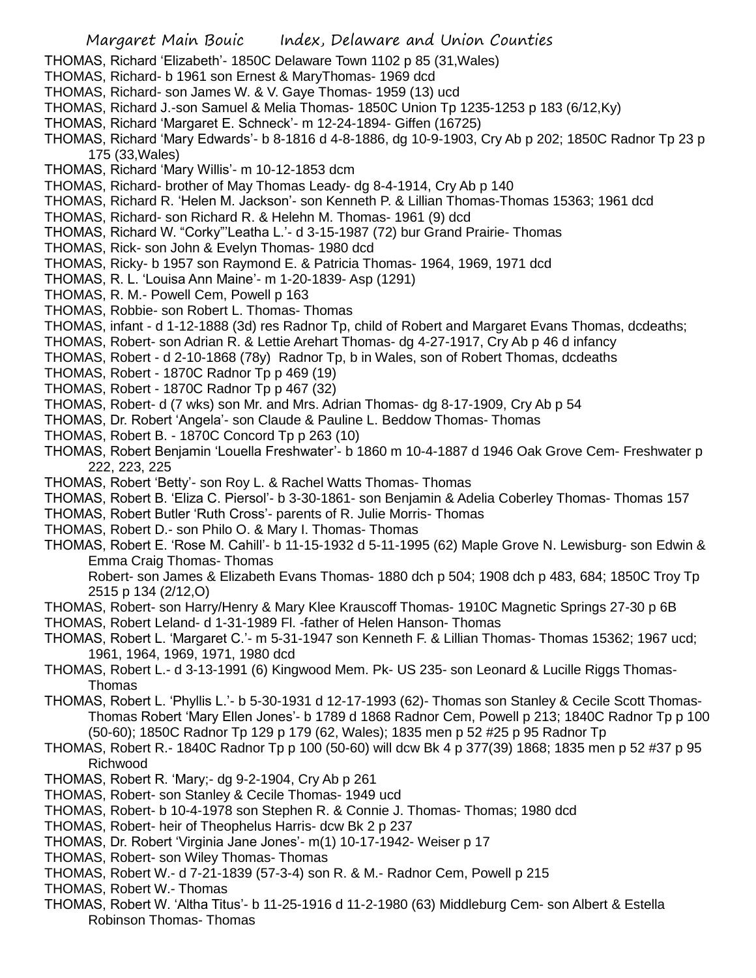- THOMAS, Richard 'Elizabeth'- 1850C Delaware Town 1102 p 85 (31,Wales)
- THOMAS, Richard- b 1961 son Ernest & MaryThomas- 1969 dcd
- THOMAS, Richard- son James W. & V. Gaye Thomas- 1959 (13) ucd
- THOMAS, Richard J.-son Samuel & Melia Thomas- 1850C Union Tp 1235-1253 p 183 (6/12,Ky)
- THOMAS, Richard 'Margaret E. Schneck'- m 12-24-1894- Giffen (16725)
- THOMAS, Richard 'Mary Edwards'- b 8-1816 d 4-8-1886, dg 10-9-1903, Cry Ab p 202; 1850C Radnor Tp 23 p 175 (33,Wales)
- THOMAS, Richard 'Mary Willis'- m 10-12-1853 dcm
- THOMAS, Richard- brother of May Thomas Leady- dg 8-4-1914, Cry Ab p 140
- THOMAS, Richard R. 'Helen M. Jackson'- son Kenneth P. & Lillian Thomas-Thomas 15363; 1961 dcd
- THOMAS, Richard- son Richard R. & Helehn M. Thomas- 1961 (9) dcd
- THOMAS, Richard W. "Corky"'Leatha L.'- d 3-15-1987 (72) bur Grand Prairie- Thomas
- THOMAS, Rick- son John & Evelyn Thomas- 1980 dcd
- THOMAS, Ricky- b 1957 son Raymond E. & Patricia Thomas- 1964, 1969, 1971 dcd
- THOMAS, R. L. 'Louisa Ann Maine'- m 1-20-1839- Asp (1291)
- THOMAS, R. M.- Powell Cem, Powell p 163
- THOMAS, Robbie- son Robert L. Thomas- Thomas
- THOMAS, infant d 1-12-1888 (3d) res Radnor Tp, child of Robert and Margaret Evans Thomas, dcdeaths;
- THOMAS, Robert- son Adrian R. & Lettie Arehart Thomas- dg 4-27-1917, Cry Ab p 46 d infancy
- THOMAS, Robert d 2-10-1868 (78y) Radnor Tp, b in Wales, son of Robert Thomas, dcdeaths
- THOMAS, Robert 1870C Radnor Tp p 469 (19)
- THOMAS, Robert 1870C Radnor Tp p 467 (32)
- THOMAS, Robert- d (7 wks) son Mr. and Mrs. Adrian Thomas- dg 8-17-1909, Cry Ab p 54
- THOMAS, Dr. Robert 'Angela'- son Claude & Pauline L. Beddow Thomas- Thomas
- THOMAS, Robert B. 1870C Concord Tp p 263 (10)
- THOMAS, Robert Benjamin 'Louella Freshwater'- b 1860 m 10-4-1887 d 1946 Oak Grove Cem- Freshwater p 222, 223, 225
- THOMAS, Robert 'Betty'- son Roy L. & Rachel Watts Thomas- Thomas
- THOMAS, Robert B. 'Eliza C. Piersol'- b 3-30-1861- son Benjamin & Adelia Coberley Thomas- Thomas 157
- THOMAS, Robert Butler 'Ruth Cross'- parents of R. Julie Morris- Thomas
- THOMAS, Robert D.- son Philo O. & Mary I. Thomas- Thomas
- THOMAS, Robert E. 'Rose M. Cahill'- b 11-15-1932 d 5-11-1995 (62) Maple Grove N. Lewisburg- son Edwin & Emma Craig Thomas- Thomas
	- Robert- son James & Elizabeth Evans Thomas- 1880 dch p 504; 1908 dch p 483, 684; 1850C Troy Tp 2515 p 134 (2/12,O)
- THOMAS, Robert- son Harry/Henry & Mary Klee Krauscoff Thomas- 1910C Magnetic Springs 27-30 p 6B
- THOMAS, Robert Leland- d 1-31-1989 Fl. -father of Helen Hanson- Thomas
- THOMAS, Robert L. 'Margaret C.'- m 5-31-1947 son Kenneth F. & Lillian Thomas- Thomas 15362; 1967 ucd; 1961, 1964, 1969, 1971, 1980 dcd
- THOMAS, Robert L.- d 3-13-1991 (6) Kingwood Mem. Pk- US 235- son Leonard & Lucille Riggs Thomas-Thomas
- THOMAS, Robert L. 'Phyllis L.'- b 5-30-1931 d 12-17-1993 (62)- Thomas son Stanley & Cecile Scott Thomas-Thomas Robert 'Mary Ellen Jones'- b 1789 d 1868 Radnor Cem, Powell p 213; 1840C Radnor Tp p 100 (50-60); 1850C Radnor Tp 129 p 179 (62, Wales); 1835 men p 52 #25 p 95 Radnor Tp
- THOMAS, Robert R.- 1840C Radnor Tp p 100 (50-60) will dcw Bk 4 p 377(39) 1868; 1835 men p 52 #37 p 95 Richwood
- THOMAS, Robert R. 'Mary;- dg 9-2-1904, Cry Ab p 261
- THOMAS, Robert- son Stanley & Cecile Thomas- 1949 ucd
- THOMAS, Robert- b 10-4-1978 son Stephen R. & Connie J. Thomas- Thomas; 1980 dcd
- THOMAS, Robert- heir of Theophelus Harris- dcw Bk 2 p 237
- THOMAS, Dr. Robert 'Virginia Jane Jones'- m(1) 10-17-1942- Weiser p 17
- THOMAS, Robert- son Wiley Thomas- Thomas
- THOMAS, Robert W.- d 7-21-1839 (57-3-4) son R. & M.- Radnor Cem, Powell p 215
- THOMAS, Robert W.- Thomas
- THOMAS, Robert W. 'Altha Titus'- b 11-25-1916 d 11-2-1980 (63) Middleburg Cem- son Albert & Estella Robinson Thomas- Thomas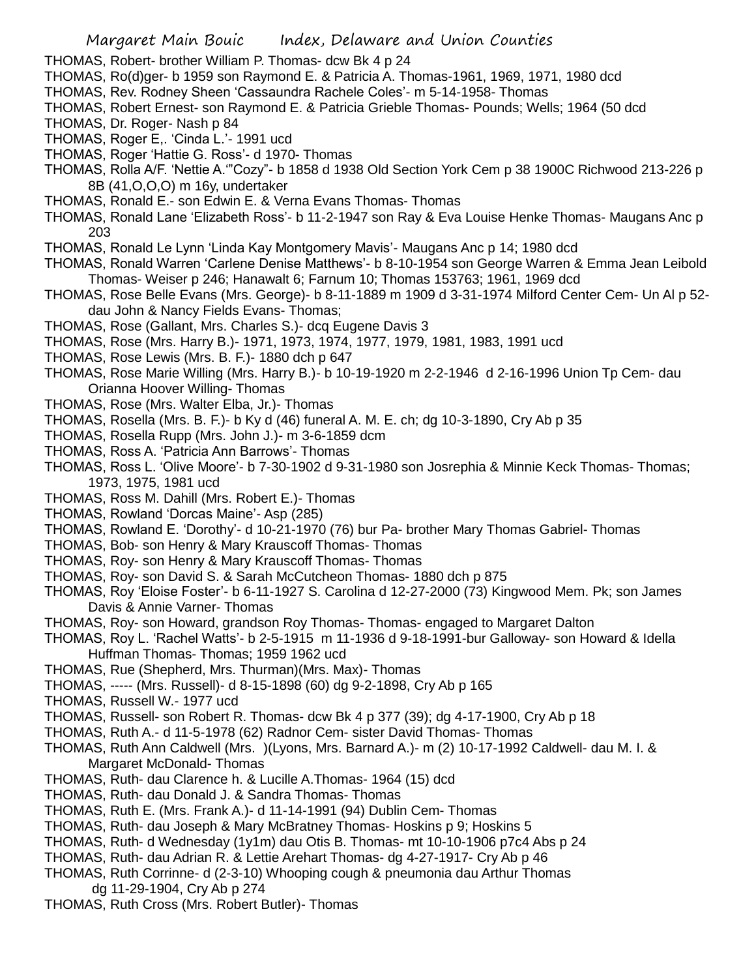- THOMAS, Robert- brother William P. Thomas- dcw Bk 4 p 24
- THOMAS, Ro(d)ger- b 1959 son Raymond E. & Patricia A. Thomas-1961, 1969, 1971, 1980 dcd
- THOMAS, Rev. Rodney Sheen 'Cassaundra Rachele Coles'- m 5-14-1958- Thomas
- THOMAS, Robert Ernest- son Raymond E. & Patricia Grieble Thomas- Pounds; Wells; 1964 (50 dcd
- THOMAS, Dr. Roger- Nash p 84
- THOMAS, Roger E,. 'Cinda L.'- 1991 ucd
- THOMAS, Roger 'Hattie G. Ross'- d 1970- Thomas
- THOMAS, Rolla A/F. 'Nettie A.'"Cozy"- b 1858 d 1938 Old Section York Cem p 38 1900C Richwood 213-226 p 8B (41,O,O,O) m 16y, undertaker
- THOMAS, Ronald E.- son Edwin E. & Verna Evans Thomas- Thomas
- THOMAS, Ronald Lane 'Elizabeth Ross'- b 11-2-1947 son Ray & Eva Louise Henke Thomas- Maugans Anc p 203
- THOMAS, Ronald Le Lynn 'Linda Kay Montgomery Mavis'- Maugans Anc p 14; 1980 dcd
- THOMAS, Ronald Warren 'Carlene Denise Matthews'- b 8-10-1954 son George Warren & Emma Jean Leibold Thomas- Weiser p 246; Hanawalt 6; Farnum 10; Thomas 153763; 1961, 1969 dcd
- THOMAS, Rose Belle Evans (Mrs. George)- b 8-11-1889 m 1909 d 3-31-1974 Milford Center Cem- Un Al p 52 dau John & Nancy Fields Evans- Thomas;
- THOMAS, Rose (Gallant, Mrs. Charles S.)- dcq Eugene Davis 3
- THOMAS, Rose (Mrs. Harry B.)- 1971, 1973, 1974, 1977, 1979, 1981, 1983, 1991 ucd
- THOMAS, Rose Lewis (Mrs. B. F.)- 1880 dch p 647
- THOMAS, Rose Marie Willing (Mrs. Harry B.)- b 10-19-1920 m 2-2-1946 d 2-16-1996 Union Tp Cem- dau Orianna Hoover Willing- Thomas
- THOMAS, Rose (Mrs. Walter Elba, Jr.)- Thomas
- THOMAS, Rosella (Mrs. B. F.)- b Ky d (46) funeral A. M. E. ch; dg 10-3-1890, Cry Ab p 35
- THOMAS, Rosella Rupp (Mrs. John J.)- m 3-6-1859 dcm
- THOMAS, Ross A. 'Patricia Ann Barrows'- Thomas
- THOMAS, Ross L. 'Olive Moore'- b 7-30-1902 d 9-31-1980 son Josrephia & Minnie Keck Thomas- Thomas; 1973, 1975, 1981 ucd
- THOMAS, Ross M. Dahill (Mrs. Robert E.)- Thomas
- THOMAS, Rowland 'Dorcas Maine'- Asp (285)
- THOMAS, Rowland E. 'Dorothy'- d 10-21-1970 (76) bur Pa- brother Mary Thomas Gabriel- Thomas
- THOMAS, Bob- son Henry & Mary Krauscoff Thomas- Thomas
- THOMAS, Roy- son Henry & Mary Krauscoff Thomas- Thomas
- THOMAS, Roy- son David S. & Sarah McCutcheon Thomas- 1880 dch p 875
- THOMAS, Roy 'Eloise Foster'- b 6-11-1927 S. Carolina d 12-27-2000 (73) Kingwood Mem. Pk; son James Davis & Annie Varner- Thomas
- THOMAS, Roy- son Howard, grandson Roy Thomas- Thomas- engaged to Margaret Dalton
- THOMAS, Roy L. 'Rachel Watts'- b 2-5-1915 m 11-1936 d 9-18-1991-bur Galloway- son Howard & Idella Huffman Thomas- Thomas; 1959 1962 ucd
- THOMAS, Rue (Shepherd, Mrs. Thurman)(Mrs. Max)- Thomas
- THOMAS, ----- (Mrs. Russell)- d 8-15-1898 (60) dg 9-2-1898, Cry Ab p 165
- THOMAS, Russell W.- 1977 ucd
- THOMAS, Russell- son Robert R. Thomas- dcw Bk 4 p 377 (39); dg 4-17-1900, Cry Ab p 18
- THOMAS, Ruth A.- d 11-5-1978 (62) Radnor Cem- sister David Thomas- Thomas
- THOMAS, Ruth Ann Caldwell (Mrs. )(Lyons, Mrs. Barnard A.)- m (2) 10-17-1992 Caldwell- dau M. I. & Margaret McDonald- Thomas
- THOMAS, Ruth- dau Clarence h. & Lucille A.Thomas- 1964 (15) dcd
- THOMAS, Ruth- dau Donald J. & Sandra Thomas- Thomas
- THOMAS, Ruth E. (Mrs. Frank A.)- d 11-14-1991 (94) Dublin Cem- Thomas
- THOMAS, Ruth- dau Joseph & Mary McBratney Thomas- Hoskins p 9; Hoskins 5
- THOMAS, Ruth- d Wednesday (1y1m) dau Otis B. Thomas- mt 10-10-1906 p7c4 Abs p 24
- THOMAS, Ruth- dau Adrian R. & Lettie Arehart Thomas- dg 4-27-1917- Cry Ab p 46
- THOMAS, Ruth Corrinne- d (2-3-10) Whooping cough & pneumonia dau Arthur Thomas dg 11-29-1904, Cry Ab p 274
- THOMAS, Ruth Cross (Mrs. Robert Butler)- Thomas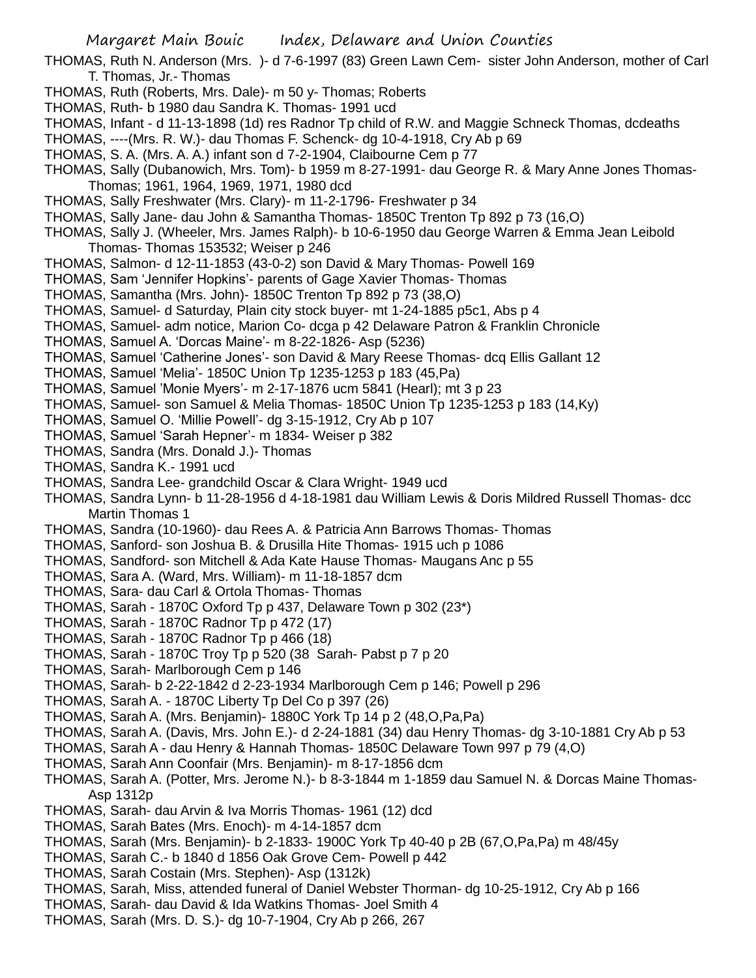- THOMAS, Ruth N. Anderson (Mrs. )- d 7-6-1997 (83) Green Lawn Cem- sister John Anderson, mother of Carl T. Thomas, Jr.- Thomas
- THOMAS, Ruth (Roberts, Mrs. Dale)- m 50 y- Thomas; Roberts
- THOMAS, Ruth- b 1980 dau Sandra K. Thomas- 1991 ucd
- THOMAS, Infant d 11-13-1898 (1d) res Radnor Tp child of R.W. and Maggie Schneck Thomas, dcdeaths
- THOMAS, ----(Mrs. R. W.)- dau Thomas F. Schenck- dg 10-4-1918, Cry Ab p 69
- THOMAS, S. A. (Mrs. A. A.) infant son d 7-2-1904, Claibourne Cem p 77
- THOMAS, Sally (Dubanowich, Mrs. Tom)- b 1959 m 8-27-1991- dau George R. & Mary Anne Jones Thomas-Thomas; 1961, 1964, 1969, 1971, 1980 dcd
- THOMAS, Sally Freshwater (Mrs. Clary)- m 11-2-1796- Freshwater p 34
- THOMAS, Sally Jane- dau John & Samantha Thomas- 1850C Trenton Tp 892 p 73 (16,O)
- THOMAS, Sally J. (Wheeler, Mrs. James Ralph)- b 10-6-1950 dau George Warren & Emma Jean Leibold Thomas- Thomas 153532; Weiser p 246
- THOMAS, Salmon- d 12-11-1853 (43-0-2) son David & Mary Thomas- Powell 169
- THOMAS, Sam 'Jennifer Hopkins'- parents of Gage Xavier Thomas- Thomas
- THOMAS, Samantha (Mrs. John)- 1850C Trenton Tp 892 p 73 (38,O)
- THOMAS, Samuel- d Saturday, Plain city stock buyer- mt 1-24-1885 p5c1, Abs p 4
- THOMAS, Samuel- adm notice, Marion Co- dcga p 42 Delaware Patron & Franklin Chronicle
- THOMAS, Samuel A. 'Dorcas Maine'- m 8-22-1826- Asp (5236)
- THOMAS, Samuel 'Catherine Jones'- son David & Mary Reese Thomas- dcq Ellis Gallant 12
- THOMAS, Samuel 'Melia'- 1850C Union Tp 1235-1253 p 183 (45,Pa)
- THOMAS, Samuel 'Monie Myers'- m 2-17-1876 ucm 5841 (Hearl); mt 3 p 23
- THOMAS, Samuel- son Samuel & Melia Thomas- 1850C Union Tp 1235-1253 p 183 (14,Ky)
- THOMAS, Samuel O. 'Millie Powell'- dg 3-15-1912, Cry Ab p 107
- THOMAS, Samuel 'Sarah Hepner'- m 1834- Weiser p 382
- THOMAS, Sandra (Mrs. Donald J.)- Thomas
- THOMAS, Sandra K.- 1991 ucd
- THOMAS, Sandra Lee- grandchild Oscar & Clara Wright- 1949 ucd
- THOMAS, Sandra Lynn- b 11-28-1956 d 4-18-1981 dau William Lewis & Doris Mildred Russell Thomas- dcc Martin Thomas 1
- THOMAS, Sandra (10-1960)- dau Rees A. & Patricia Ann Barrows Thomas- Thomas
- THOMAS, Sanford- son Joshua B. & Drusilla Hite Thomas- 1915 uch p 1086
- THOMAS, Sandford- son Mitchell & Ada Kate Hause Thomas- Maugans Anc p 55
- THOMAS, Sara A. (Ward, Mrs. William)- m 11-18-1857 dcm
- THOMAS, Sara- dau Carl & Ortola Thomas- Thomas
- THOMAS, Sarah 1870C Oxford Tp p 437, Delaware Town p 302 (23\*)
- THOMAS, Sarah 1870C Radnor Tp p 472 (17)
- THOMAS, Sarah 1870C Radnor Tp p 466 (18)
- THOMAS, Sarah 1870C Troy Tp p 520 (38 Sarah- Pabst p 7 p 20
- THOMAS, Sarah- Marlborough Cem p 146
- THOMAS, Sarah- b 2-22-1842 d 2-23-1934 Marlborough Cem p 146; Powell p 296
- THOMAS, Sarah A. 1870C Liberty Tp Del Co p 397 (26)
- THOMAS, Sarah A. (Mrs. Benjamin)- 1880C York Tp 14 p 2 (48,O,Pa,Pa)
- THOMAS, Sarah A. (Davis, Mrs. John E.)- d 2-24-1881 (34) dau Henry Thomas- dg 3-10-1881 Cry Ab p 53
- THOMAS, Sarah A dau Henry & Hannah Thomas- 1850C Delaware Town 997 p 79 (4,O)
- THOMAS, Sarah Ann Coonfair (Mrs. Benjamin)- m 8-17-1856 dcm
- THOMAS, Sarah A. (Potter, Mrs. Jerome N.)- b 8-3-1844 m 1-1859 dau Samuel N. & Dorcas Maine Thomas-Asp 1312p
- THOMAS, Sarah- dau Arvin & Iva Morris Thomas- 1961 (12) dcd
- THOMAS, Sarah Bates (Mrs. Enoch)- m 4-14-1857 dcm
- THOMAS, Sarah (Mrs. Benjamin)- b 2-1833- 1900C York Tp 40-40 p 2B (67,O,Pa,Pa) m 48/45y
- THOMAS, Sarah C.- b 1840 d 1856 Oak Grove Cem- Powell p 442
- THOMAS, Sarah Costain (Mrs. Stephen)- Asp (1312k)
- THOMAS, Sarah, Miss, attended funeral of Daniel Webster Thorman- dg 10-25-1912, Cry Ab p 166
- THOMAS, Sarah- dau David & Ida Watkins Thomas- Joel Smith 4
- THOMAS, Sarah (Mrs. D. S.)- dg 10-7-1904, Cry Ab p 266, 267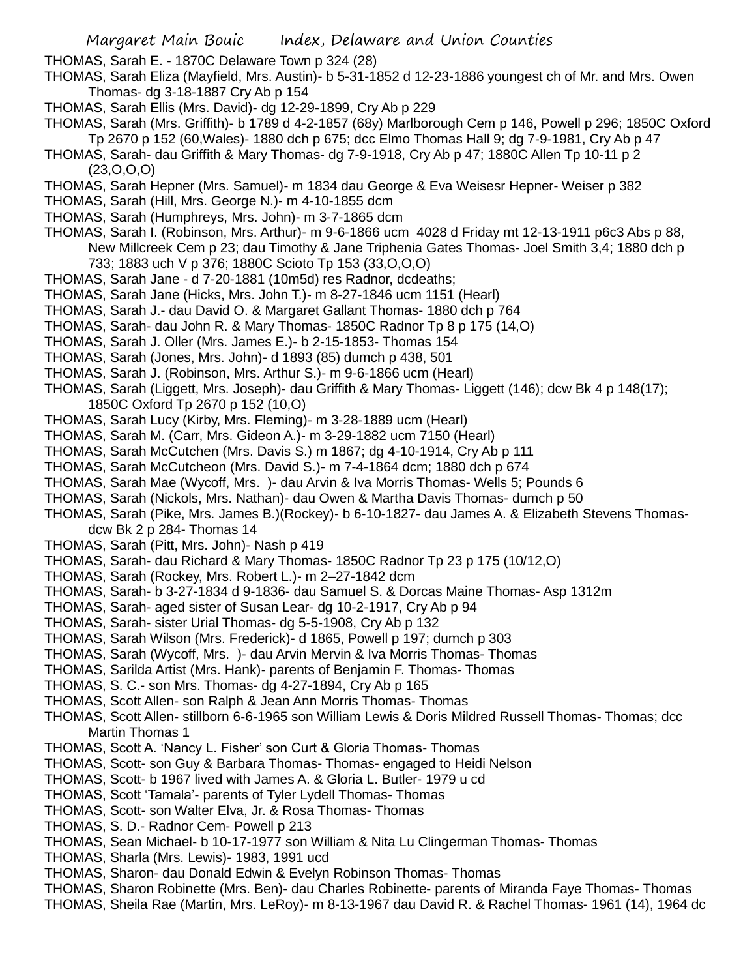THOMAS, Sarah E. - 1870C Delaware Town p 324 (28)

- THOMAS, Sarah Eliza (Mayfield, Mrs. Austin)- b 5-31-1852 d 12-23-1886 youngest ch of Mr. and Mrs. Owen Thomas- dg 3-18-1887 Cry Ab p 154
- THOMAS, Sarah Ellis (Mrs. David)- dg 12-29-1899, Cry Ab p 229
- THOMAS, Sarah (Mrs. Griffith)- b 1789 d 4-2-1857 (68y) Marlborough Cem p 146, Powell p 296; 1850C Oxford Tp 2670 p 152 (60,Wales)- 1880 dch p 675; dcc Elmo Thomas Hall 9; dg 7-9-1981, Cry Ab p 47
- THOMAS, Sarah- dau Griffith & Mary Thomas- dg 7-9-1918, Cry Ab p 47; 1880C Allen Tp 10-11 p 2  $(23, 0, 0, 0)$
- THOMAS, Sarah Hepner (Mrs. Samuel)- m 1834 dau George & Eva Weisesr Hepner- Weiser p 382
- THOMAS, Sarah (Hill, Mrs. George N.)- m 4-10-1855 dcm
- THOMAS, Sarah (Humphreys, Mrs. John)- m 3-7-1865 dcm
- THOMAS, Sarah I. (Robinson, Mrs. Arthur)- m 9-6-1866 ucm 4028 d Friday mt 12-13-1911 p6c3 Abs p 88, New Millcreek Cem p 23; dau Timothy & Jane Triphenia Gates Thomas- Joel Smith 3,4; 1880 dch p 733; 1883 uch V p 376; 1880C Scioto Tp 153 (33,O,O,O)
- THOMAS, Sarah Jane d 7-20-1881 (10m5d) res Radnor, dcdeaths;
- THOMAS, Sarah Jane (Hicks, Mrs. John T.)- m 8-27-1846 ucm 1151 (Hearl)
- THOMAS, Sarah J.- dau David O. & Margaret Gallant Thomas- 1880 dch p 764
- THOMAS, Sarah- dau John R. & Mary Thomas- 1850C Radnor Tp 8 p 175 (14,O)
- THOMAS, Sarah J. Oller (Mrs. James E.)- b 2-15-1853- Thomas 154
- THOMAS, Sarah (Jones, Mrs. John)- d 1893 (85) dumch p 438, 501
- THOMAS, Sarah J. (Robinson, Mrs. Arthur S.)- m 9-6-1866 ucm (Hearl)
- THOMAS, Sarah (Liggett, Mrs. Joseph)- dau Griffith & Mary Thomas- Liggett (146); dcw Bk 4 p 148(17); 1850C Oxford Tp 2670 p 152 (10,O)
- THOMAS, Sarah Lucy (Kirby, Mrs. Fleming)- m 3-28-1889 ucm (Hearl)
- THOMAS, Sarah M. (Carr, Mrs. Gideon A.)- m 3-29-1882 ucm 7150 (Hearl)
- THOMAS, Sarah McCutchen (Mrs. Davis S.) m 1867; dg 4-10-1914, Cry Ab p 111
- THOMAS, Sarah McCutcheon (Mrs. David S.)- m 7-4-1864 dcm; 1880 dch p 674
- THOMAS, Sarah Mae (Wycoff, Mrs. )- dau Arvin & Iva Morris Thomas- Wells 5; Pounds 6
- THOMAS, Sarah (Nickols, Mrs. Nathan)- dau Owen & Martha Davis Thomas- dumch p 50
- THOMAS, Sarah (Pike, Mrs. James B.)(Rockey)- b 6-10-1827- dau James A. & Elizabeth Stevens Thomasdcw Bk 2 p 284- Thomas 14
- THOMAS, Sarah (Pitt, Mrs. John)- Nash p 419
- THOMAS, Sarah- dau Richard & Mary Thomas- 1850C Radnor Tp 23 p 175 (10/12,O)
- THOMAS, Sarah (Rockey, Mrs. Robert L.)- m 2–27-1842 dcm
- THOMAS, Sarah- b 3-27-1834 d 9-1836- dau Samuel S. & Dorcas Maine Thomas- Asp 1312m
- THOMAS, Sarah- aged sister of Susan Lear- dg 10-2-1917, Cry Ab p 94
- THOMAS, Sarah- sister Urial Thomas- dg 5-5-1908, Cry Ab p 132
- THOMAS, Sarah Wilson (Mrs. Frederick)- d 1865, Powell p 197; dumch p 303
- THOMAS, Sarah (Wycoff, Mrs. )- dau Arvin Mervin & Iva Morris Thomas- Thomas
- THOMAS, Sarilda Artist (Mrs. Hank)- parents of Benjamin F. Thomas- Thomas
- THOMAS, S. C.- son Mrs. Thomas- dg 4-27-1894, Cry Ab p 165
- THOMAS, Scott Allen- son Ralph & Jean Ann Morris Thomas- Thomas
- THOMAS, Scott Allen- stillborn 6-6-1965 son William Lewis & Doris Mildred Russell Thomas- Thomas; dcc Martin Thomas 1
- THOMAS, Scott A. 'Nancy L. Fisher' son Curt & Gloria Thomas- Thomas
- THOMAS, Scott- son Guy & Barbara Thomas- Thomas- engaged to Heidi Nelson
- THOMAS, Scott- b 1967 lived with James A. & Gloria L. Butler- 1979 u cd
- THOMAS, Scott 'Tamala'- parents of Tyler Lydell Thomas- Thomas
- THOMAS, Scott- son Walter Elva, Jr. & Rosa Thomas- Thomas
- THOMAS, S. D.- Radnor Cem- Powell p 213
- THOMAS, Sean Michael- b 10-17-1977 son William & Nita Lu Clingerman Thomas- Thomas
- THOMAS, Sharla (Mrs. Lewis)- 1983, 1991 ucd
- THOMAS, Sharon- dau Donald Edwin & Evelyn Robinson Thomas- Thomas
- THOMAS, Sharon Robinette (Mrs. Ben)- dau Charles Robinette- parents of Miranda Faye Thomas- Thomas
- THOMAS, Sheila Rae (Martin, Mrs. LeRoy)- m 8-13-1967 dau David R. & Rachel Thomas- 1961 (14), 1964 dc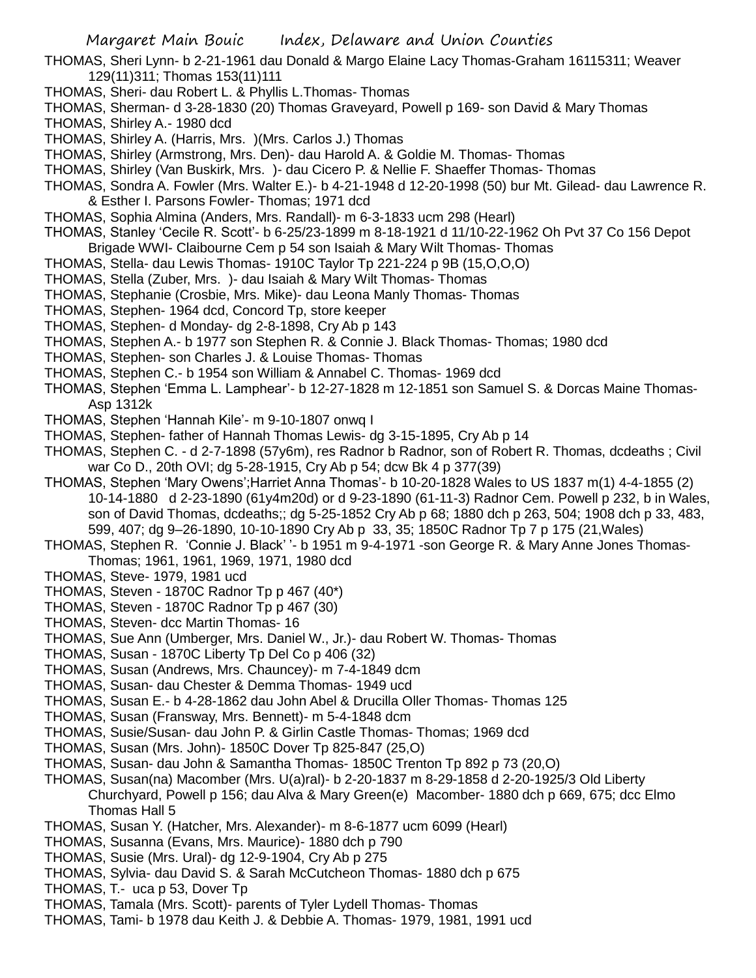THOMAS, Sheri Lynn- b 2-21-1961 dau Donald & Margo Elaine Lacy Thomas-Graham 16115311; Weaver 129(11)311; Thomas 153(11)111

- THOMAS, Sheri- dau Robert L. & Phyllis L.Thomas- Thomas
- THOMAS, Sherman- d 3-28-1830 (20) Thomas Graveyard, Powell p 169- son David & Mary Thomas
- THOMAS, Shirley A.- 1980 dcd
- THOMAS, Shirley A. (Harris, Mrs. )(Mrs. Carlos J.) Thomas
- THOMAS, Shirley (Armstrong, Mrs. Den)- dau Harold A. & Goldie M. Thomas- Thomas
- THOMAS, Shirley (Van Buskirk, Mrs. )- dau Cicero P. & Nellie F. Shaeffer Thomas- Thomas
- THOMAS, Sondra A. Fowler (Mrs. Walter E.)- b 4-21-1948 d 12-20-1998 (50) bur Mt. Gilead- dau Lawrence R. & Esther I. Parsons Fowler- Thomas; 1971 dcd
- THOMAS, Sophia Almina (Anders, Mrs. Randall)- m 6-3-1833 ucm 298 (Hearl)
- THOMAS, Stanley 'Cecile R. Scott'- b 6-25/23-1899 m 8-18-1921 d 11/10-22-1962 Oh Pvt 37 Co 156 Depot Brigade WWI- Claibourne Cem p 54 son Isaiah & Mary Wilt Thomas- Thomas
- THOMAS, Stella- dau Lewis Thomas- 1910C Taylor Tp 221-224 p 9B (15,O,O,O)
- THOMAS, Stella (Zuber, Mrs. )- dau Isaiah & Mary Wilt Thomas- Thomas
- THOMAS, Stephanie (Crosbie, Mrs. Mike)- dau Leona Manly Thomas- Thomas
- THOMAS, Stephen- 1964 dcd, Concord Tp, store keeper
- THOMAS, Stephen- d Monday- dg 2-8-1898, Cry Ab p 143
- THOMAS, Stephen A.- b 1977 son Stephen R. & Connie J. Black Thomas- Thomas; 1980 dcd
- THOMAS, Stephen- son Charles J. & Louise Thomas- Thomas
- THOMAS, Stephen C.- b 1954 son William & Annabel C. Thomas- 1969 dcd
- THOMAS, Stephen 'Emma L. Lamphear'- b 12-27-1828 m 12-1851 son Samuel S. & Dorcas Maine Thomas-Asp 1312k
- THOMAS, Stephen 'Hannah Kile'- m 9-10-1807 onwq I
- THOMAS, Stephen- father of Hannah Thomas Lewis- dg 3-15-1895, Cry Ab p 14
- THOMAS, Stephen C. d 2-7-1898 (57y6m), res Radnor b Radnor, son of Robert R. Thomas, dcdeaths ; Civil war Co D., 20th OVI; dg 5-28-1915, Cry Ab p 54; dcw Bk 4 p 377(39)
- THOMAS, Stephen 'Mary Owens';Harriet Anna Thomas'- b 10-20-1828 Wales to US 1837 m(1) 4-4-1855 (2) 10-14-1880 d 2-23-1890 (61y4m20d) or d 9-23-1890 (61-11-3) Radnor Cem. Powell p 232, b in Wales, son of David Thomas, dcdeaths;; dg 5-25-1852 Cry Ab p 68; 1880 dch p 263, 504; 1908 dch p 33, 483, 599, 407; dg 9–26-1890, 10-10-1890 Cry Ab p 33, 35; 1850C Radnor Tp 7 p 175 (21,Wales)
- THOMAS, Stephen R. 'Connie J. Black' '- b 1951 m 9-4-1971 -son George R. & Mary Anne Jones Thomas-Thomas; 1961, 1961, 1969, 1971, 1980 dcd
- THOMAS, Steve- 1979, 1981 ucd
- THOMAS, Steven 1870C Radnor Tp p 467 (40\*)
- THOMAS, Steven 1870C Radnor Tp p 467 (30)
- THOMAS, Steven- dcc Martin Thomas- 16
- THOMAS, Sue Ann (Umberger, Mrs. Daniel W., Jr.)- dau Robert W. Thomas- Thomas
- THOMAS, Susan 1870C Liberty Tp Del Co p 406 (32)
- THOMAS, Susan (Andrews, Mrs. Chauncey)- m 7-4-1849 dcm
- THOMAS, Susan- dau Chester & Demma Thomas- 1949 ucd
- THOMAS, Susan E.- b 4-28-1862 dau John Abel & Drucilla Oller Thomas- Thomas 125
- THOMAS, Susan (Fransway, Mrs. Bennett)- m 5-4-1848 dcm
- THOMAS, Susie/Susan- dau John P. & Girlin Castle Thomas- Thomas; 1969 dcd
- THOMAS, Susan (Mrs. John)- 1850C Dover Tp 825-847 (25,O)
- THOMAS, Susan- dau John & Samantha Thomas- 1850C Trenton Tp 892 p 73 (20,O)
- THOMAS, Susan(na) Macomber (Mrs. U(a)ral)- b 2-20-1837 m 8-29-1858 d 2-20-1925/3 Old Liberty Churchyard, Powell p 156; dau Alva & Mary Green(e) Macomber- 1880 dch p 669, 675; dcc Elmo Thomas Hall 5
- THOMAS, Susan Y. (Hatcher, Mrs. Alexander)- m 8-6-1877 ucm 6099 (Hearl)
- THOMAS, Susanna (Evans, Mrs. Maurice)- 1880 dch p 790
- THOMAS, Susie (Mrs. Ural)- dg 12-9-1904, Cry Ab p 275
- THOMAS, Sylvia- dau David S. & Sarah McCutcheon Thomas- 1880 dch p 675
- THOMAS, T.- uca p 53, Dover Tp
- THOMAS, Tamala (Mrs. Scott)- parents of Tyler Lydell Thomas- Thomas
- THOMAS, Tami- b 1978 dau Keith J. & Debbie A. Thomas- 1979, 1981, 1991 ucd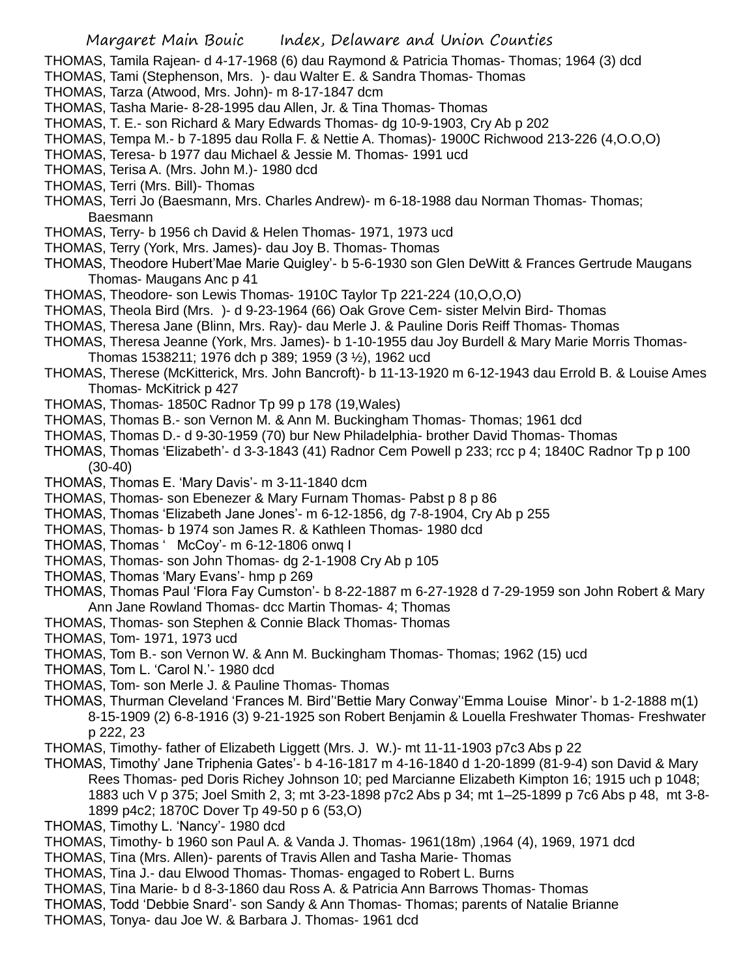- THOMAS, Tamila Rajean- d 4-17-1968 (6) dau Raymond & Patricia Thomas- Thomas; 1964 (3) dcd
- THOMAS, Tami (Stephenson, Mrs. )- dau Walter E. & Sandra Thomas- Thomas
- THOMAS, Tarza (Atwood, Mrs. John)- m 8-17-1847 dcm
- THOMAS, Tasha Marie- 8-28-1995 dau Allen, Jr. & Tina Thomas- Thomas
- THOMAS, T. E.- son Richard & Mary Edwards Thomas- dg 10-9-1903, Cry Ab p 202
- THOMAS, Tempa M.- b 7-1895 dau Rolla F. & Nettie A. Thomas)- 1900C Richwood 213-226 (4,O.O,O)
- THOMAS, Teresa- b 1977 dau Michael & Jessie M. Thomas- 1991 ucd
- THOMAS, Terisa A. (Mrs. John M.)- 1980 dcd
- THOMAS, Terri (Mrs. Bill)- Thomas
- THOMAS, Terri Jo (Baesmann, Mrs. Charles Andrew)- m 6-18-1988 dau Norman Thomas- Thomas; Baesmann
- THOMAS, Terry- b 1956 ch David & Helen Thomas- 1971, 1973 ucd
- THOMAS, Terry (York, Mrs. James)- dau Joy B. Thomas- Thomas
- THOMAS, Theodore Hubert'Mae Marie Quigley'- b 5-6-1930 son Glen DeWitt & Frances Gertrude Maugans Thomas- Maugans Anc p 41
- THOMAS, Theodore- son Lewis Thomas- 1910C Taylor Tp 221-224 (10,O,O,O)
- THOMAS, Theola Bird (Mrs. )- d 9-23-1964 (66) Oak Grove Cem- sister Melvin Bird- Thomas
- THOMAS, Theresa Jane (Blinn, Mrs. Ray)- dau Merle J. & Pauline Doris Reiff Thomas- Thomas
- THOMAS, Theresa Jeanne (York, Mrs. James)- b 1-10-1955 dau Joy Burdell & Mary Marie Morris Thomas-Thomas 1538211; 1976 dch p 389; 1959 (3 ½), 1962 ucd
- THOMAS, Therese (McKitterick, Mrs. John Bancroft)- b 11-13-1920 m 6-12-1943 dau Errold B. & Louise Ames Thomas- McKitrick p 427
- THOMAS, Thomas- 1850C Radnor Tp 99 p 178 (19,Wales)
- THOMAS, Thomas B.- son Vernon M. & Ann M. Buckingham Thomas- Thomas; 1961 dcd
- THOMAS, Thomas D.- d 9-30-1959 (70) bur New Philadelphia- brother David Thomas- Thomas
- THOMAS, Thomas 'Elizabeth'- d 3-3-1843 (41) Radnor Cem Powell p 233; rcc p 4; 1840C Radnor Tp p 100 (30-40)
- THOMAS, Thomas E. 'Mary Davis'- m 3-11-1840 dcm
- THOMAS, Thomas- son Ebenezer & Mary Furnam Thomas- Pabst p 8 p 86
- THOMAS, Thomas 'Elizabeth Jane Jones'- m 6-12-1856, dg 7-8-1904, Cry Ab p 255
- THOMAS, Thomas- b 1974 son James R. & Kathleen Thomas- 1980 dcd
- THOMAS, Thomas ' McCoy'- m 6-12-1806 onwq I
- THOMAS, Thomas- son John Thomas- dg 2-1-1908 Cry Ab p 105
- THOMAS, Thomas 'Mary Evans'- hmp p 269
- THOMAS, Thomas Paul 'Flora Fay Cumston'- b 8-22-1887 m 6-27-1928 d 7-29-1959 son John Robert & Mary Ann Jane Rowland Thomas- dcc Martin Thomas- 4; Thomas
- THOMAS, Thomas- son Stephen & Connie Black Thomas- Thomas
- THOMAS, Tom- 1971, 1973 ucd
- THOMAS, Tom B.- son Vernon W. & Ann M. Buckingham Thomas- Thomas; 1962 (15) ucd
- THOMAS, Tom L. 'Carol N.'- 1980 dcd
- THOMAS, Tom- son Merle J. & Pauline Thomas- Thomas
- THOMAS, Thurman Cleveland 'Frances M. Bird''Bettie Mary Conway''Emma Louise Minor'- b 1-2-1888 m(1) 8-15-1909 (2) 6-8-1916 (3) 9-21-1925 son Robert Benjamin & Louella Freshwater Thomas- Freshwater p 222, 23
- THOMAS, Timothy- father of Elizabeth Liggett (Mrs. J. W.)- mt 11-11-1903 p7c3 Abs p 22
- THOMAS, Timothy' Jane Triphenia Gates'- b 4-16-1817 m 4-16-1840 d 1-20-1899 (81-9-4) son David & Mary Rees Thomas- ped Doris Richey Johnson 10; ped Marcianne Elizabeth Kimpton 16; 1915 uch p 1048; 1883 uch V p 375; Joel Smith 2, 3; mt 3-23-1898 p7c2 Abs p 34; mt 1–25-1899 p 7c6 Abs p 48, mt 3-8- 1899 p4c2; 1870C Dover Tp 49-50 p 6 (53,O)
- THOMAS, Timothy L. 'Nancy'- 1980 dcd
- THOMAS, Timothy- b 1960 son Paul A. & Vanda J. Thomas- 1961(18m) ,1964 (4), 1969, 1971 dcd
- THOMAS, Tina (Mrs. Allen)- parents of Travis Allen and Tasha Marie- Thomas
- THOMAS, Tina J.- dau Elwood Thomas- Thomas- engaged to Robert L. Burns
- THOMAS, Tina Marie- b d 8-3-1860 dau Ross A. & Patricia Ann Barrows Thomas- Thomas
- THOMAS, Todd 'Debbie Snard'- son Sandy & Ann Thomas- Thomas; parents of Natalie Brianne
- THOMAS, Tonya- dau Joe W. & Barbara J. Thomas- 1961 dcd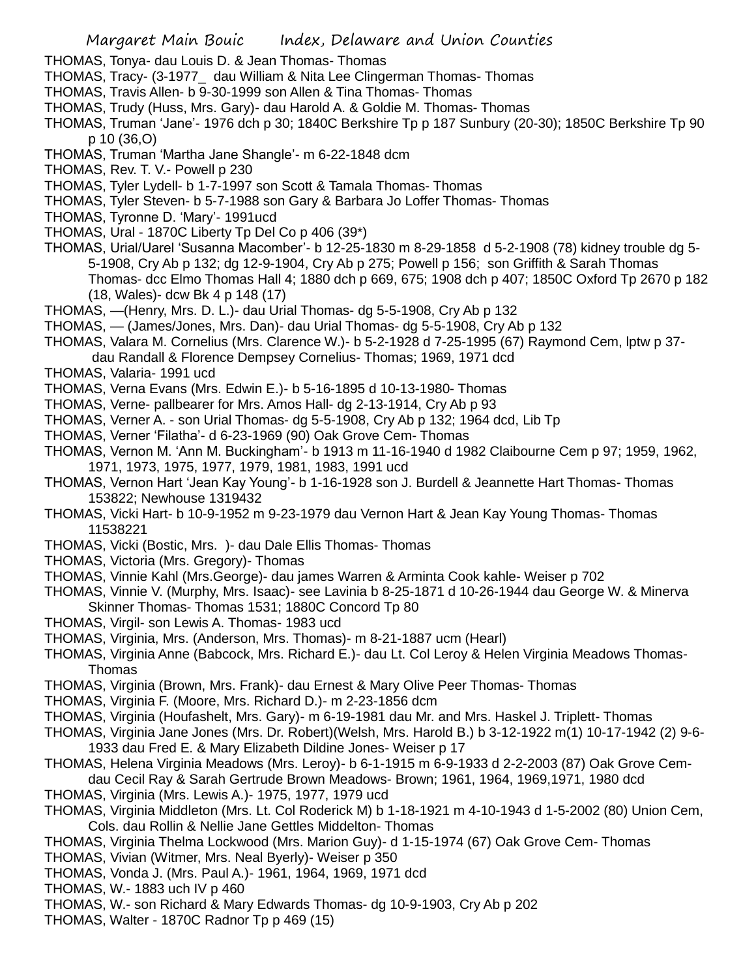THOMAS, Tonya- dau Louis D. & Jean Thomas- Thomas

- THOMAS, Tracy- (3-1977\_ dau William & Nita Lee Clingerman Thomas- Thomas
- THOMAS, Travis Allen- b 9-30-1999 son Allen & Tina Thomas- Thomas
- THOMAS, Trudy (Huss, Mrs. Gary)- dau Harold A. & Goldie M. Thomas- Thomas
- THOMAS, Truman 'Jane'- 1976 dch p 30; 1840C Berkshire Tp p 187 Sunbury (20-30); 1850C Berkshire Tp 90 p 10 (36,O)
- THOMAS, Truman 'Martha Jane Shangle'- m 6-22-1848 dcm
- THOMAS, Rev. T. V.- Powell p 230
- THOMAS, Tyler Lydell- b 1-7-1997 son Scott & Tamala Thomas- Thomas
- THOMAS, Tyler Steven- b 5-7-1988 son Gary & Barbara Jo Loffer Thomas- Thomas
- THOMAS, Tyronne D. 'Mary'- 1991ucd
- THOMAS, Ural 1870C Liberty Tp Del Co p 406 (39\*)
- THOMAS, Urial/Uarel 'Susanna Macomber'- b 12-25-1830 m 8-29-1858 d 5-2-1908 (78) kidney trouble dg 5- 5-1908, Cry Ab p 132; dg 12-9-1904, Cry Ab p 275; Powell p 156; son Griffith & Sarah Thomas Thomas- dcc Elmo Thomas Hall 4; 1880 dch p 669, 675; 1908 dch p 407; 1850C Oxford Tp 2670 p 182 (18, Wales)- dcw Bk 4 p 148 (17)
- THOMAS, —(Henry, Mrs. D. L.)- dau Urial Thomas- dg 5-5-1908, Cry Ab p 132
- THOMAS, (James/Jones, Mrs. Dan)- dau Urial Thomas- dg 5-5-1908, Cry Ab p 132
- THOMAS, Valara M. Cornelius (Mrs. Clarence W.)- b 5-2-1928 d 7-25-1995 (67) Raymond Cem, lptw p 37-
- dau Randall & Florence Dempsey Cornelius- Thomas; 1969, 1971 dcd
- THOMAS, Valaria- 1991 ucd
- THOMAS, Verna Evans (Mrs. Edwin E.)- b 5-16-1895 d 10-13-1980- Thomas
- THOMAS, Verne- pallbearer for Mrs. Amos Hall- dg 2-13-1914, Cry Ab p 93
- THOMAS, Verner A. son Urial Thomas- dg 5-5-1908, Cry Ab p 132; 1964 dcd, Lib Tp
- THOMAS, Verner 'Filatha'- d 6-23-1969 (90) Oak Grove Cem- Thomas
- THOMAS, Vernon M. 'Ann M. Buckingham'- b 1913 m 11-16-1940 d 1982 Claibourne Cem p 97; 1959, 1962, 1971, 1973, 1975, 1977, 1979, 1981, 1983, 1991 ucd
- THOMAS, Vernon Hart 'Jean Kay Young'- b 1-16-1928 son J. Burdell & Jeannette Hart Thomas- Thomas 153822; Newhouse 1319432
- THOMAS, Vicki Hart- b 10-9-1952 m 9-23-1979 dau Vernon Hart & Jean Kay Young Thomas- Thomas 11538221
- THOMAS, Vicki (Bostic, Mrs. )- dau Dale Ellis Thomas- Thomas
- THOMAS, Victoria (Mrs. Gregory)- Thomas
- THOMAS, Vinnie Kahl (Mrs.George)- dau james Warren & Arminta Cook kahle- Weiser p 702
- THOMAS, Vinnie V. (Murphy, Mrs. Isaac)- see Lavinia b 8-25-1871 d 10-26-1944 dau George W. & Minerva Skinner Thomas- Thomas 1531; 1880C Concord Tp 80
- THOMAS, Virgil- son Lewis A. Thomas- 1983 ucd
- THOMAS, Virginia, Mrs. (Anderson, Mrs. Thomas)- m 8-21-1887 ucm (Hearl)
- THOMAS, Virginia Anne (Babcock, Mrs. Richard E.)- dau Lt. Col Leroy & Helen Virginia Meadows Thomas-Thomas
- THOMAS, Virginia (Brown, Mrs. Frank)- dau Ernest & Mary Olive Peer Thomas- Thomas
- THOMAS, Virginia F. (Moore, Mrs. Richard D.)- m 2-23-1856 dcm
- THOMAS, Virginia (Houfashelt, Mrs. Gary)- m 6-19-1981 dau Mr. and Mrs. Haskel J. Triplett- Thomas
- THOMAS, Virginia Jane Jones (Mrs. Dr. Robert)(Welsh, Mrs. Harold B.) b 3-12-1922 m(1) 10-17-1942 (2) 9-6- 1933 dau Fred E. & Mary Elizabeth Dildine Jones- Weiser p 17
- THOMAS, Helena Virginia Meadows (Mrs. Leroy)- b 6-1-1915 m 6-9-1933 d 2-2-2003 (87) Oak Grove Cemdau Cecil Ray & Sarah Gertrude Brown Meadows- Brown; 1961, 1964, 1969,1971, 1980 dcd
- THOMAS, Virginia (Mrs. Lewis A.)- 1975, 1977, 1979 ucd
- THOMAS, Virginia Middleton (Mrs. Lt. Col Roderick M) b 1-18-1921 m 4-10-1943 d 1-5-2002 (80) Union Cem, Cols. dau Rollin & Nellie Jane Gettles Middelton- Thomas
- THOMAS, Virginia Thelma Lockwood (Mrs. Marion Guy)- d 1-15-1974 (67) Oak Grove Cem- Thomas
- THOMAS, Vivian (Witmer, Mrs. Neal Byerly)- Weiser p 350
- THOMAS, Vonda J. (Mrs. Paul A.)- 1961, 1964, 1969, 1971 dcd
- THOMAS, W.- 1883 uch IV p 460
- THOMAS, W.- son Richard & Mary Edwards Thomas- dg 10-9-1903, Cry Ab p 202
- THOMAS, Walter 1870C Radnor Tp p 469 (15)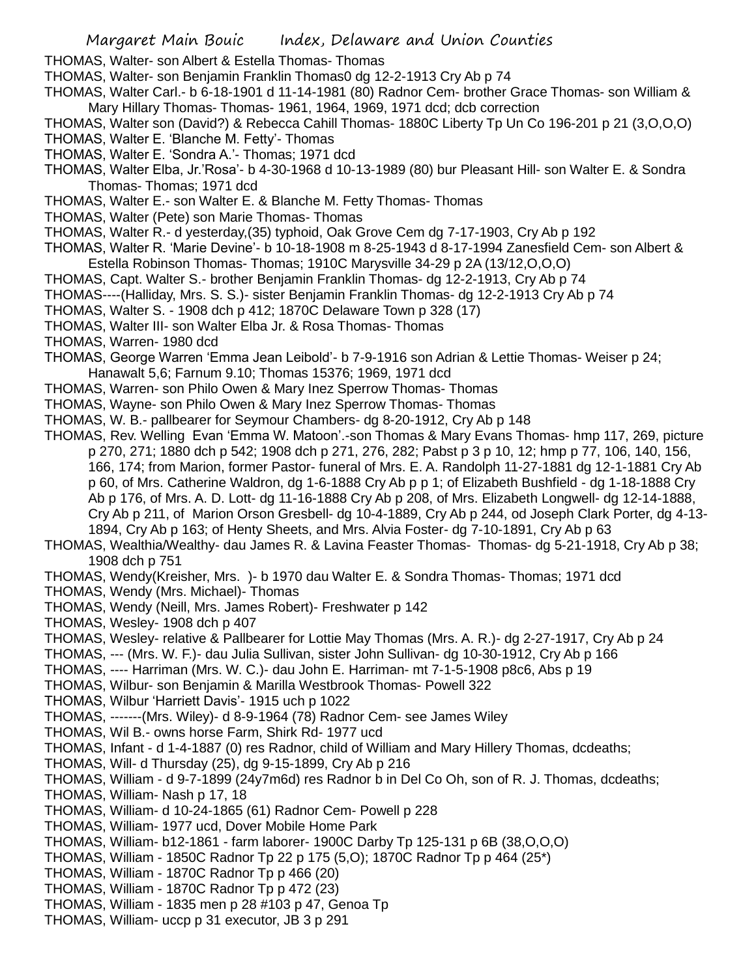THOMAS, Walter- son Albert & Estella Thomas- Thomas

- THOMAS, Walter- son Benjamin Franklin Thomas0 dg 12-2-1913 Cry Ab p 74
- THOMAS, Walter Carl.- b 6-18-1901 d 11-14-1981 (80) Radnor Cem- brother Grace Thomas- son William & Mary Hillary Thomas- Thomas- 1961, 1964, 1969, 1971 dcd; dcb correction
- THOMAS, Walter son (David?) & Rebecca Cahill Thomas- 1880C Liberty Tp Un Co 196-201 p 21 (3,O,O,O) THOMAS, Walter E. 'Blanche M. Fetty'- Thomas
- THOMAS, Walter E. 'Sondra A.'- Thomas; 1971 dcd
- THOMAS, Walter Elba, Jr.'Rosa'- b 4-30-1968 d 10-13-1989 (80) bur Pleasant Hill- son Walter E. & Sondra Thomas- Thomas; 1971 dcd
- THOMAS, Walter E.- son Walter E. & Blanche M. Fetty Thomas- Thomas
- THOMAS, Walter (Pete) son Marie Thomas- Thomas
- THOMAS, Walter R.- d yesterday,(35) typhoid, Oak Grove Cem dg 7-17-1903, Cry Ab p 192
- THOMAS, Walter R. 'Marie Devine'- b 10-18-1908 m 8-25-1943 d 8-17-1994 Zanesfield Cem- son Albert & Estella Robinson Thomas- Thomas; 1910C Marysville 34-29 p 2A (13/12,O,O,O)
- THOMAS, Capt. Walter S.- brother Benjamin Franklin Thomas- dg 12-2-1913, Cry Ab p 74
- THOMAS----(Halliday, Mrs. S. S.)- sister Benjamin Franklin Thomas- dg 12-2-1913 Cry Ab p 74
- THOMAS, Walter S. 1908 dch p 412; 1870C Delaware Town p 328 (17)
- THOMAS, Walter III- son Walter Elba Jr. & Rosa Thomas- Thomas
- THOMAS, Warren- 1980 dcd
- THOMAS, George Warren 'Emma Jean Leibold'- b 7-9-1916 son Adrian & Lettie Thomas- Weiser p 24; Hanawalt 5,6; Farnum 9.10; Thomas 15376; 1969, 1971 dcd
- THOMAS, Warren- son Philo Owen & Mary Inez Sperrow Thomas- Thomas
- THOMAS, Wayne- son Philo Owen & Mary Inez Sperrow Thomas- Thomas
- THOMAS, W. B.- pallbearer for Seymour Chambers- dg 8-20-1912, Cry Ab p 148
- THOMAS, Rev. Welling Evan 'Emma W. Matoon'.-son Thomas & Mary Evans Thomas- hmp 117, 269, picture p 270, 271; 1880 dch p 542; 1908 dch p 271, 276, 282; Pabst p 3 p 10, 12; hmp p 77, 106, 140, 156, 166, 174; from Marion, former Pastor- funeral of Mrs. E. A. Randolph 11-27-1881 dg 12-1-1881 Cry Ab p 60, of Mrs. Catherine Waldron, dg 1-6-1888 Cry Ab p p 1; of Elizabeth Bushfield - dg 1-18-1888 Cry Ab p 176, of Mrs. A. D. Lott- dg 11-16-1888 Cry Ab p 208, of Mrs. Elizabeth Longwell- dg 12-14-1888, Cry Ab p 211, of Marion Orson Gresbell- dg 10-4-1889, Cry Ab p 244, od Joseph Clark Porter, dg 4-13- 1894, Cry Ab p 163; of Henty Sheets, and Mrs. Alvia Foster- dg 7-10-1891, Cry Ab p 63

### THOMAS, Wealthia/Wealthy- dau James R. & Lavina Feaster Thomas- Thomas- dg 5-21-1918, Cry Ab p 38; 1908 dch p 751

THOMAS, Wendy(Kreisher, Mrs. )- b 1970 dau Walter E. & Sondra Thomas- Thomas; 1971 dcd

- THOMAS, Wendy (Mrs. Michael)- Thomas
- THOMAS, Wendy (Neill, Mrs. James Robert)- Freshwater p 142
- THOMAS, Wesley- 1908 dch p 407
- THOMAS, Wesley- relative & Pallbearer for Lottie May Thomas (Mrs. A. R.)- dg 2-27-1917, Cry Ab p 24
- THOMAS, --- (Mrs. W. F.)- dau Julia Sullivan, sister John Sullivan- dg 10-30-1912, Cry Ab p 166
- THOMAS, ---- Harriman (Mrs. W. C.)- dau John E. Harriman- mt 7-1-5-1908 p8c6, Abs p 19
- THOMAS, Wilbur- son Benjamin & Marilla Westbrook Thomas- Powell 322
- THOMAS, Wilbur 'Harriett Davis'- 1915 uch p 1022
- THOMAS, -------(Mrs. Wiley)- d 8-9-1964 (78) Radnor Cem- see James Wiley
- THOMAS, Wil B.- owns horse Farm, Shirk Rd- 1977 ucd
- THOMAS, Infant d 1-4-1887 (0) res Radnor, child of William and Mary Hillery Thomas, dcdeaths;
- THOMAS, Will- d Thursday (25), dg 9-15-1899, Cry Ab p 216
- THOMAS, William d 9-7-1899 (24y7m6d) res Radnor b in Del Co Oh, son of R. J. Thomas, dcdeaths; THOMAS, William- Nash p 17, 18
- THOMAS, William- d 10-24-1865 (61) Radnor Cem- Powell p 228
- THOMAS, William- 1977 ucd, Dover Mobile Home Park
- THOMAS, William- b12-1861 farm laborer- 1900C Darby Tp 125-131 p 6B (38,O,O,O)
- THOMAS, William 1850C Radnor Tp 22 p 175 (5,O); 1870C Radnor Tp p 464 (25\*)
- THOMAS, William 1870C Radnor Tp p 466 (20)
- THOMAS, William 1870C Radnor Tp p 472 (23)
- THOMAS, William 1835 men p 28 #103 p 47, Genoa Tp
- THOMAS, William- uccp p 31 executor, JB 3 p 291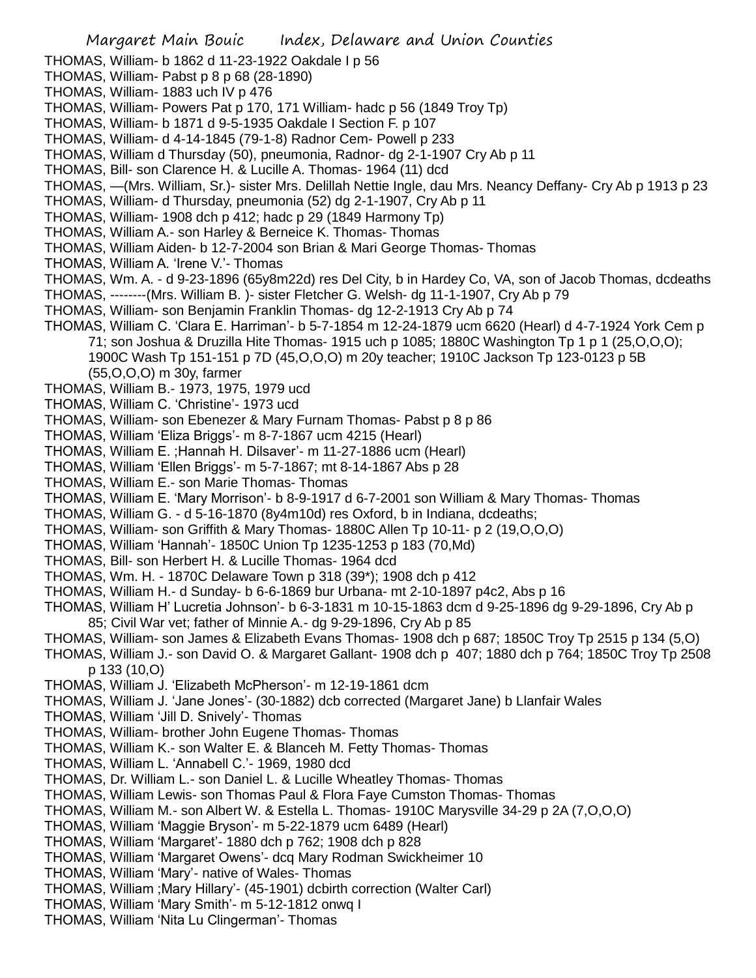- THOMAS, William- b 1862 d 11-23-1922 Oakdale I p 56
- THOMAS, William- Pabst p 8 p 68 (28-1890)
- THOMAS, William- 1883 uch IV p 476
- THOMAS, William- Powers Pat p 170, 171 William- hadc p 56 (1849 Troy Tp)
- THOMAS, William- b 1871 d 9-5-1935 Oakdale I Section F. p 107
- THOMAS, William- d 4-14-1845 (79-1-8) Radnor Cem- Powell p 233
- THOMAS, William d Thursday (50), pneumonia, Radnor- dg 2-1-1907 Cry Ab p 11
- THOMAS, Bill- son Clarence H. & Lucille A. Thomas- 1964 (11) dcd
- THOMAS, —(Mrs. William, Sr.)- sister Mrs. Delillah Nettie Ingle, dau Mrs. Neancy Deffany- Cry Ab p 1913 p 23
- THOMAS, William- d Thursday, pneumonia (52) dg 2-1-1907, Cry Ab p 11
- THOMAS, William- 1908 dch p 412; hadc p 29 (1849 Harmony Tp)
- THOMAS, William A.- son Harley & Berneice K. Thomas- Thomas
- THOMAS, William Aiden- b 12-7-2004 son Brian & Mari George Thomas- Thomas
- THOMAS, William A. 'Irene V.'- Thomas
- THOMAS, Wm. A. d 9-23-1896 (65y8m22d) res Del City, b in Hardey Co, VA, son of Jacob Thomas, dcdeaths
- THOMAS, --------(Mrs. William B. )- sister Fletcher G. Welsh- dg 11-1-1907, Cry Ab p 79
- THOMAS, William- son Benjamin Franklin Thomas- dg 12-2-1913 Cry Ab p 74
- THOMAS, William C. 'Clara E. Harriman'- b 5-7-1854 m 12-24-1879 ucm 6620 (Hearl) d 4-7-1924 York Cem p 71; son Joshua & Druzilla Hite Thomas- 1915 uch p 1085; 1880C Washington Tp 1 p 1 (25,O,O,O); 1900C Wash Tp 151-151 p 7D (45,O,O,O) m 20y teacher; 1910C Jackson Tp 123-0123 p 5B (55,O,O,O) m 30y, farmer
- THOMAS, William B.- 1973, 1975, 1979 ucd
- THOMAS, William C. 'Christine'- 1973 ucd
- THOMAS, William- son Ebenezer & Mary Furnam Thomas- Pabst p 8 p 86
- THOMAS, William 'Eliza Briggs'- m 8-7-1867 ucm 4215 (Hearl)
- THOMAS, William E. ;Hannah H. Dilsaver'- m 11-27-1886 ucm (Hearl)
- THOMAS, William 'Ellen Briggs'- m 5-7-1867; mt 8-14-1867 Abs p 28
- THOMAS, William E.- son Marie Thomas- Thomas
- THOMAS, William E. 'Mary Morrison'- b 8-9-1917 d 6-7-2001 son William & Mary Thomas- Thomas
- THOMAS, William G. d 5-16-1870 (8y4m10d) res Oxford, b in Indiana, dcdeaths;
- THOMAS, William- son Griffith & Mary Thomas- 1880C Allen Tp 10-11- p 2 (19,O,O,O)
- THOMAS, William 'Hannah'- 1850C Union Tp 1235-1253 p 183 (70,Md)
- THOMAS, Bill- son Herbert H. & Lucille Thomas- 1964 dcd
- THOMAS, Wm. H. 1870C Delaware Town p 318 (39\*); 1908 dch p 412
- THOMAS, William H.- d Sunday- b 6-6-1869 bur Urbana- mt 2-10-1897 p4c2, Abs p 16
- THOMAS, William H' Lucretia Johnson'- b 6-3-1831 m 10-15-1863 dcm d 9-25-1896 dg 9-29-1896, Cry Ab p
- 85; Civil War vet; father of Minnie A.- dg 9-29-1896, Cry Ab p 85 THOMAS, William- son James & Elizabeth Evans Thomas- 1908 dch p 687; 1850C Troy Tp 2515 p 134 (5,O)
- THOMAS, William J.- son David O. & Margaret Gallant- 1908 dch p 407; 1880 dch p 764; 1850C Troy Tp 2508
- p 133 (10,O)
- THOMAS, William J. 'Elizabeth McPherson'- m 12-19-1861 dcm
- THOMAS, William J. 'Jane Jones'- (30-1882) dcb corrected (Margaret Jane) b Llanfair Wales
- THOMAS, William 'Jill D. Snively'- Thomas
- THOMAS, William- brother John Eugene Thomas- Thomas
- THOMAS, William K.- son Walter E. & Blanceh M. Fetty Thomas- Thomas
- THOMAS, William L. 'Annabell C.'- 1969, 1980 dcd
- THOMAS, Dr. William L.- son Daniel L. & Lucille Wheatley Thomas- Thomas
- THOMAS, William Lewis- son Thomas Paul & Flora Faye Cumston Thomas- Thomas
- THOMAS, William M.- son Albert W. & Estella L. Thomas- 1910C Marysville 34-29 p 2A (7,O,O,O)
- THOMAS, William 'Maggie Bryson'- m 5-22-1879 ucm 6489 (Hearl)
- THOMAS, William 'Margaret'- 1880 dch p 762; 1908 dch p 828
- THOMAS, William 'Margaret Owens'- dcq Mary Rodman Swickheimer 10
- THOMAS, William 'Mary'- native of Wales- Thomas
- THOMAS, William ;Mary Hillary'- (45-1901) dcbirth correction (Walter Carl)
- THOMAS, William 'Mary Smith'- m 5-12-1812 onwq I
- THOMAS, William 'Nita Lu Clingerman'- Thomas